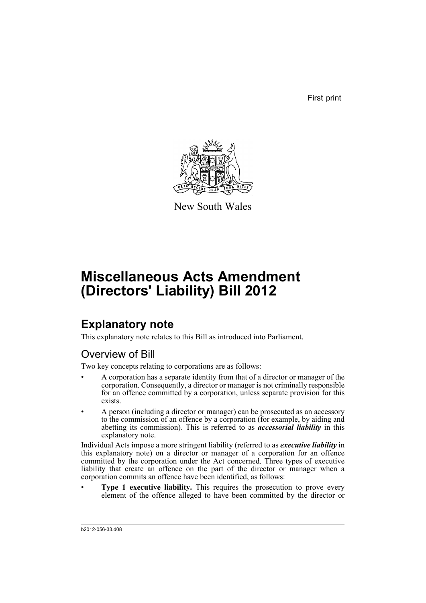First print



New South Wales

# **Miscellaneous Acts Amendment (Directors' Liability) Bill 2012**

# **Explanatory note**

This explanatory note relates to this Bill as introduced into Parliament.

# Overview of Bill

Two key concepts relating to corporations are as follows:

- A corporation has a separate identity from that of a director or manager of the corporation. Consequently, a director or manager is not criminally responsible for an offence committed by a corporation, unless separate provision for this exists.
- A person (including a director or manager) can be prosecuted as an accessory to the commission of an offence by a corporation (for example, by aiding and abetting its commission). This is referred to as *accessorial liability* in this explanatory note.

Individual Acts impose a more stringent liability (referred to as *executive liability* in this explanatory note) on a director or manager of a corporation for an offence committed by the corporation under the Act concerned. Three types of executive liability that create an offence on the part of the director or manager when a corporation commits an offence have been identified, as follows:

**Type 1 executive liability.** This requires the prosecution to prove every element of the offence alleged to have been committed by the director or

b2012-056-33.d08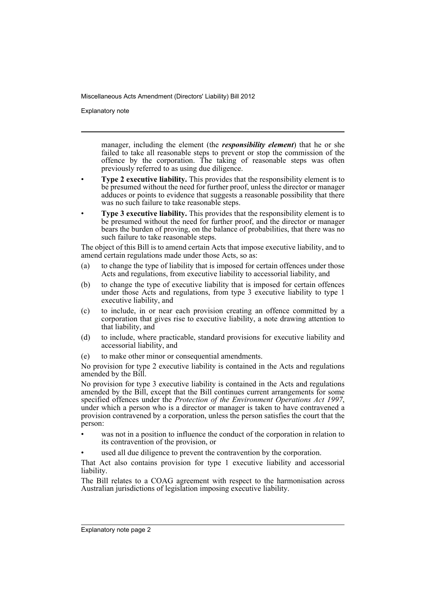Explanatory note

manager, including the element (the *responsibility element*) that he or she failed to take all reasonable steps to prevent or stop the commission of the offence by the corporation. The taking of reasonable steps was often previously referred to as using due diligence.

- **Type 2 executive liability.** This provides that the responsibility element is to be presumed without the need for further proof, unless the director or manager adduces or points to evidence that suggests a reasonable possibility that there was no such failure to take reasonable steps.
- **Type 3 executive liability.** This provides that the responsibility element is to be presumed without the need for further proof, and the director or manager bears the burden of proving, on the balance of probabilities, that there was no such failure to take reasonable steps.

The object of this Bill is to amend certain Acts that impose executive liability, and to amend certain regulations made under those Acts, so as:

- (a) to change the type of liability that is imposed for certain offences under those Acts and regulations, from executive liability to accessorial liability, and
- (b) to change the type of executive liability that is imposed for certain offences under those Acts and regulations, from type 3 executive liability to type 1 executive liability, and
- (c) to include, in or near each provision creating an offence committed by a corporation that gives rise to executive liability, a note drawing attention to that liability, and
- (d) to include, where practicable, standard provisions for executive liability and accessorial liability, and
- (e) to make other minor or consequential amendments.

No provision for type 2 executive liability is contained in the Acts and regulations amended by the Bill.

No provision for type 3 executive liability is contained in the Acts and regulations amended by the Bill, except that the Bill continues current arrangements for some specified offences under the *Protection of the Environment Operations Act 1997*, under which a person who is a director or manager is taken to have contravened a provision contravened by a corporation, unless the person satisfies the court that the person:

- was not in a position to influence the conduct of the corporation in relation to its contravention of the provision, or
- used all due diligence to prevent the contravention by the corporation.

That Act also contains provision for type 1 executive liability and accessorial liability.

The Bill relates to a COAG agreement with respect to the harmonisation across Australian jurisdictions of legislation imposing executive liability.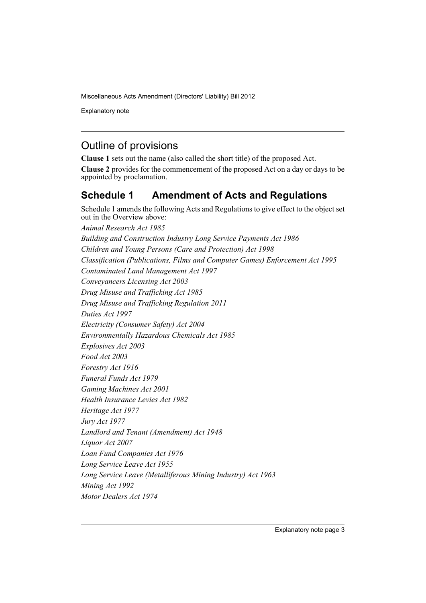Explanatory note

# Outline of provisions

**Clause 1** sets out the name (also called the short title) of the proposed Act.

**Clause 2** provides for the commencement of the proposed Act on a day or days to be appointed by proclamation.

# **Schedule 1 Amendment of Acts and Regulations**

Schedule 1 amends the following Acts and Regulations to give effect to the object set out in the Overview above: *Animal Research Act 1985 Building and Construction Industry Long Service Payments Act 1986 Children and Young Persons (Care and Protection) Act 1998 Classification (Publications, Films and Computer Games) Enforcement Act 1995 Contaminated Land Management Act 1997 Conveyancers Licensing Act 2003 Drug Misuse and Trafficking Act 1985 Drug Misuse and Trafficking Regulation 2011 Duties Act 1997 Electricity (Consumer Safety) Act 2004 Environmentally Hazardous Chemicals Act 1985 Explosives Act 2003 Food Act 2003 Forestry Act 1916 Funeral Funds Act 1979 Gaming Machines Act 2001 Health Insurance Levies Act 1982 Heritage Act 1977 Jury Act 1977 Landlord and Tenant (Amendment) Act 1948 Liquor Act 2007 Loan Fund Companies Act 1976 Long Service Leave Act 1955 Long Service Leave (Metalliferous Mining Industry) Act 1963 Mining Act 1992 Motor Dealers Act 1974*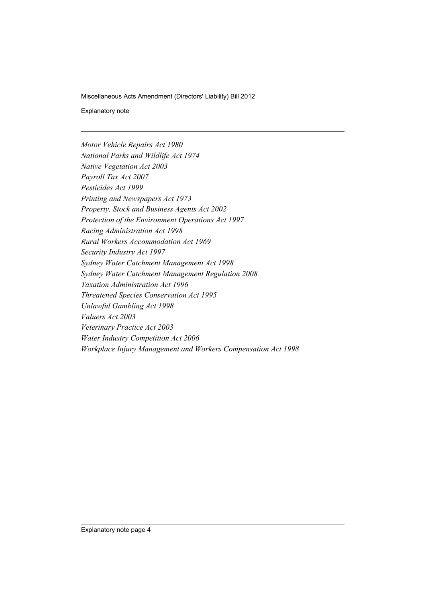Explanatory note

*Motor Vehicle Repairs Act 1980 National Parks and Wildlife Act 1974 Native Vegetation Act 2003 Payroll Tax Act 2007 Pesticides Act 1999 Printing and Newspapers Act 1973 Property, Stock and Business Agents Act 2002 Protection of the Environment Operations Act 1997 Racing Administration Act 1998 Rural Workers Accommodation Act 1969 Security Industry Act 1997 Sydney Water Catchment Management Act 1998 Sydney Water Catchment Management Regulation 2008 Taxation Administration Act 1996 Threatened Species Conservation Act 1995 Unlawful Gambling Act 1998 Valuers Act 2003 Veterinary Practice Act 2003 Water Industry Competition Act 2006 Workplace Injury Management and Workers Compensation Act 1998*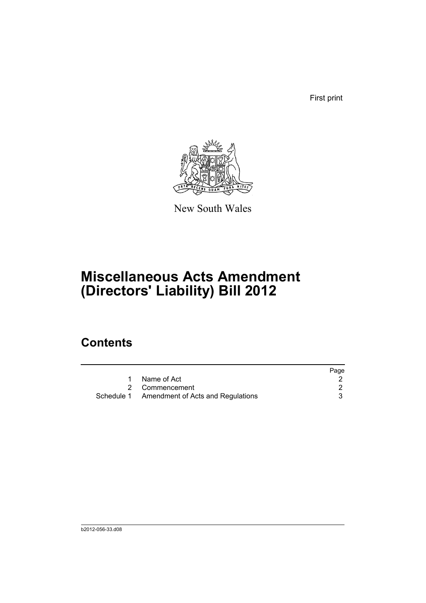First print



New South Wales

# **Miscellaneous Acts Amendment (Directors' Liability) Bill 2012**

# **Contents**

|                                              | Page |
|----------------------------------------------|------|
| Name of Act                                  |      |
| 2 Commencement                               |      |
| Schedule 1 Amendment of Acts and Regulations |      |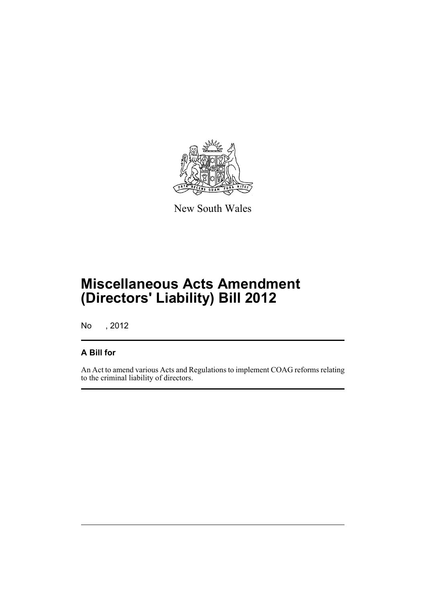

New South Wales

# **Miscellaneous Acts Amendment (Directors' Liability) Bill 2012**

No , 2012

# **A Bill for**

An Act to amend various Acts and Regulations to implement COAG reforms relating to the criminal liability of directors.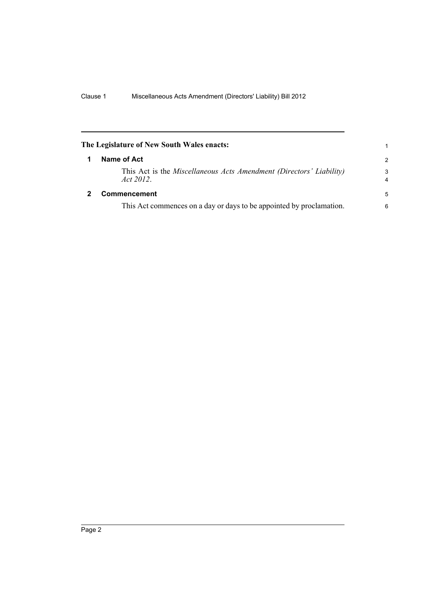<span id="page-7-1"></span><span id="page-7-0"></span>

|   | The Legislature of New South Wales enacts:                                      | 1             |
|---|---------------------------------------------------------------------------------|---------------|
| 1 | Name of Act                                                                     | $\mathcal{P}$ |
|   | This Act is the Miscellaneous Acts Amendment (Directors' Liability)<br>Act 2012 | 3<br>4        |
| 2 | Commencement                                                                    | 5             |
|   | This Act commences on a day or days to be appointed by proclamation.            | 6             |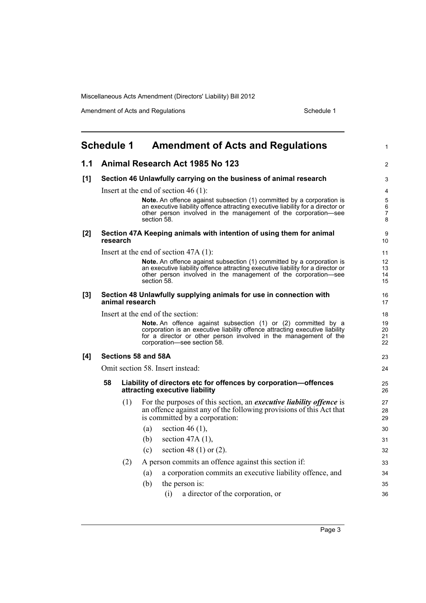Amendment of Acts and Regulations Schedule 1

<span id="page-8-0"></span>

|       | <b>Schedule 1</b>                                                                     | <b>Amendment of Acts and Regulations</b>                                                                                                                                                                                                         | $\mathbf{1}$         |  |  |  |  |  |
|-------|---------------------------------------------------------------------------------------|--------------------------------------------------------------------------------------------------------------------------------------------------------------------------------------------------------------------------------------------------|----------------------|--|--|--|--|--|
| 1.1   |                                                                                       | Animal Research Act 1985 No 123                                                                                                                                                                                                                  | 2                    |  |  |  |  |  |
| [1]   |                                                                                       | Section 46 Unlawfully carrying on the business of animal research                                                                                                                                                                                | 3                    |  |  |  |  |  |
|       | Insert at the end of section 46 $(1)$ :                                               |                                                                                                                                                                                                                                                  |                      |  |  |  |  |  |
|       |                                                                                       | Note. An offence against subsection (1) committed by a corporation is<br>an executive liability offence attracting executive liability for a director or<br>other person involved in the management of the corporation-see<br>section 58.        | 5<br>6<br>7<br>8     |  |  |  |  |  |
| [2]   | research                                                                              | Section 47A Keeping animals with intention of using them for animal                                                                                                                                                                              | 9<br>10 <sup>°</sup> |  |  |  |  |  |
|       |                                                                                       | Insert at the end of section $47A(1)$ :                                                                                                                                                                                                          | 11                   |  |  |  |  |  |
|       |                                                                                       | Note. An offence against subsection (1) committed by a corporation is<br>an executive liability offence attracting executive liability for a director or<br>other person involved in the management of the corporation—see<br>section 58.        | 12<br>13<br>14<br>15 |  |  |  |  |  |
| $[3]$ | Section 48 Unlawfully supplying animals for use in connection with<br>animal research |                                                                                                                                                                                                                                                  |                      |  |  |  |  |  |
|       |                                                                                       | Insert at the end of the section:                                                                                                                                                                                                                | 18                   |  |  |  |  |  |
|       |                                                                                       | Note. An offence against subsection (1) or (2) committed by a<br>corporation is an executive liability offence attracting executive liability<br>for a director or other person involved in the management of the<br>corporation-see section 58. | 19<br>20<br>21<br>22 |  |  |  |  |  |
| [4]   |                                                                                       | Sections 58 and 58A                                                                                                                                                                                                                              | 23                   |  |  |  |  |  |
|       |                                                                                       | Omit section 58. Insert instead:                                                                                                                                                                                                                 | 24                   |  |  |  |  |  |
|       | 58                                                                                    | Liability of directors etc for offences by corporation-offences<br>attracting executive liability                                                                                                                                                | 25<br>26             |  |  |  |  |  |
|       |                                                                                       | (1)<br>For the purposes of this section, an <i>executive liability offence</i> is<br>an offence against any of the following provisions of this Act that<br>is committed by a corporation:                                                       | 27<br>28<br>29       |  |  |  |  |  |
|       |                                                                                       | section 46 $(1)$ ,<br>(a)                                                                                                                                                                                                                        | 30                   |  |  |  |  |  |
|       |                                                                                       | (b)<br>section $47A(1)$ ,                                                                                                                                                                                                                        | 31                   |  |  |  |  |  |
|       |                                                                                       | section 48 (1) or $(2)$ .<br>(c)                                                                                                                                                                                                                 | 32                   |  |  |  |  |  |
|       |                                                                                       | A person commits an offence against this section if:<br>(2)                                                                                                                                                                                      | 33                   |  |  |  |  |  |
|       |                                                                                       | a corporation commits an executive liability offence, and<br>(a)                                                                                                                                                                                 | 34                   |  |  |  |  |  |
|       |                                                                                       | (b)<br>the person is:                                                                                                                                                                                                                            | 35                   |  |  |  |  |  |
|       |                                                                                       | (i)<br>a director of the corporation, or                                                                                                                                                                                                         | 36                   |  |  |  |  |  |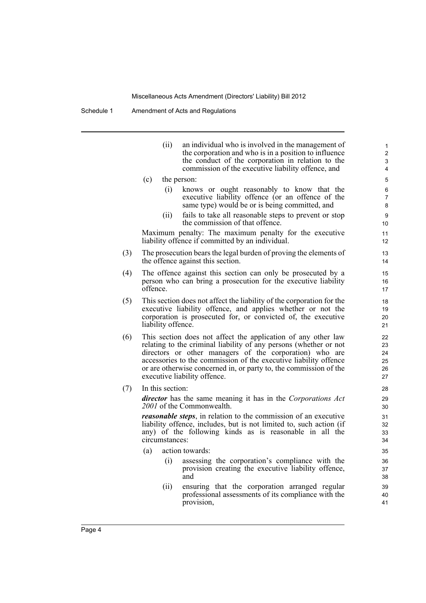Schedule 1 Amendment of Acts and Regulations

|     |          | (ii)               | an individual who is involved in the management of<br>the corporation and who is in a position to influence<br>the conduct of the corporation in relation to the<br>commission of the executive liability offence, and                                                                                                                                                 |
|-----|----------|--------------------|------------------------------------------------------------------------------------------------------------------------------------------------------------------------------------------------------------------------------------------------------------------------------------------------------------------------------------------------------------------------|
|     | (c)      |                    | the person:                                                                                                                                                                                                                                                                                                                                                            |
|     |          | (i)                | knows or ought reasonably to know that the<br>executive liability offence (or an offence of the<br>same type) would be or is being committed, and                                                                                                                                                                                                                      |
|     |          | (ii)               | fails to take all reasonable steps to prevent or stop<br>the commission of that offence.                                                                                                                                                                                                                                                                               |
|     |          |                    | Maximum penalty: The maximum penalty for the executive<br>liability offence if committed by an individual.                                                                                                                                                                                                                                                             |
| (3) |          |                    | The prosecution bears the legal burden of proving the elements of<br>the offence against this section.                                                                                                                                                                                                                                                                 |
| (4) | offence. |                    | The offence against this section can only be prosecuted by a<br>person who can bring a prosecution for the executive liability                                                                                                                                                                                                                                         |
| (5) |          | liability offence. | This section does not affect the liability of the corporation for the<br>executive liability offence, and applies whether or not the<br>corporation is prosecuted for, or convicted of, the executive                                                                                                                                                                  |
| (6) |          |                    | This section does not affect the application of any other law<br>relating to the criminal liability of any persons (whether or not<br>directors or other managers of the corporation) who are<br>accessories to the commission of the executive liability offence<br>or are otherwise concerned in, or party to, the commission of the<br>executive liability offence. |
| (7) |          | In this section:   |                                                                                                                                                                                                                                                                                                                                                                        |
|     |          |                    | director has the same meaning it has in the Corporations Act<br>2001 of the Commonwealth.                                                                                                                                                                                                                                                                              |
|     |          |                    | reasonable steps in relation to the commission of an executive                                                                                                                                                                                                                                                                                                         |

*reasonable steps*, in relation to the commission of an executive liability offence, includes, but is not limited to, such action (if any) of the following kinds as is reasonable in all the circumstances:

- (a) action towards:
	- (i) assessing the corporation's compliance with the provision creating the executive liability offence, and
	- (ii) ensuring that the corporation arranged regular professional assessments of its compliance with the provision,

 $(7)$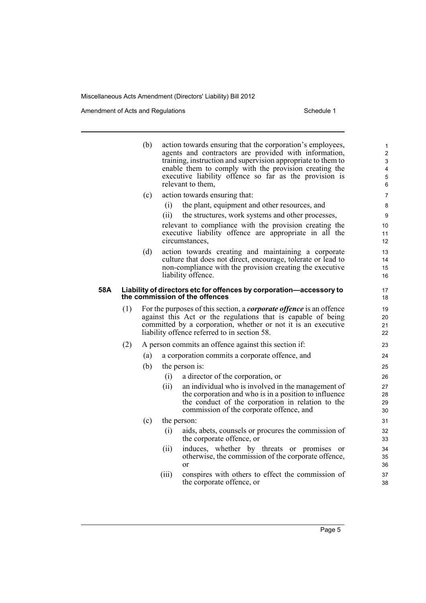Amendment of Acts and Regulations Schedule 1

|     |     | (b) |       | action towards ensuring that the corporation's employees,<br>agents and contractors are provided with information,<br>training, instruction and supervision appropriate to them to<br>enable them to comply with the provision creating the<br>executive liability offence so far as the provision is<br>relevant to them, | 1<br>$\overline{c}$<br>3<br>4<br>5<br>6 |
|-----|-----|-----|-------|----------------------------------------------------------------------------------------------------------------------------------------------------------------------------------------------------------------------------------------------------------------------------------------------------------------------------|-----------------------------------------|
|     |     | (c) |       | action towards ensuring that:                                                                                                                                                                                                                                                                                              | 7                                       |
|     |     |     | (i)   | the plant, equipment and other resources, and                                                                                                                                                                                                                                                                              | 8                                       |
|     |     |     | (ii)  | the structures, work systems and other processes,                                                                                                                                                                                                                                                                          | 9                                       |
|     |     |     |       | relevant to compliance with the provision creating the<br>executive liability offence are appropriate in all the<br>circumstances,                                                                                                                                                                                         | 10<br>11<br>12                          |
|     |     | (d) |       | action towards creating and maintaining a corporate                                                                                                                                                                                                                                                                        | 13                                      |
|     |     |     |       | culture that does not direct, encourage, tolerate or lead to                                                                                                                                                                                                                                                               | 14                                      |
|     |     |     |       | non-compliance with the provision creating the executive                                                                                                                                                                                                                                                                   | 15                                      |
|     |     |     |       | liability offence.                                                                                                                                                                                                                                                                                                         | 16                                      |
| 58A |     |     |       | Liability of directors etc for offences by corporation-accessory to<br>the commission of the offences                                                                                                                                                                                                                      | 17<br>18                                |
|     | (1) |     |       | For the purposes of this section, a <i>corporate offence</i> is an offence<br>against this Act or the regulations that is capable of being<br>committed by a corporation, whether or not it is an executive<br>liability offence referred to in section 58.                                                                | 19<br>20<br>21<br>22                    |
|     | (2) |     |       | A person commits an offence against this section if:                                                                                                                                                                                                                                                                       | 23                                      |
|     |     | (a) |       | a corporation commits a corporate offence, and                                                                                                                                                                                                                                                                             | 24                                      |
|     |     | (b) |       | the person is:                                                                                                                                                                                                                                                                                                             | 25                                      |
|     |     |     | (i)   | a director of the corporation, or                                                                                                                                                                                                                                                                                          | 26                                      |
|     |     |     | (ii)  | an individual who is involved in the management of                                                                                                                                                                                                                                                                         | 27                                      |
|     |     |     |       | the corporation and who is in a position to influence                                                                                                                                                                                                                                                                      | 28                                      |
|     |     |     |       | the conduct of the corporation in relation to the<br>commission of the corporate offence, and                                                                                                                                                                                                                              | 29<br>30                                |
|     |     |     |       |                                                                                                                                                                                                                                                                                                                            |                                         |
|     |     | (c) |       | the person:                                                                                                                                                                                                                                                                                                                | 31                                      |
|     |     |     | (i)   | aids, abets, counsels or procures the commission of<br>the corporate offence, or                                                                                                                                                                                                                                           | 32<br>33                                |
|     |     |     | (ii)  | induces, whether by threats or promises or                                                                                                                                                                                                                                                                                 | 34                                      |
|     |     |     |       | otherwise, the commission of the corporate offence,                                                                                                                                                                                                                                                                        | 35                                      |
|     |     |     |       | or                                                                                                                                                                                                                                                                                                                         | 36                                      |
|     |     |     | (iii) | conspires with others to effect the commission of                                                                                                                                                                                                                                                                          | 37                                      |

the corporate offence, or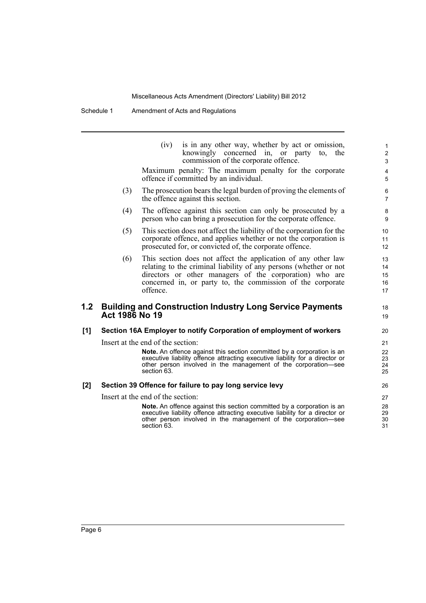Schedule 1 Amendment of Acts and Regulations

| (iv) is in any other way, whether by act or omission, |  |  |  |  |  |  |  |  |
|-------------------------------------------------------|--|--|--|--|--|--|--|--|
| knowingly concerned in, or party to, the              |  |  |  |  |  |  |  |  |
| commission of the corporate offence.                  |  |  |  |  |  |  |  |  |

18 19

Maximum penalty: The maximum penalty for the corporate offence if committed by an individual.

- (3) The prosecution bears the legal burden of proving the elements of the offence against this section.
- (4) The offence against this section can only be prosecuted by a person who can bring a prosecution for the corporate offence.
- (5) This section does not affect the liability of the corporation for the corporate offence, and applies whether or not the corporation is prosecuted for, or convicted of, the corporate offence.
- (6) This section does not affect the application of any other law relating to the criminal liability of any persons (whether or not directors or other managers of the corporation) who are concerned in, or party to, the commission of the corporate offence.

### **1.2 Building and Construction Industry Long Service Payments Act 1986 No 19**

### **[1] Section 16A Employer to notify Corporation of employment of workers**

Insert at the end of the section:

**Note.** An offence against this section committed by a corporation is an executive liability offence attracting executive liability for a director or other person involved in the management of the corporation—see section 63.

### **[2] Section 39 Offence for failure to pay long service levy**

Insert at the end of the section:

**Note.** An offence against this section committed by a corporation is an executive liability offence attracting executive liability for a director or other person involved in the management of the corporation—see section 63.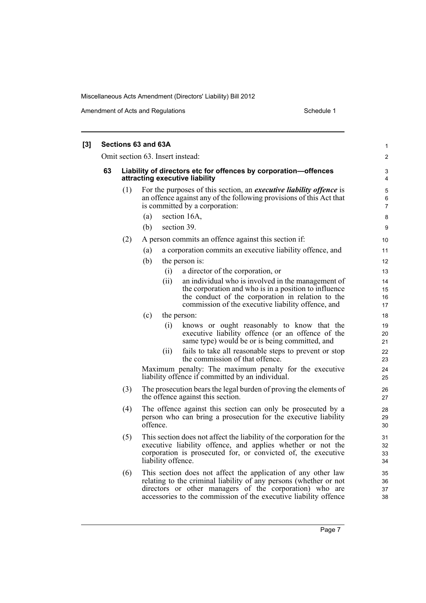Amendment of Acts and Regulations Schedule 1

|    |     | Sections 63 and 63A                                                                                                                                                                                                         | 1                        |
|----|-----|-----------------------------------------------------------------------------------------------------------------------------------------------------------------------------------------------------------------------------|--------------------------|
|    |     | Omit section 63. Insert instead:                                                                                                                                                                                            | $\overline{2}$           |
| 63 |     | Liability of directors etc for offences by corporation-offences<br>attracting executive liability                                                                                                                           | 3<br>4                   |
|    | (1) | For the purposes of this section, an <i>executive liability offence</i> is<br>an offence against any of the following provisions of this Act that<br>is committed by a corporation:                                         | 5<br>6<br>$\overline{7}$ |
|    |     | section 16A,<br>(a)<br>section 39.<br>(b)                                                                                                                                                                                   | 8<br>9                   |
|    | (2) | A person commits an offence against this section if:                                                                                                                                                                        | 10                       |
|    |     | a corporation commits an executive liability offence, and<br>(a)                                                                                                                                                            | 11                       |
|    |     | (b)<br>the person is:                                                                                                                                                                                                       | 12                       |
|    |     | a director of the corporation, or<br>(i)                                                                                                                                                                                    | 13                       |
|    |     | an individual who is involved in the management of<br>(ii)                                                                                                                                                                  | 14                       |
|    |     | the corporation and who is in a position to influence                                                                                                                                                                       | 15                       |
|    |     | the conduct of the corporation in relation to the<br>commission of the executive liability offence, and                                                                                                                     | 16<br>17                 |
|    |     | (c)<br>the person:                                                                                                                                                                                                          | 18                       |
|    |     | (i)<br>knows or ought reasonably to know that the                                                                                                                                                                           | 19                       |
|    |     | executive liability offence (or an offence of the<br>same type) would be or is being committed, and                                                                                                                         | 20<br>21                 |
|    |     | fails to take all reasonable steps to prevent or stop<br>(11)<br>the commission of that offence.                                                                                                                            | 22<br>23                 |
|    |     | Maximum penalty: The maximum penalty for the executive<br>liability offence if committed by an individual.                                                                                                                  | 24<br>25                 |
|    | (3) | The prosecution bears the legal burden of proving the elements of<br>the offence against this section.                                                                                                                      | 26<br>27                 |
|    | (4) | The offence against this section can only be prosecuted by a<br>person who can bring a prosecution for the executive liability<br>offence.                                                                                  | 28<br>29<br>30           |
|    | (5) | This section does not affect the liability of the corporation for the<br>executive liability offence, and applies whether or not the<br>corporation is prosecuted for, or convicted of, the executive<br>liability offence. | 31<br>32<br>33<br>34     |
|    | (6) | This section does not affect the application of any other law<br>relating to the criminal liability of any persons (whether or not<br>directors or other managers of the corporation) who are                               | 35<br>36<br>37           |

accessories to the commission of the executive liability offence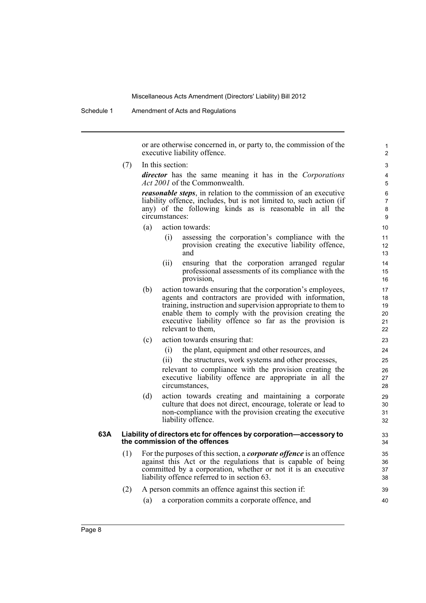Schedule 1 Amendment of Acts and Regulations

or are otherwise concerned in, or party to, the commission of the executive liability offence.

(7) In this section:

*director* has the same meaning it has in the *Corporations Act 2001* of the Commonwealth.

*reasonable steps*, in relation to the commission of an executive liability offence, includes, but is not limited to, such action (if any) of the following kinds as is reasonable in all the circumstances:

- (a) action towards:
	- (i) assessing the corporation's compliance with the provision creating the executive liability offence, and
	- (ii) ensuring that the corporation arranged regular professional assessments of its compliance with the provision,
- (b) action towards ensuring that the corporation's employees, agents and contractors are provided with information, training, instruction and supervision appropriate to them to enable them to comply with the provision creating the executive liability offence so far as the provision is relevant to them,
- (c) action towards ensuring that:
	- (i) the plant, equipment and other resources, and
	- (ii) the structures, work systems and other processes,

relevant to compliance with the provision creating the executive liability offence are appropriate in all the circumstances,

(d) action towards creating and maintaining a corporate culture that does not direct, encourage, tolerate or lead to non-compliance with the provision creating the executive liability offence.

### **63A Liability of directors etc for offences by corporation—accessory to the commission of the offences**

(1) For the purposes of this section, a *corporate offence* is an offence against this Act or the regulations that is capable of being committed by a corporation, whether or not it is an executive liability offence referred to in section 63.

## (2) A person commits an offence against this section if:

(a) a corporation commits a corporate offence, and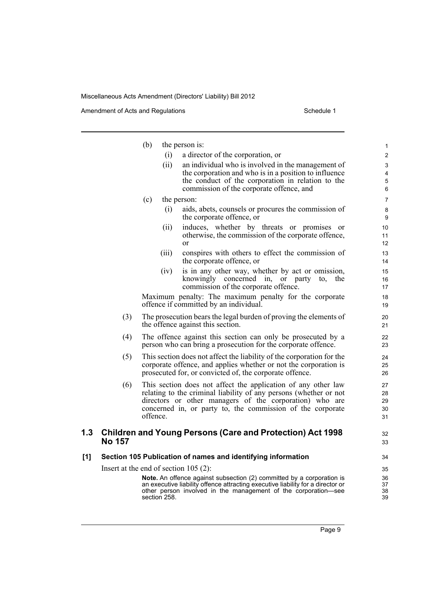Amendment of Acts and Regulations Schedule 1

|     |                                         | (b)          |       | the person is:                                                                                                                                    | 1              |
|-----|-----------------------------------------|--------------|-------|---------------------------------------------------------------------------------------------------------------------------------------------------|----------------|
|     |                                         |              | (i)   | a director of the corporation, or                                                                                                                 | $\overline{c}$ |
|     |                                         |              | (ii)  | an individual who is involved in the management of                                                                                                | 3              |
|     |                                         |              |       | the corporation and who is in a position to influence                                                                                             | 4              |
|     |                                         |              |       | the conduct of the corporation in relation to the<br>commission of the corporate offence, and                                                     | 5<br>6         |
|     |                                         |              |       |                                                                                                                                                   | $\overline{7}$ |
|     |                                         | (c)          |       | the person:<br>aids, abets, counsels or procures the commission of                                                                                |                |
|     |                                         |              | (i)   | the corporate offence, or                                                                                                                         | 8<br>9         |
|     |                                         |              | (ii)  | induces, whether by threats or promises<br><sub>or</sub>                                                                                          | 10             |
|     |                                         |              |       | otherwise, the commission of the corporate offence,<br>or                                                                                         | 11<br>12       |
|     |                                         |              | (iii) | conspires with others to effect the commission of<br>the corporate offence, or                                                                    | 13<br>14       |
|     |                                         |              | (iv)  | is in any other way, whether by act or omission,                                                                                                  | 15             |
|     |                                         |              |       | knowingly concerned in, or party to,<br>the<br>commission of the corporate offence.                                                               | 16<br>17       |
|     |                                         |              |       | Maximum penalty: The maximum penalty for the corporate<br>offence if committed by an individual.                                                  | 18<br>19       |
|     | (3)                                     |              |       | The prosecution bears the legal burden of proving the elements of                                                                                 | 20             |
|     |                                         |              |       | the offence against this section.                                                                                                                 | 21             |
|     | (4)                                     |              |       | The offence against this section can only be prosecuted by a<br>person who can bring a prosecution for the corporate offence.                     | 22<br>23       |
|     | (5)                                     |              |       | This section does not affect the liability of the corporation for the                                                                             | 24             |
|     |                                         |              |       | corporate offence, and applies whether or not the corporation is<br>prosecuted for, or convicted of, the corporate offence.                       | 25<br>26       |
|     | (6)                                     |              |       | This section does not affect the application of any other law                                                                                     | 27             |
|     |                                         |              |       | relating to the criminal liability of any persons (whether or not                                                                                 | 28             |
|     |                                         |              |       | directors or other managers of the corporation) who are                                                                                           | 29             |
|     |                                         | offence.     |       | concerned in, or party to, the commission of the corporate                                                                                        | 30<br>31       |
| 1.3 |                                         |              |       | <b>Children and Young Persons (Care and Protection) Act 1998</b>                                                                                  | 32             |
|     | <b>No 157</b>                           |              |       |                                                                                                                                                   | 33             |
| [1] |                                         |              |       | Section 105 Publication of names and identifying information                                                                                      | 34             |
|     | Insert at the end of section $105$ (2): |              |       |                                                                                                                                                   | 35             |
|     |                                         |              |       | <b>Note.</b> An offence against subsection (2) committed by a corporation is                                                                      | 36             |
|     |                                         | section 258. |       | an executive liability offence attracting executive liability for a director or<br>other person involved in the management of the corporation—see | 37<br>38<br>39 |
|     |                                         |              |       |                                                                                                                                                   |                |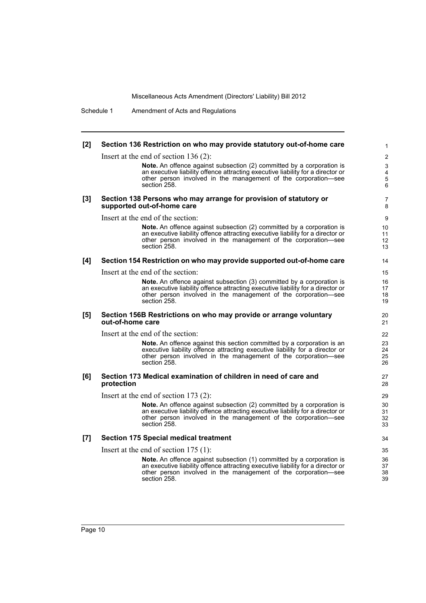Schedule 1 Amendment of Acts and Regulations

| $[2]$ | Section 136 Restriction on who may provide statutory out-of-home care                                                                                                                                                                             | $\mathbf{1}$         |
|-------|---------------------------------------------------------------------------------------------------------------------------------------------------------------------------------------------------------------------------------------------------|----------------------|
|       | Insert at the end of section $136(2)$ :                                                                                                                                                                                                           | $\overline{2}$       |
|       | Note. An offence against subsection (2) committed by a corporation is<br>an executive liability offence attracting executive liability for a director or<br>other person involved in the management of the corporation—see<br>section 258.        | 3<br>4<br>5<br>6     |
| $[3]$ | Section 138 Persons who may arrange for provision of statutory or<br>supported out-of-home care                                                                                                                                                   | $\overline{7}$<br>8  |
|       | Insert at the end of the section:                                                                                                                                                                                                                 | 9                    |
|       | Note. An offence against subsection (2) committed by a corporation is<br>an executive liability offence attracting executive liability for a director or<br>other person involved in the management of the corporation—see<br>section 258.        | 10<br>11<br>12<br>13 |
| [4]   | Section 154 Restriction on who may provide supported out-of-home care                                                                                                                                                                             | 14                   |
|       | Insert at the end of the section:                                                                                                                                                                                                                 | 15                   |
|       | Note. An offence against subsection (3) committed by a corporation is<br>an executive liability offence attracting executive liability for a director or<br>other person involved in the management of the corporation-see<br>section 258.        | 16<br>17<br>18<br>19 |
| [5]   | Section 156B Restrictions on who may provide or arrange voluntary<br>out-of-home care                                                                                                                                                             | 20<br>21             |
|       | Insert at the end of the section:                                                                                                                                                                                                                 | 22                   |
|       | <b>Note.</b> An offence against this section committed by a corporation is an<br>executive liability offence attracting executive liability for a director or<br>other person involved in the management of the corporation-see<br>section 258.   | 23<br>24<br>25<br>26 |
| [6]   | Section 173 Medical examination of children in need of care and<br>protection                                                                                                                                                                     | 27<br>28             |
|       | Insert at the end of section $173(2)$ :                                                                                                                                                                                                           | 29                   |
|       | Note. An offence against subsection (2) committed by a corporation is<br>an executive liability offence attracting executive liability for a director or<br>other person involved in the management of the corporation-see<br>section 258.        | 30<br>31<br>32<br>33 |
| [7]   | <b>Section 175 Special medical treatment</b>                                                                                                                                                                                                      | 34                   |
|       | Insert at the end of section $175(1)$ :                                                                                                                                                                                                           | 35                   |
|       | <b>Note.</b> An offence against subsection (1) committed by a corporation is<br>an executive liability offence attracting executive liability for a director or<br>other person involved in the management of the corporation—see<br>section 258. | 36<br>37<br>38<br>39 |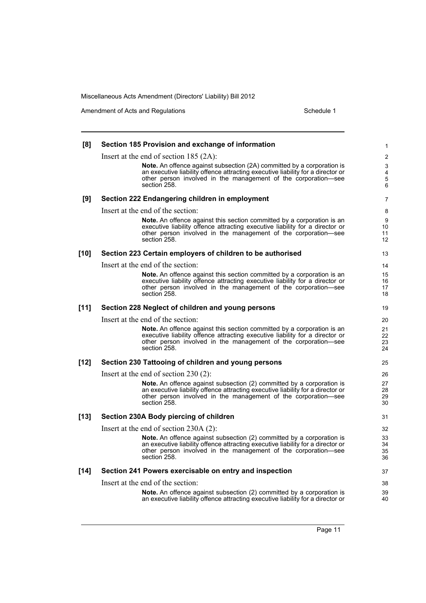Amendment of Acts and Regulations Schedule 1

| [8]    | Section 185 Provision and exchange of information                                                                                                               | 1                            |
|--------|-----------------------------------------------------------------------------------------------------------------------------------------------------------------|------------------------------|
|        | Insert at the end of section $185 (2A)$ :                                                                                                                       | $\overline{2}$               |
|        | <b>Note.</b> An offence against subsection (2A) committed by a corporation is                                                                                   | 3                            |
|        | an executive liability offence attracting executive liability for a director or<br>other person involved in the management of the corporation—see               | $\overline{\mathbf{4}}$<br>5 |
|        | section 258.                                                                                                                                                    | 6                            |
| [9]    | Section 222 Endangering children in employment                                                                                                                  | $\overline{7}$               |
|        | Insert at the end of the section:                                                                                                                               | 8                            |
|        | <b>Note.</b> An offence against this section committed by a corporation is an                                                                                   | 9                            |
|        | executive liability offence attracting executive liability for a director or<br>other person involved in the management of the corporation-see                  | 10<br>11                     |
|        | section 258.                                                                                                                                                    | 12                           |
| $[10]$ | Section 223 Certain employers of children to be authorised                                                                                                      | 13                           |
|        | Insert at the end of the section:                                                                                                                               | 14                           |
|        | <b>Note.</b> An offence against this section committed by a corporation is an                                                                                   | 15                           |
|        | executive liability offence attracting executive liability for a director or<br>other person involved in the management of the corporation-see                  | 16<br>17                     |
|        | section 258.                                                                                                                                                    | 18                           |
| [11]   | Section 228 Neglect of children and young persons                                                                                                               | 19                           |
|        | Insert at the end of the section:                                                                                                                               | 20                           |
|        | <b>Note.</b> An offence against this section committed by a corporation is an<br>executive liability offence attracting executive liability for a director or   | 21<br>22                     |
|        | other person involved in the management of the corporation—see                                                                                                  | 23                           |
|        | section 258.                                                                                                                                                    | 24                           |
| $[12]$ | Section 230 Tattooing of children and young persons                                                                                                             | 25                           |
|        | Insert at the end of section $230(2)$ :                                                                                                                         | 26                           |
|        | Note. An offence against subsection (2) committed by a corporation is<br>an executive liability offence attracting executive liability for a director or        | 27<br>28                     |
|        | other person involved in the management of the corporation-see                                                                                                  | 29                           |
|        | section 258.                                                                                                                                                    | 30                           |
| $[13]$ | Section 230A Body piercing of children                                                                                                                          | 31                           |
|        | Insert at the end of section $230A(2)$ :                                                                                                                        | 32                           |
|        | <b>Note.</b> An offence against subsection (2) committed by a corporation is<br>an executive liability offence attracting executive liability for a director or | 33                           |
|        | other person involved in the management of the corporation-see                                                                                                  | 34<br>35                     |
|        | section 258.                                                                                                                                                    | 36                           |
| $[14]$ | Section 241 Powers exercisable on entry and inspection                                                                                                          | 37                           |
|        | Insert at the end of the section:                                                                                                                               | 38                           |
|        | <b>Note.</b> An offence against subsection (2) committed by a corporation is                                                                                    | 39                           |
|        | an executive liability offence attracting executive liability for a director or                                                                                 | 40                           |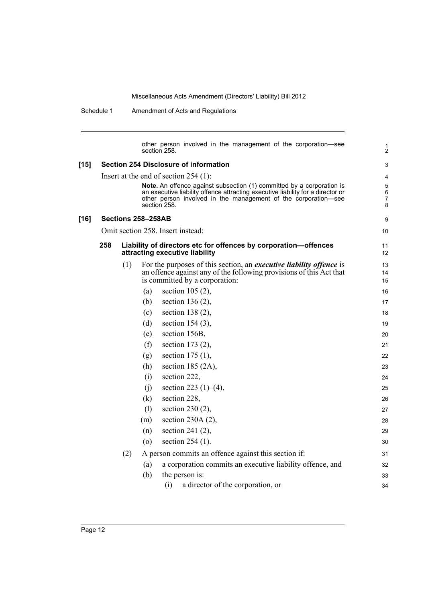Schedule 1 Amendment of Acts and Regulations

|        |     |     |                           | section 258. | other person involved in the management of the corporation—see                                                                                                                                                                                                        | 1<br>$\overline{2}$   |
|--------|-----|-----|---------------------------|--------------|-----------------------------------------------------------------------------------------------------------------------------------------------------------------------------------------------------------------------------------------------------------------------|-----------------------|
| $[15]$ |     |     |                           |              | <b>Section 254 Disclosure of information</b>                                                                                                                                                                                                                          | 3                     |
|        |     |     |                           | section 258. | Insert at the end of section $254$ (1):<br>Note. An offence against subsection (1) committed by a corporation is<br>an executive liability offence attracting executive liability for a director or<br>other person involved in the management of the corporation—see | 4<br>5<br>6<br>7<br>8 |
| [16]   |     |     | <b>Sections 258–258AB</b> |              |                                                                                                                                                                                                                                                                       | 9                     |
|        |     |     |                           |              | Omit section 258. Insert instead:                                                                                                                                                                                                                                     | 10                    |
|        | 258 |     |                           |              | Liability of directors etc for offences by corporation-offences<br>attracting executive liability                                                                                                                                                                     | 11<br>12              |
|        |     | (1) |                           |              | For the purposes of this section, an <i>executive liability offence</i> is<br>an offence against any of the following provisions of this Act that<br>is committed by a corporation:                                                                                   | 13<br>14<br>15        |
|        |     |     | (a)                       |              | section 105 $(2)$ ,                                                                                                                                                                                                                                                   | 16                    |
|        |     |     | (b)                       |              | section 136 $(2)$ ,                                                                                                                                                                                                                                                   | 17                    |
|        |     |     | (c)                       |              | section 138 $(2)$ ,                                                                                                                                                                                                                                                   | 18                    |
|        |     |     | (d)                       |              | section $154(3)$ ,                                                                                                                                                                                                                                                    | 19                    |
|        |     |     | (e)                       |              | section 156B,                                                                                                                                                                                                                                                         | 20                    |
|        |     |     | (f)                       |              | section 173 (2),                                                                                                                                                                                                                                                      | 21                    |
|        |     |     | (g)                       |              | section 175 (1),                                                                                                                                                                                                                                                      | 22                    |
|        |     |     | (h)                       |              | section 185 $(2A)$ ,                                                                                                                                                                                                                                                  | 23                    |
|        |     |     | (i)                       |              | section 222,                                                                                                                                                                                                                                                          | 24                    |
|        |     |     | (j)                       |              | section 223 $(1)$ – $(4)$ ,                                                                                                                                                                                                                                           | 25                    |
|        |     |     | (k)                       |              | section 228,                                                                                                                                                                                                                                                          | 26                    |
|        |     |     | (1)                       |              | section 230 $(2)$ ,                                                                                                                                                                                                                                                   | 27                    |
|        |     |     | (m)                       |              | section 230A $(2)$ ,                                                                                                                                                                                                                                                  | 28                    |
|        |     |     | (n)                       |              | section 241 $(2)$ ,                                                                                                                                                                                                                                                   | 29                    |
|        |     |     | $\left( 0 \right)$        |              | section 254 (1).                                                                                                                                                                                                                                                      | 30                    |
|        |     | (2) |                           |              | A person commits an offence against this section if:                                                                                                                                                                                                                  | 31                    |
|        |     |     | (a)                       |              | a corporation commits an executive liability offence, and                                                                                                                                                                                                             | 32                    |
|        |     |     | (b)                       |              | the person is:                                                                                                                                                                                                                                                        | 33                    |
|        |     |     |                           | (i)          | a director of the corporation, or                                                                                                                                                                                                                                     | 34                    |
|        |     |     |                           |              |                                                                                                                                                                                                                                                                       |                       |

[16]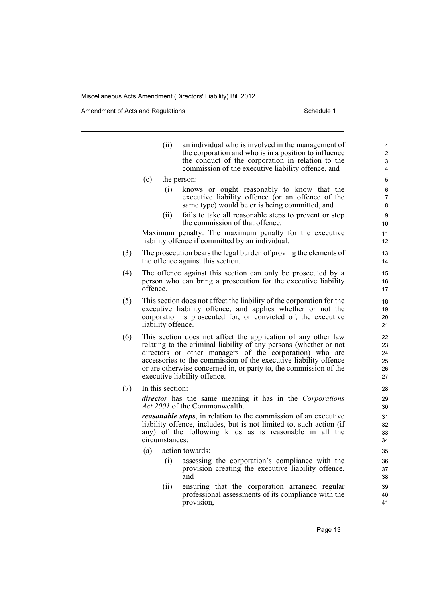Amendment of Acts and Regulations Schedule 1

- (ii) an individual who is involved in the management of the corporation and who is in a position to influence the conduct of the corporation in relation to the commission of the executive liability offence, and (c) the person: (i) knows or ought reasonably to know that the executive liability offence (or an offence of the same type) would be or is being committed, and (ii) fails to take all reasonable steps to prevent or stop the commission of that offence. Maximum penalty: The maximum penalty for the executive liability offence if committed by an individual. (3) The prosecution bears the legal burden of proving the elements of the offence against this section. (4) The offence against this section can only be prosecuted by a person who can bring a prosecution for the executive liability offence. (5) This section does not affect the liability of the corporation for the executive liability offence, and applies whether or not the corporation is prosecuted for, or convicted of, the executive liability offence. (6) This section does not affect the application of any other law relating to the criminal liability of any persons (whether or not directors or other managers of the corporation) who are accessories to the commission of the executive liability offence or are otherwise concerned in, or party to, the commission of the executive liability offence. (7) In this section: *director* has the same meaning it has in the *Corporations Act 2001* of the Commonwealth. *reasonable steps*, in relation to the commission of an executive liability offence, includes, but is not limited to, such action (if any) of the following kinds as is reasonable in all the circumstances: (a) action towards:
	- (i) assessing the corporation's compliance with the provision creating the executive liability offence, and
	- (ii) ensuring that the corporation arranged regular professional assessments of its compliance with the provision,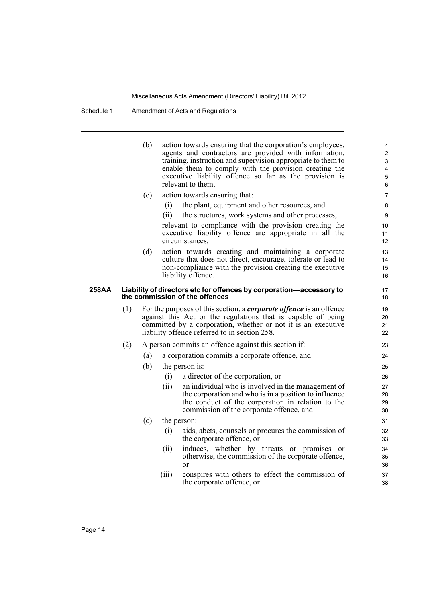Schedule 1 Amendment of Acts and Regulations

(b) action towards ensuring that the corporation's employees, agents and contractors are provided with information, training, instruction and supervision appropriate to them to enable them to comply with the provision creating the executive liability offence so far as the provision is relevant to them, (c) action towards ensuring that: (i) the plant, equipment and other resources, and (ii) the structures, work systems and other processes, relevant to compliance with the provision creating the executive liability offence are appropriate in all the circumstances, (d) action towards creating and maintaining a corporate culture that does not direct, encourage, tolerate or lead to non-compliance with the provision creating the executive liability offence. **258AA Liability of directors etc for offences by corporation—accessory to the commission of the offences** (1) For the purposes of this section, a *corporate offence* is an offence against this Act or the regulations that is capable of being committed by a corporation, whether or not it is an executive liability offence referred to in section 258. (2) A person commits an offence against this section if: (a) a corporation commits a corporate offence, and (b) the person is: (i) a director of the corporation, or (ii) an individual who is involved in the management of the corporation and who is in a position to influence the conduct of the corporation in relation to the commission of the corporate offence, and (c) the person: (i) aids, abets, counsels or procures the commission of the corporate offence, or (ii) induces, whether by threats or promises or otherwise, the commission of the corporate offence, or (iii) conspires with others to effect the commission of the corporate offence, or 1 2 3 4 5 6 7 8  $\overline{Q}$ 10 11 12 13 14 15 16 17 18 19 20 21 22 23 24 25 26 27 28 29 30 31 32 33 34 35 36 37 38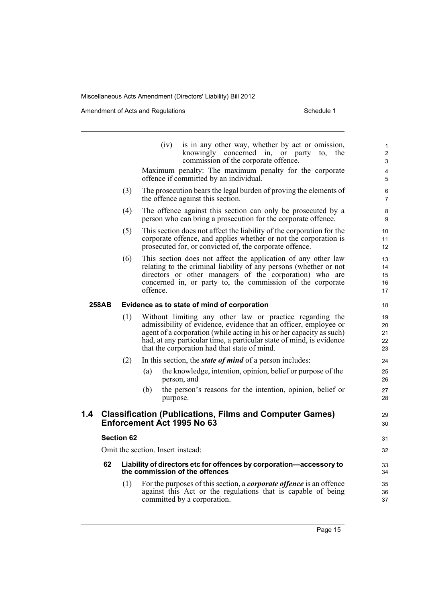Amendment of Acts and Regulations Schedule 1

|     |       |                                             | (iv)<br>is in any other way, whether by act or omission,<br>knowingly concerned in, or party<br>the<br>to.<br>commission of the corporate offence.<br>Maximum penalty: The maximum penalty for the corporate                                                                                                                 | $\mathbf{1}$<br>$\overline{2}$<br>$\mathsf 3$<br>4 |  |  |  |  |
|-----|-------|---------------------------------------------|------------------------------------------------------------------------------------------------------------------------------------------------------------------------------------------------------------------------------------------------------------------------------------------------------------------------------|----------------------------------------------------|--|--|--|--|
|     |       |                                             | offence if committed by an individual.                                                                                                                                                                                                                                                                                       | 5                                                  |  |  |  |  |
|     |       | (3)                                         | The prosecution bears the legal burden of proving the elements of<br>the offence against this section.                                                                                                                                                                                                                       | $\,6\,$<br>$\overline{7}$                          |  |  |  |  |
|     |       | (4)                                         | The offence against this section can only be prosecuted by a<br>person who can bring a prosecution for the corporate offence.                                                                                                                                                                                                | 8<br>9                                             |  |  |  |  |
|     |       | (5)                                         | This section does not affect the liability of the corporation for the<br>corporate offence, and applies whether or not the corporation is<br>prosecuted for, or convicted of, the corporate offence.                                                                                                                         | 10<br>11<br>12                                     |  |  |  |  |
|     |       | (6)                                         | This section does not affect the application of any other law<br>relating to the criminal liability of any persons (whether or not<br>directors or other managers of the corporation) who are<br>concerned in, or party to, the commission of the corporate<br>offence.                                                      | 13<br>14<br>15<br>16<br>17                         |  |  |  |  |
|     | 258AB | Evidence as to state of mind of corporation |                                                                                                                                                                                                                                                                                                                              |                                                    |  |  |  |  |
|     |       | (1)                                         | Without limiting any other law or practice regarding the<br>admissibility of evidence, evidence that an officer, employee or<br>agent of a corporation (while acting in his or her capacity as such)<br>had, at any particular time, a particular state of mind, is evidence<br>that the corporation had that state of mind. | 19<br>20<br>21<br>22<br>23                         |  |  |  |  |
|     |       | (2)                                         | In this section, the <i>state of mind</i> of a person includes:                                                                                                                                                                                                                                                              | 24                                                 |  |  |  |  |
|     |       |                                             | the knowledge, intention, opinion, belief or purpose of the<br>(a)<br>person, and                                                                                                                                                                                                                                            | 25<br>26                                           |  |  |  |  |
|     |       |                                             | the person's reasons for the intention, opinion, belief or<br>(b)<br>purpose.                                                                                                                                                                                                                                                | 27<br>28                                           |  |  |  |  |
| 1.4 |       |                                             | <b>Classification (Publications, Films and Computer Games)</b><br>Enforcement Act 1995 No 63                                                                                                                                                                                                                                 | 29<br>30                                           |  |  |  |  |
|     |       | <b>Section 62</b>                           |                                                                                                                                                                                                                                                                                                                              | 31                                                 |  |  |  |  |
|     |       | Omit the section. Insert instead:           |                                                                                                                                                                                                                                                                                                                              |                                                    |  |  |  |  |
|     | 62    |                                             | Liability of directors etc for offences by corporation-accessory to<br>the commission of the offences                                                                                                                                                                                                                        | 33<br>34                                           |  |  |  |  |
|     |       | (1)                                         | For the purposes of this section, a <i>corporate offence</i> is an offence<br>against this Act or the regulations that is capable of being<br>committed by a corporation.                                                                                                                                                    | 35<br>36<br>37                                     |  |  |  |  |
|     |       |                                             |                                                                                                                                                                                                                                                                                                                              |                                                    |  |  |  |  |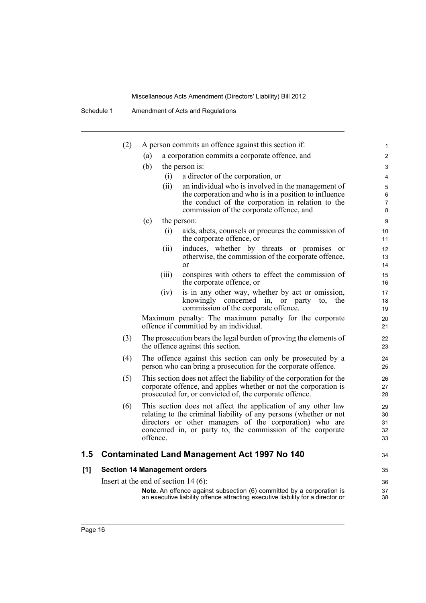Schedule 1 Amendment of Acts and Regulations

|     | (2) |                                        | A person commits an offence against this section if:                                                                          | 1              |
|-----|-----|----------------------------------------|-------------------------------------------------------------------------------------------------------------------------------|----------------|
|     |     | (a)                                    | a corporation commits a corporate offence, and                                                                                | $\overline{2}$ |
|     |     | (b)                                    | the person is:                                                                                                                | 3              |
|     |     | (i)                                    | a director of the corporation, or                                                                                             | 4              |
|     |     | (ii)                                   | an individual who is involved in the management of                                                                            | 5              |
|     |     |                                        | the corporation and who is in a position to influence                                                                         | 6              |
|     |     |                                        | the conduct of the corporation in relation to the<br>commission of the corporate offence, and                                 | $\overline{7}$ |
|     |     | (c)                                    |                                                                                                                               | 8              |
|     |     | (i)                                    | the person:<br>aids, abets, counsels or procures the commission of                                                            | 9              |
|     |     |                                        | the corporate offence, or                                                                                                     | 10<br>11       |
|     |     | (ii)                                   | induces, whether by threats or promises<br>or                                                                                 | 12             |
|     |     |                                        | otherwise, the commission of the corporate offence,                                                                           | 13             |
|     |     |                                        | <sub>or</sub>                                                                                                                 | 14             |
|     |     | (iii)                                  | conspires with others to effect the commission of<br>the corporate offence, or                                                | 15<br>16       |
|     |     | (iv)                                   | is in any other way, whether by act or omission,                                                                              | 17             |
|     |     |                                        | knowingly concerned in, or party<br>the<br>to,<br>commission of the corporate offence.                                        | 18<br>19       |
|     |     |                                        | Maximum penalty: The maximum penalty for the corporate                                                                        | 20             |
|     |     |                                        | offence if committed by an individual.                                                                                        | 21             |
|     | (3) |                                        | The prosecution bears the legal burden of proving the elements of<br>the offence against this section.                        | 22<br>23       |
|     | (4) |                                        | The offence against this section can only be prosecuted by a<br>person who can bring a prosecution for the corporate offence. | 24<br>25       |
|     | (5) |                                        | This section does not affect the liability of the corporation for the                                                         | 26             |
|     |     |                                        | corporate offence, and applies whether or not the corporation is                                                              | 27             |
|     |     |                                        | prosecuted for, or convicted of, the corporate offence.                                                                       | 28             |
|     | (6) |                                        | This section does not affect the application of any other law                                                                 | 29             |
|     |     |                                        | relating to the criminal liability of any persons (whether or not<br>directors or other managers of the corporation) who are  | 30<br>31       |
|     |     |                                        | concerned in, or party to, the commission of the corporate                                                                    | 32             |
|     |     | offence.                               |                                                                                                                               | 33             |
| 1.5 |     |                                        | Contaminated Land Management Act 1997 No 140                                                                                  | 34             |
| [1] |     | <b>Section 14 Management orders</b>    |                                                                                                                               | 35             |
|     |     | Insert at the end of section $14(6)$ : |                                                                                                                               | 36             |
|     |     |                                        | Note. An offence against subsection (6) committed by a corporation is                                                         | 37             |
|     |     |                                        | an executive liability offence attracting executive liability for a director or                                               | 38             |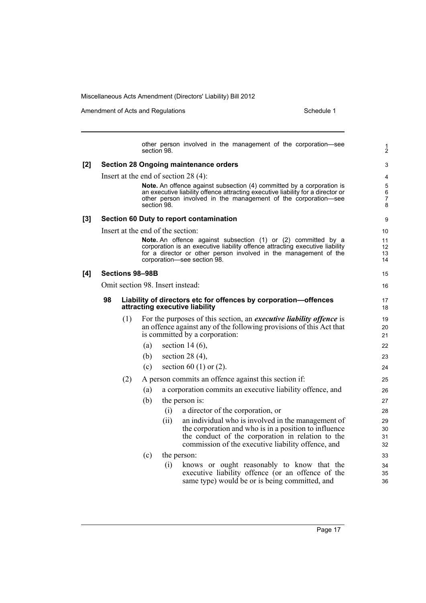Amendment of Acts and Regulations Schedule 1

other person involved in the management of the corporation—see section 98. **[2] Section 28 Ongoing maintenance orders** Insert at the end of section 28 (4): **Note.** An offence against subsection (4) committed by a corporation is an executive liability offence attracting executive liability for a director or other person involved in the management of the corporation—see section 98. **[3] Section 60 Duty to report contamination** Insert at the end of the section: **Note.** An offence against subsection (1) or (2) committed by a corporation is an executive liability offence attracting executive liability for a director or other person involved in the management of the corporation—see section 98. **[4] Sections 98–98B** Omit section 98. Insert instead: **98 Liability of directors etc for offences by corporation—offences attracting executive liability** (1) For the purposes of this section, an *executive liability offence* is an offence against any of the following provisions of this Act that is committed by a corporation: (a) section 14 (6), (b) section 28 (4), (c) section 60 (1) or  $(2)$ . (2) A person commits an offence against this section if: (a) a corporation commits an executive liability offence, and (b) the person is: (i) a director of the corporation, or (ii) an individual who is involved in the management of the corporation and who is in a position to influence the conduct of the corporation in relation to the commission of the executive liability offence, and (c) the person: (i) knows or ought reasonably to know that the executive liability offence (or an offence of the same type) would be or is being committed, and 1 2 3 4 5 6 7 8 9 10 11 12 13 14 15 16 17 18 19  $20$ 21 22 23 24 25 26 27 28 29 30 31 32 33 34 35 36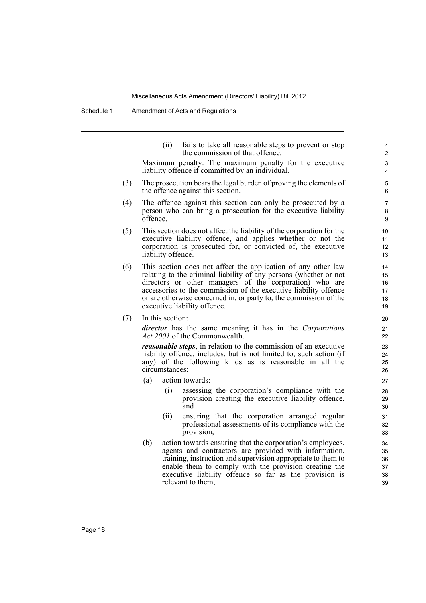Schedule 1 Amendment of Acts and Regulations

(ii) fails to take all reasonable steps to prevent or stop the commission of that offence. Maximum penalty: The maximum penalty for the executive liability offence if committed by an individual. (3) The prosecution bears the legal burden of proving the elements of the offence against this section. (4) The offence against this section can only be prosecuted by a person who can bring a prosecution for the executive liability offence. (5) This section does not affect the liability of the corporation for the executive liability offence, and applies whether or not the corporation is prosecuted for, or convicted of, the executive liability offence. (6) This section does not affect the application of any other law relating to the criminal liability of any persons (whether or not directors or other managers of the corporation) who are accessories to the commission of the executive liability offence or are otherwise concerned in, or party to, the commission of the executive liability offence. (7) In this section: *director* has the same meaning it has in the *Corporations Act 2001* of the Commonwealth. *reasonable steps*, in relation to the commission of an executive liability offence, includes, but is not limited to, such action (if any) of the following kinds as is reasonable in all the circumstances: (a) action towards: (i) assessing the corporation's compliance with the provision creating the executive liability offence, and  $21$ 27 31

28  $29$ 30

- (ii) ensuring that the corporation arranged regular professional assessments of its compliance with the provision,
- (b) action towards ensuring that the corporation's employees, agents and contractors are provided with information, training, instruction and supervision appropriate to them to enable them to comply with the provision creating the executive liability offence so far as the provision is relevant to them,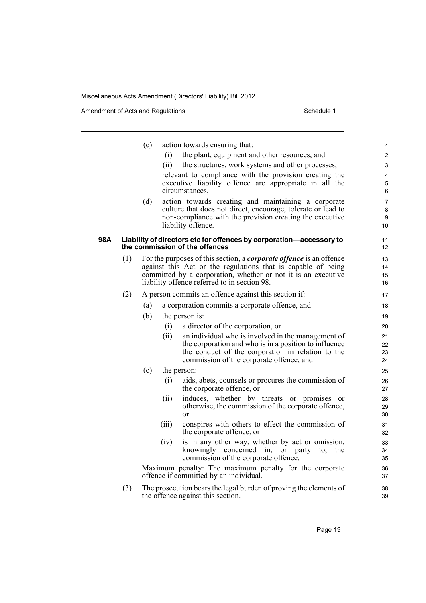Amendment of Acts and Regulations Schedule 1

|     |     | (c) |       | action towards ensuring that:                                                                                 | $\mathbf{1}$   |
|-----|-----|-----|-------|---------------------------------------------------------------------------------------------------------------|----------------|
|     |     |     | (1)   | the plant, equipment and other resources, and                                                                 | $\overline{2}$ |
|     |     |     | (ii)  | the structures, work systems and other processes,                                                             | 3              |
|     |     |     |       | relevant to compliance with the provision creating the                                                        | 4              |
|     |     |     |       | executive liability offence are appropriate in all the                                                        | 5              |
|     |     |     |       | circumstances,                                                                                                | 6              |
|     |     | (d) |       | action towards creating and maintaining a corporate                                                           | 7              |
|     |     |     |       | culture that does not direct, encourage, tolerate or lead to                                                  | 8              |
|     |     |     |       | non-compliance with the provision creating the executive<br>liability offence.                                | 9<br>10        |
|     |     |     |       |                                                                                                               |                |
| 98A |     |     |       | Liability of directors etc for offences by corporation-accessory to                                           | 11             |
|     |     |     |       | the commission of the offences                                                                                | 12             |
|     | (1) |     |       | For the purposes of this section, a <i>corporate offence</i> is an offence                                    | 13             |
|     |     |     |       | against this Act or the regulations that is capable of being                                                  | 14             |
|     |     |     |       | committed by a corporation, whether or not it is an executive<br>liability offence referred to in section 98. | 15<br>16       |
|     | (2) |     |       | A person commits an offence against this section if:                                                          | 17             |
|     |     | (a) |       | a corporation commits a corporate offence, and                                                                | 18             |
|     |     | (b) |       |                                                                                                               |                |
|     |     |     |       | the person is:                                                                                                | 19             |
|     |     |     | (i)   | a director of the corporation, or                                                                             | 20             |
|     |     |     | (ii)  | an individual who is involved in the management of<br>the corporation and who is in a position to influence   | 21<br>22       |
|     |     |     |       | the conduct of the corporation in relation to the                                                             | 23             |
|     |     |     |       | commission of the corporate offence, and                                                                      | 24             |
|     |     | (c) |       | the person:                                                                                                   | 25             |
|     |     |     | (i)   | aids, abets, counsels or procures the commission of                                                           | 26             |
|     |     |     |       | the corporate offence, or                                                                                     | 27             |
|     |     |     | (ii)  | induces, whether by threats or promises or                                                                    | 28             |
|     |     |     |       | otherwise, the commission of the corporate offence,                                                           | 29             |
|     |     |     |       | $\alpha$                                                                                                      | 30             |
|     |     |     | (iii) | conspires with others to effect the commission of<br>the corporate offence, or                                | 31<br>32       |
|     |     |     | (iv)  | is in any other way, whether by act or omission,                                                              | 33             |
|     |     |     |       | knowingly concerned in, or party<br>the<br>to,                                                                | 34             |
|     |     |     |       | commission of the corporate offence.                                                                          | 35             |
|     |     |     |       | Maximum penalty: The maximum penalty for the corporate<br>offence if committed by an individual.              | 36<br>37       |
|     |     |     |       |                                                                                                               |                |
|     | (3) |     |       | The prosecution bears the legal burden of proving the elements of                                             | 38             |

(3) The prosecution bears the legal burden of proving the elements of the offence against this section.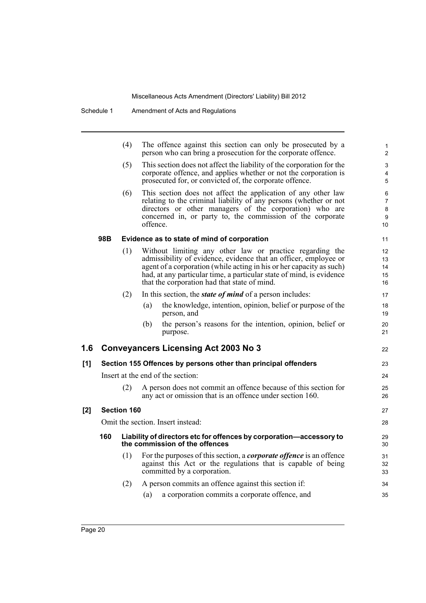|                |     | (4)                |          | The offence against this section can only be prosecuted by a<br>person who can bring a prosecution for the corporate offence.                                                                                                                                                                                                | $\mathbf{1}$<br>$\overline{2}$      |
|----------------|-----|--------------------|----------|------------------------------------------------------------------------------------------------------------------------------------------------------------------------------------------------------------------------------------------------------------------------------------------------------------------------------|-------------------------------------|
|                |     | (5)                |          | This section does not affect the liability of the corporation for the<br>corporate offence, and applies whether or not the corporation is<br>prosecuted for, or convicted of, the corporate offence.                                                                                                                         | 3<br>4<br>5                         |
|                |     | (6)                | offence. | This section does not affect the application of any other law<br>relating to the criminal liability of any persons (whether or not<br>directors or other managers of the corporation) who are<br>concerned in, or party to, the commission of the corporate                                                                  | 6<br>$\overline{7}$<br>8<br>9<br>10 |
|                | 98B |                    |          | Evidence as to state of mind of corporation                                                                                                                                                                                                                                                                                  | 11                                  |
|                |     | (1)                |          | Without limiting any other law or practice regarding the<br>admissibility of evidence, evidence that an officer, employee or<br>agent of a corporation (while acting in his or her capacity as such)<br>had, at any particular time, a particular state of mind, is evidence<br>that the corporation had that state of mind. | 12<br>13<br>14<br>15<br>16          |
|                |     | (2)                |          | In this section, the <i>state of mind</i> of a person includes:                                                                                                                                                                                                                                                              | 17                                  |
|                |     |                    | (a)      | the knowledge, intention, opinion, belief or purpose of the<br>person, and                                                                                                                                                                                                                                                   | 18<br>19                            |
|                |     |                    | (b)      | the person's reasons for the intention, opinion, belief or<br>purpose.                                                                                                                                                                                                                                                       | 20<br>21                            |
| 1.6            |     |                    |          | <b>Conveyancers Licensing Act 2003 No 3</b>                                                                                                                                                                                                                                                                                  | 22                                  |
| [1]            |     |                    |          | Section 155 Offences by persons other than principal offenders                                                                                                                                                                                                                                                               | 23                                  |
|                |     |                    |          | Insert at the end of the section:                                                                                                                                                                                                                                                                                            | 24                                  |
|                |     | (2)                |          | A person does not commit an offence because of this section for<br>any act or omission that is an offence under section 160.                                                                                                                                                                                                 | 25<br>26                            |
| $\mathsf{I2}1$ |     | <b>Section 160</b> |          |                                                                                                                                                                                                                                                                                                                              | 27                                  |
|                |     |                    |          | Omit the section. Insert instead:                                                                                                                                                                                                                                                                                            | 28                                  |
|                | 160 |                    |          | Liability of directors etc for offences by corporation-accessory to<br>the commission of the offences                                                                                                                                                                                                                        | 29<br>30                            |
|                |     | (1)                |          | For the purposes of this section, a <i>corporate offence</i> is an offence<br>against this Act or the regulations that is capable of being<br>committed by a corporation.                                                                                                                                                    | 31<br>32<br>33                      |
|                |     | (2)                | (a)      | A person commits an offence against this section if:<br>a corporation commits a corporate offence, and                                                                                                                                                                                                                       | 34<br>35                            |
|                |     |                    |          |                                                                                                                                                                                                                                                                                                                              |                                     |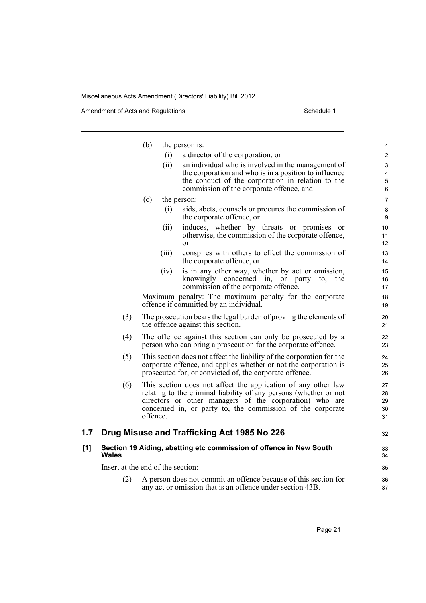Amendment of Acts and Regulations Schedule 1

|     |                                   | (b)      | the person is:                                                                                                                                                                                                                                              | $\mathbf 1$                |
|-----|-----------------------------------|----------|-------------------------------------------------------------------------------------------------------------------------------------------------------------------------------------------------------------------------------------------------------------|----------------------------|
|     |                                   | (i)      | a director of the corporation, or                                                                                                                                                                                                                           | $\overline{c}$             |
|     |                                   | (ii)     | an individual who is involved in the management of                                                                                                                                                                                                          | 3                          |
|     |                                   |          | the corporation and who is in a position to influence<br>the conduct of the corporation in relation to the                                                                                                                                                  | $\overline{4}$             |
|     |                                   |          | commission of the corporate offence, and                                                                                                                                                                                                                    | 5<br>6                     |
|     |                                   | (c)      | the person:                                                                                                                                                                                                                                                 | 7                          |
|     |                                   | (i)      | aids, abets, counsels or procures the commission of<br>the corporate offence, or                                                                                                                                                                            | 8<br>9                     |
|     |                                   | (ii)     | induces, whether by threats or promises<br><sub>or</sub><br>otherwise, the commission of the corporate offence,<br>$\alpha$                                                                                                                                 | 10<br>11<br>12             |
|     |                                   | (iii)    | conspires with others to effect the commission of<br>the corporate offence, or                                                                                                                                                                              | 13<br>14                   |
|     |                                   | (iv)     | is in any other way, whether by act or omission,<br>knowingly concerned in, or party<br>the<br>to,<br>commission of the corporate offence.                                                                                                                  | 15<br>16<br>17             |
|     |                                   |          | Maximum penalty: The maximum penalty for the corporate<br>offence if committed by an individual.                                                                                                                                                            | 18<br>19                   |
|     | (3)                               |          | The prosecution bears the legal burden of proving the elements of<br>the offence against this section.                                                                                                                                                      | 20<br>21                   |
|     | (4)                               |          | The offence against this section can only be prosecuted by a<br>person who can bring a prosecution for the corporate offence.                                                                                                                               | 22<br>23                   |
|     | (5)                               |          | This section does not affect the liability of the corporation for the<br>corporate offence, and applies whether or not the corporation is<br>prosecuted for, or convicted of, the corporate offence.                                                        | 24<br>25<br>26             |
|     | (6)                               | offence. | This section does not affect the application of any other law<br>relating to the criminal liability of any persons (whether or not<br>directors or other managers of the corporation) who are<br>concerned in, or party to, the commission of the corporate | 27<br>28<br>29<br>30<br>31 |
| 1.7 |                                   |          | Drug Misuse and Trafficking Act 1985 No 226                                                                                                                                                                                                                 | 32                         |
| [1] | Wales                             |          | Section 19 Aiding, abetting etc commission of offence in New South                                                                                                                                                                                          | 33<br>34                   |
|     | Insert at the end of the section: |          |                                                                                                                                                                                                                                                             | 35                         |
|     | (2)                               |          | A person does not commit an offence because of this section for<br>any act or omission that is an offence under section 43B.                                                                                                                                | 36<br>37                   |
|     |                                   |          |                                                                                                                                                                                                                                                             |                            |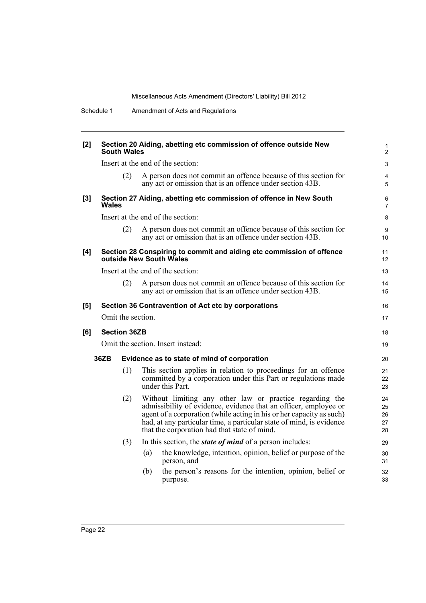| [2]   | Section 20 Aiding, abetting etc commission of offence outside New<br><b>South Wales</b> |                     |     |                                                                                                                                                                                                                                                                                                                              |                            |
|-------|-----------------------------------------------------------------------------------------|---------------------|-----|------------------------------------------------------------------------------------------------------------------------------------------------------------------------------------------------------------------------------------------------------------------------------------------------------------------------------|----------------------------|
|       |                                                                                         |                     |     | Insert at the end of the section:                                                                                                                                                                                                                                                                                            | 3                          |
|       |                                                                                         | (2)                 |     | A person does not commit an offence because of this section for<br>any act or omission that is an offence under section 43B.                                                                                                                                                                                                 | 4<br>5                     |
| $[3]$ | Wales                                                                                   |                     |     | Section 27 Aiding, abetting etc commission of offence in New South                                                                                                                                                                                                                                                           | 6<br>$\overline{7}$        |
|       |                                                                                         |                     |     | Insert at the end of the section:                                                                                                                                                                                                                                                                                            | 8                          |
|       |                                                                                         | (2)                 |     | A person does not commit an offence because of this section for<br>any act or omission that is an offence under section 43B.                                                                                                                                                                                                 | 9<br>10 <sup>°</sup>       |
| [4]   |                                                                                         |                     |     | Section 28 Conspiring to commit and aiding etc commission of offence<br>outside New South Wales                                                                                                                                                                                                                              | 11<br>12                   |
|       |                                                                                         |                     |     | Insert at the end of the section:                                                                                                                                                                                                                                                                                            | 13                         |
|       |                                                                                         | (2)                 |     | A person does not commit an offence because of this section for<br>any act or omission that is an offence under section 43B.                                                                                                                                                                                                 | 14<br>15                   |
| [5]   |                                                                                         |                     |     | Section 36 Contravention of Act etc by corporations                                                                                                                                                                                                                                                                          | 16                         |
|       |                                                                                         | Omit the section.   |     |                                                                                                                                                                                                                                                                                                                              | 17                         |
| [6]   |                                                                                         | <b>Section 36ZB</b> |     |                                                                                                                                                                                                                                                                                                                              | 18                         |
|       |                                                                                         |                     |     | Omit the section. Insert instead:                                                                                                                                                                                                                                                                                            | 19                         |
|       | 36ZB                                                                                    |                     |     | Evidence as to state of mind of corporation                                                                                                                                                                                                                                                                                  | 20                         |
|       |                                                                                         | (1)                 |     | This section applies in relation to proceedings for an offence<br>committed by a corporation under this Part or regulations made<br>under this Part.                                                                                                                                                                         | 21<br>22<br>23             |
|       |                                                                                         | (2)                 |     | Without limiting any other law or practice regarding the<br>admissibility of evidence, evidence that an officer, employee or<br>agent of a corporation (while acting in his or her capacity as such)<br>had, at any particular time, a particular state of mind, is evidence<br>that the corporation had that state of mind. | 24<br>25<br>26<br>27<br>28 |
|       |                                                                                         | (3)                 |     | In this section, the <i>state of mind</i> of a person includes:                                                                                                                                                                                                                                                              | 29                         |
|       |                                                                                         |                     | (a) | the knowledge, intention, opinion, belief or purpose of the<br>person, and                                                                                                                                                                                                                                                   | 30<br>31                   |
|       |                                                                                         |                     | (b) | the person's reasons for the intention, opinion, belief or<br>purpose.                                                                                                                                                                                                                                                       | 32<br>33                   |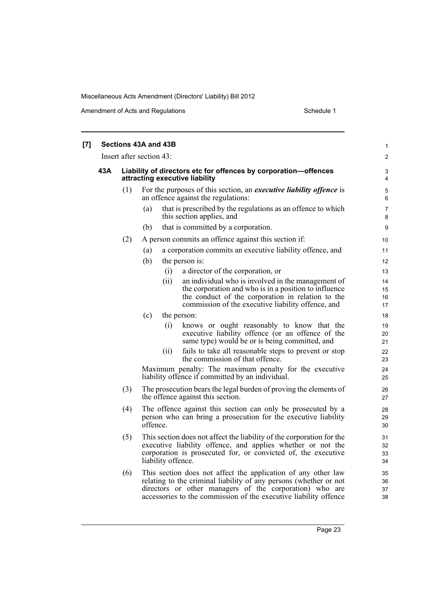Amendment of Acts and Regulations Schedule 1

| [7] |     |     | Sections 43A and 43B                                                                                                                                                                                                        | $\mathbf{1}$         |
|-----|-----|-----|-----------------------------------------------------------------------------------------------------------------------------------------------------------------------------------------------------------------------------|----------------------|
|     |     |     | Insert after section 43:                                                                                                                                                                                                    | $\overline{c}$       |
|     | 43A |     | Liability of directors etc for offences by corporation-offences<br>attracting executive liability                                                                                                                           | 3<br>$\overline{4}$  |
|     |     | (1) | For the purposes of this section, an <i>executive liability offence</i> is<br>an offence against the regulations:                                                                                                           | 5<br>6               |
|     |     |     | that is prescribed by the regulations as an offence to which<br>(a)<br>this section applies, and                                                                                                                            | $\overline{7}$<br>8  |
|     |     |     | that is committed by a corporation.<br>(b)                                                                                                                                                                                  | 9                    |
|     |     | (2) | A person commits an offence against this section if:                                                                                                                                                                        | 10                   |
|     |     |     | a corporation commits an executive liability offence, and<br>(a)                                                                                                                                                            | 11                   |
|     |     |     | (b)<br>the person is:                                                                                                                                                                                                       | $12 \overline{ }$    |
|     |     |     | (i)<br>a director of the corporation, or                                                                                                                                                                                    | 13                   |
|     |     |     | (ii)<br>an individual who is involved in the management of                                                                                                                                                                  | 14                   |
|     |     |     | the corporation and who is in a position to influence<br>the conduct of the corporation in relation to the                                                                                                                  | 15<br>16             |
|     |     |     | commission of the executive liability offence, and                                                                                                                                                                          | 17                   |
|     |     |     | (c)<br>the person:                                                                                                                                                                                                          | 18                   |
|     |     |     | knows or ought reasonably to know that the<br>(i)<br>executive liability offence (or an offence of the<br>same type) would be or is being committed, and                                                                    | 19<br>20<br>21       |
|     |     |     | fails to take all reasonable steps to prevent or stop<br>(i)<br>the commission of that offence.                                                                                                                             | 22<br>23             |
|     |     |     | Maximum penalty: The maximum penalty for the executive<br>liability offence if committed by an individual.                                                                                                                  | 24<br>25             |
|     |     | (3) | The prosecution bears the legal burden of proving the elements of<br>the offence against this section.                                                                                                                      | 26<br>27             |
|     |     | (4) | The offence against this section can only be prosecuted by a<br>person who can bring a prosecution for the executive liability<br>offence.                                                                                  | 28<br>29<br>30       |
|     |     | (5) | This section does not affect the liability of the corporation for the<br>executive liability offence, and applies whether or not the<br>corporation is prosecuted for, or convicted of, the executive<br>liability offence. | 31<br>32<br>33<br>34 |
|     |     | (6) | This section does not affect the application of any other law<br>relating to the criminal liability of any persons (whether or not<br>directors or other managers of the corporation) who are                               | 35<br>36<br>37       |

accessories to the commission of the executive liability offence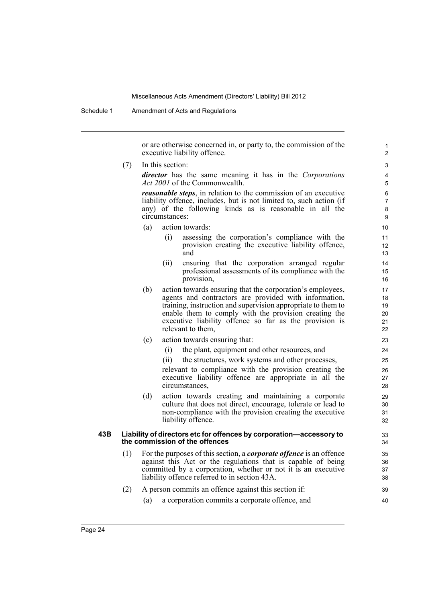Schedule 1 Amendment of Acts and Regulations

or are otherwise concerned in, or party to, the commission of the executive liability offence.

(7) In this section:

*director* has the same meaning it has in the *Corporations Act 2001* of the Commonwealth.

*reasonable steps*, in relation to the commission of an executive liability offence, includes, but is not limited to, such action (if any) of the following kinds as is reasonable in all the circumstances:

- (a) action towards:
	- (i) assessing the corporation's compliance with the provision creating the executive liability offence, and
	- (ii) ensuring that the corporation arranged regular professional assessments of its compliance with the provision,
- (b) action towards ensuring that the corporation's employees, agents and contractors are provided with information, training, instruction and supervision appropriate to them to enable them to comply with the provision creating the executive liability offence so far as the provision is relevant to them,
- (c) action towards ensuring that:
	- (i) the plant, equipment and other resources, and
	- (ii) the structures, work systems and other processes,

relevant to compliance with the provision creating the executive liability offence are appropriate in all the circumstances,

(d) action towards creating and maintaining a corporate culture that does not direct, encourage, tolerate or lead to non-compliance with the provision creating the executive liability offence.

### **43B Liability of directors etc for offences by corporation—accessory to the commission of the offences**

(1) For the purposes of this section, a *corporate offence* is an offence against this Act or the regulations that is capable of being committed by a corporation, whether or not it is an executive liability offence referred to in section 43A.

## (2) A person commits an offence against this section if:

(a) a corporation commits a corporate offence, and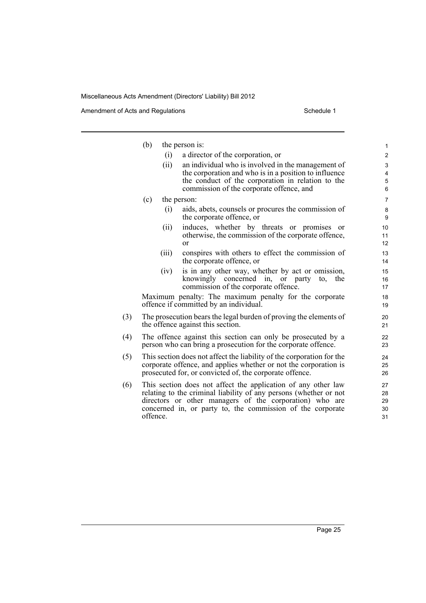Amendment of Acts and Regulations Schedule 1

|     | (b)      |       | the person is:                                                                                                                                                                                                                                              | $\mathbf{1}$                                  |
|-----|----------|-------|-------------------------------------------------------------------------------------------------------------------------------------------------------------------------------------------------------------------------------------------------------------|-----------------------------------------------|
|     |          | (i)   | a director of the corporation, or                                                                                                                                                                                                                           | $\overline{2}$                                |
|     |          | (ii)  | an individual who is involved in the management of<br>the corporation and who is in a position to influence<br>the conduct of the corporation in relation to the                                                                                            | $\ensuremath{\mathsf{3}}$<br>4<br>$\mathbf 5$ |
|     |          |       | commission of the corporate offence, and                                                                                                                                                                                                                    | 6                                             |
|     | (c)      |       | the person:                                                                                                                                                                                                                                                 | $\overline{7}$                                |
|     |          | (i)   | aids, abets, counsels or procures the commission of<br>the corporate offence, or                                                                                                                                                                            | $\bf 8$<br>9                                  |
|     |          | (ii)  | induces, whether by threats or promises or<br>otherwise, the commission of the corporate offence,<br>$\alpha$                                                                                                                                               | 10<br>11<br>12                                |
|     |          | (iii) | conspires with others to effect the commission of<br>the corporate offence, or                                                                                                                                                                              | 13<br>14                                      |
|     |          | (iv)  | is in any other way, whether by act or omission,<br>knowingly concerned in, or party<br>the<br>to.<br>commission of the corporate offence.                                                                                                                  | 15<br>16<br>17                                |
|     |          |       | Maximum penalty: The maximum penalty for the corporate<br>offence if committed by an individual.                                                                                                                                                            | 18<br>19                                      |
| (3) |          |       | The prosecution bears the legal burden of proving the elements of<br>the offence against this section.                                                                                                                                                      | 20<br>21                                      |
| (4) |          |       | The offence against this section can only be prosecuted by a<br>person who can bring a prosecution for the corporate offence.                                                                                                                               | 22<br>23                                      |
| (5) |          |       | This section does not affect the liability of the corporation for the<br>corporate offence, and applies whether or not the corporation is<br>prosecuted for, or convicted of, the corporate offence.                                                        | 24<br>25<br>26                                |
| (6) | offence. |       | This section does not affect the application of any other law<br>relating to the criminal liability of any persons (whether or not<br>directors or other managers of the corporation) who are<br>concerned in, or party to, the commission of the corporate | 27<br>28<br>29<br>30<br>31                    |
|     |          |       |                                                                                                                                                                                                                                                             |                                               |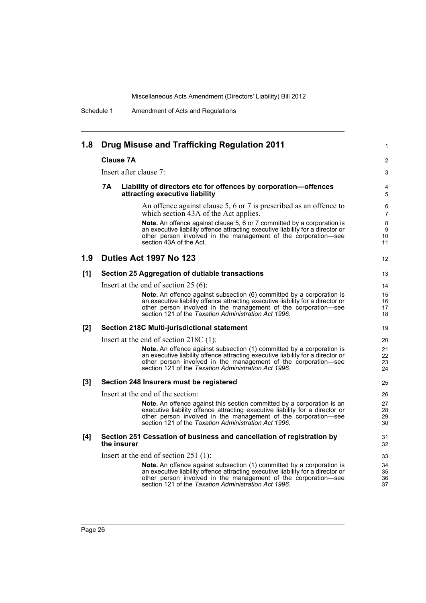| 1.8 |           | Drug Misuse and Trafficking Regulation 2011                                                                                                                                                                                                                                             | 1                    |
|-----|-----------|-----------------------------------------------------------------------------------------------------------------------------------------------------------------------------------------------------------------------------------------------------------------------------------------|----------------------|
|     |           | <b>Clause 7A</b>                                                                                                                                                                                                                                                                        | 2                    |
|     |           | Insert after clause 7:                                                                                                                                                                                                                                                                  | 3                    |
|     | <b>7A</b> | Liability of directors etc for offences by corporation-offences<br>attracting executive liability                                                                                                                                                                                       | 4<br>5               |
|     |           | An offence against clause 5, 6 or 7 is prescribed as an offence to<br>which section 43A of the Act applies.                                                                                                                                                                             | 6<br>$\overline{7}$  |
|     |           | Note. An offence against clause 5, 6 or 7 committed by a corporation is<br>an executive liability offence attracting executive liability for a director or<br>other person involved in the management of the corporation-see<br>section 43A of the Act.                                 | 8<br>9<br>10<br>11   |
| 1.9 |           | Duties Act 1997 No 123                                                                                                                                                                                                                                                                  | 12                   |
| [1] |           | Section 25 Aggregation of dutiable transactions                                                                                                                                                                                                                                         | 13                   |
|     |           | Insert at the end of section $25(6)$ :                                                                                                                                                                                                                                                  | 14                   |
|     |           | Note. An offence against subsection (6) committed by a corporation is<br>an executive liability offence attracting executive liability for a director or<br>other person involved in the management of the corporation—see<br>section 121 of the Taxation Administration Act 1996.      | 15<br>16<br>17<br>18 |
| [2] |           | Section 218C Multi-jurisdictional statement                                                                                                                                                                                                                                             | 19                   |
|     |           | Insert at the end of section $218C(1)$ :                                                                                                                                                                                                                                                | 20                   |
|     |           | Note. An offence against subsection (1) committed by a corporation is<br>an executive liability offence attracting executive liability for a director or<br>other person involved in the management of the corporation-see<br>section 121 of the Taxation Administration Act 1996.      | 21<br>22<br>23<br>24 |
| [3] |           | Section 248 Insurers must be registered                                                                                                                                                                                                                                                 | 25                   |
|     |           | Insert at the end of the section:                                                                                                                                                                                                                                                       | 26                   |
|     |           | <b>Note.</b> An offence against this section committed by a corporation is an<br>executive liability offence attracting executive liability for a director or<br>other person involved in the management of the corporation-see<br>section 121 of the Taxation Administration Act 1996. | 27<br>28<br>29<br>30 |
| [4] |           | Section 251 Cessation of business and cancellation of registration by<br>the insurer                                                                                                                                                                                                    | 31<br>32             |
|     |           | Insert at the end of section $251$ (1):                                                                                                                                                                                                                                                 | 33                   |
|     |           | Note. An offence against subsection (1) committed by a corporation is<br>an executive liability offence attracting executive liability for a director or<br>other person involved in the management of the corporation—see<br>section 121 of the Taxation Administration Act 1996.      | 34<br>35<br>36<br>37 |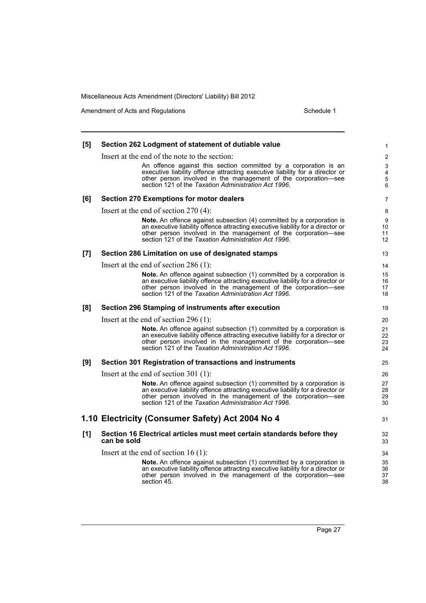Amendment of Acts and Regulations Schedule 1

| [5] | Section 262 Lodgment of statement of dutiable value                                                                                               | 1                       |
|-----|---------------------------------------------------------------------------------------------------------------------------------------------------|-------------------------|
|     | Insert at the end of the note to the section:                                                                                                     | $\overline{2}$          |
|     | An offence against this section committed by a corporation is an                                                                                  | 3                       |
|     | executive liability offence attracting executive liability for a director or<br>other person involved in the management of the corporation-see    | $\overline{\mathbf{4}}$ |
|     | section 121 of the Taxation Administration Act 1996.                                                                                              | 5<br>6                  |
| [6] | <b>Section 270 Exemptions for motor dealers</b>                                                                                                   | 7                       |
|     | Insert at the end of section $270(4)$ :                                                                                                           | 8                       |
|     | Note. An offence against subsection (4) committed by a corporation is                                                                             | 9                       |
|     | an executive liability offence attracting executive liability for a director or<br>other person involved in the management of the corporation-see | 10<br>11                |
|     | section 121 of the Taxation Administration Act 1996.                                                                                              | $12 \overline{ }$       |
| [7] | Section 286 Limitation on use of designated stamps                                                                                                | 13                      |
|     | Insert at the end of section 286 (1):                                                                                                             | 14                      |
|     | Note. An offence against subsection (1) committed by a corporation is                                                                             | 15                      |
|     | an executive liability offence attracting executive liability for a director or<br>other person involved in the management of the corporation-see | 16<br>17                |
|     | section 121 of the Taxation Administration Act 1996.                                                                                              | 18                      |
| [8] | Section 296 Stamping of instruments after execution                                                                                               | 19                      |
|     | Insert at the end of section 296 $(1)$ :                                                                                                          | 20                      |
|     | Note. An offence against subsection (1) committed by a corporation is                                                                             | 21                      |
|     | an executive liability offence attracting executive liability for a director or<br>other person involved in the management of the corporation-see | 22<br>23                |
|     | section 121 of the Taxation Administration Act 1996.                                                                                              | 24                      |
| [9] | Section 301 Registration of transactions and instruments                                                                                          | 25                      |
|     | Insert at the end of section 301 $(1)$ :                                                                                                          | 26                      |
|     | <b>Note.</b> An offence against subsection (1) committed by a corporation is                                                                      | 27                      |
|     | an executive liability offence attracting executive liability for a director or<br>other person involved in the management of the corporation-see | 28<br>29                |
|     | section 121 of the Taxation Administration Act 1996.                                                                                              | 30                      |
|     | 1.10 Electricity (Consumer Safety) Act 2004 No 4                                                                                                  | 31                      |
| [1] | Section 16 Electrical articles must meet certain standards before they                                                                            | 32                      |
|     | can be sold                                                                                                                                       | 33                      |
|     | Insert at the end of section $16(1)$ :                                                                                                            | 34                      |
|     | Note. An offence against subsection (1) committed by a corporation is                                                                             | 35                      |
|     | an executive liability offence attracting executive liability for a director or<br>other person involved in the management of the corporation-see | 36<br>37                |
|     | section 45.                                                                                                                                       | 38                      |
|     |                                                                                                                                                   |                         |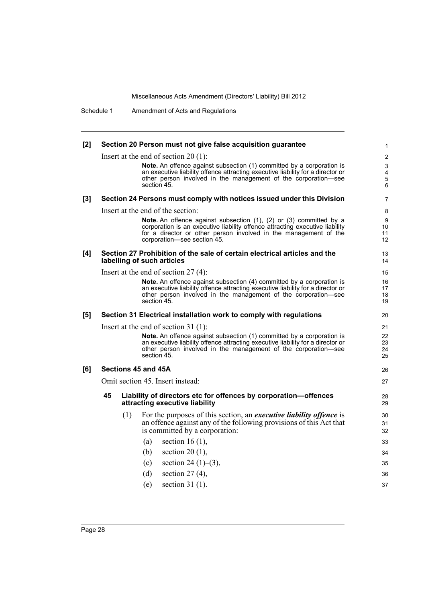Schedule 1 Amendment of Acts and Regulations

| [2]   |     | Section 20 Person must not give false acquisition guarantee                                                                                       | 1              |
|-------|-----|---------------------------------------------------------------------------------------------------------------------------------------------------|----------------|
|       |     | Insert at the end of section 20 (1):                                                                                                              | $\overline{2}$ |
|       |     | Note. An offence against subsection (1) committed by a corporation is                                                                             | 3              |
|       |     | an executive liability offence attracting executive liability for a director or                                                                   | 4              |
|       |     | other person involved in the management of the corporation-see<br>section 45.                                                                     | 5<br>6         |
| $[3]$ |     | Section 24 Persons must comply with notices issued under this Division                                                                            | 7              |
|       |     | Insert at the end of the section:                                                                                                                 | 8              |
|       |     | Note. An offence against subsection (1), (2) or (3) committed by a                                                                                | 9              |
|       |     | corporation is an executive liability offence attracting executive liability<br>for a director or other person involved in the management of the  | 10<br>11       |
|       |     | corporation-see section 45.                                                                                                                       | 12             |
| [4]   |     | Section 27 Prohibition of the sale of certain electrical articles and the                                                                         | 13             |
|       |     | labelling of such articles                                                                                                                        | 14             |
|       |     | Insert at the end of section $27(4)$ :                                                                                                            | 15             |
|       |     | Note. An offence against subsection (4) committed by a corporation is                                                                             | 16             |
|       |     | an executive liability offence attracting executive liability for a director or<br>other person involved in the management of the corporation—see | 17<br>18       |
|       |     | section 45.                                                                                                                                       | 19             |
| [5]   |     | Section 31 Electrical installation work to comply with regulations                                                                                | 20             |
|       |     | Insert at the end of section 31 (1):                                                                                                              | 21             |
|       |     | Note. An offence against subsection (1) committed by a corporation is                                                                             | 22             |
|       |     | an executive liability offence attracting executive liability for a director or<br>other person involved in the management of the corporation-see | 23<br>24       |
|       |     | section 45.                                                                                                                                       | 25             |
| [6]   |     | Sections 45 and 45A                                                                                                                               | 26             |
|       |     | Omit section 45. Insert instead:                                                                                                                  | 27             |
|       | 45  | Liability of directors etc for offences by corporation-offences                                                                                   | 28             |
|       |     | attracting executive liability                                                                                                                    | 29             |
|       | (1) | For the purposes of this section, an <i>executive liability offence</i> is                                                                        | 30             |
|       |     | an offence against any of the following provisions of this Act that                                                                               | 31             |
|       |     | is committed by a corporation:                                                                                                                    | 32             |
|       |     | (a)<br>section 16 $(1)$ ,                                                                                                                         | 33             |
|       |     | (b)<br>section 20 $(1)$ ,                                                                                                                         | 34             |
|       |     | section 24 $(1)$ – $(3)$ ,<br>(c)                                                                                                                 | 35             |
|       |     | (d)<br>section $27(4)$ ,                                                                                                                          | 36             |
|       |     | section $31(1)$ .<br>(e)                                                                                                                          | 37             |
|       |     |                                                                                                                                                   |                |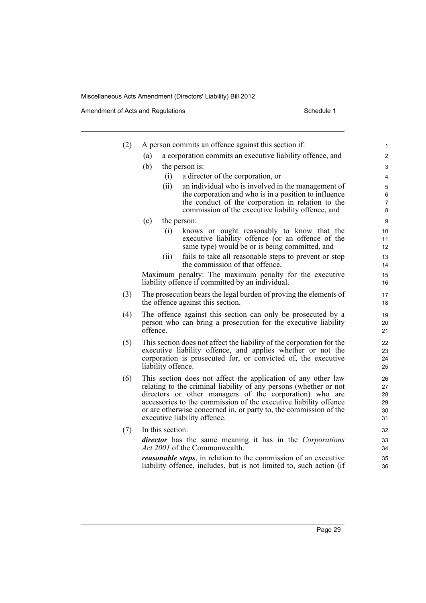Amendment of Acts and Regulations Schedule 1

i.

| (2) | A person commits an offence against this section if:                                                                                                                                                                                                                                                                                                                   | $\mathbf{1}$                     |
|-----|------------------------------------------------------------------------------------------------------------------------------------------------------------------------------------------------------------------------------------------------------------------------------------------------------------------------------------------------------------------------|----------------------------------|
|     | a corporation commits an executive liability offence, and<br>(a)                                                                                                                                                                                                                                                                                                       | $\overline{2}$                   |
|     | (b)<br>the person is:                                                                                                                                                                                                                                                                                                                                                  | 3                                |
|     | a director of the corporation, or<br>(i)                                                                                                                                                                                                                                                                                                                               | 4                                |
|     | (ii)<br>an individual who is involved in the management of                                                                                                                                                                                                                                                                                                             | 5                                |
|     | the corporation and who is in a position to influence<br>the conduct of the corporation in relation to the                                                                                                                                                                                                                                                             | 6<br>$\overline{7}$              |
|     | commission of the executive liability offence, and                                                                                                                                                                                                                                                                                                                     | 8                                |
|     | (c)<br>the person:                                                                                                                                                                                                                                                                                                                                                     | $\boldsymbol{9}$                 |
|     | (i)<br>knows or ought reasonably to know that the<br>executive liability offence (or an offence of the<br>same type) would be or is being committed, and                                                                                                                                                                                                               | 10<br>11<br>12                   |
|     | fails to take all reasonable steps to prevent or stop<br>(ii)<br>the commission of that offence.                                                                                                                                                                                                                                                                       | 13<br>14                         |
|     | Maximum penalty: The maximum penalty for the executive<br>liability offence if committed by an individual.                                                                                                                                                                                                                                                             | 15<br>16                         |
| (3) | The prosecution bears the legal burden of proving the elements of<br>the offence against this section.                                                                                                                                                                                                                                                                 | 17<br>18                         |
| (4) | The offence against this section can only be prosecuted by a<br>person who can bring a prosecution for the executive liability<br>offence.                                                                                                                                                                                                                             | 19<br>20<br>21                   |
| (5) | This section does not affect the liability of the corporation for the<br>executive liability offence, and applies whether or not the<br>corporation is prosecuted for, or convicted of, the executive<br>liability offence.                                                                                                                                            | 22<br>23<br>24<br>25             |
| (6) | This section does not affect the application of any other law<br>relating to the criminal liability of any persons (whether or not<br>directors or other managers of the corporation) who are<br>accessories to the commission of the executive liability offence<br>or are otherwise concerned in, or party to, the commission of the<br>executive liability offence. | 26<br>27<br>28<br>29<br>30<br>31 |
| (7) | In this section:                                                                                                                                                                                                                                                                                                                                                       | 32                               |
|     | director has the same meaning it has in the Corporations<br>Act 2001 of the Commonwealth.                                                                                                                                                                                                                                                                              | 33<br>34                         |
|     | <i>reasonable steps</i> , in relation to the commission of an executive<br>liability offence, includes, but is not limited to, such action (if                                                                                                                                                                                                                         | 35<br>36                         |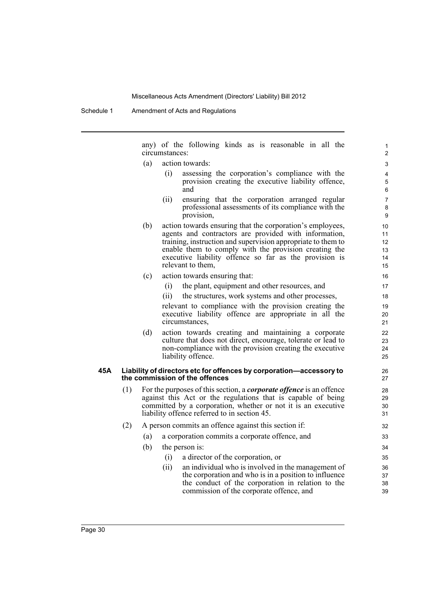Schedule 1 Amendment of Acts and Regulations

any) of the following kinds as is reasonable in all the circumstances:

- (a) action towards:
	- (i) assessing the corporation's compliance with the provision creating the executive liability offence, and

- (ii) ensuring that the corporation arranged regular professional assessments of its compliance with the provision,
- (b) action towards ensuring that the corporation's employees, agents and contractors are provided with information, training, instruction and supervision appropriate to them to enable them to comply with the provision creating the executive liability offence so far as the provision is relevant to them,
- (c) action towards ensuring that:
	- (i) the plant, equipment and other resources, and
	- (ii) the structures, work systems and other processes,

relevant to compliance with the provision creating the executive liability offence are appropriate in all the circumstances,

(d) action towards creating and maintaining a corporate culture that does not direct, encourage, tolerate or lead to non-compliance with the provision creating the executive liability offence.

### **45A Liability of directors etc for offences by corporation—accessory to the commission of the offences**

- (1) For the purposes of this section, a *corporate offence* is an offence against this Act or the regulations that is capable of being committed by a corporation, whether or not it is an executive liability offence referred to in section 45.
- (2) A person commits an offence against this section if:
	- (a) a corporation commits a corporate offence, and
	- (b) the person is:
		- (i) a director of the corporation, or
		- (ii) an individual who is involved in the management of the corporation and who is in a position to influence the conduct of the corporation in relation to the commission of the corporate offence, and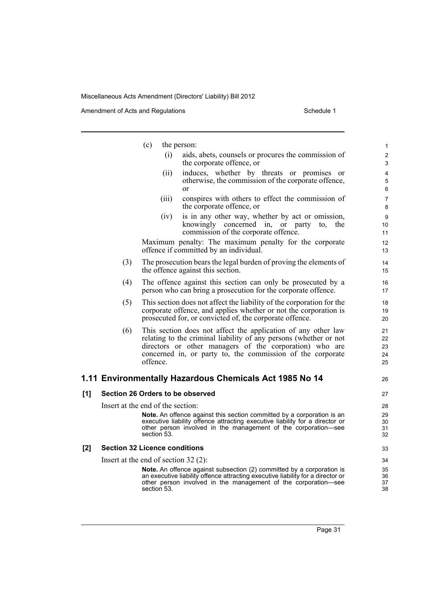|     |     | (c)<br>the person:                                                                                                                                                                                                                                                      | 1                          |
|-----|-----|-------------------------------------------------------------------------------------------------------------------------------------------------------------------------------------------------------------------------------------------------------------------------|----------------------------|
|     |     | aids, abets, counsels or procures the commission of<br>(i)<br>the corporate offence, or                                                                                                                                                                                 | $\overline{c}$<br>3        |
|     |     | induces, whether by threats or promises or<br>(ii)<br>otherwise, the commission of the corporate offence,<br>or                                                                                                                                                         | 4<br>5<br>6                |
|     |     | conspires with others to effect the commission of<br>(iii)<br>the corporate offence, or                                                                                                                                                                                 | 7<br>8                     |
|     |     | is in any other way, whether by act or omission,<br>(iv)<br>knowingly concerned in, or party<br>the<br>to.<br>commission of the corporate offence.                                                                                                                      | 9<br>10<br>11              |
|     |     | Maximum penalty: The maximum penalty for the corporate<br>offence if committed by an individual.                                                                                                                                                                        | 12<br>13                   |
|     | (3) | The prosecution bears the legal burden of proving the elements of<br>the offence against this section.                                                                                                                                                                  | 14<br>15                   |
|     | (4) | The offence against this section can only be prosecuted by a<br>person who can bring a prosecution for the corporate offence.                                                                                                                                           | 16<br>17                   |
|     | (5) | This section does not affect the liability of the corporation for the<br>corporate offence, and applies whether or not the corporation is<br>prosecuted for, or convicted of, the corporate offence.                                                                    | 18<br>19<br>20             |
|     | (6) | This section does not affect the application of any other law<br>relating to the criminal liability of any persons (whether or not<br>directors or other managers of the corporation) who are<br>concerned in, or party to, the commission of the corporate<br>offence. | 21<br>22<br>23<br>24<br>25 |
|     |     | 1.11 Environmentally Hazardous Chemicals Act 1985 No 14                                                                                                                                                                                                                 | 26                         |
| [1] |     | Section 26 Orders to be observed                                                                                                                                                                                                                                        | 27                         |
|     |     | Insert at the end of the section:                                                                                                                                                                                                                                       | 28                         |
|     |     | Note. An offence against this section committed by a corporation is an<br>executive liability offence attracting executive liability for a director or<br>other person involved in the management of the corporation-see<br>section 53.                                 | 29<br>30<br>31<br>32       |
| [2] |     | <b>Section 32 Licence conditions</b>                                                                                                                                                                                                                                    | 33                         |
|     |     | Insert at the end of section $32(2)$ :                                                                                                                                                                                                                                  | 34                         |
|     |     | Note. An offence against subsection (2) committed by a corporation is<br>an executive liability offence attracting executive liability for a director or<br>other person involved in the management of the corporation—see<br>section 53.                               | 35<br>36<br>37<br>38       |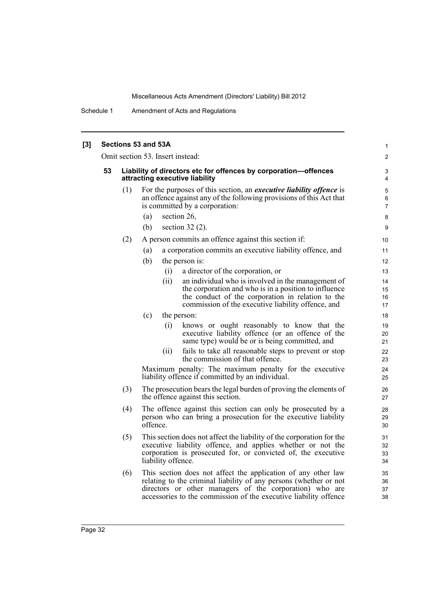Schedule 1 Amendment of Acts and Regulations

| $[3]$ |    |                                                                                                   | Sections 53 and 53A                                                                                                                                                                                                                                                                                                                                                                                                                                                                                                                                                                                                                                                                                                                                                             | 1                                                                                      |  |  |  |  |
|-------|----|---------------------------------------------------------------------------------------------------|---------------------------------------------------------------------------------------------------------------------------------------------------------------------------------------------------------------------------------------------------------------------------------------------------------------------------------------------------------------------------------------------------------------------------------------------------------------------------------------------------------------------------------------------------------------------------------------------------------------------------------------------------------------------------------------------------------------------------------------------------------------------------------|----------------------------------------------------------------------------------------|--|--|--|--|
|       |    | Omit section 53. Insert instead:                                                                  |                                                                                                                                                                                                                                                                                                                                                                                                                                                                                                                                                                                                                                                                                                                                                                                 |                                                                                        |  |  |  |  |
|       | 53 | Liability of directors etc for offences by corporation-offences<br>attracting executive liability |                                                                                                                                                                                                                                                                                                                                                                                                                                                                                                                                                                                                                                                                                                                                                                                 |                                                                                        |  |  |  |  |
|       |    | (1)                                                                                               | For the purposes of this section, an <i>executive liability offence</i> is<br>an offence against any of the following provisions of this Act that<br>is committed by a corporation:<br>section 26,<br>(a)                                                                                                                                                                                                                                                                                                                                                                                                                                                                                                                                                                       | 5<br>6<br>$\overline{7}$<br>8                                                          |  |  |  |  |
|       |    |                                                                                                   | (b)<br>section $32(2)$ .                                                                                                                                                                                                                                                                                                                                                                                                                                                                                                                                                                                                                                                                                                                                                        | 9                                                                                      |  |  |  |  |
|       |    | (2)                                                                                               | A person commits an offence against this section if:<br>(a)<br>a corporation commits an executive liability offence, and<br>(b)<br>the person is:<br>a director of the corporation, or<br>(i)<br>(ii)<br>an individual who is involved in the management of<br>the corporation and who is in a position to influence<br>the conduct of the corporation in relation to the<br>commission of the executive liability offence, and<br>(c)<br>the person:<br>(i)<br>knows or ought reasonably to know that the<br>executive liability offence (or an offence of the<br>same type) would be or is being committed, and<br>fails to take all reasonable steps to prevent or stop<br>(ii)<br>the commission of that offence.<br>Maximum penalty: The maximum penalty for the executive | 10<br>11<br>12<br>13<br>14<br>15<br>16<br>17<br>18<br>19<br>20<br>21<br>22<br>23<br>24 |  |  |  |  |
|       |    | (3)                                                                                               | liability offence if committed by an individual.<br>The prosecution bears the legal burden of proving the elements of                                                                                                                                                                                                                                                                                                                                                                                                                                                                                                                                                                                                                                                           | 25<br>26                                                                               |  |  |  |  |
|       |    |                                                                                                   | the offence against this section.                                                                                                                                                                                                                                                                                                                                                                                                                                                                                                                                                                                                                                                                                                                                               | 27                                                                                     |  |  |  |  |
|       |    | (4)                                                                                               | The offence against this section can only be prosecuted by a<br>person who can bring a prosecution for the executive liability<br>offence.                                                                                                                                                                                                                                                                                                                                                                                                                                                                                                                                                                                                                                      | 28<br>29<br>30                                                                         |  |  |  |  |
|       |    | (5)                                                                                               | This section does not affect the liability of the corporation for the<br>executive liability offence, and applies whether or not the<br>corporation is prosecuted for, or convicted of, the executive<br>liability offence.                                                                                                                                                                                                                                                                                                                                                                                                                                                                                                                                                     | 31<br>32<br>33<br>34                                                                   |  |  |  |  |
|       |    | (6)                                                                                               | This section does not affect the application of any other law<br>relating to the criminal liability of any persons (whether or not<br>directors or other managers of the corporation) who are                                                                                                                                                                                                                                                                                                                                                                                                                                                                                                                                                                                   | 35<br>36<br>37                                                                         |  |  |  |  |

accessories to the commission of the executive liability offence

38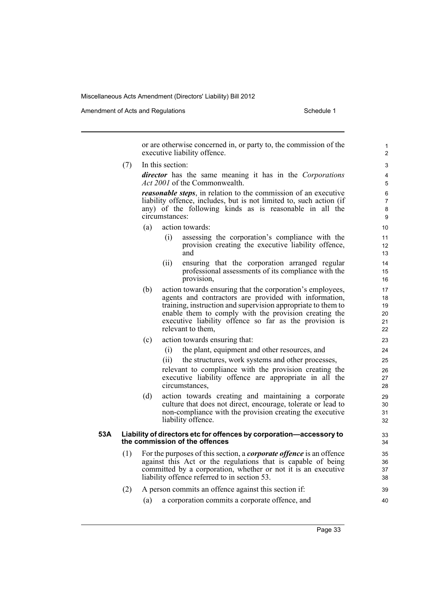Amendment of Acts and Regulations Schedule 1

or are otherwise concerned in, or party to, the commission of the executive liability offence. (7) In this section: *director* has the same meaning it has in the *Corporations Act 2001* of the Commonwealth. *reasonable steps*, in relation to the commission of an executive liability offence, includes, but is not limited to, such action (if any) of the following kinds as is reasonable in all the circumstances: (a) action towards: (i) assessing the corporation's compliance with the provision creating the executive liability offence, and (ii) ensuring that the corporation arranged regular professional assessments of its compliance with the provision, (b) action towards ensuring that the corporation's employees, agents and contractors are provided with information, training, instruction and supervision appropriate to them to enable them to comply with the provision creating the executive liability offence so far as the provision is relevant to them, (c) action towards ensuring that: (i) the plant, equipment and other resources, and (ii) the structures, work systems and other processes, relevant to compliance with the provision creating the executive liability offence are appropriate in all the circumstances, (d) action towards creating and maintaining a corporate culture that does not direct, encourage, tolerate or lead to non-compliance with the provision creating the executive liability offence. **53A Liability of directors etc for offences by corporation—accessory to the commission of the offences** (1) For the purposes of this section, a *corporate offence* is an offence against this Act or the regulations that is capable of being committed by a corporation, whether or not it is an executive liability offence referred to in section 53. (2) A person commits an offence against this section if: (a) a corporation commits a corporate offence, and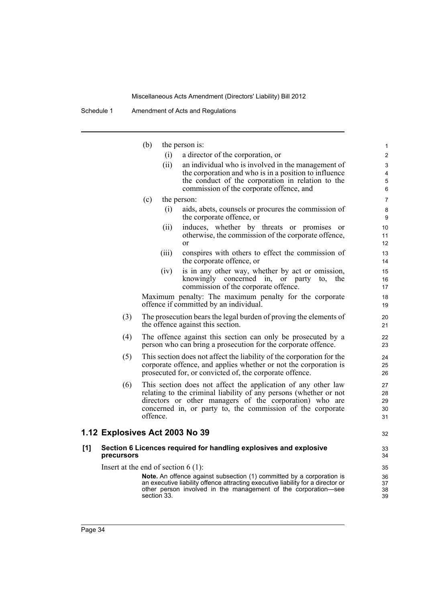Schedule 1 Amendment of Acts and Regulations

|     |                                       | (b)      |             | the person is:                                                                                                                                                                                                                    | 1                    |
|-----|---------------------------------------|----------|-------------|-----------------------------------------------------------------------------------------------------------------------------------------------------------------------------------------------------------------------------------|----------------------|
|     |                                       |          | (i)         | a director of the corporation, or                                                                                                                                                                                                 | $\overline{2}$       |
|     |                                       |          | (ii)        | an individual who is involved in the management of                                                                                                                                                                                | 3                    |
|     |                                       |          |             | the corporation and who is in a position to influence                                                                                                                                                                             | 4                    |
|     |                                       |          |             | the conduct of the corporation in relation to the<br>commission of the corporate offence, and                                                                                                                                     | 5<br>6               |
|     |                                       |          |             |                                                                                                                                                                                                                                   |                      |
|     |                                       | (c)      |             | the person:                                                                                                                                                                                                                       | $\overline{7}$       |
|     |                                       |          | (i)         | aids, abets, counsels or procures the commission of<br>the corporate offence, or                                                                                                                                                  | 8<br>9               |
|     |                                       |          | (ii)        | induces, whether by threats or promises<br><sub>or</sub>                                                                                                                                                                          | 10                   |
|     |                                       |          |             | otherwise, the commission of the corporate offence,<br>or                                                                                                                                                                         | 11<br>12             |
|     |                                       |          | (111)       | conspires with others to effect the commission of<br>the corporate offence, or                                                                                                                                                    | 13<br>14             |
|     |                                       |          | (iv)        | is in any other way, whether by act or omission,                                                                                                                                                                                  | 15                   |
|     |                                       |          |             | knowingly concerned in, or party<br>the<br>to,<br>commission of the corporate offence.                                                                                                                                            | 16<br>17             |
|     |                                       |          |             | Maximum penalty: The maximum penalty for the corporate<br>offence if committed by an individual.                                                                                                                                  | 18<br>19             |
|     | (3)                                   |          |             | The prosecution bears the legal burden of proving the elements of<br>the offence against this section.                                                                                                                            | 20<br>21             |
|     | (4)                                   |          |             | The offence against this section can only be prosecuted by a<br>person who can bring a prosecution for the corporate offence.                                                                                                     | 22<br>23             |
|     | (5)                                   |          |             | This section does not affect the liability of the corporation for the<br>corporate offence, and applies whether or not the corporation is<br>prosecuted for, or convicted of, the corporate offence.                              | 24<br>25<br>26       |
|     | (6)                                   |          |             | This section does not affect the application of any other law                                                                                                                                                                     | 27                   |
|     |                                       |          |             | relating to the criminal liability of any persons (whether or not                                                                                                                                                                 | 28                   |
|     |                                       |          |             | directors or other managers of the corporation) who are                                                                                                                                                                           | 29                   |
|     |                                       | offence. |             | concerned in, or party to, the commission of the corporate                                                                                                                                                                        | 30<br>31             |
|     | 1.12 Explosives Act 2003 No 39        |          |             |                                                                                                                                                                                                                                   | 32                   |
| [1] | precursors                            |          |             | Section 6 Licences required for handling explosives and explosive                                                                                                                                                                 | 33<br>34             |
|     | Insert at the end of section $6(1)$ : |          |             |                                                                                                                                                                                                                                   | 35                   |
|     |                                       |          | section 33. | <b>Note.</b> An offence against subsection (1) committed by a corporation is<br>an executive liability offence attracting executive liability for a director or<br>other person involved in the management of the corporation—see | 36<br>37<br>38<br>39 |

 $1.12$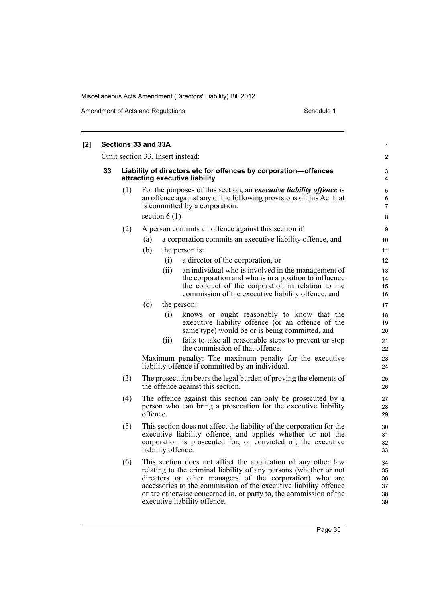| Sections 33 and 33A |     |                    |      |                                                                                                                                                                                                                                                                                                                                                                        | 1                                       |
|---------------------|-----|--------------------|------|------------------------------------------------------------------------------------------------------------------------------------------------------------------------------------------------------------------------------------------------------------------------------------------------------------------------------------------------------------------------|-----------------------------------------|
|                     |     |                    |      | Omit section 33. Insert instead:                                                                                                                                                                                                                                                                                                                                       | $\overline{2}$                          |
| 33                  |     |                    |      | Liability of directors etc for offences by corporation-offences<br>attracting executive liability                                                                                                                                                                                                                                                                      | 3<br>4                                  |
|                     | (1) | section $6(1)$     |      | For the purposes of this section, an <i>executive liability offence</i> is<br>an offence against any of the following provisions of this Act that<br>is committed by a corporation:                                                                                                                                                                                    | $\mathbf 5$<br>6<br>$\overline{7}$<br>8 |
|                     | (2) |                    |      | A person commits an offence against this section if:                                                                                                                                                                                                                                                                                                                   |                                         |
|                     |     | (a)                |      | a corporation commits an executive liability offence, and                                                                                                                                                                                                                                                                                                              | 9<br>10                                 |
|                     |     | (b)                |      |                                                                                                                                                                                                                                                                                                                                                                        | 11                                      |
|                     |     |                    | (i)  | the person is:<br>a director of the corporation, or                                                                                                                                                                                                                                                                                                                    | 12                                      |
|                     |     |                    | (ii) | an individual who is involved in the management of<br>the corporation and who is in a position to influence<br>the conduct of the corporation in relation to the<br>commission of the executive liability offence, and                                                                                                                                                 | 13<br>14<br>15<br>16                    |
|                     |     | (c)                |      | the person:                                                                                                                                                                                                                                                                                                                                                            | 17                                      |
|                     |     |                    | (i)  | knows or ought reasonably to know that the<br>executive liability offence (or an offence of the<br>same type) would be or is being committed, and                                                                                                                                                                                                                      | 18<br>19<br>20                          |
|                     |     |                    | (i)  | fails to take all reasonable steps to prevent or stop<br>the commission of that offence.                                                                                                                                                                                                                                                                               | 21<br>22                                |
|                     |     |                    |      | Maximum penalty: The maximum penalty for the executive<br>liability offence if committed by an individual.                                                                                                                                                                                                                                                             | 23<br>24                                |
|                     | (3) |                    |      | The prosecution bears the legal burden of proving the elements of<br>the offence against this section.                                                                                                                                                                                                                                                                 | 25<br>26                                |
|                     | (4) | offence.           |      | The offence against this section can only be prosecuted by a<br>person who can bring a prosecution for the executive liability                                                                                                                                                                                                                                         | 27<br>28<br>29                          |
|                     | (5) | liability offence. |      | This section does not affect the liability of the corporation for the<br>executive liability offence, and applies whether or not the<br>corporation is prosecuted for, or convicted of, the executive                                                                                                                                                                  | 30<br>31<br>32<br>33                    |
|                     | (6) |                    |      | This section does not affect the application of any other law<br>relating to the criminal liability of any persons (whether or not<br>directors or other managers of the corporation) who are<br>accessories to the commission of the executive liability offence<br>or are otherwise concerned in, or party to, the commission of the<br>executive liability offence. | 34<br>35<br>36<br>37<br>38<br>39        |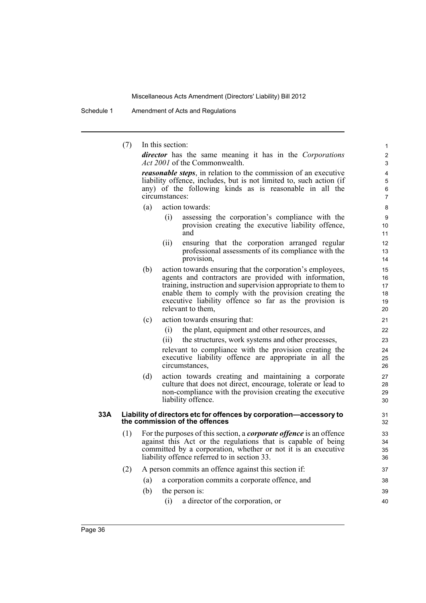Schedule 1 Amendment of Acts and Regulations

(7) In this section:

*director* has the same meaning it has in the *Corporations Act 2001* of the Commonwealth.

*reasonable steps*, in relation to the commission of an executive liability offence, includes, but is not limited to, such action (if any) of the following kinds as is reasonable in all the circumstances:

- (a) action towards:
	- (i) assessing the corporation's compliance with the provision creating the executive liability offence, and
	- (ii) ensuring that the corporation arranged regular professional assessments of its compliance with the provision,
- (b) action towards ensuring that the corporation's employees, agents and contractors are provided with information, training, instruction and supervision appropriate to them to enable them to comply with the provision creating the executive liability offence so far as the provision is relevant to them,
- (c) action towards ensuring that:
	- (i) the plant, equipment and other resources, and
	- (ii) the structures, work systems and other processes,

relevant to compliance with the provision creating the executive liability offence are appropriate in all the circumstances,

(d) action towards creating and maintaining a corporate culture that does not direct, encourage, tolerate or lead to non-compliance with the provision creating the executive liability offence.

#### **33A Liability of directors etc for offences by corporation—accessory to the commission of the offences**

- (1) For the purposes of this section, a *corporate offence* is an offence against this Act or the regulations that is capable of being committed by a corporation, whether or not it is an executive liability offence referred to in section 33.
- (2) A person commits an offence against this section if:
	- (a) a corporation commits a corporate offence, and
	- (b) the person is: (i) a director of the corporation, or 39 40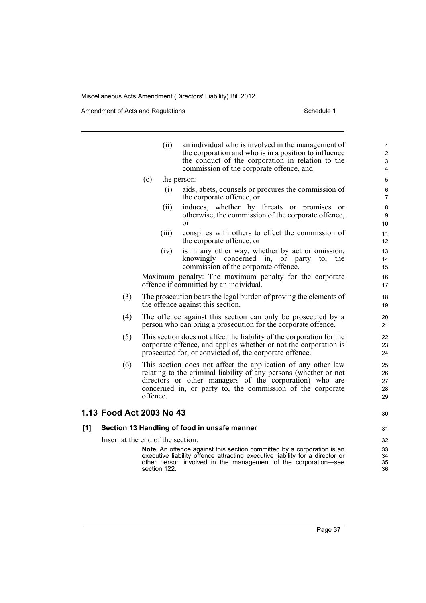|                          | (ii)                              | an individual who is involved in the management of<br>the corporation and who is in a position to influence<br>the conduct of the corporation in relation to the<br>commission of the corporate offence, and                                                | 1<br>$\overline{2}$<br>3<br>4 |
|--------------------------|-----------------------------------|-------------------------------------------------------------------------------------------------------------------------------------------------------------------------------------------------------------------------------------------------------------|-------------------------------|
|                          | (c)                               | the person:                                                                                                                                                                                                                                                 | 5                             |
|                          | (i)                               | aids, abets, counsels or procures the commission of<br>the corporate offence, or                                                                                                                                                                            | 6<br>$\overline{7}$           |
|                          | (ii)                              | induces, whether by threats or promises<br><sub>or</sub><br>otherwise, the commission of the corporate offence,<br><sub>or</sub>                                                                                                                            | 8<br>9<br>10                  |
|                          | (iii)                             | conspires with others to effect the commission of<br>the corporate offence, or                                                                                                                                                                              | 11<br>12                      |
|                          | (iv)                              | is in any other way, whether by act or omission,<br>knowingly concerned in, or party<br>the<br>to,<br>commission of the corporate offence.                                                                                                                  | 13<br>14<br>15                |
|                          |                                   | Maximum penalty: The maximum penalty for the corporate<br>offence if committed by an individual.                                                                                                                                                            | 16<br>17                      |
| (3)                      |                                   | The prosecution bears the legal burden of proving the elements of<br>the offence against this section.                                                                                                                                                      | 18<br>19                      |
| (4)                      |                                   | The offence against this section can only be prosecuted by a<br>person who can bring a prosecution for the corporate offence.                                                                                                                               | 20<br>21                      |
| (5)                      |                                   | This section does not affect the liability of the corporation for the<br>corporate offence, and applies whether or not the corporation is<br>prosecuted for, or convicted of, the corporate offence.                                                        | 22<br>23<br>24                |
| (6)                      | offence.                          | This section does not affect the application of any other law<br>relating to the criminal liability of any persons (whether or not<br>directors or other managers of the corporation) who are<br>concerned in, or party to, the commission of the corporate | 25<br>26<br>27<br>28<br>29    |
| 1.13 Food Act 2003 No 43 |                                   |                                                                                                                                                                                                                                                             | 30                            |
| [1]                      |                                   | Section 13 Handling of food in unsafe manner                                                                                                                                                                                                                | 31                            |
|                          | Insert at the end of the section: |                                                                                                                                                                                                                                                             | 32                            |
|                          | section 122.                      | Note. An offence against this section committed by a corporation is an<br>executive liability offence attracting executive liability for a director or<br>other person involved in the management of the corporation-see                                    | 33<br>34<br>35<br>36          |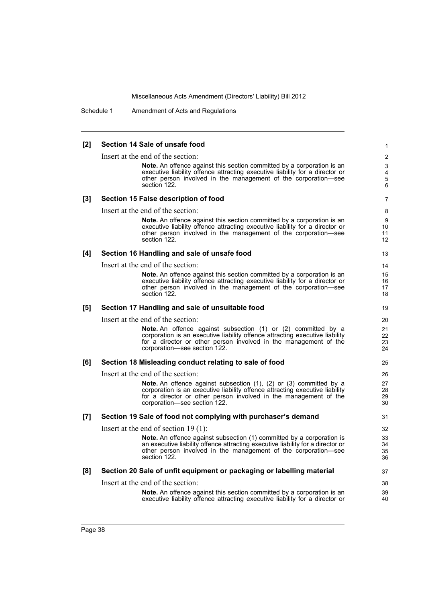Schedule 1 Amendment of Acts and Regulations

| [2] | Section 14 Sale of unsafe food                                                                                                                   | $\mathbf{1}$   |
|-----|--------------------------------------------------------------------------------------------------------------------------------------------------|----------------|
|     | Insert at the end of the section:                                                                                                                | $\overline{2}$ |
|     | <b>Note.</b> An offence against this section committed by a corporation is an                                                                    | 3              |
|     | executive liability offence attracting executive liability for a director or                                                                     | 4              |
|     | other person involved in the management of the corporation-see<br>section 122.                                                                   | 5<br>6         |
|     |                                                                                                                                                  |                |
| [3] | Section 15 False description of food                                                                                                             | $\overline{7}$ |
|     | Insert at the end of the section:                                                                                                                | 8              |
|     | <b>Note.</b> An offence against this section committed by a corporation is an                                                                    | 9              |
|     | executive liability offence attracting executive liability for a director or<br>other person involved in the management of the corporation-see   | 10<br>11       |
|     | section 122.                                                                                                                                     | 12             |
| [4] | Section 16 Handling and sale of unsafe food                                                                                                      | 13             |
|     | Insert at the end of the section:                                                                                                                | 14             |
|     | <b>Note.</b> An offence against this section committed by a corporation is an                                                                    | 15             |
|     | executive liability offence attracting executive liability for a director or                                                                     | 16             |
|     | other person involved in the management of the corporation-see                                                                                   | 17             |
|     | section 122.                                                                                                                                     | 18             |
| [5] | Section 17 Handling and sale of unsuitable food                                                                                                  | 19             |
|     | Insert at the end of the section:                                                                                                                | 20             |
|     | <b>Note.</b> An offence against subsection (1) or (2) committed by a                                                                             | 21             |
|     | corporation is an executive liability offence attracting executive liability<br>for a director or other person involved in the management of the | 22<br>23       |
|     | corporation-see section 122.                                                                                                                     | 24             |
|     | Section 18 Misleading conduct relating to sale of food                                                                                           | 25             |
| [6] |                                                                                                                                                  |                |
|     | Insert at the end of the section:                                                                                                                | 26             |
|     | Note. An offence against subsection (1), (2) or (3) committed by a                                                                               | 27             |
|     | corporation is an executive liability offence attracting executive liability<br>for a director or other person involved in the management of the | 28<br>29       |
|     | corporation-see section 122.                                                                                                                     | 30             |
| [7] | Section 19 Sale of food not complying with purchaser's demand                                                                                    | 31             |
|     | Insert at the end of section $19(1)$ :                                                                                                           | 32             |
|     | <b>Note.</b> An offence against subsection (1) committed by a corporation is                                                                     | 33             |
|     | an executive liability offence attracting executive liability for a director or                                                                  | 34             |
|     | other person involved in the management of the corporation—see                                                                                   | 35             |
|     | section 122.                                                                                                                                     | 36             |
| [8] | Section 20 Sale of unfit equipment or packaging or labelling material                                                                            | 37             |
|     | Insert at the end of the section:                                                                                                                | 38             |
|     | <b>Note.</b> An offence against this section committed by a corporation is an                                                                    | 39             |
|     | executive liability offence attracting executive liability for a director or                                                                     | 40             |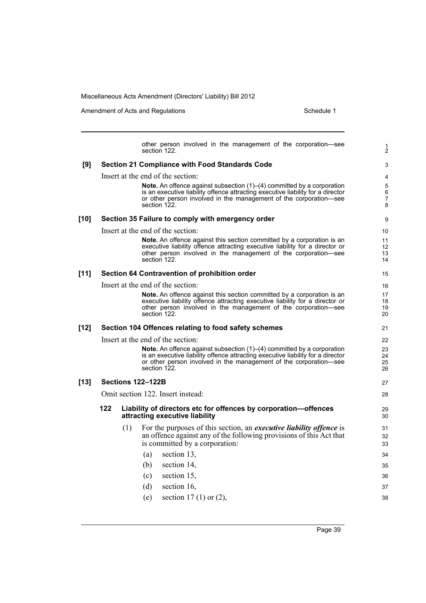Amendment of Acts and Regulations Schedule 1

1 2

other person involved in the management of the corporation—see section 122. **[9] Section 21 Compliance with Food Standards Code** Insert at the end of the section: **Note.** An offence against subsection (1)–(4) committed by a corporation is an executive liability offence attracting executive liability for a director or other person involved in the management of the corporation—see section 122. **[10] Section 35 Failure to comply with emergency order** Insert at the end of the section: **Note.** An offence against this section committed by a corporation is an executive liability offence attracting executive liability for a director or other person involved in the management of the corporation—see section 122. **[11] Section 64 Contravention of prohibition order** Insert at the end of the section: **Note.** An offence against this section committed by a corporation is an executive liability offence attracting executive liability for a director or other person involved in the management of the corporation—see section 122. **[12] Section 104 Offences relating to food safety schemes** Insert at the end of the section: **Note.** An offence against subsection (1)–(4) committed by a corporation is an executive liability offence attracting executive liability for a director or other person involved in the management of the corporation—see section 122. **[13] Sections 122–122B** Omit section 122. Insert instead: **122 Liability of directors etc for offences by corporation—offences attracting executive liability** (1) For the purposes of this section, an *executive liability offence* is an offence against any of the following provisions of this Act that is committed by a corporation: (a) section 13, (b) section 14, (c) section 15, (d) section 16, (e) section 17 (1) or (2), 3 4 5 6 7 8 9 10 11 12 13 14 15 16 17 18 19 20 21 22 23 24 25 26 27 28 29 30 31 32 33 34 35 36 37 38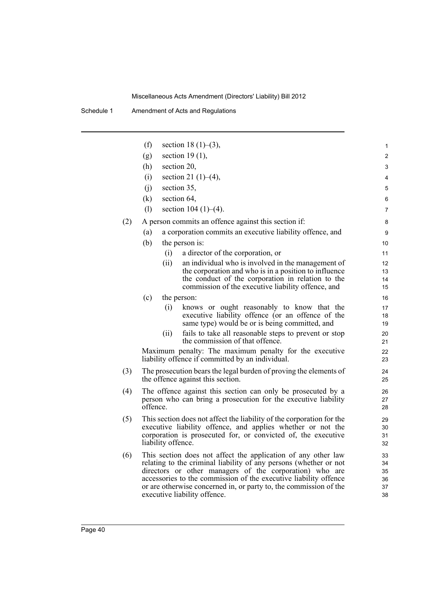|     | (f)      | section 18 $(1)$ – $(3)$ ,                                                                                                         | 1        |
|-----|----------|------------------------------------------------------------------------------------------------------------------------------------|----------|
|     | (g)      | section $19(1)$ ,                                                                                                                  | 2        |
|     | (h)      | section 20,                                                                                                                        | 3        |
|     | (i)      | section 21 $(1)–(4)$ ,                                                                                                             | 4        |
|     | (i)      | section 35,                                                                                                                        | 5        |
|     | (k)      | section 64,                                                                                                                        | 6        |
|     | (1)      | section $104 (1)–(4)$ .                                                                                                            | 7        |
| (2) |          | A person commits an offence against this section if:                                                                               | 8        |
|     | (a)      | a corporation commits an executive liability offence, and                                                                          | 9        |
|     | (b)      | the person is:                                                                                                                     | 10       |
|     |          | a director of the corporation, or<br>(i)                                                                                           | 11       |
|     |          | an individual who is involved in the management of<br>(ii)                                                                         | 12       |
|     |          | the corporation and who is in a position to influence<br>the conduct of the corporation in relation to the                         | 13<br>14 |
|     |          | commission of the executive liability offence, and                                                                                 | 15       |
|     | (c)      | the person:                                                                                                                        | 16       |
|     |          | knows or ought reasonably to know that the<br>(i)                                                                                  | 17       |
|     |          | executive liability offence (or an offence of the<br>same type) would be or is being committed, and                                | 18<br>19 |
|     |          | fails to take all reasonable steps to prevent or stop<br>(i)                                                                       | 20       |
|     |          | the commission of that offence.                                                                                                    | 21       |
|     |          | Maximum penalty: The maximum penalty for the executive<br>liability offence if committed by an individual.                         | 22<br>23 |
| (3) |          | The prosecution bears the legal burden of proving the elements of                                                                  | 24       |
|     |          | the offence against this section.                                                                                                  | 25       |
| (4) |          | The offence against this section can only be prosecuted by a                                                                       | 26       |
|     | offence. | person who can bring a prosecution for the executive liability                                                                     | 27<br>28 |
| (5) |          | This section does not affect the liability of the corporation for the                                                              |          |
|     |          | executive liability offence, and applies whether or not the                                                                        | 29<br>30 |
|     |          | corporation is prosecuted for, or convicted of, the executive                                                                      | 31       |
|     |          | liability offence.                                                                                                                 | 32       |
| (6) |          | This section does not affect the application of any other law<br>relating to the criminal liability of any persons (whether or not | 33       |
|     |          | directors or other managers of the corporation) who are                                                                            | 34<br>35 |
|     |          | accessories to the commission of the executive liability offence                                                                   | 36       |
|     |          | or are otherwise concerned in, or party to, the commission of the<br>executive liability offence.                                  | 37<br>38 |
|     |          |                                                                                                                                    |          |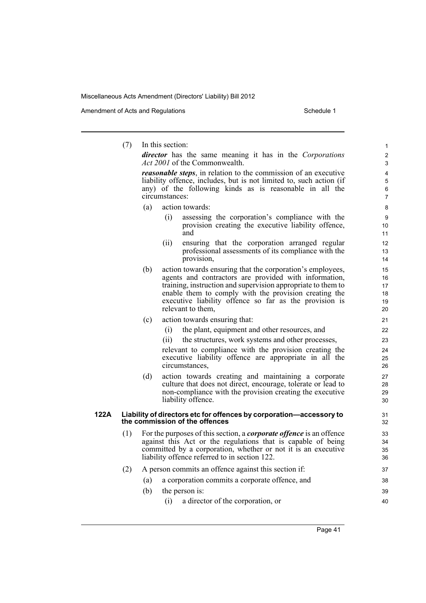Amendment of Acts and Regulations Schedule 1

(7) In this section: *director* has the same meaning it has in the *Corporations Act 2001* of the Commonwealth. *reasonable steps*, in relation to the commission of an executive liability offence, includes, but is not limited to, such action (if any) of the following kinds as is reasonable in all the circumstances: (a) action towards: (i) assessing the corporation's compliance with the provision creating the executive liability offence, and (ii) ensuring that the corporation arranged regular professional assessments of its compliance with the provision, (b) action towards ensuring that the corporation's employees, agents and contractors are provided with information, training, instruction and supervision appropriate to them to enable them to comply with the provision creating the executive liability offence so far as the provision is relevant to them, (c) action towards ensuring that: (i) the plant, equipment and other resources, and (ii) the structures, work systems and other processes, relevant to compliance with the provision creating the executive liability offence are appropriate in all the circumstances, (d) action towards creating and maintaining a corporate culture that does not direct, encourage, tolerate or lead to non-compliance with the provision creating the executive liability offence. **122A Liability of directors etc for offences by corporation—accessory to the commission of the offences** (1) For the purposes of this section, a *corporate offence* is an offence against this Act or the regulations that is capable of being committed by a corporation, whether or not it is an executive liability offence referred to in section 122. (2) A person commits an offence against this section if: (a) a corporation commits a corporate offence, and (b) the person is: (i) a director of the corporation, or 1  $\overline{2}$ 3 4 5 6 7 8  $\overline{Q}$ 10 11 12 13 14 15 16 17 18 19 20 21 22 23 24 25 26 27 28 29 30 31 32 33 34 35 36 37 38 39 40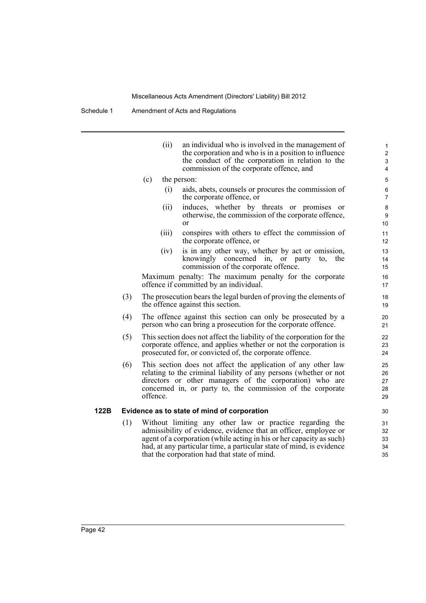Schedule 1 Amendment of Acts and Regulations

|     |                                                                                                                                                                                                                                                                         | (ii)  | an individual who is involved in the management of<br>the corporation and who is in a position to influence<br>the conduct of the corporation in relation to the<br>commission of the corporate offence, and                                                                                                                 | 1<br>$\overline{c}$<br>$\mathfrak{S}$<br>4 |  |  |  |
|-----|-------------------------------------------------------------------------------------------------------------------------------------------------------------------------------------------------------------------------------------------------------------------------|-------|------------------------------------------------------------------------------------------------------------------------------------------------------------------------------------------------------------------------------------------------------------------------------------------------------------------------------|--------------------------------------------|--|--|--|
|     | (c)                                                                                                                                                                                                                                                                     |       | the person:                                                                                                                                                                                                                                                                                                                  | 5                                          |  |  |  |
|     |                                                                                                                                                                                                                                                                         | (i)   | aids, abets, counsels or procures the commission of<br>the corporate offence, or                                                                                                                                                                                                                                             | 6<br>$\overline{7}$                        |  |  |  |
|     |                                                                                                                                                                                                                                                                         | (ii)  | induces, whether by threats or promises<br>or<br>otherwise, the commission of the corporate offence,<br><sub>or</sub>                                                                                                                                                                                                        | 8<br>9<br>10                               |  |  |  |
|     |                                                                                                                                                                                                                                                                         | (iii) | conspires with others to effect the commission of<br>the corporate offence, or                                                                                                                                                                                                                                               | 11<br>12                                   |  |  |  |
|     |                                                                                                                                                                                                                                                                         | (iv)  | is in any other way, whether by act or omission,<br>knowingly concerned in,<br>or party<br>the<br>to,<br>commission of the corporate offence.                                                                                                                                                                                | 13<br>14<br>15                             |  |  |  |
|     |                                                                                                                                                                                                                                                                         |       | Maximum penalty: The maximum penalty for the corporate<br>offence if committed by an individual.                                                                                                                                                                                                                             | 16<br>17                                   |  |  |  |
| (3) | The prosecution bears the legal burden of proving the elements of<br>the offence against this section.                                                                                                                                                                  |       |                                                                                                                                                                                                                                                                                                                              |                                            |  |  |  |
| (4) | The offence against this section can only be prosecuted by a<br>person who can bring a prosecution for the corporate offence.                                                                                                                                           |       |                                                                                                                                                                                                                                                                                                                              |                                            |  |  |  |
| (5) | This section does not affect the liability of the corporation for the<br>22<br>corporate offence, and applies whether or not the corporation is<br>23<br>prosecuted for, or convicted of, the corporate offence.<br>24                                                  |       |                                                                                                                                                                                                                                                                                                                              |                                            |  |  |  |
| (6) | This section does not affect the application of any other law<br>relating to the criminal liability of any persons (whether or not<br>directors or other managers of the corporation) who are<br>concerned in, or party to, the commission of the corporate<br>offence. |       |                                                                                                                                                                                                                                                                                                                              |                                            |  |  |  |
|     |                                                                                                                                                                                                                                                                         |       | Evidence as to state of mind of corporation                                                                                                                                                                                                                                                                                  | 30                                         |  |  |  |
| (1) |                                                                                                                                                                                                                                                                         |       | Without limiting any other law or practice regarding the<br>admissibility of evidence, evidence that an officer, employee or<br>agent of a corporation (while acting in his or her capacity as such)<br>had, at any particular time, a particular state of mind, is evidence<br>that the corporation had that state of mind. | 31<br>32<br>33<br>34<br>35                 |  |  |  |

**122B Evidence as to state of mind of corporation**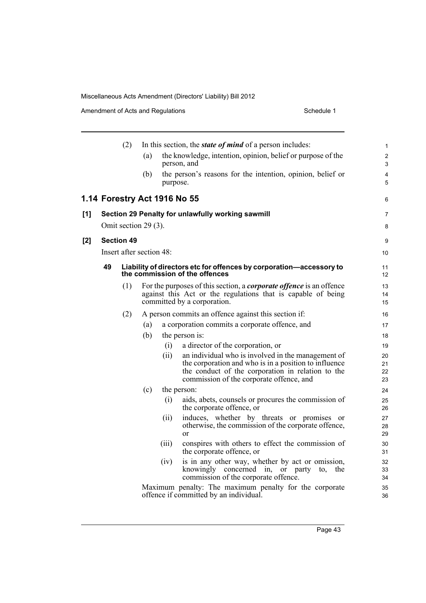|     |                      | (2)                      | In this section, the <i>state of mind</i> of a person includes: |          |                                                                                                                                                                           |                     |  |  |  |  |
|-----|----------------------|--------------------------|-----------------------------------------------------------------|----------|---------------------------------------------------------------------------------------------------------------------------------------------------------------------------|---------------------|--|--|--|--|
|     |                      |                          | (a)                                                             |          | the knowledge, intention, opinion, belief or purpose of the<br>person, and                                                                                                | $\overline{2}$<br>3 |  |  |  |  |
|     |                      |                          | (b)                                                             | purpose. | the person's reasons for the intention, opinion, belief or                                                                                                                | 4<br>5              |  |  |  |  |
|     |                      |                          |                                                                 |          | 1.14 Forestry Act 1916 No 55                                                                                                                                              | 6                   |  |  |  |  |
| [1] |                      |                          |                                                                 |          | Section 29 Penalty for unlawfully working sawmill                                                                                                                         | $\overline{7}$      |  |  |  |  |
|     | Omit section 29 (3). |                          |                                                                 |          |                                                                                                                                                                           |                     |  |  |  |  |
| [2] |                      | <b>Section 49</b>        |                                                                 |          |                                                                                                                                                                           | 9                   |  |  |  |  |
|     |                      | Insert after section 48: |                                                                 |          |                                                                                                                                                                           | 10                  |  |  |  |  |
|     | 49                   |                          |                                                                 |          | Liability of directors etc for offences by corporation-accessory to<br>the commission of the offences                                                                     | 11<br>12            |  |  |  |  |
|     |                      | (1)                      |                                                                 |          | For the purposes of this section, a <i>corporate offence</i> is an offence<br>against this Act or the regulations that is capable of being<br>committed by a corporation. | 13<br>14<br>15      |  |  |  |  |
|     |                      | (2)                      |                                                                 |          | A person commits an offence against this section if:                                                                                                                      | 16                  |  |  |  |  |
|     |                      |                          | (a)                                                             |          | a corporation commits a corporate offence, and                                                                                                                            | 17                  |  |  |  |  |
|     |                      |                          | (b)                                                             |          | the person is:                                                                                                                                                            | 18                  |  |  |  |  |
|     |                      |                          |                                                                 | (i)      | a director of the corporation, or                                                                                                                                         | 19                  |  |  |  |  |
|     |                      |                          |                                                                 | (ii)     | an individual who is involved in the management of                                                                                                                        | 20                  |  |  |  |  |
|     |                      |                          |                                                                 |          | the corporation and who is in a position to influence<br>the conduct of the corporation in relation to the                                                                | 21<br>22            |  |  |  |  |
|     |                      |                          |                                                                 |          | commission of the corporate offence, and                                                                                                                                  | 23                  |  |  |  |  |
|     |                      |                          | (c)                                                             |          | the person:                                                                                                                                                               | 24                  |  |  |  |  |
|     |                      |                          |                                                                 | (i)      | aids, abets, counsels or procures the commission of<br>the corporate offence, or                                                                                          | 25<br>26            |  |  |  |  |
|     |                      |                          |                                                                 | (ii)     | induces, whether by threats or promises or<br>otherwise, the commission of the corporate offence,<br>or                                                                   | 27<br>28<br>29      |  |  |  |  |
|     |                      |                          |                                                                 | (iii)    | conspires with others to effect the commission of<br>the corporate offence, or                                                                                            | 30<br>31            |  |  |  |  |
|     |                      |                          |                                                                 | (iv)     | is in any other way, whether by act or omission,<br>knowingly concerned in,<br>or party<br>the<br>to.<br>commission of the corporate offence.                             | 32<br>33<br>34      |  |  |  |  |
|     |                      |                          |                                                                 |          | Maximum penalty: The maximum penalty for the corporate<br>offence if committed by an individual.                                                                          | 35<br>36            |  |  |  |  |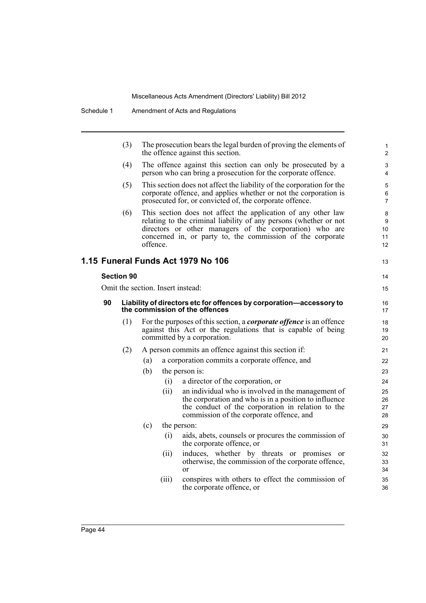|  |                                      | (3)                               |          |       | The prosecution bears the legal burden of proving the elements of<br>the offence against this section.                                                                                                                                                      | 1<br>$\overline{c}$      |  |  |  |          |
|--|--------------------------------------|-----------------------------------|----------|-------|-------------------------------------------------------------------------------------------------------------------------------------------------------------------------------------------------------------------------------------------------------------|--------------------------|--|--|--|----------|
|  |                                      | (4)                               |          |       | The offence against this section can only be prosecuted by a<br>person who can bring a prosecution for the corporate offence.                                                                                                                               | 3<br>4                   |  |  |  |          |
|  |                                      | (5)                               |          |       | This section does not affect the liability of the corporation for the<br>corporate offence, and applies whether or not the corporation is<br>prosecuted for, or convicted of, the corporate offence.                                                        | 5<br>6<br>$\overline{7}$ |  |  |  |          |
|  |                                      | (6)                               | offence. |       | This section does not affect the application of any other law<br>relating to the criminal liability of any persons (whether or not<br>directors or other managers of the corporation) who are<br>concerned in, or party to, the commission of the corporate | 8<br>9<br>10<br>11<br>12 |  |  |  |          |
|  |                                      |                                   |          |       | 1.15 Funeral Funds Act 1979 No 106                                                                                                                                                                                                                          | 13                       |  |  |  |          |
|  | <b>Section 90</b>                    |                                   |          |       |                                                                                                                                                                                                                                                             |                          |  |  |  |          |
|  |                                      | Omit the section. Insert instead: |          |       |                                                                                                                                                                                                                                                             |                          |  |  |  |          |
|  | 90<br>the commission of the offences |                                   |          |       | Liability of directors etc for offences by corporation-accessory to                                                                                                                                                                                         |                          |  |  |  | 16<br>17 |
|  |                                      | (1)                               |          |       | For the purposes of this section, a <i>corporate offence</i> is an offence<br>against this Act or the regulations that is capable of being<br>committed by a corporation.                                                                                   | 18<br>19<br>20           |  |  |  |          |
|  |                                      | (2)                               |          |       | A person commits an offence against this section if:                                                                                                                                                                                                        | 21                       |  |  |  |          |
|  |                                      |                                   | (a)      |       | a corporation commits a corporate offence, and                                                                                                                                                                                                              | 22                       |  |  |  |          |
|  |                                      |                                   | (b)      |       | the person is:                                                                                                                                                                                                                                              | 23                       |  |  |  |          |
|  |                                      |                                   |          | (i)   | a director of the corporation, or                                                                                                                                                                                                                           | 24                       |  |  |  |          |
|  |                                      |                                   |          | (ii)  | an individual who is involved in the management of<br>the corporation and who is in a position to influence<br>the conduct of the corporation in relation to the<br>commission of the corporate offence, and                                                | 25<br>26<br>27<br>28     |  |  |  |          |
|  |                                      |                                   | (c)      |       | the person:                                                                                                                                                                                                                                                 | 29                       |  |  |  |          |
|  |                                      |                                   |          | (i)   | aids, abets, counsels or procures the commission of<br>the corporate offence, or                                                                                                                                                                            | 30<br>31                 |  |  |  |          |
|  |                                      |                                   |          | (ii)  | induces, whether by threats or promises or<br>otherwise, the commission of the corporate offence,<br>or                                                                                                                                                     | 32<br>33<br>34           |  |  |  |          |
|  |                                      |                                   |          | (iii) | conspires with others to effect the commission of<br>the corporate offence, or                                                                                                                                                                              | 35<br>36                 |  |  |  |          |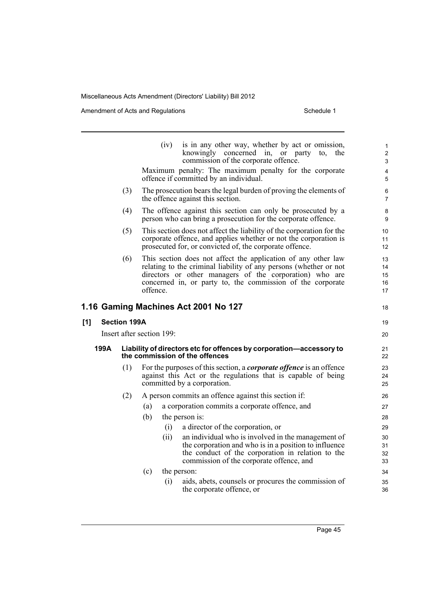|      |                                                                                                                                      | (iv)<br>is in any other way, whether by act or omission,<br>knowingly concerned in, or party<br>to.<br>commission of the corporate offence.                                                                                                                             | 1<br>the<br>$\overline{2}$<br>3 |  |  |  |  |  |
|------|--------------------------------------------------------------------------------------------------------------------------------------|-------------------------------------------------------------------------------------------------------------------------------------------------------------------------------------------------------------------------------------------------------------------------|---------------------------------|--|--|--|--|--|
|      | Maximum penalty: The maximum penalty for the corporate<br>offence if committed by an individual.                                     |                                                                                                                                                                                                                                                                         |                                 |  |  |  |  |  |
|      | (3)<br>The prosecution bears the legal burden of proving the elements of<br>the offence against this section.                        |                                                                                                                                                                                                                                                                         |                                 |  |  |  |  |  |
|      | (4)<br>The offence against this section can only be prosecuted by a<br>person who can bring a prosecution for the corporate offence. |                                                                                                                                                                                                                                                                         |                                 |  |  |  |  |  |
|      | (5)                                                                                                                                  | This section does not affect the liability of the corporation for the<br>corporate offence, and applies whether or not the corporation is<br>prosecuted for, or convicted of, the corporate offence.                                                                    | 10<br>11<br>12                  |  |  |  |  |  |
|      | (6)                                                                                                                                  | This section does not affect the application of any other law<br>relating to the criminal liability of any persons (whether or not<br>directors or other managers of the corporation) who are<br>concerned in, or party to, the commission of the corporate<br>offence. | 13<br>14<br>15<br>16<br>17      |  |  |  |  |  |
|      |                                                                                                                                      | 1.16 Gaming Machines Act 2001 No 127                                                                                                                                                                                                                                    | 18                              |  |  |  |  |  |
| [1]  | <b>Section 199A</b>                                                                                                                  |                                                                                                                                                                                                                                                                         | 19                              |  |  |  |  |  |
|      |                                                                                                                                      | Insert after section 199:                                                                                                                                                                                                                                               | 20                              |  |  |  |  |  |
| 199A |                                                                                                                                      | Liability of directors etc for offences by corporation-accessory to<br>the commission of the offences                                                                                                                                                                   |                                 |  |  |  |  |  |
|      | (1)                                                                                                                                  | For the purposes of this section, a <i>corporate offence</i> is an offence<br>against this Act or the regulations that is capable of being<br>committed by a corporation.                                                                                               | 23<br>24<br>25                  |  |  |  |  |  |
|      | (2)                                                                                                                                  | A person commits an offence against this section if:                                                                                                                                                                                                                    | 26                              |  |  |  |  |  |
|      |                                                                                                                                      | a corporation commits a corporate offence, and<br>(a)                                                                                                                                                                                                                   | 27                              |  |  |  |  |  |
|      |                                                                                                                                      | (b)<br>the person is:                                                                                                                                                                                                                                                   | 28                              |  |  |  |  |  |
|      |                                                                                                                                      | (i)<br>a director of the corporation, or                                                                                                                                                                                                                                | 29                              |  |  |  |  |  |
|      |                                                                                                                                      | (ii)<br>an individual who is involved in the management of<br>the corporation and who is in a position to influence<br>the conduct of the corporation in relation to the<br>commission of the corporate offence, and                                                    | 30<br>31<br>32<br>33            |  |  |  |  |  |
|      |                                                                                                                                      | (c)<br>the person:                                                                                                                                                                                                                                                      | 34                              |  |  |  |  |  |
|      |                                                                                                                                      | (i)<br>aids, abets, counsels or procures the commission of<br>the corporate offence, or                                                                                                                                                                                 | 35<br>36                        |  |  |  |  |  |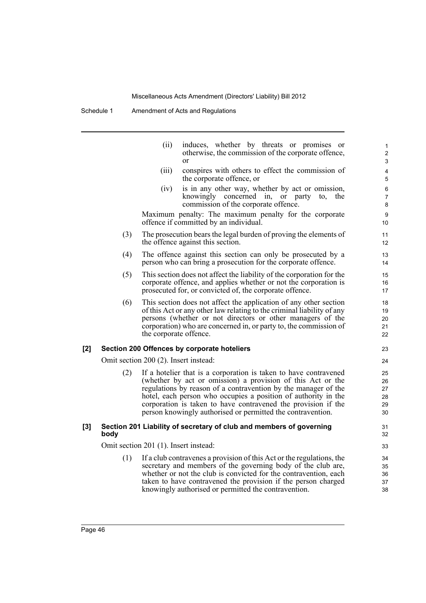Schedule 1 Amendment of Acts and Regulations

|     |      | (ii)                                  | induces, whether by threats or promises or<br>otherwise, the commission of the corporate offence,<br>or                                                                                                                                                                                                                                                                                             | 1<br>$\overline{c}$<br>3         |
|-----|------|---------------------------------------|-----------------------------------------------------------------------------------------------------------------------------------------------------------------------------------------------------------------------------------------------------------------------------------------------------------------------------------------------------------------------------------------------------|----------------------------------|
|     |      | (iii)                                 | conspires with others to effect the commission of<br>the corporate offence, or                                                                                                                                                                                                                                                                                                                      | 4<br>5                           |
|     |      | (iv)                                  | is in any other way, whether by act or omission,<br>knowingly concerned in, or party to,<br>the<br>commission of the corporate offence.                                                                                                                                                                                                                                                             | 6<br>$\overline{7}$<br>$\bf 8$   |
|     |      |                                       | Maximum penalty: The maximum penalty for the corporate<br>offence if committed by an individual.                                                                                                                                                                                                                                                                                                    | 9<br>10                          |
|     | (3)  |                                       | The prosecution bears the legal burden of proving the elements of<br>the offence against this section.                                                                                                                                                                                                                                                                                              | 11<br>12 <sup>2</sup>            |
|     | (4)  |                                       | The offence against this section can only be prosecuted by a<br>person who can bring a prosecution for the corporate offence.                                                                                                                                                                                                                                                                       | 13<br>14                         |
|     | (5)  |                                       | This section does not affect the liability of the corporation for the<br>corporate offence, and applies whether or not the corporation is<br>prosecuted for, or convicted of, the corporate offence.                                                                                                                                                                                                | 15<br>16<br>17                   |
|     | (6)  | the corporate offence.                | This section does not affect the application of any other section<br>of this Act or any other law relating to the criminal liability of any<br>persons (whether or not directors or other managers of the<br>corporation) who are concerned in, or party to, the commission of                                                                                                                      | 18<br>19<br>20<br>21<br>22       |
| [2] |      |                                       | Section 200 Offences by corporate hoteliers                                                                                                                                                                                                                                                                                                                                                         | 23                               |
|     |      | Omit section 200 (2). Insert instead: |                                                                                                                                                                                                                                                                                                                                                                                                     | 24                               |
|     | (2)  |                                       | If a hotelier that is a corporation is taken to have contravened<br>(whether by act or omission) a provision of this Act or the<br>regulations by reason of a contravention by the manager of the<br>hotel, each person who occupies a position of authority in the<br>corporation is taken to have contravened the provision if the<br>person knowingly authorised or permitted the contravention. | 25<br>26<br>27<br>28<br>29<br>30 |
| [3] | body |                                       | Section 201 Liability of secretary of club and members of governing                                                                                                                                                                                                                                                                                                                                 | 31<br>32                         |
|     |      | Omit section 201 (1). Insert instead: |                                                                                                                                                                                                                                                                                                                                                                                                     | 33                               |
|     | (1)  |                                       | If a club contravenes a provision of this Act or the regulations, the<br>secretary and members of the governing body of the club are,<br>whether or not the club is convicted for the contravention, each<br>taken to have contravened the provision if the person charged<br>knowingly authorised or permitted the contravention.                                                                  | 34<br>35<br>36<br>37<br>38       |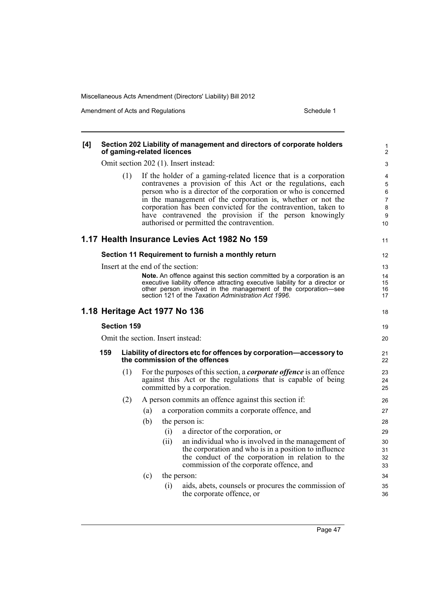| [4]                           | Section 202 Liability of management and directors of corporate holders<br>of gaming-related licences<br>Omit section 202 (1). Insert instead: |     |     |                                                                                                       |                                                                                                                                                                                                                                                                                                                                                                                                                                             |                                  |
|-------------------------------|-----------------------------------------------------------------------------------------------------------------------------------------------|-----|-----|-------------------------------------------------------------------------------------------------------|---------------------------------------------------------------------------------------------------------------------------------------------------------------------------------------------------------------------------------------------------------------------------------------------------------------------------------------------------------------------------------------------------------------------------------------------|----------------------------------|
|                               |                                                                                                                                               |     |     |                                                                                                       |                                                                                                                                                                                                                                                                                                                                                                                                                                             |                                  |
|                               |                                                                                                                                               | (1) |     |                                                                                                       | If the holder of a gaming-related licence that is a corporation<br>contravenes a provision of this Act or the regulations, each<br>person who is a director of the corporation or who is concerned<br>in the management of the corporation is, whether or not the<br>corporation has been convicted for the contravention, taken to<br>have contravened the provision if the person knowingly<br>authorised or permitted the contravention. | 4<br>5<br>6<br>7<br>8<br>9<br>10 |
|                               |                                                                                                                                               |     |     |                                                                                                       | 1.17 Health Insurance Levies Act 1982 No 159                                                                                                                                                                                                                                                                                                                                                                                                | 11                               |
|                               |                                                                                                                                               |     |     |                                                                                                       | Section 11 Requirement to furnish a monthly return                                                                                                                                                                                                                                                                                                                                                                                          | 12                               |
|                               |                                                                                                                                               |     |     | Insert at the end of the section:                                                                     |                                                                                                                                                                                                                                                                                                                                                                                                                                             | 13                               |
|                               |                                                                                                                                               |     |     |                                                                                                       | Note. An offence against this section committed by a corporation is an<br>executive liability offence attracting executive liability for a director or<br>other person involved in the management of the corporation-see<br>section 121 of the Taxation Administration Act 1996.                                                                                                                                                            | 14<br>15<br>16<br>17             |
| 1.18 Heritage Act 1977 No 136 |                                                                                                                                               |     |     |                                                                                                       |                                                                                                                                                                                                                                                                                                                                                                                                                                             | 18                               |
|                               | <b>Section 159</b>                                                                                                                            |     |     |                                                                                                       |                                                                                                                                                                                                                                                                                                                                                                                                                                             |                                  |
|                               | Omit the section. Insert instead:                                                                                                             |     |     |                                                                                                       |                                                                                                                                                                                                                                                                                                                                                                                                                                             |                                  |
|                               | 159                                                                                                                                           |     |     | Liability of directors etc for offences by corporation-accessory to<br>the commission of the offences |                                                                                                                                                                                                                                                                                                                                                                                                                                             | 21<br>22                         |
|                               |                                                                                                                                               | (1) |     |                                                                                                       | For the purposes of this section, a <i>corporate offence</i> is an offence<br>against this Act or the regulations that is capable of being<br>committed by a corporation.                                                                                                                                                                                                                                                                   | 23<br>24<br>25                   |
|                               |                                                                                                                                               | (2) |     |                                                                                                       | A person commits an offence against this section if:                                                                                                                                                                                                                                                                                                                                                                                        | 26                               |
|                               |                                                                                                                                               |     | (a) |                                                                                                       | a corporation commits a corporate offence, and                                                                                                                                                                                                                                                                                                                                                                                              | 27                               |
|                               |                                                                                                                                               |     | (b) |                                                                                                       | the person is:                                                                                                                                                                                                                                                                                                                                                                                                                              | 28                               |
|                               |                                                                                                                                               |     |     | (i)                                                                                                   | a director of the corporation, or                                                                                                                                                                                                                                                                                                                                                                                                           | 29                               |
|                               |                                                                                                                                               |     |     | (ii)                                                                                                  | an individual who is involved in the management of<br>the corporation and who is in a position to influence<br>the conduct of the corporation in relation to the<br>commission of the corporate offence, and                                                                                                                                                                                                                                | 30<br>31<br>32<br>33             |
|                               |                                                                                                                                               |     | (c) |                                                                                                       | the person:                                                                                                                                                                                                                                                                                                                                                                                                                                 | 34                               |
|                               |                                                                                                                                               |     |     | (i)                                                                                                   | aids, abets, counsels or procures the commission of<br>the corporate offence, or                                                                                                                                                                                                                                                                                                                                                            | 35<br>36                         |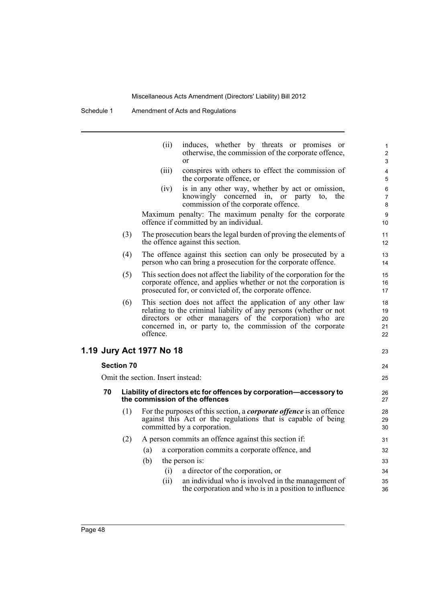Schedule 1 Amendment of Acts and Regulations

|    |                                                                                                       | (ii)                     | induces, whether by threats or promises or<br>otherwise, the commission of the corporate offence,<br>or                                                                                                                                                     | 1<br>$\overline{2}$<br>3   |  |  |  |
|----|-------------------------------------------------------------------------------------------------------|--------------------------|-------------------------------------------------------------------------------------------------------------------------------------------------------------------------------------------------------------------------------------------------------------|----------------------------|--|--|--|
|    |                                                                                                       | (iii)                    | conspires with others to effect the commission of<br>the corporate offence, or                                                                                                                                                                              | 4<br>5                     |  |  |  |
|    |                                                                                                       | (iv)                     | is in any other way, whether by act or omission,<br>knowingly concerned in, or party to, the<br>commission of the corporate offence.                                                                                                                        | 6<br>7<br>8                |  |  |  |
|    |                                                                                                       |                          | Maximum penalty: The maximum penalty for the corporate<br>offence if committed by an individual.                                                                                                                                                            | 9<br>10                    |  |  |  |
|    | (3)                                                                                                   |                          | The prosecution bears the legal burden of proving the elements of<br>the offence against this section.                                                                                                                                                      | 11<br>12                   |  |  |  |
|    | (4)                                                                                                   |                          | The offence against this section can only be prosecuted by a<br>person who can bring a prosecution for the corporate offence.                                                                                                                               | 13<br>14                   |  |  |  |
|    | (5)                                                                                                   |                          | This section does not affect the liability of the corporation for the<br>corporate offence, and applies whether or not the corporation is<br>prosecuted for, or convicted of, the corporate offence.                                                        | 15<br>16<br>17             |  |  |  |
|    | (6)                                                                                                   | offence.                 | This section does not affect the application of any other law<br>relating to the criminal liability of any persons (whether or not<br>directors or other managers of the corporation) who are<br>concerned in, or party to, the commission of the corporate | 18<br>19<br>20<br>21<br>22 |  |  |  |
|    |                                                                                                       | 1.19 Jury Act 1977 No 18 |                                                                                                                                                                                                                                                             | 23                         |  |  |  |
|    | <b>Section 70</b>                                                                                     |                          |                                                                                                                                                                                                                                                             | 24                         |  |  |  |
|    | Omit the section. Insert instead:                                                                     |                          |                                                                                                                                                                                                                                                             |                            |  |  |  |
| 70 | Liability of directors etc for offences by corporation-accessory to<br>the commission of the offences |                          |                                                                                                                                                                                                                                                             |                            |  |  |  |
|    | (1)                                                                                                   |                          | For the purposes of this section, a <i>corporate offence</i> is an offence<br>against this Act or the regulations that is capable of being<br>committed by a corporation.                                                                                   | 28<br>29<br>30             |  |  |  |
|    | (2)                                                                                                   |                          | A person commits an offence against this section if:                                                                                                                                                                                                        | 31                         |  |  |  |
|    |                                                                                                       | (a)                      | a corporation commits a corporate offence, and                                                                                                                                                                                                              | 32                         |  |  |  |
|    |                                                                                                       | (b)                      | the person is:                                                                                                                                                                                                                                              | 33                         |  |  |  |
|    |                                                                                                       | (i)                      | a director of the corporation, or                                                                                                                                                                                                                           | 34                         |  |  |  |
|    |                                                                                                       | (ii)                     | an individual who is involved in the management of<br>the corporation and who is in a position to influence                                                                                                                                                 | 35<br>36                   |  |  |  |
|    |                                                                                                       |                          |                                                                                                                                                                                                                                                             |                            |  |  |  |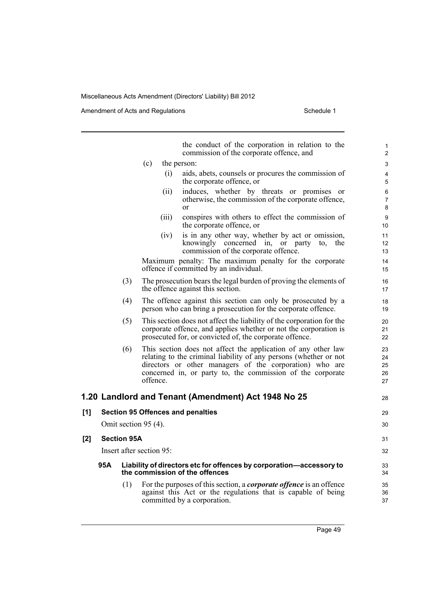Amendment of Acts and Regulations Schedule 1

the conduct of the corporation in relation to the commission of the corporate offence, and (c) the person: (i) aids, abets, counsels or procures the commission of the corporate offence, or (ii) induces, whether by threats or promises or otherwise, the commission of the corporate offence, or (iii) conspires with others to effect the commission of the corporate offence, or (iv) is in any other way, whether by act or omission, knowingly concerned in, or party to, the commission of the corporate offence. Maximum penalty: The maximum penalty for the corporate offence if committed by an individual. (3) The prosecution bears the legal burden of proving the elements of the offence against this section. (4) The offence against this section can only be prosecuted by a person who can bring a prosecution for the corporate offence. (5) This section does not affect the liability of the corporation for the corporate offence, and applies whether or not the corporation is prosecuted for, or convicted of, the corporate offence. (6) This section does not affect the application of any other law relating to the criminal liability of any persons (whether or not directors or other managers of the corporation) who are concerned in, or party to, the commission of the corporate offence. **1.20 Landlord and Tenant (Amendment) Act 1948 No 25 [1] Section 95 Offences and penalties** Omit section 95 (4). **[2] Section 95A** Insert after section 95: **95A Liability of directors etc for offences by corporation—accessory to the commission of the offences** (1) For the purposes of this section, a *corporate offence* is an offence against this Act or the regulations that is capable of being committed by a corporation. 10 11 12 13 14 15 16 17 18 19 20 21 22 23 24 25 26 27 28 29 30 31 32 33 34 35 36 37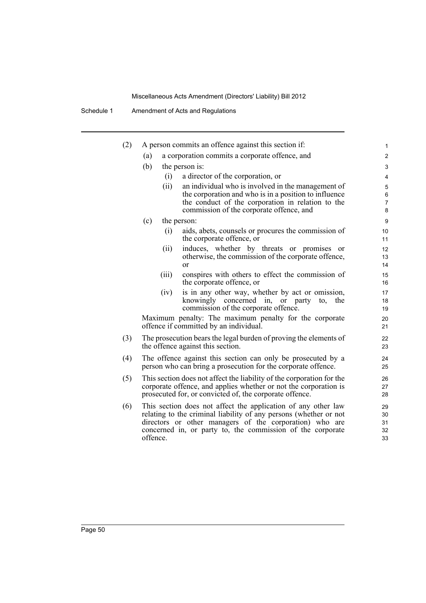Schedule 1 Amendment of Acts and Regulations

| (2) |          | A person commits an offence against this section if:                                                                                      | $\mathbf{1}$     |
|-----|----------|-------------------------------------------------------------------------------------------------------------------------------------------|------------------|
|     | (a)      | a corporation commits a corporate offence, and                                                                                            | $\overline{2}$   |
|     | (b)      | the person is:                                                                                                                            | 3                |
|     | (i)      | a director of the corporation, or                                                                                                         | 4                |
|     | (ii)     | an individual who is involved in the management of                                                                                        | 5                |
|     |          | the corporation and who is in a position to influence                                                                                     | 6                |
|     |          | the conduct of the corporation in relation to the<br>commission of the corporate offence, and                                             | 7<br>8           |
|     | (c)      | the person:                                                                                                                               | $\boldsymbol{9}$ |
|     | (i)      | aids, abets, counsels or procures the commission of<br>the corporate offence, or                                                          | 10<br>11         |
|     | (ii)     | induces, whether by threats or promises or                                                                                                | 12               |
|     |          | otherwise, the commission of the corporate offence,<br>or                                                                                 | 13<br>14         |
|     | (iii)    | conspires with others to effect the commission of<br>the corporate offence, or                                                            | 15<br>16         |
|     | (iv)     | is in any other way, whether by act or omission,                                                                                          | 17               |
|     |          | knowingly concerned in, or party<br>the<br>to.                                                                                            | 18               |
|     |          | commission of the corporate offence.                                                                                                      | 19               |
|     |          | Maximum penalty: The maximum penalty for the corporate<br>offence if committed by an individual.                                          | 20<br>21         |
| (3) |          | The prosecution bears the legal burden of proving the elements of<br>the offence against this section.                                    | 22<br>23         |
| (4) |          | The offence against this section can only be prosecuted by a<br>person who can bring a prosecution for the corporate offence.             | 24<br>25         |
| (5) |          | This section does not affect the liability of the corporation for the<br>corporate offence, and applies whether or not the corporation is | 26<br>27         |
|     |          | prosecuted for, or convicted of, the corporate offence.                                                                                   | 28               |
| (6) |          | This section does not affect the application of any other law                                                                             | 29               |
|     |          | relating to the criminal liability of any persons (whether or not<br>directors or other managers of the corporation) who are              | 30<br>31         |
|     |          | concerned in, or party to, the commission of the corporate                                                                                | 32               |
|     | offence. |                                                                                                                                           | 33               |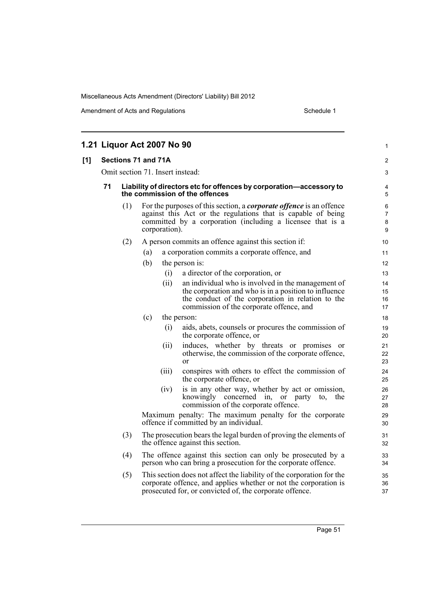|     | 1.21 Liquor Act 2007 No 90 |     |                                                                                                                                                                                                                           |                                                                                                       |                                                                                                                                                                                                              |                      |  |
|-----|----------------------------|-----|---------------------------------------------------------------------------------------------------------------------------------------------------------------------------------------------------------------------------|-------------------------------------------------------------------------------------------------------|--------------------------------------------------------------------------------------------------------------------------------------------------------------------------------------------------------------|----------------------|--|
| [1] | Sections 71 and 71A        |     |                                                                                                                                                                                                                           |                                                                                                       |                                                                                                                                                                                                              |                      |  |
|     |                            |     |                                                                                                                                                                                                                           |                                                                                                       | Omit section 71. Insert instead:                                                                                                                                                                             | 3                    |  |
|     | 71                         |     |                                                                                                                                                                                                                           | Liability of directors etc for offences by corporation-accessory to<br>the commission of the offences | 4<br>5                                                                                                                                                                                                       |                      |  |
|     |                            | (1) | For the purposes of this section, a <i>corporate offence</i> is an offence<br>against this Act or the regulations that is capable of being<br>committed by a corporation (including a licensee that is a<br>corporation). |                                                                                                       |                                                                                                                                                                                                              |                      |  |
|     |                            | (2) |                                                                                                                                                                                                                           |                                                                                                       | A person commits an offence against this section if:                                                                                                                                                         | 10                   |  |
|     |                            |     | (a)                                                                                                                                                                                                                       |                                                                                                       | a corporation commits a corporate offence, and                                                                                                                                                               | 11                   |  |
|     |                            |     | (b)                                                                                                                                                                                                                       |                                                                                                       | the person is:                                                                                                                                                                                               | 12                   |  |
|     |                            |     |                                                                                                                                                                                                                           | (i)                                                                                                   | a director of the corporation, or                                                                                                                                                                            | 13                   |  |
|     |                            |     |                                                                                                                                                                                                                           | (ii)                                                                                                  | an individual who is involved in the management of<br>the corporation and who is in a position to influence<br>the conduct of the corporation in relation to the<br>commission of the corporate offence, and | 14<br>15<br>16<br>17 |  |
|     |                            |     | (c)                                                                                                                                                                                                                       |                                                                                                       | the person:                                                                                                                                                                                                  | 18                   |  |
|     |                            |     |                                                                                                                                                                                                                           | (i)                                                                                                   | aids, abets, counsels or procures the commission of<br>the corporate offence, or                                                                                                                             | 19<br>20             |  |
|     |                            |     |                                                                                                                                                                                                                           | (ii)                                                                                                  | induces, whether by threats or promises or<br>otherwise, the commission of the corporate offence,<br>$\alpha$                                                                                                | 21<br>22<br>23       |  |
|     |                            |     |                                                                                                                                                                                                                           | (iii)                                                                                                 | conspires with others to effect the commission of<br>the corporate offence, or                                                                                                                               | 24<br>25             |  |
|     |                            |     |                                                                                                                                                                                                                           | (1V)                                                                                                  | is in any other way, whether by act or omission,<br>knowingly concerned in, or<br>party<br>to.<br>the<br>commission of the corporate offence.                                                                | 26<br>27<br>28       |  |
|     |                            |     |                                                                                                                                                                                                                           |                                                                                                       | Maximum penalty: The maximum penalty for the corporate<br>offence if committed by an individual.                                                                                                             | 29<br>30             |  |
|     |                            | (3) |                                                                                                                                                                                                                           |                                                                                                       | The prosecution bears the legal burden of proving the elements of<br>the offence against this section.                                                                                                       | 31<br>32             |  |
|     |                            | (4) |                                                                                                                                                                                                                           |                                                                                                       | The offence against this section can only be prosecuted by a<br>person who can bring a prosecution for the corporate offence.                                                                                | 33<br>34             |  |
|     |                            | (5) |                                                                                                                                                                                                                           |                                                                                                       | This section does not affect the liability of the corporation for the<br>corporate offence, and applies whether or not the corporation is<br>prosecuted for, or convicted of, the corporate offence.         | 35<br>36<br>37       |  |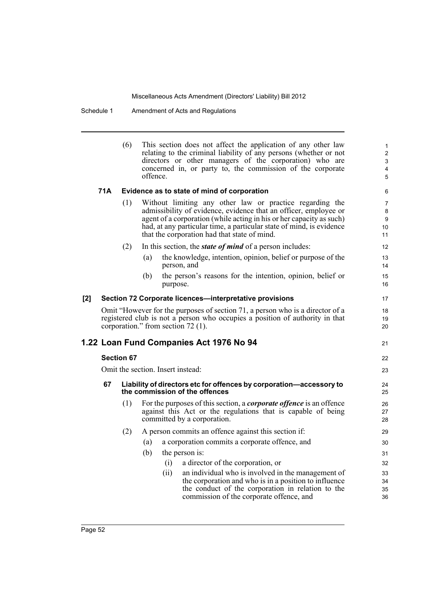Schedule 1 Amendment of Acts and Regulations

|     |                                                         | (6) | This section does not affect the application of any other law<br>relating to the criminal liability of any persons (whether or not<br>directors or other managers of the corporation) who are<br>concerned in, or party to, the commission of the corporate<br>offence.                                                      | 1<br>$\overline{2}$<br>3<br>$\overline{\mathbf{4}}$<br>5 |  |  |  |  |
|-----|---------------------------------------------------------|-----|------------------------------------------------------------------------------------------------------------------------------------------------------------------------------------------------------------------------------------------------------------------------------------------------------------------------------|----------------------------------------------------------|--|--|--|--|
|     | 71A                                                     |     | Evidence as to state of mind of corporation                                                                                                                                                                                                                                                                                  |                                                          |  |  |  |  |
|     |                                                         | (1) | Without limiting any other law or practice regarding the<br>admissibility of evidence, evidence that an officer, employee or<br>agent of a corporation (while acting in his or her capacity as such)<br>had, at any particular time, a particular state of mind, is evidence<br>that the corporation had that state of mind. |                                                          |  |  |  |  |
|     |                                                         | (2) | In this section, the <i>state of mind</i> of a person includes:                                                                                                                                                                                                                                                              | 12                                                       |  |  |  |  |
|     |                                                         |     | the knowledge, intention, opinion, belief or purpose of the<br>(a)<br>person, and                                                                                                                                                                                                                                            | 13<br>14                                                 |  |  |  |  |
|     |                                                         |     | the person's reasons for the intention, opinion, belief or<br>(b)<br>purpose.                                                                                                                                                                                                                                                | 15<br>16                                                 |  |  |  |  |
| [2] | Section 72 Corporate licences-interpretative provisions |     |                                                                                                                                                                                                                                                                                                                              |                                                          |  |  |  |  |
|     |                                                         |     | Omit "However for the purposes of section 71, a person who is a director of a<br>registered club is not a person who occupies a position of authority in that<br>corporation." from section $72$ (1).                                                                                                                        | 18<br>19<br>20                                           |  |  |  |  |
|     |                                                         |     | 1.22 Loan Fund Companies Act 1976 No 94                                                                                                                                                                                                                                                                                      | 21                                                       |  |  |  |  |
|     | <b>Section 67</b>                                       |     |                                                                                                                                                                                                                                                                                                                              |                                                          |  |  |  |  |
|     | Omit the section. Insert instead:                       |     |                                                                                                                                                                                                                                                                                                                              |                                                          |  |  |  |  |
|     | 67                                                      |     | Liability of directors etc for offences by corporation-accessory to<br>the commission of the offences                                                                                                                                                                                                                        | 24<br>25                                                 |  |  |  |  |
|     |                                                         | (1) | For the purposes of this section, a <i>corporate offence</i> is an offence<br>against this Act or the regulations that is capable of being<br>committed by a corporation.                                                                                                                                                    | 26<br>27<br>28                                           |  |  |  |  |
|     |                                                         | (2) | A person commits an offence against this section if:                                                                                                                                                                                                                                                                         | 29                                                       |  |  |  |  |
|     |                                                         |     | a corporation commits a corporate offence, and<br>(a)                                                                                                                                                                                                                                                                        | 30                                                       |  |  |  |  |
|     |                                                         |     | (b)<br>the person is:                                                                                                                                                                                                                                                                                                        | 31                                                       |  |  |  |  |
|     |                                                         |     | (i)<br>a director of the corporation, or                                                                                                                                                                                                                                                                                     | 32                                                       |  |  |  |  |
|     |                                                         |     | an individual who is involved in the management of<br>(ii)                                                                                                                                                                                                                                                                   | 33                                                       |  |  |  |  |
|     |                                                         |     | the corporation and who is in a position to influence<br>the conduct of the corporation in relation to the<br>commission of the corporate offence, and                                                                                                                                                                       | 34<br>35<br>36                                           |  |  |  |  |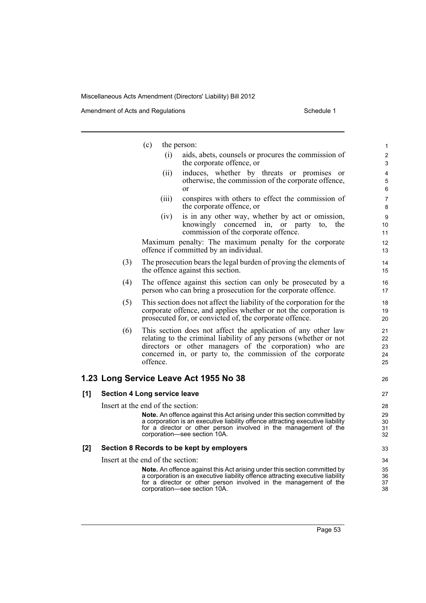|     |     | (c)<br>the person:                                                                                                                                                                                                                                                      | 1                            |
|-----|-----|-------------------------------------------------------------------------------------------------------------------------------------------------------------------------------------------------------------------------------------------------------------------------|------------------------------|
|     |     | (i)<br>aids, abets, counsels or procures the commission of<br>the corporate offence, or                                                                                                                                                                                 | $\overline{\mathbf{c}}$<br>3 |
|     |     | induces, whether by threats or promises or<br>(ii)<br>otherwise, the commission of the corporate offence,<br>or                                                                                                                                                         | 4<br>5<br>6                  |
|     |     | conspires with others to effect the commission of<br>(iii)<br>the corporate offence, or                                                                                                                                                                                 | $\overline{7}$<br>8          |
|     |     | is in any other way, whether by act or omission,<br>(1V)<br>knowingly concerned in, or party<br>the<br>to.<br>commission of the corporate offence.                                                                                                                      | 9<br>10<br>11                |
|     |     | Maximum penalty: The maximum penalty for the corporate<br>offence if committed by an individual.                                                                                                                                                                        | 12<br>13                     |
|     | (3) | The prosecution bears the legal burden of proving the elements of<br>the offence against this section.                                                                                                                                                                  | 14<br>15                     |
|     | (4) | The offence against this section can only be prosecuted by a<br>person who can bring a prosecution for the corporate offence.                                                                                                                                           | 16<br>17                     |
|     | (5) | This section does not affect the liability of the corporation for the<br>corporate offence, and applies whether or not the corporation is<br>prosecuted for, or convicted of, the corporate offence.                                                                    | 18<br>19<br>20               |
|     | (6) | This section does not affect the application of any other law<br>relating to the criminal liability of any persons (whether or not<br>directors or other managers of the corporation) who are<br>concerned in, or party to, the commission of the corporate<br>offence. | 21<br>22<br>23<br>24<br>25   |
|     |     | 1.23 Long Service Leave Act 1955 No 38                                                                                                                                                                                                                                  | 26                           |
| [1] |     | <b>Section 4 Long service leave</b>                                                                                                                                                                                                                                     | 27                           |
|     |     | Insert at the end of the section:                                                                                                                                                                                                                                       | 28                           |
|     |     | Note. An offence against this Act arising under this section committed by<br>a corporation is an executive liability offence attracting executive liability<br>for a director or other person involved in the management of the<br>corporation—see section 10A.         | 29<br>30<br>31<br>32         |
| [2] |     | Section 8 Records to be kept by employers                                                                                                                                                                                                                               | 33                           |
|     |     | Insert at the end of the section:                                                                                                                                                                                                                                       | 34                           |
|     |     | Note. An offence against this Act arising under this section committed by<br>a corporation is an executive liability offence attracting executive liability<br>for a director or other person involved in the management of the<br>corporation-see section 10A.         | 35<br>36<br>37<br>38         |
|     |     |                                                                                                                                                                                                                                                                         |                              |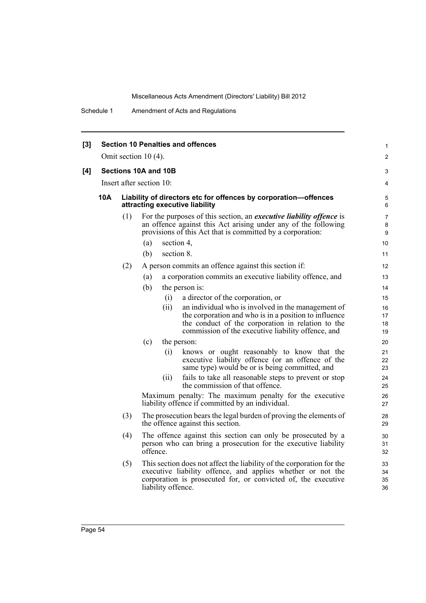Schedule 1 Amendment of Acts and Regulations

| [3] |                        |     |                                                                                                   | <b>Section 10 Penalties and offences</b>                                                                                                                                                                                       | 1<br>2               |  |  |  |  |
|-----|------------------------|-----|---------------------------------------------------------------------------------------------------|--------------------------------------------------------------------------------------------------------------------------------------------------------------------------------------------------------------------------------|----------------------|--|--|--|--|
|     | Omit section $10(4)$ . |     |                                                                                                   |                                                                                                                                                                                                                                |                      |  |  |  |  |
| [4] |                        |     | Sections 10A and 10B                                                                              |                                                                                                                                                                                                                                | 3                    |  |  |  |  |
|     |                        |     | Insert after section 10:                                                                          |                                                                                                                                                                                                                                | 4                    |  |  |  |  |
|     | 10A                    |     | Liability of directors etc for offences by corporation-offences<br>attracting executive liability |                                                                                                                                                                                                                                |                      |  |  |  |  |
|     |                        | (1) |                                                                                                   | For the purposes of this section, an <i>executive liability offence</i> is<br>an offence against this Act arising under any of the following<br>provisions of this Act that is committed by a corporation:                     | 7<br>8<br>9          |  |  |  |  |
|     |                        |     | (a)                                                                                               | section 4,                                                                                                                                                                                                                     | 10                   |  |  |  |  |
|     |                        |     | (b)                                                                                               | section 8.                                                                                                                                                                                                                     | 11                   |  |  |  |  |
|     |                        | (2) |                                                                                                   | A person commits an offence against this section if:                                                                                                                                                                           | $12 \overline{ }$    |  |  |  |  |
|     |                        |     | (a)                                                                                               | a corporation commits an executive liability offence, and                                                                                                                                                                      | 13                   |  |  |  |  |
|     |                        |     | (b)                                                                                               | the person is:                                                                                                                                                                                                                 | 14                   |  |  |  |  |
|     |                        |     |                                                                                                   | a director of the corporation, or<br>(i)                                                                                                                                                                                       | 15                   |  |  |  |  |
|     |                        |     |                                                                                                   | (ii)<br>an individual who is involved in the management of<br>the corporation and who is in a position to influence<br>the conduct of the corporation in relation to the<br>commission of the executive liability offence, and | 16<br>17<br>18<br>19 |  |  |  |  |
|     |                        |     | (c)                                                                                               | the person:                                                                                                                                                                                                                    | 20                   |  |  |  |  |
|     |                        |     |                                                                                                   | (i)<br>knows or ought reasonably to know that the<br>executive liability offence (or an offence of the<br>same type) would be or is being committed, and                                                                       | 21<br>22<br>23       |  |  |  |  |
|     |                        |     |                                                                                                   | (ii)<br>fails to take all reasonable steps to prevent or stop<br>the commission of that offence.                                                                                                                               | 24<br>25             |  |  |  |  |
|     |                        |     |                                                                                                   | Maximum penalty: The maximum penalty for the executive<br>liability offence if committed by an individual.                                                                                                                     | 26<br>27             |  |  |  |  |
|     |                        | (3) |                                                                                                   | The prosecution bears the legal burden of proving the elements of<br>the offence against this section.                                                                                                                         | 28<br>29             |  |  |  |  |
|     |                        | (4) | offence.                                                                                          | The offence against this section can only be prosecuted by a<br>person who can bring a prosecution for the executive liability                                                                                                 | 30<br>31<br>32       |  |  |  |  |
|     |                        | (5) |                                                                                                   | This section does not affect the liability of the corporation for the<br>executive liability offence, and applies whether or not the<br>corporation is prosecuted for, or convicted of, the executive<br>liability offence.    | 33<br>34<br>35<br>36 |  |  |  |  |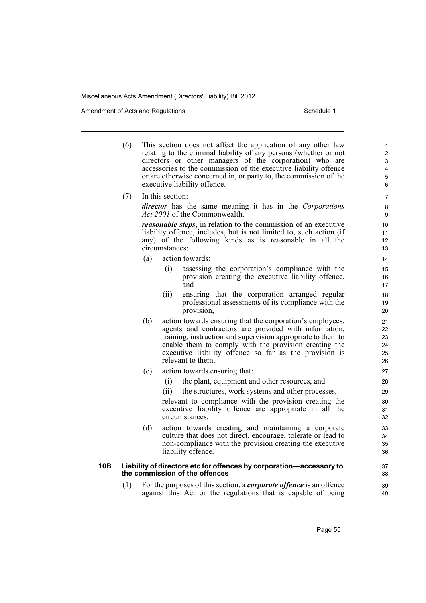Amendment of Acts and Regulations Schedule 1

- (6) This section does not affect the application of any other law relating to the criminal liability of any persons (whether or not directors or other managers of the corporation) who are accessories to the commission of the executive liability offence or are otherwise concerned in, or party to, the commission of the executive liability offence.
- (7) In this section: *director* has the same meaning it has in the *Corporations Act 2001* of the Commonwealth.

*reasonable steps*, in relation to the commission of an executive liability offence, includes, but is not limited to, such action (if any) of the following kinds as is reasonable in all the circumstances:

- (a) action towards:
	- (i) assessing the corporation's compliance with the provision creating the executive liability offence, and
	- (ii) ensuring that the corporation arranged regular professional assessments of its compliance with the provision,
- (b) action towards ensuring that the corporation's employees, agents and contractors are provided with information, training, instruction and supervision appropriate to them to enable them to comply with the provision creating the executive liability offence so far as the provision is relevant to them,
- (c) action towards ensuring that:
	- (i) the plant, equipment and other resources, and
	- (ii) the structures, work systems and other processes,

relevant to compliance with the provision creating the executive liability offence are appropriate in all the circumstances,

(d) action towards creating and maintaining a corporate culture that does not direct, encourage, tolerate or lead to non-compliance with the provision creating the executive liability offence.

#### **10B Liability of directors etc for offences by corporation—accessory to the commission of the offences**

(1) For the purposes of this section, a *corporate offence* is an offence against this Act or the regulations that is capable of being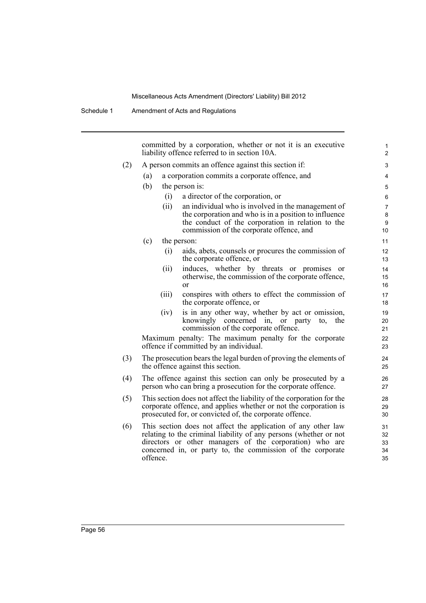committed by a corporation, whether or not it is an executive liability offence referred to in section 10A.

#### (2) A person commits an offence against this section if:

- (a) a corporation commits a corporate offence, and
- (b) the person is:
	- (i) a director of the corporation, or
		- (ii) an individual who is involved in the management of the corporation and who is in a position to influence the conduct of the corporation in relation to the commission of the corporate offence, and

- (c) the person:
	- (i) aids, abets, counsels or procures the commission of the corporate offence, or
	- (ii) induces, whether by threats or promises or otherwise, the commission of the corporate offence, or
	- (iii) conspires with others to effect the commission of the corporate offence, or
	- (iv) is in any other way, whether by act or omission, knowingly concerned in, or party to, the commission of the corporate offence.

Maximum penalty: The maximum penalty for the corporate offence if committed by an individual.

- (3) The prosecution bears the legal burden of proving the elements of the offence against this section.
- (4) The offence against this section can only be prosecuted by a person who can bring a prosecution for the corporate offence.
- (5) This section does not affect the liability of the corporation for the corporate offence, and applies whether or not the corporation is prosecuted for, or convicted of, the corporate offence.
- (6) This section does not affect the application of any other law relating to the criminal liability of any persons (whether or not directors or other managers of the corporation) who are concerned in, or party to, the commission of the corporate offence.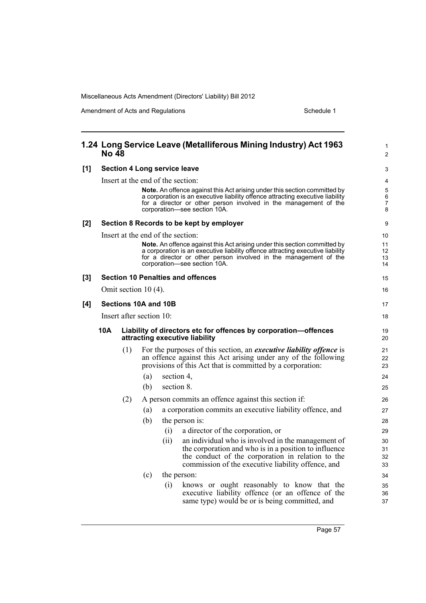|     | 1.24 Long Service Leave (Metalliferous Mining Industry) Act 1963<br><b>No 48</b> |                                                                                                   |     |                                                                                                                                                                                                                                                                      |                                     |  |  |
|-----|----------------------------------------------------------------------------------|---------------------------------------------------------------------------------------------------|-----|----------------------------------------------------------------------------------------------------------------------------------------------------------------------------------------------------------------------------------------------------------------------|-------------------------------------|--|--|
| [1] | <b>Section 4 Long service leave</b>                                              |                                                                                                   |     |                                                                                                                                                                                                                                                                      |                                     |  |  |
|     |                                                                                  |                                                                                                   |     | Insert at the end of the section:<br>Note. An offence against this Act arising under this section committed by<br>a corporation is an executive liability offence attracting executive liability<br>for a director or other person involved in the management of the | 4<br>5<br>$\,6\,$<br>$\overline{7}$ |  |  |
|     |                                                                                  |                                                                                                   |     | corporation-see section 10A.                                                                                                                                                                                                                                         | 8                                   |  |  |
| [2] |                                                                                  |                                                                                                   |     | Section 8 Records to be kept by employer                                                                                                                                                                                                                             | 9                                   |  |  |
|     |                                                                                  |                                                                                                   |     | Insert at the end of the section:                                                                                                                                                                                                                                    | 10                                  |  |  |
|     |                                                                                  |                                                                                                   |     | <b>Note.</b> An offence against this Act arising under this section committed by                                                                                                                                                                                     | 11<br>12                            |  |  |
|     |                                                                                  |                                                                                                   |     | a corporation is an executive liability offence attracting executive liability<br>for a director or other person involved in the management of the<br>corporation-see section 10A.                                                                                   |                                     |  |  |
| [3] | <b>Section 10 Penalties and offences</b>                                         |                                                                                                   |     |                                                                                                                                                                                                                                                                      |                                     |  |  |
|     | Omit section $10(4)$ .                                                           |                                                                                                   |     |                                                                                                                                                                                                                                                                      |                                     |  |  |
| [4] | Sections 10A and 10B                                                             |                                                                                                   |     |                                                                                                                                                                                                                                                                      | 17                                  |  |  |
|     | Insert after section 10:                                                         |                                                                                                   |     |                                                                                                                                                                                                                                                                      |                                     |  |  |
|     | 10A                                                                              | Liability of directors etc for offences by corporation-offences<br>attracting executive liability |     |                                                                                                                                                                                                                                                                      |                                     |  |  |
|     |                                                                                  | (1)                                                                                               |     | For the purposes of this section, an <i>executive liability offence</i> is<br>an offence against this Act arising under any of the following<br>provisions of this Act that is committed by a corporation:                                                           | 21<br>22<br>23                      |  |  |
|     |                                                                                  |                                                                                                   | (a) | section 4,                                                                                                                                                                                                                                                           | 24                                  |  |  |
|     |                                                                                  |                                                                                                   | (b) | section 8.                                                                                                                                                                                                                                                           | 25                                  |  |  |
|     |                                                                                  | (2)                                                                                               |     | A person commits an offence against this section if:                                                                                                                                                                                                                 | 26                                  |  |  |
|     |                                                                                  |                                                                                                   | (a) | a corporation commits an executive liability offence, and                                                                                                                                                                                                            | 27                                  |  |  |
|     |                                                                                  |                                                                                                   | (b) | the person is:                                                                                                                                                                                                                                                       | 28                                  |  |  |
|     |                                                                                  |                                                                                                   |     | a director of the corporation, or<br>(i)                                                                                                                                                                                                                             | 29                                  |  |  |
|     |                                                                                  |                                                                                                   |     | an individual who is involved in the management of<br>(ii)                                                                                                                                                                                                           | 30                                  |  |  |
|     |                                                                                  |                                                                                                   |     | the corporation and who is in a position to influence<br>the conduct of the corporation in relation to the                                                                                                                                                           | 31<br>32                            |  |  |
|     |                                                                                  |                                                                                                   |     | commission of the executive liability offence, and                                                                                                                                                                                                                   | 33                                  |  |  |
|     |                                                                                  |                                                                                                   | (c) | the person:                                                                                                                                                                                                                                                          | 34                                  |  |  |
|     |                                                                                  |                                                                                                   |     | knows or ought reasonably to know that the<br>(i)<br>executive liability offence (or an offence of the<br>same type) would be or is being committed, and                                                                                                             | 35<br>36<br>37                      |  |  |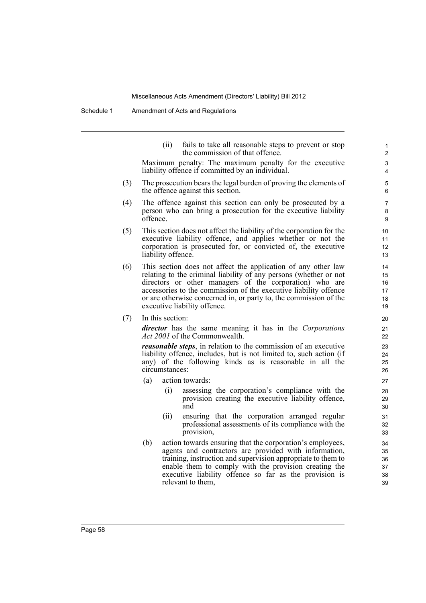Schedule 1 Amendment of Acts and Regulations

(ii) fails to take all reasonable steps to prevent or stop the commission of that offence. Maximum penalty: The maximum penalty for the executive liability offence if committed by an individual. (3) The prosecution bears the legal burden of proving the elements of the offence against this section. (4) The offence against this section can only be prosecuted by a person who can bring a prosecution for the executive liability offence. (5) This section does not affect the liability of the corporation for the executive liability offence, and applies whether or not the corporation is prosecuted for, or convicted of, the executive liability offence. (6) This section does not affect the application of any other law relating to the criminal liability of any persons (whether or not directors or other managers of the corporation) who are accessories to the commission of the executive liability offence or are otherwise concerned in, or party to, the commission of the executive liability offence. (7) In this section:

*director* has the same meaning it has in the *Corporations Act 2001* of the Commonwealth.

*reasonable steps*, in relation to the commission of an executive liability offence, includes, but is not limited to, such action (if any) of the following kinds as is reasonable in all the circumstances:

- (a) action towards:
	- (i) assessing the corporation's compliance with the provision creating the executive liability offence, and
	- (ii) ensuring that the corporation arranged regular professional assessments of its compliance with the provision,
- (b) action towards ensuring that the corporation's employees, agents and contractors are provided with information, training, instruction and supervision appropriate to them to enable them to comply with the provision creating the executive liability offence so far as the provision is relevant to them,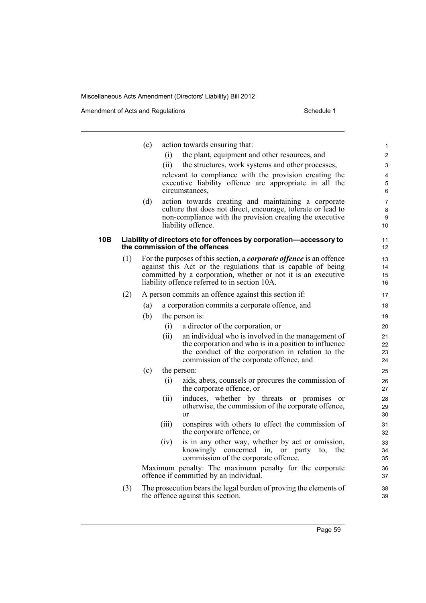Amendment of Acts and Regulations Schedule 1

|     |     | (c) |       | action towards ensuring that:                                                                                            | $\mathbf{1}$ |
|-----|-----|-----|-------|--------------------------------------------------------------------------------------------------------------------------|--------------|
|     |     |     | (i)   | the plant, equipment and other resources, and                                                                            | 2            |
|     |     |     | (ii)  | the structures, work systems and other processes,                                                                        | 3            |
|     |     |     |       | relevant to compliance with the provision creating the                                                                   | 4            |
|     |     |     |       | executive liability offence are appropriate in all the                                                                   | 5            |
|     |     |     |       | circumstances,                                                                                                           | 6            |
|     |     | (d) |       | action towards creating and maintaining a corporate                                                                      | 7            |
|     |     |     |       | culture that does not direct, encourage, tolerate or lead to<br>non-compliance with the provision creating the executive | 8<br>9       |
|     |     |     |       | liability offence.                                                                                                       | 10           |
| 10B |     |     |       | Liability of directors etc for offences by corporation-accessory to                                                      | 11           |
|     |     |     |       | the commission of the offences                                                                                           | 12           |
|     | (1) |     |       | For the purposes of this section, a <i>corporate offence</i> is an offence                                               | 13           |
|     |     |     |       | against this Act or the regulations that is capable of being                                                             | 14           |
|     |     |     |       | committed by a corporation, whether or not it is an executive<br>liability offence referred to in section 10A.           | 15<br>16     |
|     | (2) |     |       | A person commits an offence against this section if:                                                                     | 17           |
|     |     |     |       |                                                                                                                          |              |
|     |     | (a) |       | a corporation commits a corporate offence, and                                                                           | 18           |
|     |     | (b) |       | the person is:                                                                                                           | 19           |
|     |     |     | (i)   | a director of the corporation, or                                                                                        | 20           |
|     |     |     | (ii)  | an individual who is involved in the management of<br>the corporation and who is in a position to influence              | 21<br>22     |
|     |     |     |       | the conduct of the corporation in relation to the                                                                        | 23           |
|     |     |     |       | commission of the corporate offence, and                                                                                 | 24           |
|     |     | (c) |       | the person:                                                                                                              | 25           |
|     |     |     | (i)   | aids, abets, counsels or procures the commission of<br>the corporate offence, or                                         | 26<br>27     |
|     |     |     | (ii)  | induces, whether by threats or promises or                                                                               | 28           |
|     |     |     |       | otherwise, the commission of the corporate offence,                                                                      | 29           |
|     |     |     |       | $\alpha$                                                                                                                 | 30           |
|     |     |     | (iii) | conspires with others to effect the commission of<br>the corporate offence, or                                           | 31<br>32     |
|     |     |     | (iv)  | is in any other way, whether by act or omission,                                                                         | 33           |
|     |     |     |       | knowingly concerned in, or party<br>the<br>to,                                                                           | 34           |
|     |     |     |       | commission of the corporate offence.                                                                                     | 35           |
|     |     |     |       | Maximum penalty: The maximum penalty for the corporate<br>offence if committed by an individual.                         | 36<br>37     |
|     | (3) |     |       | The prosecution bears the legal burden of proving the elements of                                                        | 38           |

(3) The prosecution bears the legal burden of proving the elements of the offence against this section.

39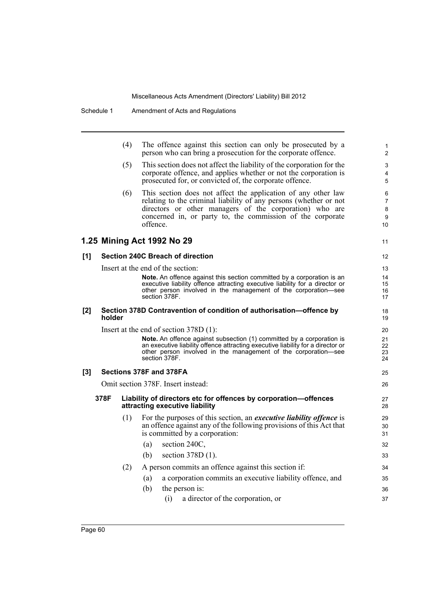|     |        | (4)                     | The offence against this section can only be prosecuted by a<br>person who can bring a prosecution for the corporate offence.                                                                                                                                           | 1<br>$\overline{2}$    |  |  |  |  |
|-----|--------|-------------------------|-------------------------------------------------------------------------------------------------------------------------------------------------------------------------------------------------------------------------------------------------------------------------|------------------------|--|--|--|--|
|     |        | (5)                     | This section does not affect the liability of the corporation for the<br>corporate offence, and applies whether or not the corporation is<br>prosecuted for, or convicted of, the corporate offence.                                                                    | 3<br>4<br>5            |  |  |  |  |
|     |        | (6)                     | This section does not affect the application of any other law<br>relating to the criminal liability of any persons (whether or not<br>directors or other managers of the corporation) who are<br>concerned in, or party to, the commission of the corporate<br>offence. | 6<br>7<br>8<br>9<br>10 |  |  |  |  |
|     |        |                         | 1.25 Mining Act 1992 No 29                                                                                                                                                                                                                                              | 11                     |  |  |  |  |
| [1] |        |                         | Section 240C Breach of direction                                                                                                                                                                                                                                        | 12                     |  |  |  |  |
|     |        |                         | Insert at the end of the section:                                                                                                                                                                                                                                       | 13                     |  |  |  |  |
|     |        |                         | <b>Note.</b> An offence against this section committed by a corporation is an<br>executive liability offence attracting executive liability for a director or<br>other person involved in the management of the corporation-see<br>section 378F.                        | 14<br>15<br>16<br>17   |  |  |  |  |
| [2] | holder |                         | Section 378D Contravention of condition of authorisation-offence by                                                                                                                                                                                                     | 18<br>19               |  |  |  |  |
|     |        |                         | Insert at the end of section $378D(1)$ :                                                                                                                                                                                                                                |                        |  |  |  |  |
|     |        |                         | Note. An offence against subsection (1) committed by a corporation is<br>an executive liability offence attracting executive liability for a director or<br>other person involved in the management of the corporation-see<br>section 378F.                             | 21<br>22<br>23<br>24   |  |  |  |  |
| [3] |        | Sections 378F and 378FA |                                                                                                                                                                                                                                                                         |                        |  |  |  |  |
|     |        |                         | Omit section 378F. Insert instead:                                                                                                                                                                                                                                      | 26                     |  |  |  |  |
|     | 378F   |                         | Liability of directors etc for offences by corporation-offences<br>attracting executive liability                                                                                                                                                                       | 27<br>28               |  |  |  |  |
|     |        | (1)                     | For the purposes of this section, an <i>executive liability offence</i> is<br>an offence against any of the following provisions of this Act that<br>is committed by a corporation:<br>section 240C,<br>(a)                                                             | 29<br>30<br>31<br>32   |  |  |  |  |
|     |        |                         | (b) section $378D(1)$ .                                                                                                                                                                                                                                                 | 33                     |  |  |  |  |
|     |        | (2)                     | A person commits an offence against this section if:                                                                                                                                                                                                                    | 34                     |  |  |  |  |
|     |        |                         | a corporation commits an executive liability offence, and<br>(a)                                                                                                                                                                                                        | 35                     |  |  |  |  |
|     |        |                         | (b)<br>the person is:                                                                                                                                                                                                                                                   | 36                     |  |  |  |  |
|     |        |                         | a director of the corporation, or<br>(i)                                                                                                                                                                                                                                | 37                     |  |  |  |  |
|     |        |                         |                                                                                                                                                                                                                                                                         |                        |  |  |  |  |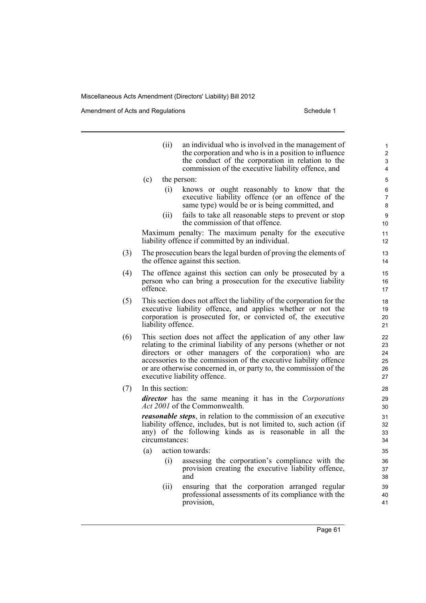Amendment of Acts and Regulations Schedule 1

- (ii) an individual who is involved in the management of the corporation and who is in a position to influence the conduct of the corporation in relation to the commission of the executive liability offence, and (c) the person: (i) knows or ought reasonably to know that the executive liability offence (or an offence of the same type) would be or is being committed, and (ii) fails to take all reasonable steps to prevent or stop the commission of that offence. Maximum penalty: The maximum penalty for the executive liability offence if committed by an individual. (3) The prosecution bears the legal burden of proving the elements of the offence against this section. (4) The offence against this section can only be prosecuted by a person who can bring a prosecution for the executive liability offence. (5) This section does not affect the liability of the corporation for the executive liability offence, and applies whether or not the corporation is prosecuted for, or convicted of, the executive liability offence. (6) This section does not affect the application of any other law relating to the criminal liability of any persons (whether or not directors or other managers of the corporation) who are accessories to the commission of the executive liability offence or are otherwise concerned in, or party to, the commission of the executive liability offence. (7) In this section: *director* has the same meaning it has in the *Corporations Act 2001* of the Commonwealth. *reasonable steps*, in relation to the commission of an executive liability offence, includes, but is not limited to, such action (if any) of the following kinds as is reasonable in all the circumstances: (a) action towards:
	- (i) assessing the corporation's compliance with the provision creating the executive liability offence, and
	- (ii) ensuring that the corporation arranged regular professional assessments of its compliance with the provision,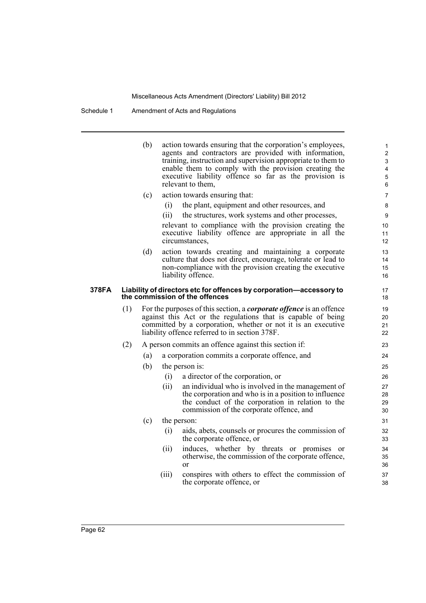Schedule 1 Amendment of Acts and Regulations

(b) action towards ensuring that the corporation's employees, agents and contractors are provided with information, training, instruction and supervision appropriate to them to enable them to comply with the provision creating the executive liability offence so far as the provision is relevant to them, (c) action towards ensuring that: (i) the plant, equipment and other resources, and (ii) the structures, work systems and other processes, relevant to compliance with the provision creating the executive liability offence are appropriate in all the circumstances, (d) action towards creating and maintaining a corporate culture that does not direct, encourage, tolerate or lead to non-compliance with the provision creating the executive liability offence. **378FA Liability of directors etc for offences by corporation—accessory to the commission of the offences** (1) For the purposes of this section, a *corporate offence* is an offence against this Act or the regulations that is capable of being committed by a corporation, whether or not it is an executive liability offence referred to in section 378F. (2) A person commits an offence against this section if: (a) a corporation commits a corporate offence, and (b) the person is: (i) a director of the corporation, or (ii) an individual who is involved in the management of the corporation and who is in a position to influence the conduct of the corporation in relation to the commission of the corporate offence, and (c) the person: (i) aids, abets, counsels or procures the commission of the corporate offence, or (ii) induces, whether by threats or promises or otherwise, the commission of the corporate offence, or (iii) conspires with others to effect the commission of the corporate offence, or 1 2 3 4 5 6 7 8  $\overline{Q}$ 10 11 12 13 14 15 16 17 18 19 20 21 22 23 24 25 26 27 28 29 30 31 32 33 34 35 36 37 38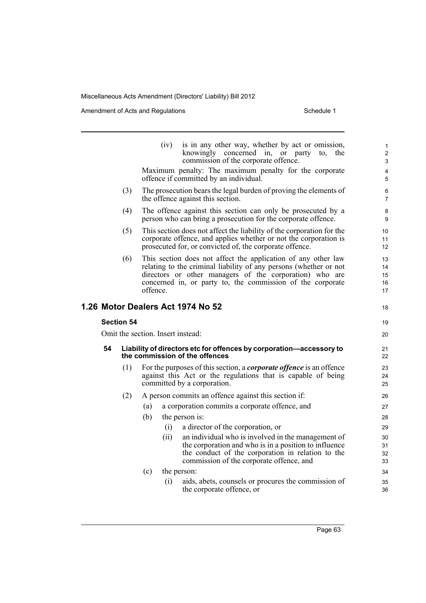|                                   |                   | (iv)                                                                                                  | is in any other way, whether by act or omission,<br>knowingly concerned in, or party<br>the<br>to,<br>commission of the corporate offence.                                                                                                                  | 1<br>$\overline{2}$<br>3   |  |  |
|-----------------------------------|-------------------|-------------------------------------------------------------------------------------------------------|-------------------------------------------------------------------------------------------------------------------------------------------------------------------------------------------------------------------------------------------------------------|----------------------------|--|--|
|                                   |                   |                                                                                                       | Maximum penalty: The maximum penalty for the corporate<br>offence if committed by an individual.                                                                                                                                                            | 4<br>5                     |  |  |
|                                   | (3)               |                                                                                                       | The prosecution bears the legal burden of proving the elements of<br>the offence against this section.                                                                                                                                                      | 6<br>$\overline{7}$        |  |  |
|                                   | (4)               |                                                                                                       | The offence against this section can only be prosecuted by a<br>person who can bring a prosecution for the corporate offence.                                                                                                                               | 8<br>9                     |  |  |
|                                   | (5)               |                                                                                                       | This section does not affect the liability of the corporation for the<br>corporate offence, and applies whether or not the corporation is<br>prosecuted for, or convicted of, the corporate offence.                                                        | 10<br>11<br>12             |  |  |
|                                   | (6)               | offence.                                                                                              | This section does not affect the application of any other law<br>relating to the criminal liability of any persons (whether or not<br>directors or other managers of the corporation) who are<br>concerned in, or party to, the commission of the corporate | 13<br>14<br>15<br>16<br>17 |  |  |
|                                   |                   |                                                                                                       | 1.26 Motor Dealers Act 1974 No 52                                                                                                                                                                                                                           | 18                         |  |  |
|                                   | <b>Section 54</b> |                                                                                                       |                                                                                                                                                                                                                                                             | 19                         |  |  |
| Omit the section. Insert instead: | 20                |                                                                                                       |                                                                                                                                                                                                                                                             |                            |  |  |
| 54                                |                   | Liability of directors etc for offences by corporation-accessory to<br>the commission of the offences |                                                                                                                                                                                                                                                             |                            |  |  |
|                                   | (1)               |                                                                                                       | For the purposes of this section, a <i>corporate offence</i> is an offence<br>against this Act or the regulations that is capable of being<br>committed by a corporation.                                                                                   | 23<br>24<br>25             |  |  |
|                                   | (2)               |                                                                                                       | A person commits an offence against this section if:                                                                                                                                                                                                        | 26                         |  |  |
|                                   |                   | (a)                                                                                                   | a corporation commits a corporate offence, and                                                                                                                                                                                                              | 27                         |  |  |
|                                   |                   | (b)                                                                                                   | the person is:                                                                                                                                                                                                                                              | 28                         |  |  |
|                                   |                   | (i)                                                                                                   | a director of the corporation, or                                                                                                                                                                                                                           | 29                         |  |  |
|                                   |                   | (ii)                                                                                                  | an individual who is involved in the management of<br>the corporation and who is in a position to influence<br>the conduct of the corporation in relation to the<br>commission of the corporate offence, and                                                | 30<br>31<br>32<br>33       |  |  |
|                                   |                   | (c)                                                                                                   | the person:                                                                                                                                                                                                                                                 | 34                         |  |  |
|                                   |                   | (i)                                                                                                   | aids, abets, counsels or procures the commission of<br>the corporate offence, or                                                                                                                                                                            | 35<br>36                   |  |  |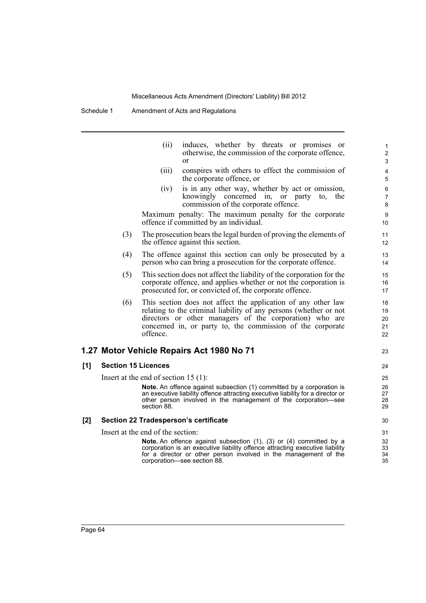Schedule 1 Amendment of Acts and Regulations

|       |                            | (ii)                                                   | induces, whether by threats or promises<br><sub>or</sub><br>otherwise, the commission of the corporate offence,<br><sub>or</sub>                                                                                                                            | 1<br>$\overline{c}$<br>3   |
|-------|----------------------------|--------------------------------------------------------|-------------------------------------------------------------------------------------------------------------------------------------------------------------------------------------------------------------------------------------------------------------|----------------------------|
|       |                            | (iii)                                                  | conspires with others to effect the commission of<br>the corporate offence, or                                                                                                                                                                              | 4<br>5                     |
|       |                            | (iv)                                                   | is in any other way, whether by act or omission,<br>knowingly concerned in, or party<br>to.<br>the<br>commission of the corporate offence.                                                                                                                  | 6<br>$\overline{7}$<br>8   |
|       |                            |                                                        | Maximum penalty: The maximum penalty for the corporate<br>offence if committed by an individual.                                                                                                                                                            | 9<br>10                    |
|       | (3)                        |                                                        | The prosecution bears the legal burden of proving the elements of<br>the offence against this section.                                                                                                                                                      | 11<br>12 <sup>2</sup>      |
|       | (4)                        |                                                        | The offence against this section can only be prosecuted by a<br>person who can bring a prosecution for the corporate offence.                                                                                                                               | 13<br>14                   |
|       | (5)                        |                                                        | This section does not affect the liability of the corporation for the<br>corporate offence, and applies whether or not the corporation is<br>prosecuted for, or convicted of, the corporate offence.                                                        | 15<br>16<br>17             |
|       | (6)                        | offence.                                               | This section does not affect the application of any other law<br>relating to the criminal liability of any persons (whether or not<br>directors or other managers of the corporation) who are<br>concerned in, or party to, the commission of the corporate | 18<br>19<br>20<br>21<br>22 |
|       |                            |                                                        | 1.27 Motor Vehicle Repairs Act 1980 No 71                                                                                                                                                                                                                   | 23                         |
| [1]   | <b>Section 15 Licences</b> |                                                        |                                                                                                                                                                                                                                                             | 24                         |
|       |                            | Insert at the end of section 15 $(1)$ :<br>section 88. | Note. An offence against subsection (1) committed by a corporation is<br>an executive liability offence attracting executive liability for a director or<br>other person involved in the management of the corporation-see                                  | 25<br>26<br>27<br>28<br>29 |
| $[2]$ |                            |                                                        | Section 22 Tradesperson's certificate                                                                                                                                                                                                                       | 30                         |
|       |                            | Insert at the end of the section:                      | Note. An offence against subsection (1), (3) or (4) committed by a<br>corporation is an executive liability offence attracting executive liability<br>for a director or other person involved in the management of the<br>corporation-see section 88.       | 31<br>32<br>33<br>34<br>35 |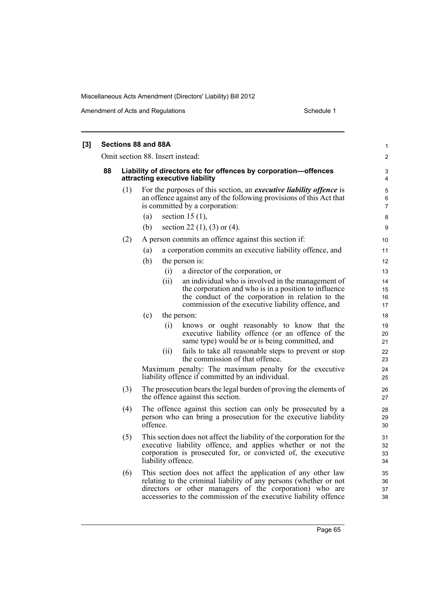Amendment of Acts and Regulations Schedule 1

|    |     | Sections 88 and 88A                                                                                                                                                                                                         | 1                        |
|----|-----|-----------------------------------------------------------------------------------------------------------------------------------------------------------------------------------------------------------------------------|--------------------------|
|    |     | Omit section 88. Insert instead:                                                                                                                                                                                            | $\overline{2}$           |
| 88 |     | Liability of directors etc for offences by corporation-offences<br>attracting executive liability                                                                                                                           | 3<br>4                   |
|    | (1) | For the purposes of this section, an <i>executive liability offence</i> is<br>an offence against any of the following provisions of this Act that<br>is committed by a corporation:                                         | 5<br>6<br>$\overline{7}$ |
|    |     | section 15 $(1)$ ,<br>(a)                                                                                                                                                                                                   | 8                        |
|    |     | section 22 $(1)$ , $(3)$ or $(4)$ .<br>(b)                                                                                                                                                                                  | 9                        |
|    | (2) | A person commits an offence against this section if:                                                                                                                                                                        | 10                       |
|    |     | a corporation commits an executive liability offence, and<br>(a)                                                                                                                                                            | 11                       |
|    |     | (b)<br>the person is:                                                                                                                                                                                                       | 12                       |
|    |     | a director of the corporation, or<br>(i)                                                                                                                                                                                    | 13                       |
|    |     | an individual who is involved in the management of<br>(ii)                                                                                                                                                                  | 14                       |
|    |     | the corporation and who is in a position to influence                                                                                                                                                                       | 15                       |
|    |     | the conduct of the corporation in relation to the<br>commission of the executive liability offence, and                                                                                                                     | 16<br>17                 |
|    |     | (c)<br>the person:                                                                                                                                                                                                          | 18                       |
|    |     | knows or ought reasonably to know that the<br>(i)<br>executive liability offence (or an offence of the<br>same type) would be or is being committed, and                                                                    | 19<br>20<br>21           |
|    |     | fails to take all reasonable steps to prevent or stop<br>(11)<br>the commission of that offence.                                                                                                                            | 22<br>23                 |
|    |     | Maximum penalty: The maximum penalty for the executive<br>liability offence if committed by an individual.                                                                                                                  | 24<br>25                 |
|    | (3) | The prosecution bears the legal burden of proving the elements of<br>the offence against this section.                                                                                                                      | 26<br>27                 |
|    | (4) | The offence against this section can only be prosecuted by a<br>person who can bring a prosecution for the executive liability<br>offence.                                                                                  | 28<br>29<br>30           |
|    | (5) | This section does not affect the liability of the corporation for the<br>executive liability offence, and applies whether or not the<br>corporation is prosecuted for, or convicted of, the executive<br>liability offence. | 31<br>32<br>33<br>34     |
|    | (6) | This section does not affect the application of any other law<br>relating to the criminal liability of any persons (whether or not<br>directors or other managers of the corporation) who are                               | 35<br>36<br>37           |

accessories to the commission of the executive liability offence

38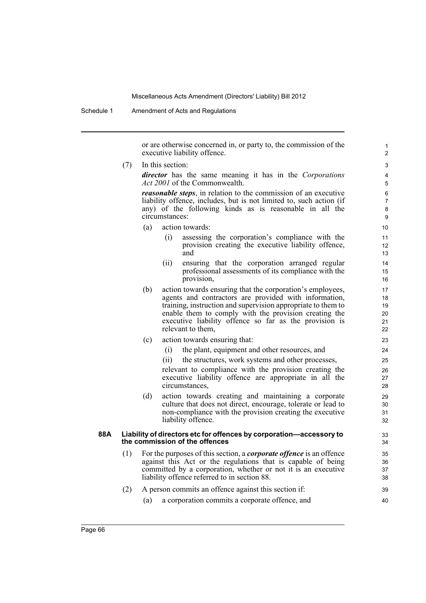Schedule 1 Amendment of Acts and Regulations

or are otherwise concerned in, or party to, the commission of the executive liability offence.

(7) In this section:

*director* has the same meaning it has in the *Corporations Act 2001* of the Commonwealth.

*reasonable steps*, in relation to the commission of an executive liability offence, includes, but is not limited to, such action (if any) of the following kinds as is reasonable in all the circumstances:

- (a) action towards:
	- (i) assessing the corporation's compliance with the provision creating the executive liability offence, and
	- (ii) ensuring that the corporation arranged regular professional assessments of its compliance with the provision,
- (b) action towards ensuring that the corporation's employees, agents and contractors are provided with information, training, instruction and supervision appropriate to them to enable them to comply with the provision creating the executive liability offence so far as the provision is relevant to them,
- (c) action towards ensuring that:
	- (i) the plant, equipment and other resources, and
	- (ii) the structures, work systems and other processes,

relevant to compliance with the provision creating the executive liability offence are appropriate in all the circumstances,

(d) action towards creating and maintaining a corporate culture that does not direct, encourage, tolerate or lead to non-compliance with the provision creating the executive liability offence.

#### **88A Liability of directors etc for offences by corporation—accessory to the commission of the offences**

(1) For the purposes of this section, a *corporate offence* is an offence against this Act or the regulations that is capable of being committed by a corporation, whether or not it is an executive liability offence referred to in section 88.

#### (2) A person commits an offence against this section if:

(a) a corporation commits a corporate offence, and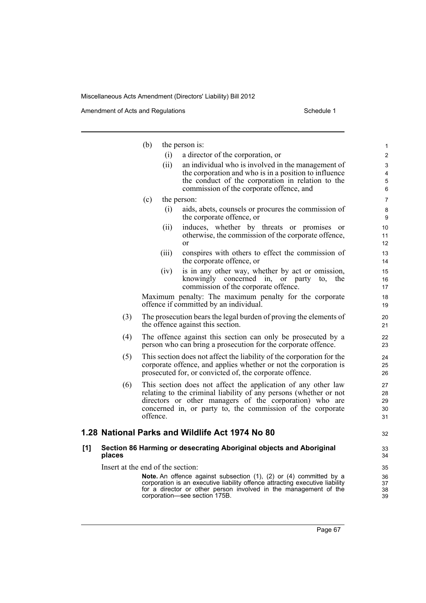|     |                                   | (b)      | the person is:                                                                                                                                                                                       | 1                   |
|-----|-----------------------------------|----------|------------------------------------------------------------------------------------------------------------------------------------------------------------------------------------------------------|---------------------|
|     |                                   |          | (i)<br>a director of the corporation, or                                                                                                                                                             | $\overline{2}$      |
|     |                                   | (ii)     | an individual who is involved in the management of                                                                                                                                                   | 3                   |
|     |                                   |          | the corporation and who is in a position to influence                                                                                                                                                | $\overline{4}$      |
|     |                                   |          | the conduct of the corporation in relation to the<br>commission of the corporate offence, and                                                                                                        | $\overline{5}$<br>6 |
|     |                                   |          |                                                                                                                                                                                                      |                     |
|     |                                   | (c)      | the person:                                                                                                                                                                                          | $\overline{7}$      |
|     |                                   |          | aids, abets, counsels or procures the commission of<br>(i)<br>the corporate offence, or                                                                                                              | 8<br>9              |
|     |                                   | (ii)     | induces, whether by threats or promises or                                                                                                                                                           | 10                  |
|     |                                   |          | otherwise, the commission of the corporate offence,<br>$\alpha$                                                                                                                                      | 11<br>12            |
|     |                                   | (iii)    | conspires with others to effect the commission of<br>the corporate offence, or                                                                                                                       | 13<br>14            |
|     |                                   | (1V)     | is in any other way, whether by act or omission,                                                                                                                                                     | 15                  |
|     |                                   |          | knowingly concerned in, or party<br>the<br>to.<br>commission of the corporate offence.                                                                                                               | 16<br>17            |
|     |                                   |          | Maximum penalty: The maximum penalty for the corporate<br>offence if committed by an individual.                                                                                                     | 18<br>19            |
|     | (3)                               |          | The prosecution bears the legal burden of proving the elements of<br>the offence against this section.                                                                                               | 20<br>21            |
|     | (4)                               |          | The offence against this section can only be prosecuted by a<br>person who can bring a prosecution for the corporate offence.                                                                        | 22<br>23            |
|     | (5)                               |          | This section does not affect the liability of the corporation for the<br>corporate offence, and applies whether or not the corporation is<br>prosecuted for, or convicted of, the corporate offence. | 24<br>25<br>26      |
|     | (6)                               |          | This section does not affect the application of any other law                                                                                                                                        | 27                  |
|     |                                   |          | relating to the criminal liability of any persons (whether or not                                                                                                                                    | 28                  |
|     |                                   |          | directors or other managers of the corporation) who are                                                                                                                                              | 29                  |
|     |                                   | offence. | concerned in, or party to, the commission of the corporate                                                                                                                                           | 30<br>31            |
|     |                                   |          |                                                                                                                                                                                                      |                     |
|     |                                   |          | 1.28 National Parks and Wildlife Act 1974 No 80                                                                                                                                                      | 32                  |
| [1] | places                            |          | Section 86 Harming or desecrating Aboriginal objects and Aboriginal                                                                                                                                  | 33<br>34            |
|     | Insert at the end of the section: |          |                                                                                                                                                                                                      | 35                  |
|     |                                   |          | Note. An offence against subsection (1), (2) or (4) committed by a                                                                                                                                   | 36                  |
|     |                                   |          | corporation is an executive liability offence attracting executive liability<br>for a director or other person involved in the management of the                                                     | 37<br>38            |
|     |                                   |          | corporation—see section 175B.                                                                                                                                                                        | 39                  |
|     |                                   |          |                                                                                                                                                                                                      |                     |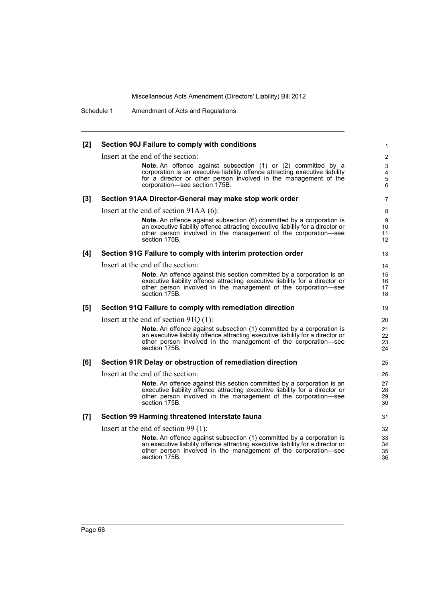Schedule 1 Amendment of Acts and Regulations

| [2]   | Section 90J Failure to comply with conditions                                                                                                                                                                                                      | 1                                                   |
|-------|----------------------------------------------------------------------------------------------------------------------------------------------------------------------------------------------------------------------------------------------------|-----------------------------------------------------|
|       | Insert at the end of the section:                                                                                                                                                                                                                  | 2                                                   |
|       | Note. An offence against subsection (1) or (2) committed by a<br>corporation is an executive liability offence attracting executive liability<br>for a director or other person involved in the management of the<br>corporation-see section 175B. | 3<br>$\overline{\mathbf{4}}$<br>$\overline{5}$<br>6 |
| $[3]$ | Section 91AA Director-General may make stop work order                                                                                                                                                                                             | 7                                                   |
|       | Insert at the end of section $91AA(6)$ :                                                                                                                                                                                                           | 8                                                   |
|       | Note. An offence against subsection (6) committed by a corporation is<br>an executive liability offence attracting executive liability for a director or<br>other person involved in the management of the corporation—see<br>section 175B.        | 9<br>10<br>11<br>12                                 |
| [4]   | Section 91G Failure to comply with interim protection order                                                                                                                                                                                        | 13                                                  |
|       | Insert at the end of the section:                                                                                                                                                                                                                  | 14                                                  |
|       | Note. An offence against this section committed by a corporation is an<br>executive liability offence attracting executive liability for a director or<br>other person involved in the management of the corporation-see<br>section 175B.          | 15<br>16<br>17<br>18                                |
| [5]   | Section 91Q Failure to comply with remediation direction                                                                                                                                                                                           | 19                                                  |
|       | Insert at the end of section $91Q(1)$ :                                                                                                                                                                                                            | 20                                                  |
|       | Note. An offence against subsection (1) committed by a corporation is<br>an executive liability offence attracting executive liability for a director or<br>other person involved in the management of the corporation-see<br>section 175B.        | 21<br>22<br>23<br>24                                |
| [6]   | Section 91R Delay or obstruction of remediation direction                                                                                                                                                                                          | 25                                                  |
|       | Insert at the end of the section:                                                                                                                                                                                                                  | 26                                                  |
|       | Note. An offence against this section committed by a corporation is an<br>executive liability offence attracting executive liability for a director or<br>other person involved in the management of the corporation-see<br>section 175B.          | 27<br>28<br>29<br>30                                |
| [7]   | Section 99 Harming threatened interstate fauna                                                                                                                                                                                                     | 31                                                  |
|       | Insert at the end of section 99 $(1)$ :                                                                                                                                                                                                            | 32                                                  |
|       | <b>Note.</b> An offence against subsection (1) committed by a corporation is<br>an executive liability offence attracting executive liability for a director or<br>other person involved in the management of the corporation-see<br>section 175B. | 33<br>34<br>35<br>36                                |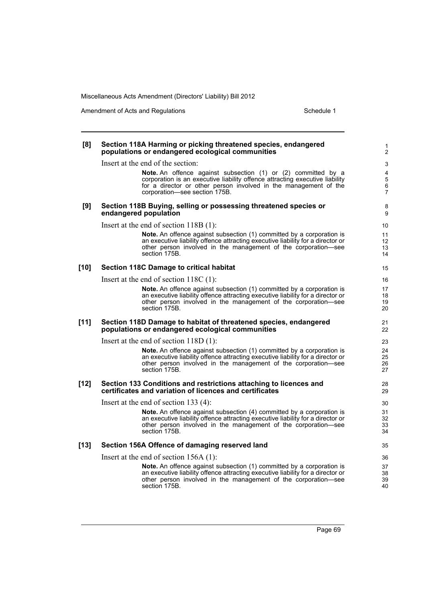| [8]    | Section 118A Harming or picking threatened species, endangered<br>populations or endangered ecological communities                                                                                                                                        | 1<br>$\overline{2}$                              |
|--------|-----------------------------------------------------------------------------------------------------------------------------------------------------------------------------------------------------------------------------------------------------------|--------------------------------------------------|
|        | Insert at the end of the section:                                                                                                                                                                                                                         | 3                                                |
|        | <b>Note.</b> An offence against subsection (1) or (2) committed by a<br>corporation is an executive liability offence attracting executive liability<br>for a director or other person involved in the management of the<br>corporation-see section 175B. | 4<br>$\overline{5}$<br>$\,6\,$<br>$\overline{7}$ |
| [9]    | Section 118B Buying, selling or possessing threatened species or<br>endangered population                                                                                                                                                                 | 8<br>9                                           |
|        | Insert at the end of section $118B(1)$ :                                                                                                                                                                                                                  | 10                                               |
|        | Note. An offence against subsection (1) committed by a corporation is<br>an executive liability offence attracting executive liability for a director or<br>other person involved in the management of the corporation—see<br>section 175B.               | 11<br>$12 \overline{ }$<br>13<br>14              |
| $[10]$ | Section 118C Damage to critical habitat                                                                                                                                                                                                                   | 15                                               |
|        | Insert at the end of section $118C(1)$ :                                                                                                                                                                                                                  | 16                                               |
|        | <b>Note.</b> An offence against subsection (1) committed by a corporation is<br>an executive liability offence attracting executive liability for a director or<br>other person involved in the management of the corporation—see<br>section 175B.        | 17<br>18<br>19<br>20                             |
| $[11]$ | Section 118D Damage to habitat of threatened species, endangered<br>populations or endangered ecological communities                                                                                                                                      | 21<br>22                                         |
|        | Insert at the end of section $118D(1)$ :                                                                                                                                                                                                                  | 23                                               |
|        | Note. An offence against subsection (1) committed by a corporation is<br>an executive liability offence attracting executive liability for a director or<br>other person involved in the management of the corporation-see<br>section 175B.               | 24<br>25<br>26<br>27                             |
| $[12]$ | Section 133 Conditions and restrictions attaching to licences and<br>certificates and variation of licences and certificates                                                                                                                              | 28<br>29                                         |
|        | Insert at the end of section 133 $(4)$ :                                                                                                                                                                                                                  | 30                                               |
|        | Note. An offence against subsection (4) committed by a corporation is<br>an executive liability offence attracting executive liability for a director or<br>other person involved in the management of the corporation—see<br>section 175B.               | 31<br>32<br>33<br>34                             |
| $[13]$ | Section 156A Offence of damaging reserved land                                                                                                                                                                                                            | 35                                               |
|        | Insert at the end of section $156A(1)$ :                                                                                                                                                                                                                  | 36                                               |
|        | Note. An offence against subsection (1) committed by a corporation is<br>an executive liability offence attracting executive liability for a director or<br>other person involved in the management of the corporation-see<br>section 175B.               | 37<br>38<br>39<br>40                             |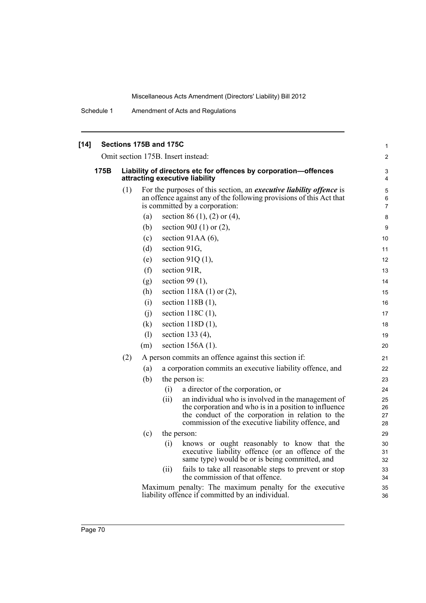| $[14]$ |                     |     |     | Sections 175B and 175C |                                                                                                                                                                              | 1              |
|--------|---------------------|-----|-----|------------------------|------------------------------------------------------------------------------------------------------------------------------------------------------------------------------|----------------|
|        |                     |     |     |                        | Omit section 175B. Insert instead:                                                                                                                                           | $\overline{2}$ |
|        | 175B                |     |     |                        | Liability of directors etc for offences by corporation-offences<br>attracting executive liability                                                                            | 3<br>4         |
|        |                     | (1) |     |                        | For the purposes of this section, an executive liability offence is<br>an offence against any of the following provisions of this Act that<br>is committed by a corporation: | 5<br>6<br>7    |
|        |                     |     | (a) |                        | section 86 (1), (2) or (4),                                                                                                                                                  | 8              |
|        |                     |     | (b) |                        | section 90J $(1)$ or $(2)$ ,                                                                                                                                                 | 9              |
|        |                     |     | (c) |                        | section 91AA $(6)$ ,                                                                                                                                                         | 10             |
|        |                     |     | (d) |                        | section 91G,                                                                                                                                                                 | 11             |
|        |                     |     | (e) |                        | section 91Q $(1)$ ,                                                                                                                                                          | 12             |
|        | (f)<br>section 91R, |     |     |                        |                                                                                                                                                                              | 13             |
|        |                     |     | (g) |                        | section 99 $(1)$ ,                                                                                                                                                           | 14             |
|        |                     |     | (h) |                        | section 118A $(1)$ or $(2)$ ,                                                                                                                                                | 15             |
|        |                     |     | (i) |                        | section 118B (1),                                                                                                                                                            | 16             |
|        |                     |     | (i) |                        | section $118C(1)$ ,                                                                                                                                                          | 17             |
|        |                     |     | (k) |                        | section $118D(1)$ ,                                                                                                                                                          | 18             |
|        |                     |     | (1) |                        | section 133 (4),                                                                                                                                                             | 19             |
|        |                     |     | (m) |                        | section $156A(1)$ .                                                                                                                                                          | 20             |
|        |                     | (2) |     |                        | A person commits an offence against this section if:                                                                                                                         | 21             |
|        |                     |     | (a) |                        | a corporation commits an executive liability offence, and                                                                                                                    | 22             |
|        |                     |     | (b) |                        | the person is:                                                                                                                                                               | 23             |
|        |                     |     |     | (i)                    | a director of the corporation, or                                                                                                                                            | 24             |
|        |                     |     |     | (ii)                   | an individual who is involved in the management of                                                                                                                           | 25             |
|        |                     |     |     |                        | the corporation and who is in a position to influence<br>the conduct of the corporation in relation to the                                                                   | 26<br>27       |
|        |                     |     |     |                        | commission of the executive liability offence, and                                                                                                                           | 28             |
|        |                     |     | (c) | the person:            |                                                                                                                                                                              | 29             |
|        |                     |     |     | (i)                    | knows or ought reasonably to know that the<br>executive liability offence (or an offence of the<br>same type) would be or is being committed, and                            | 30<br>31<br>32 |
|        |                     |     |     | (11)                   | fails to take all reasonable steps to prevent or stop                                                                                                                        | 33             |
|        |                     |     |     |                        | the commission of that offence.                                                                                                                                              | 34             |
|        |                     |     |     |                        | Maximum penalty: The maximum penalty for the executive<br>liability offence if committed by an individual.                                                                   | 35<br>36       |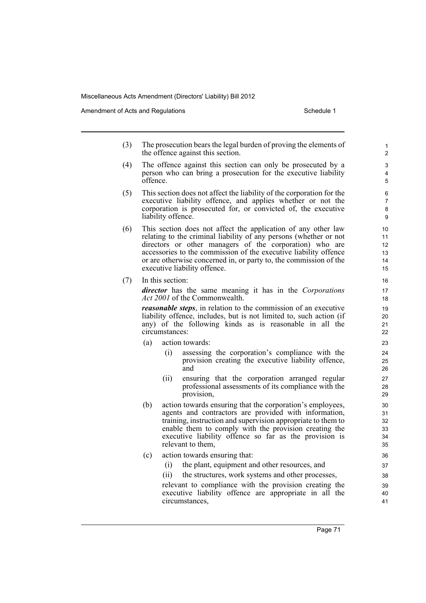Amendment of Acts and Regulations Schedule 1

- (3) The prosecution bears the legal burden of proving the elements of the offence against this section.
- (4) The offence against this section can only be prosecuted by a person who can bring a prosecution for the executive liability offence.
- (5) This section does not affect the liability of the corporation for the executive liability offence, and applies whether or not the corporation is prosecuted for, or convicted of, the executive liability offence.
- (6) This section does not affect the application of any other law relating to the criminal liability of any persons (whether or not directors or other managers of the corporation) who are accessories to the commission of the executive liability offence or are otherwise concerned in, or party to, the commission of the executive liability offence.
- (7) In this section:

*director* has the same meaning it has in the *Corporations Act 2001* of the Commonwealth.

*reasonable steps*, in relation to the commission of an executive liability offence, includes, but is not limited to, such action (if any) of the following kinds as is reasonable in all the circumstances:

- (a) action towards:
	- (i) assessing the corporation's compliance with the provision creating the executive liability offence, and
	- (ii) ensuring that the corporation arranged regular professional assessments of its compliance with the provision,
- (b) action towards ensuring that the corporation's employees, agents and contractors are provided with information, training, instruction and supervision appropriate to them to enable them to comply with the provision creating the executive liability offence so far as the provision is relevant to them,
- (c) action towards ensuring that:
	- (i) the plant, equipment and other resources, and
	- (ii) the structures, work systems and other processes,

relevant to compliance with the provision creating the executive liability offence are appropriate in all the circumstances,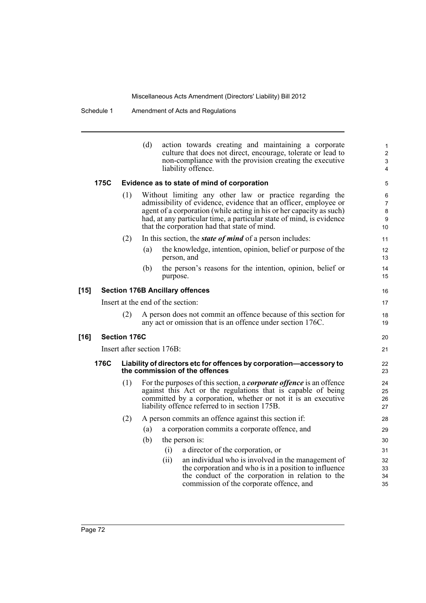|        |      |                     | (d)                        | action towards creating and maintaining a corporate<br>culture that does not direct, encourage, tolerate or lead to<br>non-compliance with the provision creating the executive<br>liability offence.                                                                                                                        | 1<br>$\overline{2}$<br>3<br>4             |
|--------|------|---------------------|----------------------------|------------------------------------------------------------------------------------------------------------------------------------------------------------------------------------------------------------------------------------------------------------------------------------------------------------------------------|-------------------------------------------|
|        | 175C |                     |                            | Evidence as to state of mind of corporation                                                                                                                                                                                                                                                                                  | 5                                         |
|        |      | (1)                 |                            | Without limiting any other law or practice regarding the<br>admissibility of evidence, evidence that an officer, employee or<br>agent of a corporation (while acting in his or her capacity as such)<br>had, at any particular time, a particular state of mind, is evidence<br>that the corporation had that state of mind. | 6<br>$\overline{7}$<br>$\bf 8$<br>9<br>10 |
|        |      | (2)                 |                            | In this section, the <i>state of mind</i> of a person includes:                                                                                                                                                                                                                                                              | 11                                        |
|        |      |                     | (a)                        | the knowledge, intention, opinion, belief or purpose of the<br>person, and                                                                                                                                                                                                                                                   | 12<br>13                                  |
|        |      |                     | (b)                        | the person's reasons for the intention, opinion, belief or<br>purpose.                                                                                                                                                                                                                                                       | 14<br>15                                  |
| $[15]$ |      |                     |                            | <b>Section 176B Ancillary offences</b>                                                                                                                                                                                                                                                                                       | 16                                        |
|        |      |                     |                            | Insert at the end of the section:                                                                                                                                                                                                                                                                                            | 17                                        |
|        |      | (2)                 |                            | A person does not commit an offence because of this section for<br>any act or omission that is an offence under section 176C.                                                                                                                                                                                                | 18<br>19                                  |
| $[16]$ |      | <b>Section 176C</b> |                            |                                                                                                                                                                                                                                                                                                                              | 20                                        |
|        |      |                     | Insert after section 176B: |                                                                                                                                                                                                                                                                                                                              | 21                                        |
|        | 176C |                     |                            | Liability of directors etc for offences by corporation-accessory to<br>the commission of the offences                                                                                                                                                                                                                        | 22<br>23                                  |
|        |      | (1)                 |                            | For the purposes of this section, a <i>corporate offence</i> is an offence<br>against this Act or the regulations that is capable of being<br>committed by a corporation, whether or not it is an executive<br>liability offence referred to in section 175B.                                                                | 24<br>25<br>26<br>27                      |
|        |      | (2)                 |                            | A person commits an offence against this section if:                                                                                                                                                                                                                                                                         | 28                                        |
|        |      |                     | (a)                        | a corporation commits a corporate offence, and                                                                                                                                                                                                                                                                               | 29                                        |
|        |      |                     | (b)                        | the person is:                                                                                                                                                                                                                                                                                                               | 30                                        |
|        |      |                     |                            | a director of the corporation, or<br>(i)                                                                                                                                                                                                                                                                                     | 31                                        |
|        |      |                     | (ii)                       | an individual who is involved in the management of<br>the corporation and who is in a position to influence<br>the conduct of the corporation in relation to the<br>commission of the corporate offence, and                                                                                                                 | 32<br>33<br>34<br>35                      |
|        |      |                     |                            |                                                                                                                                                                                                                                                                                                                              |                                           |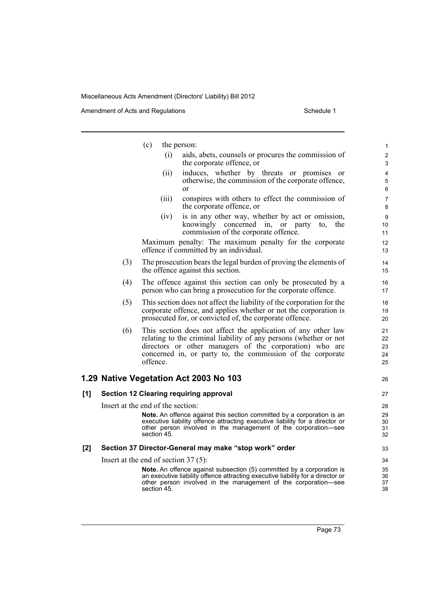|     |     | (c)                                    | the person:                                                                                                                                                                                                                                                 | $\mathbf{1}$               |
|-----|-----|----------------------------------------|-------------------------------------------------------------------------------------------------------------------------------------------------------------------------------------------------------------------------------------------------------------|----------------------------|
|     |     | (i)                                    | aids, abets, counsels or procures the commission of<br>the corporate offence, or                                                                                                                                                                            | $\overline{2}$<br>3        |
|     |     | (ii)                                   | induces, whether by threats or promises or<br>otherwise, the commission of the corporate offence,<br><sub>or</sub>                                                                                                                                          | 4<br>5<br>6                |
|     |     | (iii)                                  | conspires with others to effect the commission of<br>the corporate offence, or                                                                                                                                                                              | $\overline{7}$<br>8        |
|     |     | (iv)                                   | is in any other way, whether by act or omission,<br>knowingly concerned in,<br>the<br>or party<br>to.<br>commission of the corporate offence.                                                                                                               | 9<br>10<br>11              |
|     |     |                                        | Maximum penalty: The maximum penalty for the corporate<br>offence if committed by an individual.                                                                                                                                                            | 12<br>13                   |
|     | (3) |                                        | The prosecution bears the legal burden of proving the elements of<br>the offence against this section.                                                                                                                                                      | 14<br>15                   |
|     | (4) |                                        | The offence against this section can only be prosecuted by a<br>person who can bring a prosecution for the corporate offence.                                                                                                                               | 16<br>17                   |
|     | (5) |                                        | This section does not affect the liability of the corporation for the<br>corporate offence, and applies whether or not the corporation is<br>prosecuted for, or convicted of, the corporate offence.                                                        | 18<br>19<br>20             |
|     | (6) | offence.                               | This section does not affect the application of any other law<br>relating to the criminal liability of any persons (whether or not<br>directors or other managers of the corporation) who are<br>concerned in, or party to, the commission of the corporate | 21<br>22<br>23<br>24<br>25 |
|     |     |                                        | 1.29 Native Vegetation Act 2003 No 103                                                                                                                                                                                                                      | 26                         |
| [1] |     |                                        | <b>Section 12 Clearing requiring approval</b>                                                                                                                                                                                                               | 27                         |
|     |     | Insert at the end of the section:      |                                                                                                                                                                                                                                                             | 28                         |
|     |     | section 45.                            | <b>Note.</b> An offence against this section committed by a corporation is an<br>executive liability offence attracting executive liability for a director or<br>other person involved in the management of the corporation—see                             | 29<br>30<br>31<br>32       |
| [2] |     |                                        | Section 37 Director-General may make "stop work" order                                                                                                                                                                                                      | 33                         |
|     |     | Insert at the end of section $37(5)$ : |                                                                                                                                                                                                                                                             | 34                         |
|     |     | section 45.                            | Note. An offence against subsection (5) committed by a corporation is<br>an executive liability offence attracting executive liability for a director or<br>other person involved in the management of the corporation—see                                  | 35<br>36<br>37<br>38       |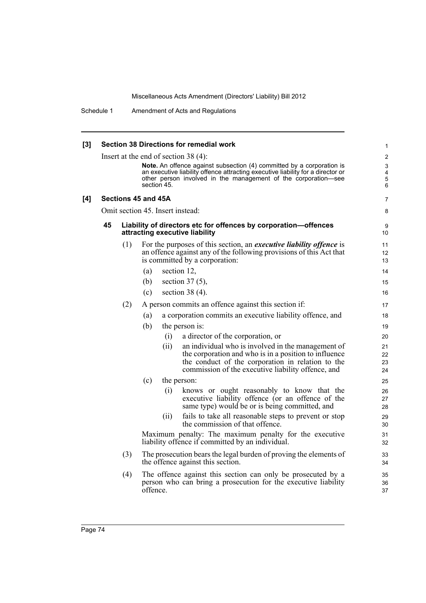| [3] | <b>Section 38 Directions for remedial work</b>                                                                                                    |                                        |                                                                                                                                            |                                  |  |  |  |  |  |
|-----|---------------------------------------------------------------------------------------------------------------------------------------------------|----------------------------------------|--------------------------------------------------------------------------------------------------------------------------------------------|----------------------------------|--|--|--|--|--|
|     |                                                                                                                                                   | Insert at the end of section $38(4)$ : |                                                                                                                                            |                                  |  |  |  |  |  |
|     |                                                                                                                                                   |                                        | <b>Note.</b> An offence against subsection (4) committed by a corporation is                                                               |                                  |  |  |  |  |  |
|     | an executive liability offence attracting executive liability for a director or<br>other person involved in the management of the corporation-see |                                        |                                                                                                                                            |                                  |  |  |  |  |  |
|     |                                                                                                                                                   |                                        | section 45.                                                                                                                                | $\overline{5}$<br>$6\phantom{1}$ |  |  |  |  |  |
| [4] |                                                                                                                                                   |                                        | Sections 45 and 45A                                                                                                                        | $\overline{7}$                   |  |  |  |  |  |
|     |                                                                                                                                                   |                                        | Omit section 45. Insert instead:                                                                                                           | 8                                |  |  |  |  |  |
|     | 45                                                                                                                                                |                                        | Liability of directors etc for offences by corporation-offences<br>attracting executive liability                                          | 9<br>10                          |  |  |  |  |  |
|     |                                                                                                                                                   | (1)                                    | For the purposes of this section, an <i>executive liability offence</i> is                                                                 | 11                               |  |  |  |  |  |
|     |                                                                                                                                                   |                                        | an offence against any of the following provisions of this Act that                                                                        | 12                               |  |  |  |  |  |
|     |                                                                                                                                                   |                                        | is committed by a corporation:                                                                                                             | 13                               |  |  |  |  |  |
|     |                                                                                                                                                   |                                        | section 12,<br>(a)                                                                                                                         | 14                               |  |  |  |  |  |
|     |                                                                                                                                                   |                                        | section $37(5)$ ,<br>(b)                                                                                                                   | 15                               |  |  |  |  |  |
|     |                                                                                                                                                   |                                        | section 38 $(4)$ .<br>(c)                                                                                                                  | 16                               |  |  |  |  |  |
|     |                                                                                                                                                   | (2)                                    | A person commits an offence against this section if:                                                                                       | 17                               |  |  |  |  |  |
|     |                                                                                                                                                   |                                        | a corporation commits an executive liability offence, and<br>(a)                                                                           | 18                               |  |  |  |  |  |
|     |                                                                                                                                                   |                                        | (b)<br>the person is:                                                                                                                      | 19                               |  |  |  |  |  |
|     |                                                                                                                                                   |                                        | a director of the corporation, or<br>(i)                                                                                                   | 20                               |  |  |  |  |  |
|     |                                                                                                                                                   |                                        | an individual who is involved in the management of<br>(ii)                                                                                 | 21                               |  |  |  |  |  |
|     |                                                                                                                                                   |                                        | the corporation and who is in a position to influence                                                                                      | 22                               |  |  |  |  |  |
|     |                                                                                                                                                   |                                        | the conduct of the corporation in relation to the<br>commission of the executive liability offence, and                                    | 23<br>24                         |  |  |  |  |  |
|     |                                                                                                                                                   |                                        | (c)<br>the person:                                                                                                                         | 25                               |  |  |  |  |  |
|     |                                                                                                                                                   |                                        |                                                                                                                                            |                                  |  |  |  |  |  |
|     |                                                                                                                                                   |                                        | knows or ought reasonably to know that the<br>(i)<br>executive liability offence (or an offence of the                                     | 26<br>27                         |  |  |  |  |  |
|     |                                                                                                                                                   |                                        | same type) would be or is being committed, and                                                                                             | 28                               |  |  |  |  |  |
|     |                                                                                                                                                   |                                        | fails to take all reasonable steps to prevent or stop<br>(ii)                                                                              | 29                               |  |  |  |  |  |
|     |                                                                                                                                                   |                                        | the commission of that offence.                                                                                                            | 30                               |  |  |  |  |  |
|     | Maximum penalty: The maximum penalty for the executive<br>liability offence if committed by an individual.                                        |                                        |                                                                                                                                            |                                  |  |  |  |  |  |
|     |                                                                                                                                                   | (3)                                    | The prosecution bears the legal burden of proving the elements of<br>the offence against this section.                                     | 33<br>34                         |  |  |  |  |  |
|     |                                                                                                                                                   | (4)                                    | The offence against this section can only be prosecuted by a<br>person who can bring a prosecution for the executive liability<br>offence. | 35<br>36<br>37                   |  |  |  |  |  |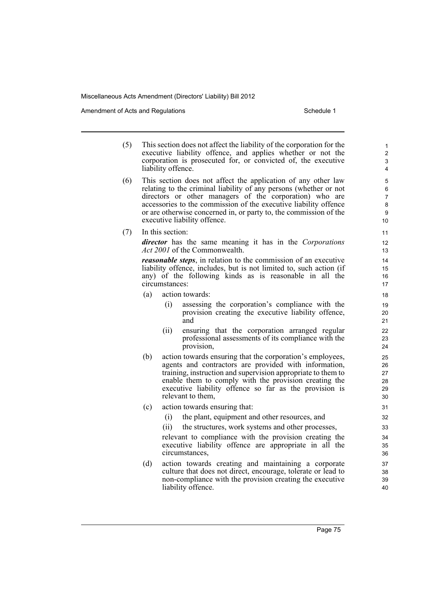Amendment of Acts and Regulations Schedule 1

- (5) This section does not affect the liability of the corporation for the executive liability offence, and applies whether or not the corporation is prosecuted for, or convicted of, the executive liability offence.
- (6) This section does not affect the application of any other law relating to the criminal liability of any persons (whether or not directors or other managers of the corporation) who are accessories to the commission of the executive liability offence or are otherwise concerned in, or party to, the commission of the executive liability offence.
- (7) In this section:

*director* has the same meaning it has in the *Corporations Act 2001* of the Commonwealth.

*reasonable steps*, in relation to the commission of an executive liability offence, includes, but is not limited to, such action (if any) of the following kinds as is reasonable in all the circumstances:

- (a) action towards:
	- (i) assessing the corporation's compliance with the provision creating the executive liability offence, and
	- (ii) ensuring that the corporation arranged regular professional assessments of its compliance with the provision,
- (b) action towards ensuring that the corporation's employees, agents and contractors are provided with information, training, instruction and supervision appropriate to them to enable them to comply with the provision creating the executive liability offence so far as the provision is relevant to them,
- (c) action towards ensuring that:
	- (i) the plant, equipment and other resources, and
	- (ii) the structures, work systems and other processes,

relevant to compliance with the provision creating the executive liability offence are appropriate in all the circumstances,

(d) action towards creating and maintaining a corporate culture that does not direct, encourage, tolerate or lead to non-compliance with the provision creating the executive liability offence.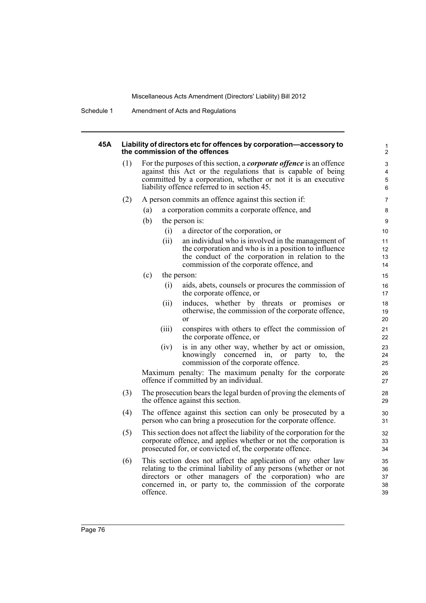Schedule 1 Amendment of Acts and Regulations

## **45A Liability of directors etc for offences by corporation—accessory to the commission of the offences**

| (1) | For the purposes of this section, a <i>corporate offence</i> is an offence |
|-----|----------------------------------------------------------------------------|
|     | against this Act or the regulations that is capable of being               |
|     | committed by a corporation, whether or not it is an executive              |
|     | liability offence referred to in section 45.                               |
|     |                                                                            |

- (2) A person commits an offence against this section if:
	- (a) a corporation commits a corporate offence, and
	- (b) the person is:
		- (i) a director of the corporation, or
			- (ii) an individual who is involved in the management of the corporation and who is in a position to influence the conduct of the corporation in relation to the commission of the corporate offence, and

- (c) the person:
	- (i) aids, abets, counsels or procures the commission of the corporate offence, or
	- (ii) induces, whether by threats or promises or otherwise, the commission of the corporate offence, or
	- (iii) conspires with others to effect the commission of the corporate offence, or
	- (iv) is in any other way, whether by act or omission, knowingly concerned in, or party to, the commission of the corporate offence.

Maximum penalty: The maximum penalty for the corporate offence if committed by an individual.

- (3) The prosecution bears the legal burden of proving the elements of the offence against this section.
- (4) The offence against this section can only be prosecuted by a person who can bring a prosecution for the corporate offence.
- (5) This section does not affect the liability of the corporation for the corporate offence, and applies whether or not the corporation is prosecuted for, or convicted of, the corporate offence.
- (6) This section does not affect the application of any other law relating to the criminal liability of any persons (whether or not directors or other managers of the corporation) who are concerned in, or party to, the commission of the corporate offence.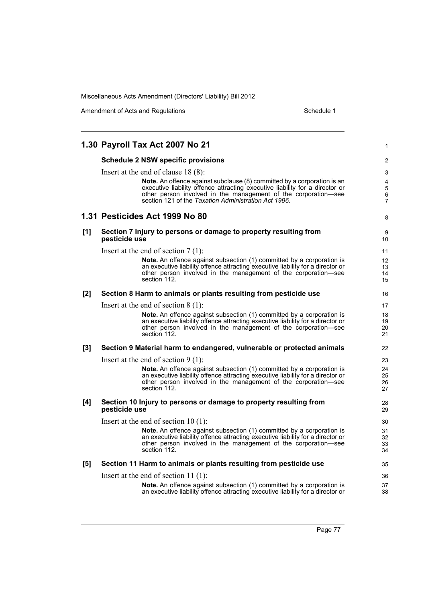|     | 1.30 Payroll Tax Act 2007 No 21                                                                                                                                                                                                                                                   | 1                                   |
|-----|-----------------------------------------------------------------------------------------------------------------------------------------------------------------------------------------------------------------------------------------------------------------------------------|-------------------------------------|
|     | <b>Schedule 2 NSW specific provisions</b>                                                                                                                                                                                                                                         | 2                                   |
|     | Insert at the end of clause 18 (8):                                                                                                                                                                                                                                               | 3                                   |
|     | Note. An offence against subclause (8) committed by a corporation is an<br>executive liability offence attracting executive liability for a director or<br>other person involved in the management of the corporation-see<br>section 121 of the Taxation Administration Act 1996. | 4<br>5<br>6<br>$\overline{7}$       |
|     | 1.31 Pesticides Act 1999 No 80                                                                                                                                                                                                                                                    | 8                                   |
| [1] | Section 7 Injury to persons or damage to property resulting from<br>pesticide use                                                                                                                                                                                                 | 9<br>10                             |
|     | Insert at the end of section $7(1)$ :                                                                                                                                                                                                                                             | 11                                  |
|     | <b>Note.</b> An offence against subsection (1) committed by a corporation is<br>an executive liability offence attracting executive liability for a director or<br>other person involved in the management of the corporation-see<br>section 112.                                 | $12 \overline{ }$<br>13<br>14<br>15 |
| [2] | Section 8 Harm to animals or plants resulting from pesticide use                                                                                                                                                                                                                  | 16                                  |
|     | Insert at the end of section $8(1)$ :                                                                                                                                                                                                                                             | 17                                  |
|     | <b>Note.</b> An offence against subsection (1) committed by a corporation is<br>an executive liability offence attracting executive liability for a director or<br>other person involved in the management of the corporation-see<br>section 112.                                 | 18<br>19<br>20<br>21                |
| [3] | Section 9 Material harm to endangered, vulnerable or protected animals                                                                                                                                                                                                            | 22                                  |
|     | Insert at the end of section $9(1)$ :                                                                                                                                                                                                                                             | 23                                  |
|     | Note. An offence against subsection (1) committed by a corporation is<br>an executive liability offence attracting executive liability for a director or<br>other person involved in the management of the corporation-see<br>section 112.                                        | 24<br>25<br>26<br>27                |
| [4] | Section 10 Injury to persons or damage to property resulting from<br>pesticide use                                                                                                                                                                                                | 28<br>29                            |
|     | Insert at the end of section $10(1)$ :                                                                                                                                                                                                                                            | 30                                  |
|     | Note. An offence against subsection (1) committed by a corporation is<br>an executive liability offence attracting executive liability for a director or<br>other person involved in the management of the corporation-see<br>section 112.                                        | 31<br>32<br>33<br>34                |
| [5] | Section 11 Harm to animals or plants resulting from pesticide use                                                                                                                                                                                                                 | 35                                  |
|     | Insert at the end of section $11(1)$ :                                                                                                                                                                                                                                            | 36                                  |
|     | Note. An offence against subsection (1) committed by a corporation is<br>an executive liability offence attracting executive liability for a director or                                                                                                                          | 37<br>38                            |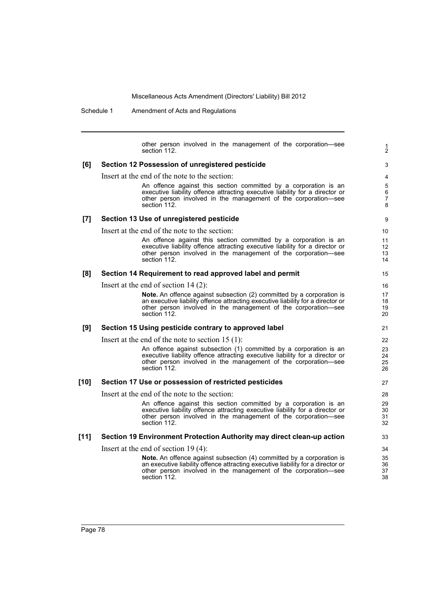Schedule 1 Amendment of Acts and Regulations

other person involved in the management of the corporation—see section 112. **[6] Section 12 Possession of unregistered pesticide** Insert at the end of the note to the section: An offence against this section committed by a corporation is an executive liability offence attracting executive liability for a director or other person involved in the management of the corporation—see section 112. **[7] Section 13 Use of unregistered pesticide** Insert at the end of the note to the section: An offence against this section committed by a corporation is an executive liability offence attracting executive liability for a director or other person involved in the management of the corporation—see section 112. **[8] Section 14 Requirement to read approved label and permit** Insert at the end of section 14 (2): **Note.** An offence against subsection (2) committed by a corporation is an executive liability offence attracting executive liability for a director or other person involved in the management of the corporation—see section 112. **[9] Section 15 Using pesticide contrary to approved label** Insert at the end of the note to section 15 (1): An offence against subsection (1) committed by a corporation is an executive liability offence attracting executive liability for a director or other person involved in the management of the corporation—see section 112. **[10] Section 17 Use or possession of restricted pesticides** Insert at the end of the note to the section: An offence against this section committed by a corporation is an executive liability offence attracting executive liability for a director or other person involved in the management of the corporation—see section 112. **[11] Section 19 Environment Protection Authority may direct clean-up action** Insert at the end of section 19 (4): **Note.** An offence against subsection (4) committed by a corporation is an executive liability offence attracting executive liability for a director or other person involved in the management of the corporation—see section 112. 1 2 3 4 5 6 7 8 9 10 11 12 13 14 15 16 17 18 19 20 21 22 23 24 25 26 27 28 29 30 31 32 33 34 35 36 37 38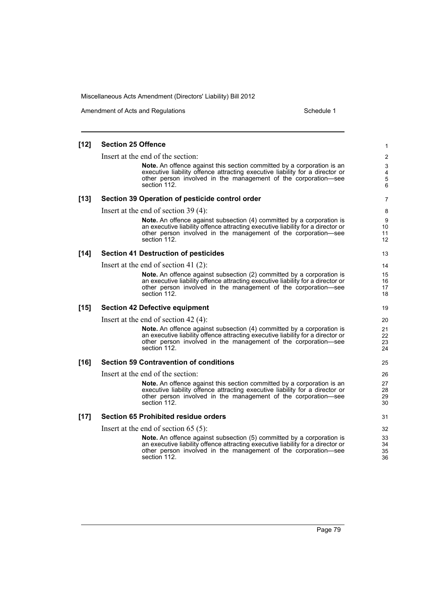Amendment of Acts and Regulations Schedule 1

### **[12] Section 25 Offence** Insert at the end of the section: **Note.** An offence against this section committed by a corporation is an executive liability offence attracting executive liability for a director or other person involved in the management of the corporation—see section 112. **[13] Section 39 Operation of pesticide control order** Insert at the end of section 39 (4): **Note.** An offence against subsection (4) committed by a corporation is an executive liability offence attracting executive liability for a director or other person involved in the management of the corporation—see section 112. **[14] Section 41 Destruction of pesticides** Insert at the end of section 41 (2): **Note.** An offence against subsection (2) committed by a corporation is an executive liability offence attracting executive liability for a director or other person involved in the management of the corporation—see section 112. **[15] Section 42 Defective equipment** Insert at the end of section 42 (4): **Note.** An offence against subsection (4) committed by a corporation is an executive liability offence attracting executive liability for a director or other person involved in the management of the corporation—see section 112. **[16] Section 59 Contravention of conditions** Insert at the end of the section: **Note.** An offence against this section committed by a corporation is an executive liability offence attracting executive liability for a director or other person involved in the management of the corporation—see section 112. **[17] Section 65 Prohibited residue orders** Insert at the end of section 65 (5): **Note.** An offence against subsection (5) committed by a corporation is an executive liability offence attracting executive liability for a director or other person involved in the management of the corporation—see section 112. 1 2 3 4 5 6 7 8 9 10 11 12 13 14 15 16 17 18 19 20 21 22 23 24 25 26 27 28 29 30 31 32 33 34 35 36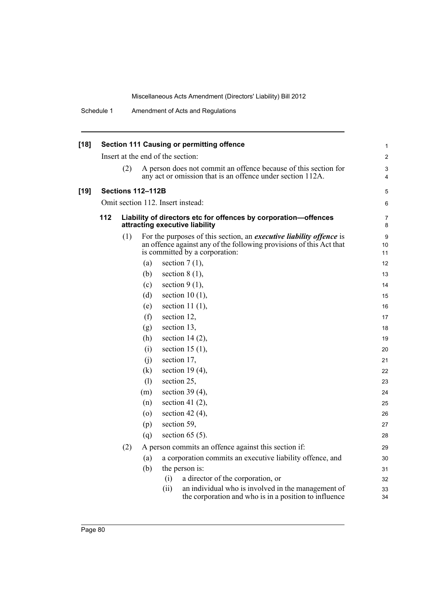| [18] |     |     |                          | <b>Section 111 Causing or permitting offence</b>                                                                                                                                    |  |
|------|-----|-----|--------------------------|-------------------------------------------------------------------------------------------------------------------------------------------------------------------------------------|--|
|      |     |     |                          | Insert at the end of the section:                                                                                                                                                   |  |
|      |     | (2) |                          | A person does not commit an offence because of this section for<br>any act or omission that is an offence under section 112A.                                                       |  |
| [19] |     |     | <b>Sections 112-112B</b> |                                                                                                                                                                                     |  |
|      |     |     |                          | Omit section 112. Insert instead:                                                                                                                                                   |  |
|      | 112 |     |                          | Liability of directors etc for offences by corporation-offences<br>attracting executive liability                                                                                   |  |
|      |     | (1) |                          | For the purposes of this section, an <i>executive liability offence</i> is<br>an offence against any of the following provisions of this Act that<br>is committed by a corporation: |  |
|      |     |     | (a)                      | section $7(1)$ ,                                                                                                                                                                    |  |
|      |     |     | (b)                      | section $8(1)$ ,                                                                                                                                                                    |  |
|      |     |     | (c)                      | section $9(1)$ ,                                                                                                                                                                    |  |
|      |     |     | (d)                      | section 10 $(1)$ ,                                                                                                                                                                  |  |
|      |     |     | (e)                      | section 11 $(1)$ ,                                                                                                                                                                  |  |
|      |     |     | (f)                      | section 12,                                                                                                                                                                         |  |
|      |     |     | (g)                      | section 13,                                                                                                                                                                         |  |
|      |     |     | (h)                      | section 14 $(2)$ ,                                                                                                                                                                  |  |
|      |     |     | (i)                      | section 15 $(1)$ ,                                                                                                                                                                  |  |
|      |     |     | (j)                      | section 17,                                                                                                                                                                         |  |
|      |     |     | (k)                      | section 19 $(4)$ ,                                                                                                                                                                  |  |
|      |     |     | (1)                      | section 25,                                                                                                                                                                         |  |
|      |     |     | (m)                      | section 39 $(4)$ ,                                                                                                                                                                  |  |
|      |     |     | (n)                      | section 41 $(2)$ ,                                                                                                                                                                  |  |
|      |     |     | $\left( 0 \right)$       | section 42 $(4)$ ,                                                                                                                                                                  |  |
|      |     |     | (p)                      | section 59,                                                                                                                                                                         |  |
|      |     |     | (q)                      | section $65(5)$ .                                                                                                                                                                   |  |
|      |     | (2) |                          | A person commits an offence against this section if:                                                                                                                                |  |
|      |     |     | (a)                      | a corporation commits an executive liability offence, and                                                                                                                           |  |
|      |     |     | (b)                      | the person is:                                                                                                                                                                      |  |
|      |     |     |                          | a director of the corporation, or<br>(i)                                                                                                                                            |  |
|      |     |     |                          | an individual who is involved in the management of<br>(ii)<br>the corporation and who is in a position to influence                                                                 |  |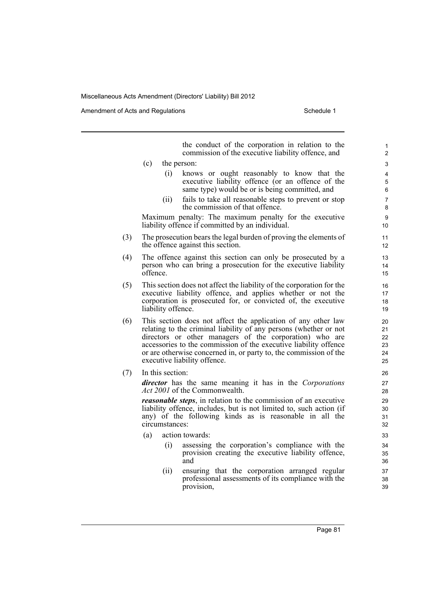Amendment of Acts and Regulations Schedule 1

the conduct of the corporation in relation to the commission of the executive liability offence, and (c) the person: (i) knows or ought reasonably to know that the executive liability offence (or an offence of the same type) would be or is being committed, and (ii) fails to take all reasonable steps to prevent or stop the commission of that offence. Maximum penalty: The maximum penalty for the executive liability offence if committed by an individual. (3) The prosecution bears the legal burden of proving the elements of the offence against this section. (4) The offence against this section can only be prosecuted by a person who can bring a prosecution for the executive liability offence. (5) This section does not affect the liability of the corporation for the executive liability offence, and applies whether or not the corporation is prosecuted for, or convicted of, the executive liability offence. (6) This section does not affect the application of any other law relating to the criminal liability of any persons (whether or not directors or other managers of the corporation) who are accessories to the commission of the executive liability offence or are otherwise concerned in, or party to, the commission of the executive liability offence. (7) In this section: *director* has the same meaning it has in the *Corporations Act 2001* of the Commonwealth. *reasonable steps*, in relation to the commission of an executive liability offence, includes, but is not limited to, such action (if any) of the following kinds as is reasonable in all the circumstances: (a) action towards: (i) assessing the corporation's compliance with the provision creating the executive liability offence, and (ii) ensuring that the corporation arranged regular professional assessments of its compliance with the

provision,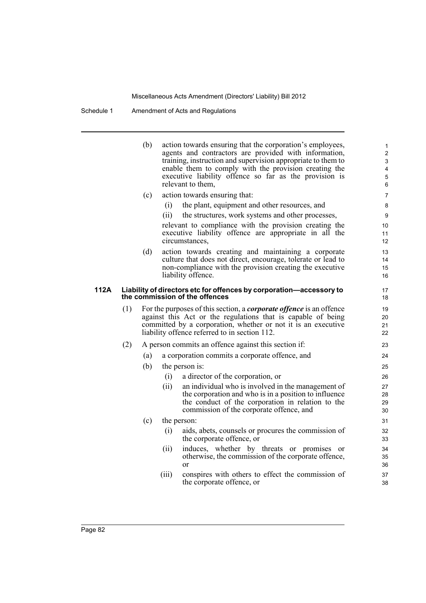Schedule 1 Amendment of Acts and Regulations

(b) action towards ensuring that the corporation's employees, agents and contractors are provided with information, training, instruction and supervision appropriate to them to enable them to comply with the provision creating the executive liability offence so far as the provision is relevant to them, (c) action towards ensuring that: (i) the plant, equipment and other resources, and (ii) the structures, work systems and other processes, relevant to compliance with the provision creating the executive liability offence are appropriate in all the circumstances, (d) action towards creating and maintaining a corporate culture that does not direct, encourage, tolerate or lead to non-compliance with the provision creating the executive liability offence. **112A Liability of directors etc for offences by corporation—accessory to the commission of the offences** (1) For the purposes of this section, a *corporate offence* is an offence against this Act or the regulations that is capable of being committed by a corporation, whether or not it is an executive liability offence referred to in section 112. (2) A person commits an offence against this section if: (a) a corporation commits a corporate offence, and (b) the person is: (i) a director of the corporation, or (ii) an individual who is involved in the management of the corporation and who is in a position to influence the conduct of the corporation in relation to the commission of the corporate offence, and (c) the person: (i) aids, abets, counsels or procures the commission of the corporate offence, or (ii) induces, whether by threats or promises or otherwise, the commission of the corporate offence, or (iii) conspires with others to effect the commission of the corporate offence, or 1 2 3 4 5 6 7 8  $\overline{Q}$ 10 11 12 13 14 15 16 17 18 19 20 21 22 23 24 25 26 27 28 29 30 31 32 33 34 35 36 37 38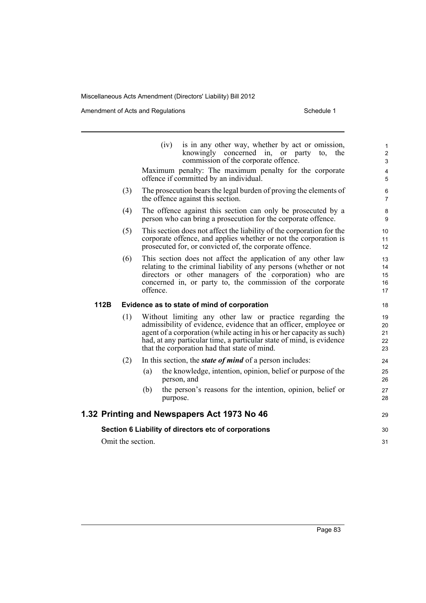|      |                   | (iv)<br>is in any other way, whether by act or omission,<br>knowingly concerned in, or party<br>to, the<br>commission of the corporate offence.                                                                                                                                                                              | $\mathbf{1}$<br>$\overline{2}$<br>3 |
|------|-------------------|------------------------------------------------------------------------------------------------------------------------------------------------------------------------------------------------------------------------------------------------------------------------------------------------------------------------------|-------------------------------------|
|      |                   | Maximum penalty: The maximum penalty for the corporate<br>offence if committed by an individual.                                                                                                                                                                                                                             | $\overline{4}$<br>$\overline{5}$    |
|      | (3)               | The prosecution bears the legal burden of proving the elements of<br>the offence against this section.                                                                                                                                                                                                                       | 6<br>$\overline{7}$                 |
|      | (4)               | The offence against this section can only be prosecuted by a<br>person who can bring a prosecution for the corporate offence.                                                                                                                                                                                                | 8<br>9                              |
|      | (5)               | This section does not affect the liability of the corporation for the<br>corporate offence, and applies whether or not the corporation is<br>prosecuted for, or convicted of, the corporate offence.                                                                                                                         | 10<br>11<br>12                      |
|      | (6)               | This section does not affect the application of any other law<br>relating to the criminal liability of any persons (whether or not<br>directors or other managers of the corporation) who are<br>concerned in, or party to, the commission of the corporate<br>offence.                                                      | 13<br>14<br>15<br>16<br>17          |
| 112B |                   | Evidence as to state of mind of corporation                                                                                                                                                                                                                                                                                  | 18                                  |
|      | (1)               | Without limiting any other law or practice regarding the<br>admissibility of evidence, evidence that an officer, employee or<br>agent of a corporation (while acting in his or her capacity as such)<br>had, at any particular time, a particular state of mind, is evidence<br>that the corporation had that state of mind. | 19<br>20<br>21<br>22<br>23          |
|      | (2)               | In this section, the <i>state of mind</i> of a person includes:                                                                                                                                                                                                                                                              | 24                                  |
|      |                   | the knowledge, intention, opinion, belief or purpose of the<br>(a)<br>person, and                                                                                                                                                                                                                                            | 25<br>26                            |
|      |                   | the person's reasons for the intention, opinion, belief or<br>(b)<br>purpose.                                                                                                                                                                                                                                                | 27<br>28                            |
|      |                   | 1.32 Printing and Newspapers Act 1973 No 46                                                                                                                                                                                                                                                                                  | 29                                  |
|      |                   | Section 6 Liability of directors etc of corporations                                                                                                                                                                                                                                                                         | 30                                  |
|      | Omit the section. |                                                                                                                                                                                                                                                                                                                              | 31                                  |
|      |                   |                                                                                                                                                                                                                                                                                                                              |                                     |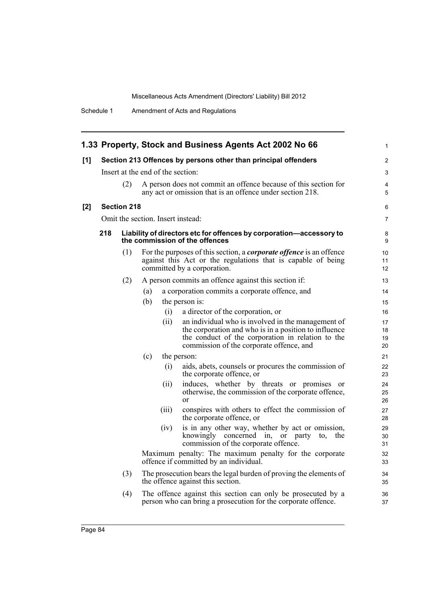|     |                    |                                                                                                                                     |     |                                   | 1.33 Property, Stock and Business Agents Act 2002 No 66                                                                                                                   | 1              |  |  |  |  |
|-----|--------------------|-------------------------------------------------------------------------------------------------------------------------------------|-----|-----------------------------------|---------------------------------------------------------------------------------------------------------------------------------------------------------------------------|----------------|--|--|--|--|
| [1] |                    |                                                                                                                                     |     |                                   | Section 213 Offences by persons other than principal offenders                                                                                                            | 2              |  |  |  |  |
|     |                    |                                                                                                                                     |     | Insert at the end of the section: |                                                                                                                                                                           | 3              |  |  |  |  |
|     |                    | (2)<br>A person does not commit an offence because of this section for<br>any act or omission that is an offence under section 218. |     |                                   |                                                                                                                                                                           |                |  |  |  |  |
| [2] | <b>Section 218</b> |                                                                                                                                     |     |                                   |                                                                                                                                                                           |                |  |  |  |  |
|     |                    |                                                                                                                                     |     |                                   | Omit the section. Insert instead:                                                                                                                                         | 7              |  |  |  |  |
|     | 218                |                                                                                                                                     |     |                                   | Liability of directors etc for offences by corporation-accessory to<br>the commission of the offences                                                                     | 8<br>9         |  |  |  |  |
|     |                    | (1)                                                                                                                                 |     |                                   | For the purposes of this section, a <i>corporate offence</i> is an offence<br>against this Act or the regulations that is capable of being<br>committed by a corporation. | 10<br>11<br>12 |  |  |  |  |
|     |                    | (2)                                                                                                                                 |     |                                   | A person commits an offence against this section if:                                                                                                                      | 13             |  |  |  |  |
|     |                    |                                                                                                                                     | (a) |                                   | a corporation commits a corporate offence, and                                                                                                                            | 14             |  |  |  |  |
|     |                    |                                                                                                                                     | (b) |                                   | the person is:                                                                                                                                                            | 15             |  |  |  |  |
|     |                    |                                                                                                                                     |     | (i)                               | a director of the corporation, or                                                                                                                                         | 16             |  |  |  |  |
|     |                    |                                                                                                                                     |     | (i)                               | an individual who is involved in the management of                                                                                                                        | 17             |  |  |  |  |
|     |                    |                                                                                                                                     |     |                                   | the corporation and who is in a position to influence                                                                                                                     | 18             |  |  |  |  |
|     |                    |                                                                                                                                     |     |                                   | the conduct of the corporation in relation to the<br>commission of the corporate offence, and                                                                             | 19<br>20       |  |  |  |  |
|     |                    |                                                                                                                                     | (c) |                                   | the person:                                                                                                                                                               | 21             |  |  |  |  |
|     |                    |                                                                                                                                     |     | (i)                               | aids, abets, counsels or procures the commission of<br>the corporate offence, or                                                                                          | 22<br>23       |  |  |  |  |
|     |                    |                                                                                                                                     |     | (ii)                              | induces, whether by threats or promises or                                                                                                                                | 24             |  |  |  |  |
|     |                    |                                                                                                                                     |     |                                   | otherwise, the commission of the corporate offence,<br>$\alpha$                                                                                                           | 25<br>26       |  |  |  |  |
|     |                    |                                                                                                                                     |     | (iii)                             | conspires with others to effect the commission of<br>the corporate offence, or                                                                                            | 27<br>28       |  |  |  |  |
|     |                    |                                                                                                                                     |     | (iv)                              | is in any other way, whether by act or omission,<br>knowingly concerned in, or party<br>the<br>to,<br>commission of the corporate offence.                                | 29<br>30<br>31 |  |  |  |  |
|     |                    |                                                                                                                                     |     |                                   | Maximum penalty: The maximum penalty for the corporate<br>offence if committed by an individual.                                                                          | 32<br>33       |  |  |  |  |
|     |                    | (3)                                                                                                                                 |     |                                   | The prosecution bears the legal burden of proving the elements of<br>the offence against this section.                                                                    | 34<br>35       |  |  |  |  |
|     |                    | (4)                                                                                                                                 |     |                                   | The offence against this section can only be prosecuted by a<br>person who can bring a prosecution for the corporate offence.                                             | 36<br>37       |  |  |  |  |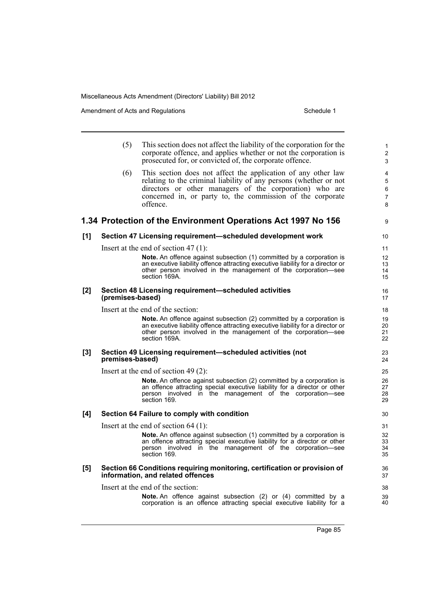Amendment of Acts and Regulations Schedule 1

|       | (5)              | This section does not affect the liability of the corporation for the<br>corporate offence, and applies whether or not the corporation is<br>prosecuted for, or convicted of, the corporate offence.                                                                    | 1<br>$\overline{2}$<br>3           |
|-------|------------------|-------------------------------------------------------------------------------------------------------------------------------------------------------------------------------------------------------------------------------------------------------------------------|------------------------------------|
|       | (6)              | This section does not affect the application of any other law<br>relating to the criminal liability of any persons (whether or not<br>directors or other managers of the corporation) who are<br>concerned in, or party to, the commission of the corporate<br>offence. | 4<br>5<br>6<br>$\overline{7}$<br>8 |
|       |                  | 1.34 Protection of the Environment Operations Act 1997 No 156                                                                                                                                                                                                           | 9                                  |
| [1]   |                  | Section 47 Licensing requirement-scheduled development work                                                                                                                                                                                                             | 10                                 |
|       |                  | Insert at the end of section 47 $(1)$ :                                                                                                                                                                                                                                 | 11                                 |
|       |                  | <b>Note.</b> An offence against subsection (1) committed by a corporation is<br>an executive liability offence attracting executive liability for a director or<br>other person involved in the management of the corporation—see<br>section 169A.                      | 12<br>13<br>14<br>15               |
| $[2]$ | (premises-based) | Section 48 Licensing requirement-scheduled activities                                                                                                                                                                                                                   | 16<br>17                           |
|       |                  | Insert at the end of the section:                                                                                                                                                                                                                                       | 18                                 |
|       |                  | <b>Note.</b> An offence against subsection (2) committed by a corporation is<br>an executive liability offence attracting executive liability for a director or<br>other person involved in the management of the corporation—see<br>section 169A.                      | 19<br>20<br>21<br>22               |
| $[3]$ | premises-based)  | Section 49 Licensing requirement-scheduled activities (not                                                                                                                                                                                                              | 23<br>24                           |
|       |                  | Insert at the end of section 49 $(2)$ :                                                                                                                                                                                                                                 | 25                                 |
|       |                  | <b>Note.</b> An offence against subsection (2) committed by a corporation is<br>an offence attracting special executive liability for a director or other<br>person involved in the management of the corporation-see<br>section 169.                                   | 26<br>27<br>28<br>29               |
| [4]   |                  | Section 64 Failure to comply with condition                                                                                                                                                                                                                             | 30                                 |
|       |                  | Insert at the end of section $64$ (1):                                                                                                                                                                                                                                  | 31                                 |
|       |                  | Note. An offence against subsection (1) committed by a corporation is<br>an offence attracting special executive liability for a director or other<br>person involved in the management of the corporation—see<br>section 169.                                          | 32<br>33<br>34<br>35               |
| [5]   |                  | Section 66 Conditions requiring monitoring, certification or provision of<br>information, and related offences                                                                                                                                                          | 36<br>37                           |
|       |                  | Insert at the end of the section:                                                                                                                                                                                                                                       | 38                                 |
|       |                  | Note. An offence against subsection (2) or (4) committed by a<br>corporation is an offence attracting special executive liability for a                                                                                                                                 | 39<br>40                           |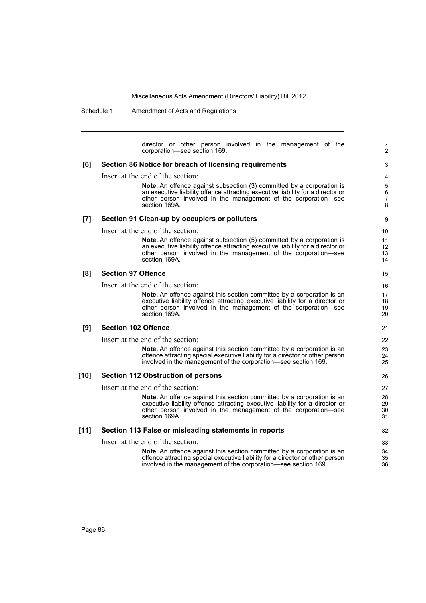Schedule 1 Amendment of Acts and Regulations

director or other person involved in the management of the corporation—see section 169. **[6] Section 86 Notice for breach of licensing requirements** Insert at the end of the section: **Note.** An offence against subsection (3) committed by a corporation is an executive liability offence attracting executive liability for a director or other person involved in the management of the corporation—see section 169A. **[7] Section 91 Clean-up by occupiers or polluters** Insert at the end of the section: **Note.** An offence against subsection (5) committed by a corporation is an executive liability offence attracting executive liability for a director or other person involved in the management of the corporation—see section 169A. **[8] Section 97 Offence** Insert at the end of the section: **Note.** An offence against this section committed by a corporation is an executive liability offence attracting executive liability for a director or other person involved in the management of the corporation—see section 169A. **[9] Section 102 Offence** Insert at the end of the section: **Note.** An offence against this section committed by a corporation is an offence attracting special executive liability for a director or other person involved in the management of the corporation—see section 169. **[10] Section 112 Obstruction of persons** Insert at the end of the section: **Note.** An offence against this section committed by a corporation is an executive liability offence attracting executive liability for a director or other person involved in the management of the corporation-see section 169A. **[11] Section 113 False or misleading statements in reports** Insert at the end of the section: **Note.** An offence against this section committed by a corporation is an offence attracting special executive liability for a director or other person involved in the management of the corporation—see section 169. 1 2 3 4 5 6 7 8 9 10 11 12 13 14 15 16 17 18 19 20 21 22 23 24 25 26 27 28 29 30 31 32 33 34 35 36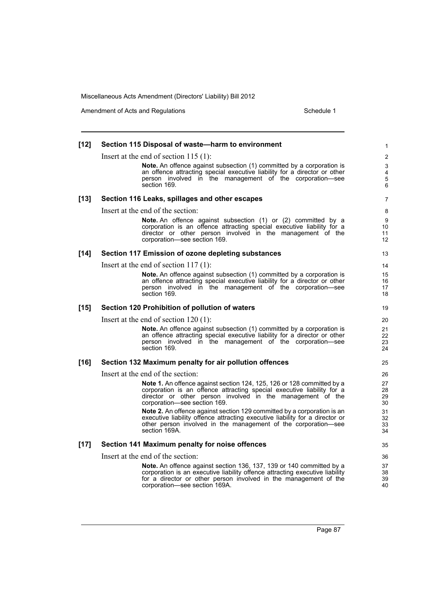| $[12]$ | Section 115 Disposal of waste-harm to environment                                                                                                                                                                                                                | 1                    |
|--------|------------------------------------------------------------------------------------------------------------------------------------------------------------------------------------------------------------------------------------------------------------------|----------------------|
|        | Insert at the end of section $115(1)$ :                                                                                                                                                                                                                          | 2                    |
|        | <b>Note.</b> An offence against subsection (1) committed by a corporation is<br>an offence attracting special executive liability for a director or other<br>person involved in the management of the corporation-see<br>section 169.                            | 3<br>4<br>5<br>6     |
| $[13]$ | Section 116 Leaks, spillages and other escapes                                                                                                                                                                                                                   | 7                    |
|        | Insert at the end of the section:                                                                                                                                                                                                                                | 8                    |
|        | Note. An offence against subsection (1) or (2) committed by a<br>corporation is an offence attracting special executive liability for a<br>director or other person involved in the management of the<br>corporation-see section 169.                            | 9<br>10<br>11<br>12  |
| $[14]$ | Section 117 Emission of ozone depleting substances                                                                                                                                                                                                               | 13                   |
|        | Insert at the end of section $117(1)$ :                                                                                                                                                                                                                          | 14                   |
|        | <b>Note.</b> An offence against subsection (1) committed by a corporation is<br>an offence attracting special executive liability for a director or other<br>person involved in the management of the corporation—see<br>section 169.                            | 15<br>16<br>17<br>18 |
| $[15]$ | Section 120 Prohibition of pollution of waters                                                                                                                                                                                                                   | 19                   |
|        | Insert at the end of section $120(1)$ :                                                                                                                                                                                                                          | 20                   |
|        | Note. An offence against subsection (1) committed by a corporation is<br>an offence attracting special executive liability for a director or other<br>person involved in the management of the corporation—see<br>section 169.                                   | 21<br>22<br>23<br>24 |
| $[16]$ | Section 132 Maximum penalty for air pollution offences                                                                                                                                                                                                           | 25                   |
|        | Insert at the end of the section:                                                                                                                                                                                                                                | 26                   |
|        | <b>Note 1.</b> An offence against section 124, 125, 126 or 128 committed by a<br>corporation is an offence attracting special executive liability for a<br>director or other person involved in the management of the<br>corporation-see section 169.            | 27<br>28<br>29<br>30 |
|        | <b>Note 2.</b> An offence against section 129 committed by a corporation is an<br>executive liability offence attracting executive liability for a director or<br>other person involved in the management of the corporation-see<br>section 169A.                | 31<br>32<br>33<br>34 |
| $[17]$ | Section 141 Maximum penalty for noise offences                                                                                                                                                                                                                   | 35                   |
|        | Insert at the end of the section:                                                                                                                                                                                                                                | 36                   |
|        | <b>Note.</b> An offence against section 136, 137, 139 or 140 committed by a<br>corporation is an executive liability offence attracting executive liability<br>for a director or other person involved in the management of the<br>corporation-see section 169A. | 37<br>38<br>39<br>40 |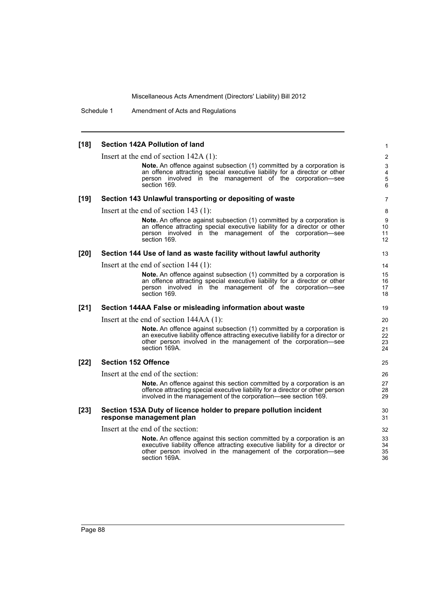Schedule 1 Amendment of Acts and Regulations

### **[18] Section 142A Pollution of land** Insert at the end of section 142A (1): **Note.** An offence against subsection (1) committed by a corporation is an offence attracting special executive liability for a director or other person involved in the management of the corporation—see section 169. **[19] Section 143 Unlawful transporting or depositing of waste** Insert at the end of section 143 (1): **Note.** An offence against subsection (1) committed by a corporation is an offence attracting special executive liability for a director or other person involved in the management of the corporation—see section 169. **[20] Section 144 Use of land as waste facility without lawful authority** Insert at the end of section 144 (1): **Note.** An offence against subsection (1) committed by a corporation is an offence attracting special executive liability for a director or other person involved in the management of the corporation—see section 169. **[21] Section 144AA False or misleading information about waste** Insert at the end of section 144AA (1): **Note.** An offence against subsection (1) committed by a corporation is an executive liability offence attracting executive liability for a director or other person involved in the management of the corporation—see section 169A. **[22] Section 152 Offence** Insert at the end of the section: **Note.** An offence against this section committed by a corporation is an offence attracting special executive liability for a director or other person involved in the management of the corporation—see section 169. **[23] Section 153A Duty of licence holder to prepare pollution incident response management plan** Insert at the end of the section: **Note.** An offence against this section committed by a corporation is an executive liability offence attracting executive liability for a director or other person involved in the management of the corporation—see section 169A. 1 2 3 4 5 6 7 8 9 10 11 12 13 14 15 16 17 18 19 20 21 22 23 24 25 26 27 28 29 30 31 32 33  $34$ 35 36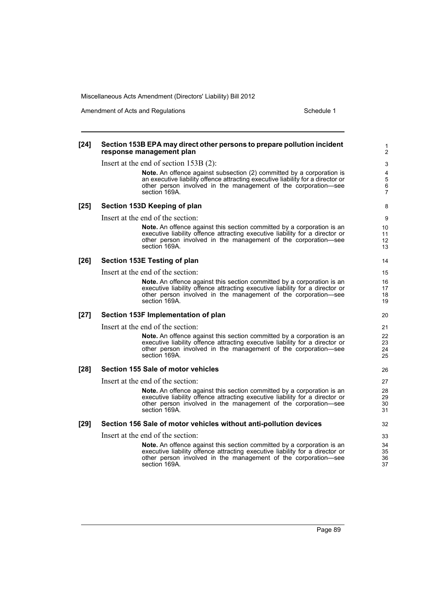Amendment of Acts and Regulations Schedule 1

### **[24] Section 153B EPA may direct other persons to prepare pollution incident response management plan** Insert at the end of section 153B (2): **Note.** An offence against subsection (2) committed by a corporation is an executive liability offence attracting executive liability for a director or other person involved in the management of the corporation—see section 169A. **[25] Section 153D Keeping of plan** Insert at the end of the section: **Note.** An offence against this section committed by a corporation is an executive liability offence attracting executive liability for a director or other person involved in the management of the corporation—see section 169A. **[26] Section 153E Testing of plan** Insert at the end of the section: **Note.** An offence against this section committed by a corporation is an executive liability offence attracting executive liability for a director or other person involved in the management of the corporation—see section 169A. **[27] Section 153F Implementation of plan** Insert at the end of the section: **Note.** An offence against this section committed by a corporation is an executive liability offence attracting executive liability for a director or other person involved in the management of the corporation—see section 169A. **[28] Section 155 Sale of motor vehicles** Insert at the end of the section: **Note.** An offence against this section committed by a corporation is an executive liability offence attracting executive liability for a director or other person involved in the management of the corporation-see section 169A. **[29] Section 156 Sale of motor vehicles without anti-pollution devices** Insert at the end of the section: **Note.** An offence against this section committed by a corporation is an executive liability offence attracting executive liability for a director or other person involved in the management of the corporation—see section 169A. 1 2 3 4 5 6 7 8 9 10 11 12 13 14 15 16 17 18 19 20 21 22 23 24 25 26 27 28 29 30 31 32 33 34 35 36 37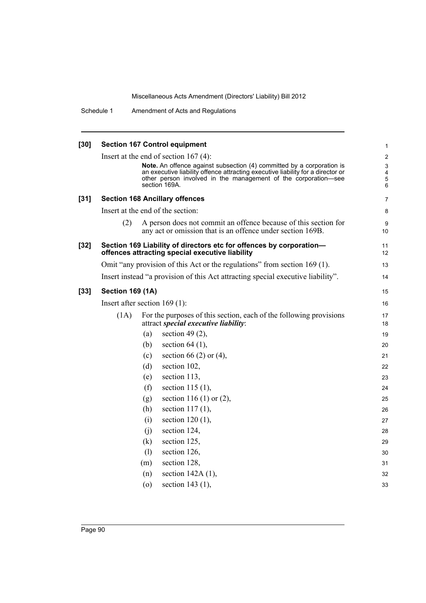| $[30]$ | <b>Section 167 Control equipment</b><br>1                                                                              |                                                                                                                                                                                                                                             |                                                     |  |  |
|--------|------------------------------------------------------------------------------------------------------------------------|---------------------------------------------------------------------------------------------------------------------------------------------------------------------------------------------------------------------------------------------|-----------------------------------------------------|--|--|
|        |                                                                                                                        | Insert at the end of section $167(4)$ :                                                                                                                                                                                                     | $\overline{2}$                                      |  |  |
|        |                                                                                                                        | Note. An offence against subsection (4) committed by a corporation is<br>an executive liability offence attracting executive liability for a director or<br>other person involved in the management of the corporation-see<br>section 169A. | 3<br>$\overline{\mathbf{4}}$<br>$\overline{5}$<br>6 |  |  |
| $[31]$ |                                                                                                                        | <b>Section 168 Ancillary offences</b>                                                                                                                                                                                                       | $\overline{7}$                                      |  |  |
|        |                                                                                                                        | Insert at the end of the section:                                                                                                                                                                                                           | 8                                                   |  |  |
|        | (2)                                                                                                                    | A person does not commit an offence because of this section for<br>any act or omission that is an offence under section 169B.                                                                                                               | 9<br>10 <sup>°</sup>                                |  |  |
| $[32]$ | Section 169 Liability of directors etc for offences by corporation-<br>offences attracting special executive liability |                                                                                                                                                                                                                                             |                                                     |  |  |
|        |                                                                                                                        | Omit "any provision of this Act or the regulations" from section 169 (1).                                                                                                                                                                   | 13                                                  |  |  |
|        |                                                                                                                        | Insert instead "a provision of this Act attracting special executive liability".                                                                                                                                                            | 14                                                  |  |  |
| $[33]$ | <b>Section 169 (1A)</b>                                                                                                |                                                                                                                                                                                                                                             | 15                                                  |  |  |
|        | Insert after section $169(1)$ :                                                                                        |                                                                                                                                                                                                                                             |                                                     |  |  |
|        | (1A)                                                                                                                   | For the purposes of this section, each of the following provisions<br>attract special executive liability:                                                                                                                                  | 17<br>18                                            |  |  |
|        |                                                                                                                        | section 49 $(2)$ ,<br>(a)                                                                                                                                                                                                                   | 19                                                  |  |  |
|        |                                                                                                                        | section $64$ (1),<br>(b)                                                                                                                                                                                                                    | 20                                                  |  |  |
|        |                                                                                                                        | section 66 (2) or (4),<br>(c)                                                                                                                                                                                                               | 21                                                  |  |  |
|        |                                                                                                                        | section 102,<br>(d)                                                                                                                                                                                                                         | 22                                                  |  |  |
|        |                                                                                                                        | section 113,<br>(e)                                                                                                                                                                                                                         | 23                                                  |  |  |
|        |                                                                                                                        | section 115 $(1)$ ,<br>(f)                                                                                                                                                                                                                  | 24                                                  |  |  |
|        |                                                                                                                        | section 116 (1) or $(2)$ ,<br>(g)                                                                                                                                                                                                           | 25                                                  |  |  |
|        |                                                                                                                        | section $117(1)$ ,<br>(h)                                                                                                                                                                                                                   | 26                                                  |  |  |
|        |                                                                                                                        | section $120(1)$ ,<br>(i)                                                                                                                                                                                                                   | 27                                                  |  |  |
|        |                                                                                                                        | section 124,<br>(i)                                                                                                                                                                                                                         | 28                                                  |  |  |
|        |                                                                                                                        | section 125,<br>(k)                                                                                                                                                                                                                         | 29                                                  |  |  |
|        |                                                                                                                        | section 126,<br>(1)                                                                                                                                                                                                                         | 30                                                  |  |  |
|        |                                                                                                                        | section 128,<br>(m)                                                                                                                                                                                                                         | 31                                                  |  |  |
|        |                                                                                                                        | section $142A(1)$ ,<br>(n)                                                                                                                                                                                                                  | 32                                                  |  |  |
|        |                                                                                                                        | section 143 (1),<br>$\circ$                                                                                                                                                                                                                 | 33                                                  |  |  |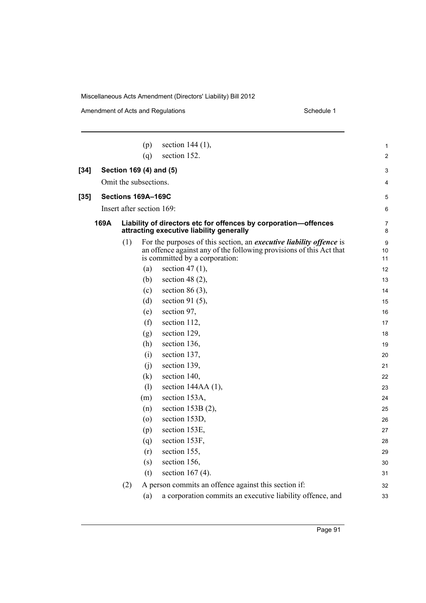|        |      |     | (p)                   | section 144 (1),                                                                                                                                                                    | 1              |
|--------|------|-----|-----------------------|-------------------------------------------------------------------------------------------------------------------------------------------------------------------------------------|----------------|
|        |      |     | (q)                   | section 152.                                                                                                                                                                        | $\overline{c}$ |
| $[34]$ |      |     |                       | Section 169 (4) and (5)                                                                                                                                                             | 3              |
|        |      |     | Omit the subsections. |                                                                                                                                                                                     | 4              |
| $[35]$ |      |     | Sections 169A-169C    |                                                                                                                                                                                     | 5              |
|        |      |     |                       | Insert after section 169:                                                                                                                                                           |                |
|        |      |     |                       |                                                                                                                                                                                     | 6              |
|        | 169A |     |                       | Liability of directors etc for offences by corporation-offences<br>attracting executive liability generally                                                                         | 7<br>8         |
|        |      | (1) |                       | For the purposes of this section, an <i>executive liability offence</i> is<br>an offence against any of the following provisions of this Act that<br>is committed by a corporation: | 9<br>10<br>11  |
|        |      |     | (a)                   | section 47 $(1)$ ,                                                                                                                                                                  | 12             |
|        |      |     | (b)                   | section 48 $(2)$ ,                                                                                                                                                                  | 13             |
|        |      |     | (c)                   | section 86 $(3)$ ,                                                                                                                                                                  | 14             |
|        |      |     | (d)                   | section 91 $(5)$ ,                                                                                                                                                                  | 15             |
|        |      |     | (e)                   | section 97,                                                                                                                                                                         | 16             |
|        |      |     | (f)                   | section 112,                                                                                                                                                                        | 17             |
|        |      |     | (g)                   | section 129,                                                                                                                                                                        | 18             |
|        |      |     | (h)                   | section 136,                                                                                                                                                                        | 19             |
|        |      |     | (i)                   | section 137,                                                                                                                                                                        | 20             |
|        |      |     | (i)                   | section 139,                                                                                                                                                                        | 21             |
|        |      |     | (k)                   | section 140,                                                                                                                                                                        | 22             |
|        |      |     | (1)                   | section $144AA(1)$ ,                                                                                                                                                                | 23             |
|        |      |     | (m)                   | section 153A,                                                                                                                                                                       | 24             |
|        |      |     | (n)                   | section 153B (2),                                                                                                                                                                   | 25             |
|        |      |     | $\circ$               | section 153D,                                                                                                                                                                       | 26             |
|        |      |     | (p)                   | section 153E,                                                                                                                                                                       | 27             |
|        |      |     | (q)                   | section 153F,                                                                                                                                                                       | 28             |
|        |      |     | (r)                   | section 155,                                                                                                                                                                        | 29             |
|        |      |     | (s)                   | section 156,                                                                                                                                                                        | 30             |
|        |      |     | (t)                   | section 167 $(4)$ .                                                                                                                                                                 | 31             |
|        |      | (2) |                       | A person commits an offence against this section if:                                                                                                                                | 32             |
|        |      |     | (a)                   | a corporation commits an executive liability offence, and                                                                                                                           | 33             |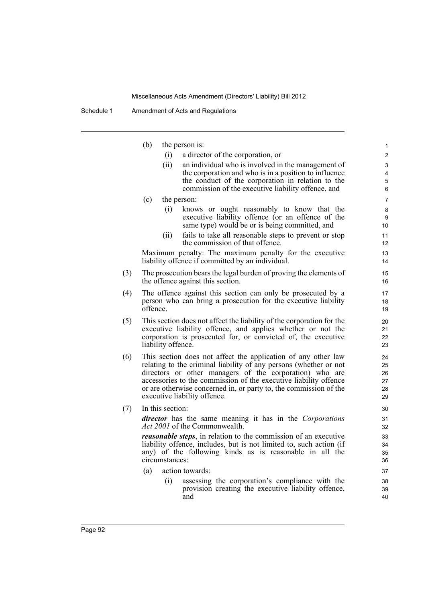|     | (b)                                                                   | the person is:                                                                                                                                 | 1              |  |  |  |  |
|-----|-----------------------------------------------------------------------|------------------------------------------------------------------------------------------------------------------------------------------------|----------------|--|--|--|--|
|     | (i)                                                                   | a director of the corporation, or                                                                                                              | $\overline{c}$ |  |  |  |  |
|     | (ii)                                                                  | an individual who is involved in the management of                                                                                             | 3              |  |  |  |  |
|     |                                                                       | the corporation and who is in a position to influence                                                                                          | 4              |  |  |  |  |
|     |                                                                       | the conduct of the corporation in relation to the                                                                                              | 5              |  |  |  |  |
|     |                                                                       | commission of the executive liability offence, and                                                                                             | 6              |  |  |  |  |
|     | (c)                                                                   | the person:                                                                                                                                    | 7              |  |  |  |  |
|     | (i)                                                                   | knows or ought reasonably to know that the                                                                                                     | 8              |  |  |  |  |
|     |                                                                       | executive liability offence (or an offence of the                                                                                              | 9              |  |  |  |  |
|     |                                                                       | same type) would be or is being committed, and                                                                                                 | 10             |  |  |  |  |
|     | (11)                                                                  | fails to take all reasonable steps to prevent or stop<br>the commission of that offence.                                                       | 11<br>12       |  |  |  |  |
|     |                                                                       | Maximum penalty: The maximum penalty for the executive                                                                                         | 13             |  |  |  |  |
|     |                                                                       | liability offence if committed by an individual.                                                                                               | 14             |  |  |  |  |
| (3) |                                                                       | The prosecution bears the legal burden of proving the elements of                                                                              | 15             |  |  |  |  |
|     |                                                                       | the offence against this section.                                                                                                              | 16             |  |  |  |  |
| (4) |                                                                       | The offence against this section can only be prosecuted by a                                                                                   | 17             |  |  |  |  |
|     |                                                                       | person who can bring a prosecution for the executive liability                                                                                 | 18             |  |  |  |  |
|     | offence.                                                              |                                                                                                                                                | 19             |  |  |  |  |
| (5) | This section does not affect the liability of the corporation for the |                                                                                                                                                |                |  |  |  |  |
|     |                                                                       | executive liability offence, and applies whether or not the                                                                                    | 21             |  |  |  |  |
|     |                                                                       | corporation is prosecuted for, or convicted of, the executive                                                                                  | 22             |  |  |  |  |
|     | liability offence.                                                    |                                                                                                                                                | 23             |  |  |  |  |
| (6) |                                                                       | This section does not affect the application of any other law                                                                                  | 24             |  |  |  |  |
|     |                                                                       | relating to the criminal liability of any persons (whether or not                                                                              | 25             |  |  |  |  |
|     |                                                                       | directors or other managers of the corporation) who are                                                                                        | 26             |  |  |  |  |
|     |                                                                       | accessories to the commission of the executive liability offence<br>or are otherwise concerned in, or party to, the commission of the          | 27<br>28       |  |  |  |  |
|     |                                                                       | executive liability offence.                                                                                                                   | 29             |  |  |  |  |
|     |                                                                       |                                                                                                                                                |                |  |  |  |  |
| (7) | In this section:                                                      |                                                                                                                                                | 30             |  |  |  |  |
|     |                                                                       | <i>director</i> has the same meaning it has in the <i>Corporations</i><br><i>Act 2001</i> of the Commonwealth.                                 | 31             |  |  |  |  |
|     |                                                                       |                                                                                                                                                | 32             |  |  |  |  |
|     |                                                                       | <i>reasonable steps</i> , in relation to the commission of an executive<br>liability offence, includes, but is not limited to, such action (if | 33<br>34       |  |  |  |  |
|     |                                                                       | any) of the following kinds as is reasonable in all the                                                                                        | 35             |  |  |  |  |
|     | circumstances:                                                        |                                                                                                                                                | 36             |  |  |  |  |
|     | (a)                                                                   | action towards:                                                                                                                                | 37             |  |  |  |  |
|     | (i)                                                                   | assessing the corporation's compliance with the                                                                                                | 38             |  |  |  |  |
|     |                                                                       | provision creating the executive liability offence,                                                                                            | 39             |  |  |  |  |
|     |                                                                       | and                                                                                                                                            | 40             |  |  |  |  |
|     |                                                                       |                                                                                                                                                |                |  |  |  |  |
|     |                                                                       |                                                                                                                                                |                |  |  |  |  |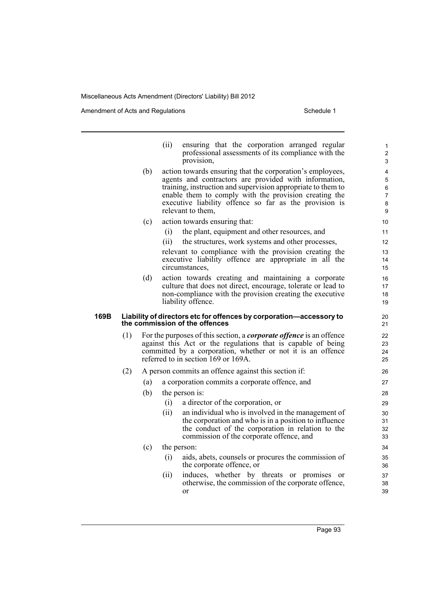Amendment of Acts and Regulations Schedule 1

|      |     |     | (ii)                                                                                                                                                                                                                                             | ensuring that the corporation arranged regular<br>professional assessments of its compliance with the<br>provision,                                                                                                                                                                                                        | 1<br>$\overline{\mathbf{c}}$<br>3 |  |  |
|------|-----|-----|--------------------------------------------------------------------------------------------------------------------------------------------------------------------------------------------------------------------------------------------------|----------------------------------------------------------------------------------------------------------------------------------------------------------------------------------------------------------------------------------------------------------------------------------------------------------------------------|-----------------------------------|--|--|
|      |     | (b) |                                                                                                                                                                                                                                                  | action towards ensuring that the corporation's employees,<br>agents and contractors are provided with information,<br>training, instruction and supervision appropriate to them to<br>enable them to comply with the provision creating the<br>executive liability offence so far as the provision is<br>relevant to them, | 4<br>5<br>$\,6\,$<br>7<br>8<br>9  |  |  |
|      |     | (c) |                                                                                                                                                                                                                                                  | action towards ensuring that:                                                                                                                                                                                                                                                                                              | 10                                |  |  |
|      |     |     | (i)                                                                                                                                                                                                                                              | the plant, equipment and other resources, and                                                                                                                                                                                                                                                                              | 11                                |  |  |
|      |     |     | (ii)                                                                                                                                                                                                                                             | the structures, work systems and other processes,                                                                                                                                                                                                                                                                          | 12                                |  |  |
|      |     |     |                                                                                                                                                                                                                                                  | relevant to compliance with the provision creating the                                                                                                                                                                                                                                                                     | 13                                |  |  |
|      |     |     |                                                                                                                                                                                                                                                  | executive liability offence are appropriate in all the<br>circumstances.                                                                                                                                                                                                                                                   | 14<br>15                          |  |  |
|      |     | (d) |                                                                                                                                                                                                                                                  | action towards creating and maintaining a corporate                                                                                                                                                                                                                                                                        | 16                                |  |  |
|      |     |     |                                                                                                                                                                                                                                                  | culture that does not direct, encourage, tolerate or lead to<br>non-compliance with the provision creating the executive                                                                                                                                                                                                   | 17<br>18                          |  |  |
|      |     |     |                                                                                                                                                                                                                                                  | liability offence.                                                                                                                                                                                                                                                                                                         | 19                                |  |  |
| 169B |     |     |                                                                                                                                                                                                                                                  | Liability of directors etc for offences by corporation-accessory to<br>the commission of the offences                                                                                                                                                                                                                      | 20<br>21                          |  |  |
|      | (1) |     | For the purposes of this section, a <i>corporate offence</i> is an offence<br>against this Act or the regulations that is capable of being<br>committed by a corporation, whether or not it is an offence<br>referred to in section 169 or 169A. |                                                                                                                                                                                                                                                                                                                            |                                   |  |  |
|      | (2) |     |                                                                                                                                                                                                                                                  | A person commits an offence against this section if:                                                                                                                                                                                                                                                                       | 26                                |  |  |
|      |     | (a) |                                                                                                                                                                                                                                                  | a corporation commits a corporate offence, and                                                                                                                                                                                                                                                                             | 27                                |  |  |
|      |     | (b) |                                                                                                                                                                                                                                                  | the person is:                                                                                                                                                                                                                                                                                                             | 28                                |  |  |
|      |     |     | (i)                                                                                                                                                                                                                                              | a director of the corporation, or                                                                                                                                                                                                                                                                                          | 29                                |  |  |
|      |     |     | (ii)                                                                                                                                                                                                                                             | an individual who is involved in the management of<br>the corporation and who is in a position to influence<br>the conduct of the corporation in relation to the<br>commission of the corporate offence, and                                                                                                               | 30<br>31<br>32<br>33              |  |  |
|      |     | (c) |                                                                                                                                                                                                                                                  | the person:                                                                                                                                                                                                                                                                                                                | 34                                |  |  |
|      |     |     | (i)                                                                                                                                                                                                                                              | aids, abets, counsels or procures the commission of<br>the corporate offence, or                                                                                                                                                                                                                                           | 35<br>36                          |  |  |
|      |     |     | (11)                                                                                                                                                                                                                                             | induces, whether by threats or promises<br>or<br>otherwise, the commission of the corporate offence,<br>or                                                                                                                                                                                                                 | 37<br>38<br>39                    |  |  |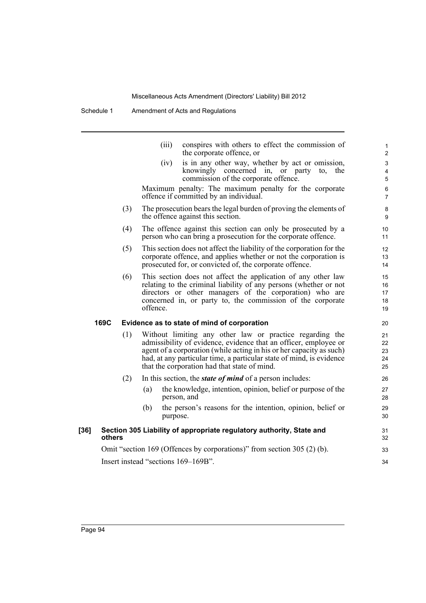|      |        |     | (iii)                               | conspires with others to effect the commission of<br>the corporate offence, or                                                                                                                                                                                                                                               | 1<br>$\overline{2}$        |  |
|------|--------|-----|-------------------------------------|------------------------------------------------------------------------------------------------------------------------------------------------------------------------------------------------------------------------------------------------------------------------------------------------------------------------------|----------------------------|--|
|      |        |     | (iv)                                | is in any other way, whether by act or omission,<br>knowingly concerned in, or party<br>to, the<br>commission of the corporate offence.                                                                                                                                                                                      | 3<br>4<br>$\sqrt{5}$       |  |
|      |        |     |                                     | Maximum penalty: The maximum penalty for the corporate<br>offence if committed by an individual.                                                                                                                                                                                                                             | $\,6\,$<br>7               |  |
|      |        | (3) |                                     | The prosecution bears the legal burden of proving the elements of<br>the offence against this section.                                                                                                                                                                                                                       | $\bf 8$<br>9               |  |
|      |        | (4) |                                     | The offence against this section can only be prosecuted by a<br>person who can bring a prosecution for the corporate offence.                                                                                                                                                                                                | 10<br>11                   |  |
|      |        | (5) |                                     | This section does not affect the liability of the corporation for the<br>corporate offence, and applies whether or not the corporation is<br>prosecuted for, or convicted of, the corporate offence.                                                                                                                         | 12<br>13<br>14             |  |
|      |        | (6) | offence.                            | This section does not affect the application of any other law<br>relating to the criminal liability of any persons (whether or not<br>directors or other managers of the corporation) who are<br>concerned in, or party to, the commission of the corporate                                                                  | 15<br>16<br>17<br>18<br>19 |  |
|      | 169C   |     |                                     | Evidence as to state of mind of corporation                                                                                                                                                                                                                                                                                  | 20                         |  |
|      |        | (1) |                                     | Without limiting any other law or practice regarding the<br>admissibility of evidence, evidence that an officer, employee or<br>agent of a corporation (while acting in his or her capacity as such)<br>had, at any particular time, a particular state of mind, is evidence<br>that the corporation had that state of mind. | 21<br>22<br>23<br>24<br>25 |  |
|      |        | (2) |                                     | In this section, the <i>state of mind</i> of a person includes:                                                                                                                                                                                                                                                              | 26                         |  |
|      |        |     | (a)<br>person, and                  | the knowledge, intention, opinion, belief or purpose of the                                                                                                                                                                                                                                                                  | 27<br>28                   |  |
|      |        |     | (b)<br>purpose.                     | the person's reasons for the intention, opinion, belief or                                                                                                                                                                                                                                                                   | 29<br>30                   |  |
| [36] | others |     |                                     | Section 305 Liability of appropriate regulatory authority, State and                                                                                                                                                                                                                                                         | 31<br>32                   |  |
|      |        |     |                                     | Omit "section 169 (Offences by corporations)" from section 305 (2) (b).                                                                                                                                                                                                                                                      | 33                         |  |
|      |        |     | Insert instead "sections 169-169B". |                                                                                                                                                                                                                                                                                                                              |                            |  |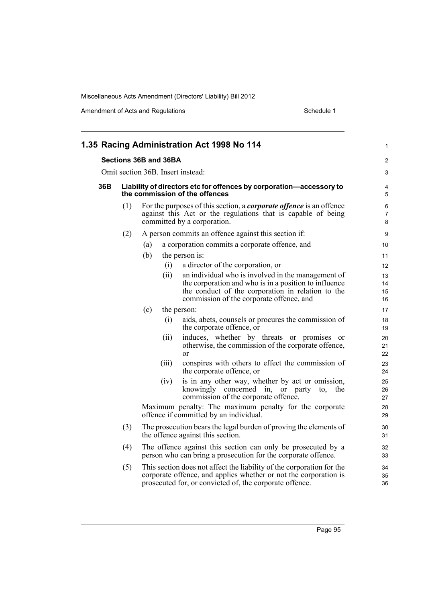|                                                                                                                 | 1.35 Racing Administration Act 1998 No 114 |                                                                                                                                                                                                              | 1                        |
|-----------------------------------------------------------------------------------------------------------------|--------------------------------------------|--------------------------------------------------------------------------------------------------------------------------------------------------------------------------------------------------------------|--------------------------|
|                                                                                                                 | Sections 36B and 36BA                      |                                                                                                                                                                                                              | 2                        |
| Omit section 36B. Insert instead:<br>36B<br>Liability of directors etc for offences by corporation-accessory to |                                            |                                                                                                                                                                                                              | 3                        |
|                                                                                                                 | the commission of the offences             |                                                                                                                                                                                                              | 4<br>5                   |
| (1)                                                                                                             | committed by a corporation.                | For the purposes of this section, a <i>corporate offence</i> is an offence<br>against this Act or the regulations that is capable of being                                                                   | 6<br>$\overline{7}$<br>8 |
| (2)                                                                                                             |                                            | A person commits an offence against this section if:                                                                                                                                                         | 9                        |
|                                                                                                                 | (a)                                        | a corporation commits a corporate offence, and                                                                                                                                                               | 10                       |
|                                                                                                                 | (b)<br>the person is:                      |                                                                                                                                                                                                              | 11                       |
|                                                                                                                 | (i)                                        | a director of the corporation, or                                                                                                                                                                            | 12                       |
|                                                                                                                 | (ii)                                       | an individual who is involved in the management of<br>the corporation and who is in a position to influence<br>the conduct of the corporation in relation to the<br>commission of the corporate offence, and | 13<br>14<br>15<br>16     |
|                                                                                                                 | (c)<br>the person:                         |                                                                                                                                                                                                              | 17                       |
|                                                                                                                 | (i)                                        | aids, abets, counsels or procures the commission of<br>the corporate offence, or                                                                                                                             | 18<br>19                 |
|                                                                                                                 | (ii)<br>$\alpha$                           | induces, whether by threats or promises<br><sub>or</sub><br>otherwise, the commission of the corporate offence,                                                                                              | 20<br>21<br>22           |
|                                                                                                                 | (iii)                                      | conspires with others to effect the commission of<br>the corporate offence, or                                                                                                                               | 23<br>24                 |
|                                                                                                                 | (iv)                                       | is in any other way, whether by act or omission,<br>knowingly concerned in, or<br>party<br>the<br>to,<br>commission of the corporate offence.                                                                | 25<br>26<br>27           |
|                                                                                                                 |                                            | Maximum penalty: The maximum penalty for the corporate<br>offence if committed by an individual.                                                                                                             | 28<br>29                 |
| (3)                                                                                                             | the offence against this section.          | The prosecution bears the legal burden of proving the elements of                                                                                                                                            | 30<br>31                 |
| (4)                                                                                                             |                                            | The offence against this section can only be prosecuted by a<br>person who can bring a prosecution for the corporate offence.                                                                                | 32<br>33                 |
| (5)                                                                                                             |                                            | This section does not affect the liability of the corporation for the<br>corporate offence, and applies whether or not the corporation is<br>prosecuted for, or convicted of, the corporate offence.         | 34<br>35<br>36           |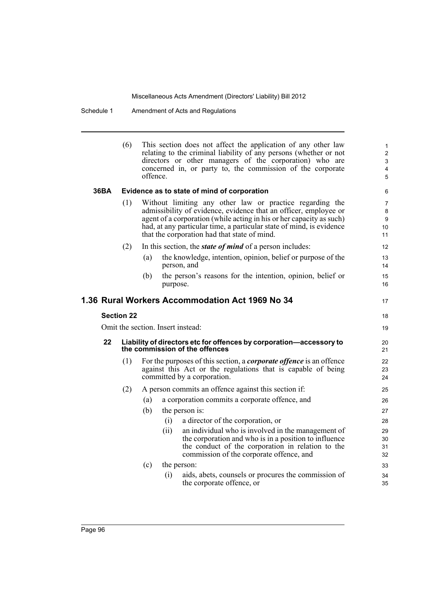|      | (6)               | offence. |          | This section does not affect the application of any other law<br>relating to the criminal liability of any persons (whether or not<br>directors or other managers of the corporation) who are<br>concerned in, or party to, the commission of the corporate                                                                  | $\mathbf{1}$<br>$\overline{2}$<br>$\mathsf 3$<br>4<br>5 |
|------|-------------------|----------|----------|------------------------------------------------------------------------------------------------------------------------------------------------------------------------------------------------------------------------------------------------------------------------------------------------------------------------------|---------------------------------------------------------|
| 36BA |                   |          |          | Evidence as to state of mind of corporation                                                                                                                                                                                                                                                                                  | 6                                                       |
|      | (1)               |          |          | Without limiting any other law or practice regarding the<br>admissibility of evidence, evidence that an officer, employee or<br>agent of a corporation (while acting in his or her capacity as such)<br>had, at any particular time, a particular state of mind, is evidence<br>that the corporation had that state of mind. | $\overline{7}$<br>8<br>9<br>10 <sup>1</sup><br>11       |
|      | (2)               |          |          | In this section, the <i>state of mind</i> of a person includes:                                                                                                                                                                                                                                                              | 12                                                      |
|      |                   | (a)      |          | the knowledge, intention, opinion, belief or purpose of the<br>person, and                                                                                                                                                                                                                                                   | 13<br>14                                                |
|      |                   | (b)      | purpose. | the person's reasons for the intention, opinion, belief or                                                                                                                                                                                                                                                                   | 15<br>16                                                |
|      |                   |          |          | 1.36 Rural Workers Accommodation Act 1969 No 34                                                                                                                                                                                                                                                                              | 17                                                      |
|      | <b>Section 22</b> |          |          |                                                                                                                                                                                                                                                                                                                              | 18                                                      |
|      |                   |          |          | Omit the section. Insert instead:                                                                                                                                                                                                                                                                                            | 19                                                      |
| 22   |                   |          |          | Liability of directors etc for offences by corporation-accessory to<br>the commission of the offences                                                                                                                                                                                                                        | 20<br>21                                                |
|      | (1)               |          |          | For the purposes of this section, a <i>corporate offence</i> is an offence<br>against this Act or the regulations that is capable of being<br>committed by a corporation.                                                                                                                                                    | 22<br>23<br>24                                          |
|      | (2)               |          |          | A person commits an offence against this section if:                                                                                                                                                                                                                                                                         | 25                                                      |
|      |                   | (a)      |          | a corporation commits a corporate offence, and                                                                                                                                                                                                                                                                               | 26                                                      |
|      |                   | (b)      |          | the person is:                                                                                                                                                                                                                                                                                                               | 27                                                      |
|      |                   |          | (i)      | a director of the corporation, or                                                                                                                                                                                                                                                                                            | 28                                                      |
|      |                   |          | (ii)     | an individual who is involved in the management of<br>the corporation and who is in a position to influence<br>the conduct of the corporation in relation to the<br>commission of the corporate offence, and                                                                                                                 | 29<br>30<br>31<br>32                                    |
|      |                   | (c)      |          | the person:                                                                                                                                                                                                                                                                                                                  | 33                                                      |
|      |                   |          | (i)      | aids, abets, counsels or procures the commission of<br>the corporate offence, or                                                                                                                                                                                                                                             | 34<br>35                                                |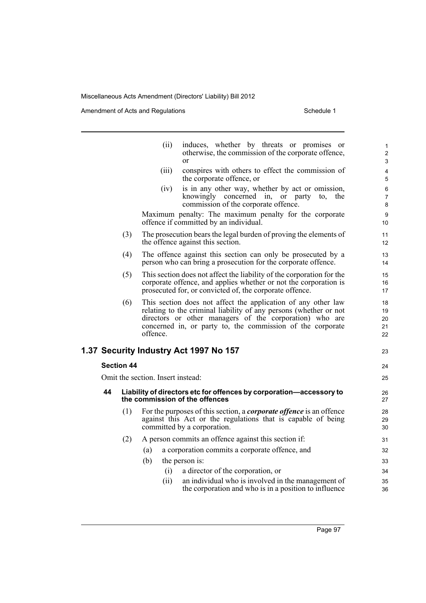|    |                                                                                                                                                                                                             | (ii)                              | induces, whether by threats or promises or<br>otherwise, the commission of the corporate offence,<br>or                                                                                                                                                     | 1<br>$\overline{\mathbf{c}}$<br>3 |  |  |
|----|-------------------------------------------------------------------------------------------------------------------------------------------------------------------------------------------------------------|-----------------------------------|-------------------------------------------------------------------------------------------------------------------------------------------------------------------------------------------------------------------------------------------------------------|-----------------------------------|--|--|
|    |                                                                                                                                                                                                             | (iii)                             | conspires with others to effect the commission of<br>the corporate offence, or                                                                                                                                                                              | 4<br>5                            |  |  |
|    |                                                                                                                                                                                                             | (iv)                              | is in any other way, whether by act or omission,<br>knowingly concerned in, or party<br>to,<br>the<br>commission of the corporate offence.                                                                                                                  | 6<br>7<br>8                       |  |  |
|    |                                                                                                                                                                                                             |                                   | Maximum penalty: The maximum penalty for the corporate<br>offence if committed by an individual.                                                                                                                                                            | 9<br>10                           |  |  |
|    | (3)                                                                                                                                                                                                         |                                   | The prosecution bears the legal burden of proving the elements of<br>the offence against this section.                                                                                                                                                      | 11<br>12                          |  |  |
|    | (4)<br>The offence against this section can only be prosecuted by a<br>person who can bring a prosecution for the corporate offence.                                                                        |                                   |                                                                                                                                                                                                                                                             |                                   |  |  |
|    | (5)<br>This section does not affect the liability of the corporation for the<br>corporate offence, and applies whether or not the corporation is<br>prosecuted for, or convicted of, the corporate offence. |                                   |                                                                                                                                                                                                                                                             |                                   |  |  |
|    | (6)                                                                                                                                                                                                         | offence.                          | This section does not affect the application of any other law<br>relating to the criminal liability of any persons (whether or not<br>directors or other managers of the corporation) who are<br>concerned in, or party to, the commission of the corporate | 18<br>19<br>20<br>21<br>22        |  |  |
|    |                                                                                                                                                                                                             |                                   | 1.37 Security Industry Act 1997 No 157                                                                                                                                                                                                                      | 23                                |  |  |
|    | <b>Section 44</b>                                                                                                                                                                                           |                                   |                                                                                                                                                                                                                                                             | 24                                |  |  |
|    |                                                                                                                                                                                                             | Omit the section. Insert instead: |                                                                                                                                                                                                                                                             | 25                                |  |  |
| 44 |                                                                                                                                                                                                             |                                   | Liability of directors etc for offences by corporation-accessory to<br>the commission of the offences                                                                                                                                                       | 26<br>27                          |  |  |
|    | (1)                                                                                                                                                                                                         |                                   | For the purposes of this section, a <i>corporate offence</i> is an offence<br>against this Act or the regulations that is capable of being<br>committed by a corporation.                                                                                   | 28<br>29<br>30                    |  |  |
|    | (2)                                                                                                                                                                                                         |                                   | A person commits an offence against this section if:                                                                                                                                                                                                        | 31                                |  |  |
|    |                                                                                                                                                                                                             | (a)                               | a corporation commits a corporate offence, and                                                                                                                                                                                                              | 32                                |  |  |
|    |                                                                                                                                                                                                             | (b)                               | the person is:                                                                                                                                                                                                                                              | 33                                |  |  |
|    |                                                                                                                                                                                                             | (i)                               | a director of the corporation, or                                                                                                                                                                                                                           | 34                                |  |  |
|    |                                                                                                                                                                                                             | (ii)                              | an individual who is involved in the management of<br>the corporation and who is in a position to influence                                                                                                                                                 | 35<br>36                          |  |  |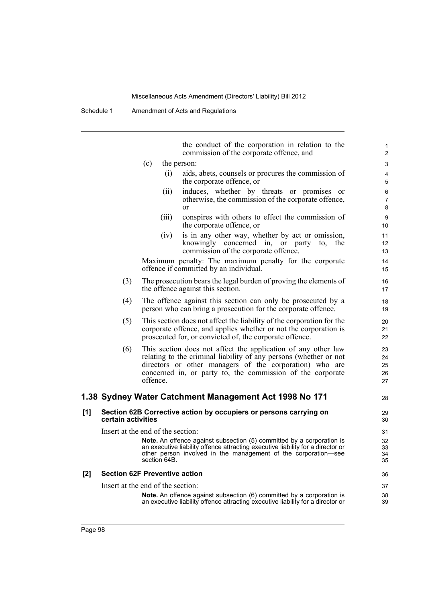Schedule 1 Amendment of Acts and Regulations

the conduct of the corporation in relation to the commission of the corporate offence, and

28

- (c) the person:
	- (i) aids, abets, counsels or procures the commission of the corporate offence, or
	- (ii) induces, whether by threats or promises or otherwise, the commission of the corporate offence, or
	- (iii) conspires with others to effect the commission of the corporate offence, or
	- (iv) is in any other way, whether by act or omission, knowingly concerned in, or party to, the commission of the corporate offence.

Maximum penalty: The maximum penalty for the corporate offence if committed by an individual.

- (3) The prosecution bears the legal burden of proving the elements of the offence against this section.
- (4) The offence against this section can only be prosecuted by a person who can bring a prosecution for the corporate offence.
- (5) This section does not affect the liability of the corporation for the corporate offence, and applies whether or not the corporation is prosecuted for, or convicted of, the corporate offence.
- (6) This section does not affect the application of any other law relating to the criminal liability of any persons (whether or not directors or other managers of the corporation) who are concerned in, or party to, the commission of the corporate offence.

## **1.38 Sydney Water Catchment Management Act 1998 No 171**

## **[1] Section 62B Corrective action by occupiers or persons carrying on certain activities**

Insert at the end of the section:

**Note.** An offence against subsection (5) committed by a corporation is an executive liability offence attracting executive liability for a director or other person involved in the management of the corporation—see section 64B.

## **[2] Section 62F Preventive action**

Insert at the end of the section:

**Note.** An offence against subsection (6) committed by a corporation is an executive liability offence attracting executive liability for a director or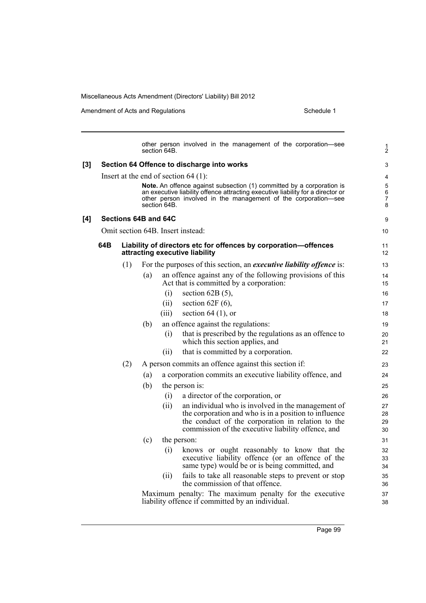Amendment of Acts and Regulations Schedule 1

other person involved in the management of the corporation—see section 64B. **[3] Section 64 Offence to discharge into works** Insert at the end of section 64 (1): **Note.** An offence against subsection (1) committed by a corporation is an executive liability offence attracting executive liability for a director or other person involved in the management of the corporation—see section 64B. **[4] Sections 64B and 64C** Omit section 64B. Insert instead: **64B Liability of directors etc for offences by corporation—offences attracting executive liability** (1) For the purposes of this section, an *executive liability offence* is: (a) an offence against any of the following provisions of this Act that is committed by a corporation:  $(i)$  section 62B (5),  $(ii)$  section 62F  $(6)$ ,  $(iii)$  section 64 (1), or (b) an offence against the regulations: (i) that is prescribed by the regulations as an offence to which this section applies, and (ii) that is committed by a corporation. (2) A person commits an offence against this section if: (a) a corporation commits an executive liability offence, and (b) the person is: (i) a director of the corporation, or (ii) an individual who is involved in the management of the corporation and who is in a position to influence the conduct of the corporation in relation to the commission of the executive liability offence, and (c) the person: (i) knows or ought reasonably to know that the executive liability offence (or an offence of the same type) would be or is being committed, and (ii) fails to take all reasonable steps to prevent or stop the commission of that offence. Maximum penalty: The maximum penalty for the executive liability offence if committed by an individual. 1 2 3 4 5 6 7 8 9 10 11 12 13 14 15 16 17 18 19 20 21 22 23 24 25 26 27 28 29 30 31 32 33 34 35 36 37 38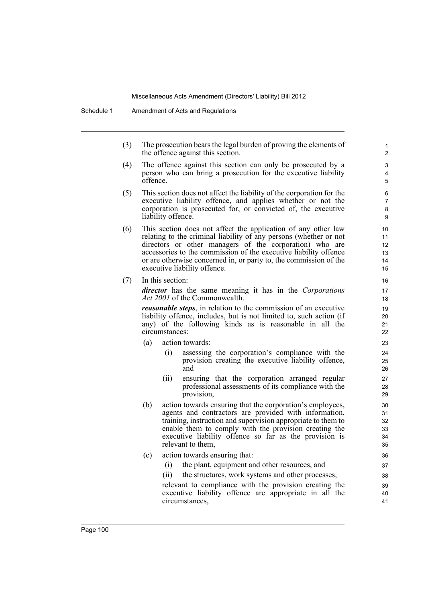(3) The prosecution bears the legal burden of proving the elements of the offence against this section.

- (4) The offence against this section can only be prosecuted by a person who can bring a prosecution for the executive liability offence.
- (5) This section does not affect the liability of the corporation for the executive liability offence, and applies whether or not the corporation is prosecuted for, or convicted of, the executive liability offence.
- (6) This section does not affect the application of any other law relating to the criminal liability of any persons (whether or not directors or other managers of the corporation) who are accessories to the commission of the executive liability offence or are otherwise concerned in, or party to, the commission of the executive liability offence.
- (7) In this section:

*director* has the same meaning it has in the *Corporations Act 2001* of the Commonwealth.

*reasonable steps*, in relation to the commission of an executive liability offence, includes, but is not limited to, such action (if any) of the following kinds as is reasonable in all the circumstances:

- (a) action towards:
	- (i) assessing the corporation's compliance with the provision creating the executive liability offence, and
	- (ii) ensuring that the corporation arranged regular professional assessments of its compliance with the provision,
- (b) action towards ensuring that the corporation's employees, agents and contractors are provided with information, training, instruction and supervision appropriate to them to enable them to comply with the provision creating the executive liability offence so far as the provision is relevant to them,
- (c) action towards ensuring that:
	- (i) the plant, equipment and other resources, and
	- (ii) the structures, work systems and other processes,

relevant to compliance with the provision creating the executive liability offence are appropriate in all the circumstances,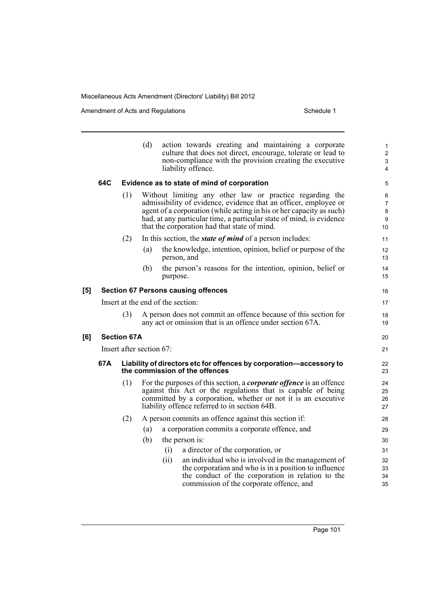Amendment of Acts and Regulations Schedule 1

**[6]** 

|     |                                   |                          | (d) |             | action towards creating and maintaining a corporate<br>culture that does not direct, encourage, tolerate or lead to<br>non-compliance with the provision creating the executive<br>liability offence.                                                        | $\mathbf{1}$<br>$\overline{2}$<br>3<br>$\overline{4}$ |
|-----|-----------------------------------|--------------------------|-----|-------------|--------------------------------------------------------------------------------------------------------------------------------------------------------------------------------------------------------------------------------------------------------------|-------------------------------------------------------|
|     | 64C                               |                          |     |             | Evidence as to state of mind of corporation                                                                                                                                                                                                                  | $\mathbf 5$                                           |
|     |                                   | (1)                      |     |             | Without limiting any other law or practice regarding the                                                                                                                                                                                                     | 6                                                     |
|     |                                   |                          |     |             | admissibility of evidence, evidence that an officer, employee or<br>agent of a corporation (while acting in his or her capacity as such)                                                                                                                     | $\overline{7}$                                        |
|     |                                   |                          |     |             | had, at any particular time, a particular state of mind, is evidence                                                                                                                                                                                         | 8<br>9                                                |
|     |                                   |                          |     |             | that the corporation had that state of mind.                                                                                                                                                                                                                 | 10                                                    |
|     |                                   | (2)                      |     |             | In this section, the <i>state of mind</i> of a person includes:                                                                                                                                                                                              | 11                                                    |
|     |                                   |                          | (a) | person, and | the knowledge, intention, opinion, belief or purpose of the                                                                                                                                                                                                  | 12<br>13                                              |
|     |                                   |                          | (b) | purpose.    | the person's reasons for the intention, opinion, belief or                                                                                                                                                                                                   | 14<br>15                                              |
| [5] |                                   |                          |     |             | <b>Section 67 Persons causing offences</b>                                                                                                                                                                                                                   | 16                                                    |
|     | Insert at the end of the section: |                          |     |             |                                                                                                                                                                                                                                                              |                                                       |
|     |                                   | (3)                      |     |             | A person does not commit an offence because of this section for<br>any act or omission that is an offence under section 67A.                                                                                                                                 | 18<br>19                                              |
| [6] |                                   | <b>Section 67A</b>       |     |             |                                                                                                                                                                                                                                                              | 20                                                    |
|     |                                   | Insert after section 67: |     |             |                                                                                                                                                                                                                                                              | 21                                                    |
|     | 67A                               |                          |     |             | Liability of directors etc for offences by corporation-accessory to<br>the commission of the offences                                                                                                                                                        | 22<br>23                                              |
|     |                                   | (1)                      |     |             | For the purposes of this section, a <i>corporate offence</i> is an offence<br>against this Act or the regulations that is capable of being<br>committed by a corporation, whether or not it is an executive<br>liability offence referred to in section 64B. | 24<br>25<br>26<br>27                                  |
|     |                                   | (2)                      |     |             | A person commits an offence against this section if:                                                                                                                                                                                                         | 28                                                    |
|     |                                   |                          | (a) |             | a corporation commits a corporate offence, and                                                                                                                                                                                                               | 29                                                    |
|     |                                   |                          | (b) |             | the person is:                                                                                                                                                                                                                                               | 30                                                    |
|     |                                   |                          |     | (i)         | a director of the corporation, or                                                                                                                                                                                                                            | 31                                                    |
|     |                                   |                          |     | (ii)        | an individual who is involved in the management of                                                                                                                                                                                                           | 32                                                    |
|     |                                   |                          |     |             | the corporation and who is in a position to influence<br>the conduct of the corporation in relation to the                                                                                                                                                   | 33<br>34                                              |
|     |                                   |                          |     |             | commission of the corporate offence, and                                                                                                                                                                                                                     | 35                                                    |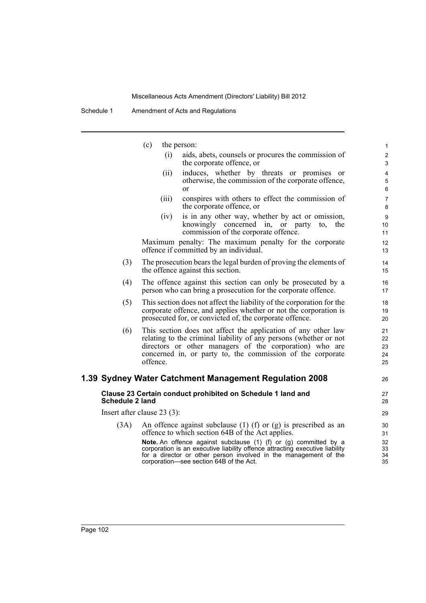|                        | (c)<br>the person:                                                                                                                                                                                                                                              | 1                    |  |  |
|------------------------|-----------------------------------------------------------------------------------------------------------------------------------------------------------------------------------------------------------------------------------------------------------------|----------------------|--|--|
|                        | aids, abets, counsels or procures the commission of<br>(i)<br>the corporate offence, or                                                                                                                                                                         | $\overline{c}$<br>3  |  |  |
|                        | induces, whether by threats or promises<br>(ii)<br><sub>or</sub>                                                                                                                                                                                                | $\overline{4}$       |  |  |
|                        | otherwise, the commission of the corporate offence,                                                                                                                                                                                                             | $\mathbf 5$          |  |  |
|                        | <sub>or</sub>                                                                                                                                                                                                                                                   | $\,6\,$              |  |  |
|                        | conspires with others to effect the commission of<br>(iii)<br>the corporate offence, or                                                                                                                                                                         | $\overline{7}$<br>8  |  |  |
|                        | is in any other way, whether by act or omission,<br>(iv)                                                                                                                                                                                                        | $\boldsymbol{9}$     |  |  |
|                        | knowingly concerned in, or party<br>the<br>to.<br>commission of the corporate offence.                                                                                                                                                                          | 10<br>11             |  |  |
|                        | Maximum penalty: The maximum penalty for the corporate<br>offence if committed by an individual.                                                                                                                                                                | 12<br>13             |  |  |
| (3)                    | The prosecution bears the legal burden of proving the elements of<br>the offence against this section.                                                                                                                                                          | 14<br>15             |  |  |
| (4)                    | The offence against this section can only be prosecuted by a<br>person who can bring a prosecution for the corporate offence.                                                                                                                                   |                      |  |  |
| (5)                    | This section does not affect the liability of the corporation for the                                                                                                                                                                                           | 18                   |  |  |
|                        | corporate offence, and applies whether or not the corporation is<br>prosecuted for, or convicted of, the corporate offence.                                                                                                                                     | 19<br>20             |  |  |
| (6)                    | This section does not affect the application of any other law                                                                                                                                                                                                   | 21                   |  |  |
|                        | relating to the criminal liability of any persons (whether or not                                                                                                                                                                                               | 22                   |  |  |
|                        | directors or other managers of the corporation) who are<br>concerned in, or party to, the commission of the corporate                                                                                                                                           | 23<br>24             |  |  |
|                        | offence.                                                                                                                                                                                                                                                        | 25                   |  |  |
|                        | 1.39 Sydney Water Catchment Management Regulation 2008                                                                                                                                                                                                          | 26                   |  |  |
| <b>Schedule 2 land</b> | Clause 23 Certain conduct prohibited on Schedule 1 land and                                                                                                                                                                                                     | 27<br>28             |  |  |
|                        | Insert after clause $23(3)$ :                                                                                                                                                                                                                                   | 29                   |  |  |
| (3A)                   | An offence against subclause $(1)$ (f) or $(g)$ is prescribed as an<br>offence to which section 64B of the Act applies.                                                                                                                                         | 30<br>31             |  |  |
|                        | Note. An offence against subclause (1) (f) or (g) committed by a<br>corporation is an executive liability offence attracting executive liability<br>for a director or other person involved in the management of the<br>corporation-see section 64B of the Act. | 32<br>33<br>34<br>35 |  |  |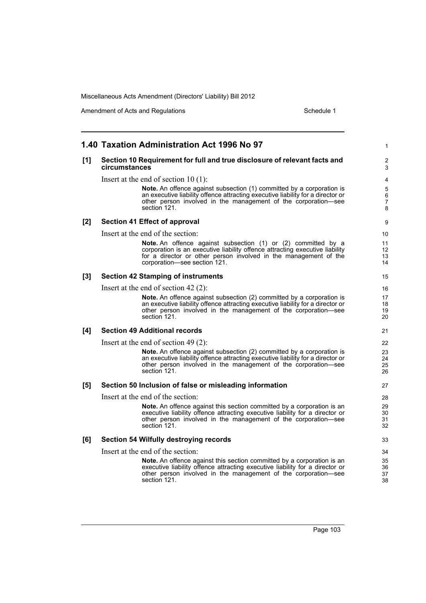Amendment of Acts and Regulations Schedule 1

|     | 1.40 Taxation Administration Act 1996 No 97                                                                                                                                                                                                       | 1                             |
|-----|---------------------------------------------------------------------------------------------------------------------------------------------------------------------------------------------------------------------------------------------------|-------------------------------|
| [1] | Section 10 Requirement for full and true disclosure of relevant facts and<br>circumstances                                                                                                                                                        | 2<br>3                        |
|     | Insert at the end of section $10(1)$ :                                                                                                                                                                                                            | 4                             |
|     | <b>Note.</b> An offence against subsection (1) committed by a corporation is<br>an executive liability offence attracting executive liability for a director or<br>other person involved in the management of the corporation-see<br>section 121. | 5<br>6<br>$\overline{7}$<br>8 |
| [2] | <b>Section 41 Effect of approval</b>                                                                                                                                                                                                              | 9                             |
|     | Insert at the end of the section:                                                                                                                                                                                                                 | 10                            |
|     | Note. An offence against subsection (1) or (2) committed by a<br>corporation is an executive liability offence attracting executive liability<br>for a director or other person involved in the management of the<br>corporation-see section 121. | 11<br>12<br>13<br>14          |
| [3] | <b>Section 42 Stamping of instruments</b>                                                                                                                                                                                                         | 15                            |
|     | Insert at the end of section $42(2)$ :                                                                                                                                                                                                            | 16                            |
|     | Note. An offence against subsection (2) committed by a corporation is<br>an executive liability offence attracting executive liability for a director or<br>other person involved in the management of the corporation-see<br>section 121.        | 17<br>18<br>19<br>20          |
| [4] | <b>Section 49 Additional records</b>                                                                                                                                                                                                              | 21                            |
|     | Insert at the end of section 49 $(2)$ :                                                                                                                                                                                                           | 22                            |
|     | Note. An offence against subsection (2) committed by a corporation is<br>an executive liability offence attracting executive liability for a director or<br>other person involved in the management of the corporation—see<br>section 121.        | 23<br>24<br>25<br>26          |
| [5] | Section 50 Inclusion of false or misleading information                                                                                                                                                                                           | 27                            |
|     | Insert at the end of the section:                                                                                                                                                                                                                 | 28                            |
|     | Note. An offence against this section committed by a corporation is an<br>executive liability offence attracting executive liability for a director or<br>other person involved in the management of the corporation-see<br>section 121.          | 29<br>30<br>31<br>32          |
| [6] | <b>Section 54 Wilfully destroying records</b>                                                                                                                                                                                                     | 33                            |
|     | Insert at the end of the section:                                                                                                                                                                                                                 | 34                            |
|     | <b>Note.</b> An offence against this section committed by a corporation is an<br>executive liability offence attracting executive liability for a director or<br>other person involved in the management of the corporation-see<br>section 121.   | 35<br>36<br>37<br>38          |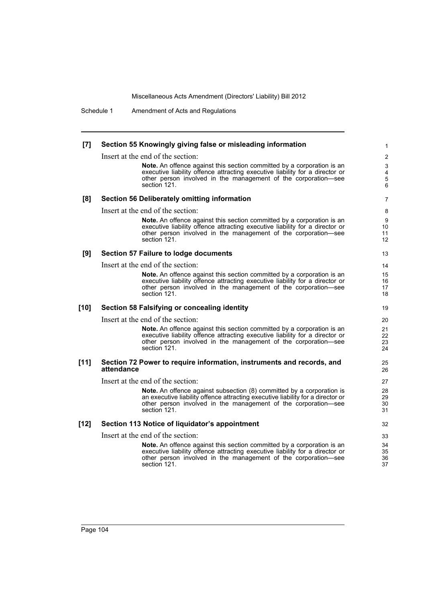Schedule 1 Amendment of Acts and Regulations

## **[7] Section 55 Knowingly giving false or misleading information**

Insert at the end of the section:

**Note.** An offence against this section committed by a corporation is an executive liability offence attracting executive liability for a director or other person involved in the management of the corporation—see section 121.

### **[8] Section 56 Deliberately omitting information**

Insert at the end of the section:

**Note.** An offence against this section committed by a corporation is an executive liability offence attracting executive liability for a director or other person involved in the management of the corporation—see section 121.

### **[9] Section 57 Failure to lodge documents**

Insert at the end of the section:

**Note.** An offence against this section committed by a corporation is an executive liability offence attracting executive liability for a director or other person involved in the management of the corporation—see section 121.

## **[10] Section 58 Falsifying or concealing identity**

Insert at the end of the section:

**Note.** An offence against this section committed by a corporation is an executive liability offence attracting executive liability for a director or other person involved in the management of the corporation—see section 121.

### **[11] Section 72 Power to require information, instruments and records, and attendance**

Insert at the end of the section:

**Note.** An offence against subsection (8) committed by a corporation is an executive liability offence attracting executive liability for a director or other person involved in the management of the corporation—see section 121.

## **[12] Section 113 Notice of liquidator's appointment**

Insert at the end of the section:

**Note.** An offence against this section committed by a corporation is an executive liability offence attracting executive liability for a director or other person involved in the management of the corporation—see section 121.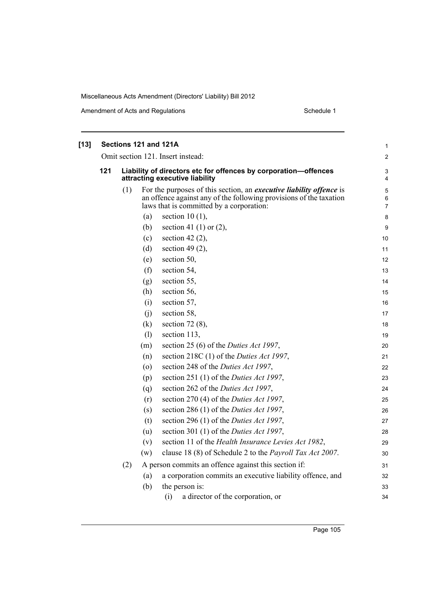| $[13]$ |     |                                   | Sections 121 and 121A                                                                             |                                                                                                                                                                                              | $\mathbf{1}$             |  |  |  |  |  |  |  |  |
|--------|-----|-----------------------------------|---------------------------------------------------------------------------------------------------|----------------------------------------------------------------------------------------------------------------------------------------------------------------------------------------------|--------------------------|--|--|--|--|--|--|--|--|
|        |     | Omit section 121. Insert instead: |                                                                                                   |                                                                                                                                                                                              |                          |  |  |  |  |  |  |  |  |
|        | 121 |                                   | Liability of directors etc for offences by corporation-offences<br>attracting executive liability |                                                                                                                                                                                              |                          |  |  |  |  |  |  |  |  |
|        |     | (1)                               |                                                                                                   | For the purposes of this section, an <i>executive liability offence</i> is<br>an offence against any of the following provisions of the taxation<br>laws that is committed by a corporation: | 5<br>6<br>$\overline{7}$ |  |  |  |  |  |  |  |  |
|        |     |                                   | (a)                                                                                               | section 10 $(1)$ ,                                                                                                                                                                           | 8                        |  |  |  |  |  |  |  |  |
|        |     |                                   | (b)                                                                                               | section 41 (1) or $(2)$ ,                                                                                                                                                                    | 9                        |  |  |  |  |  |  |  |  |
|        |     |                                   | (c)                                                                                               | section 42 $(2)$ ,                                                                                                                                                                           | 10                       |  |  |  |  |  |  |  |  |
|        |     |                                   | (d)                                                                                               | section 49 $(2)$ ,                                                                                                                                                                           | 11                       |  |  |  |  |  |  |  |  |
|        |     |                                   | (e)                                                                                               | section 50,                                                                                                                                                                                  | 12                       |  |  |  |  |  |  |  |  |
|        |     |                                   | (f)                                                                                               | section 54,                                                                                                                                                                                  | 13                       |  |  |  |  |  |  |  |  |
|        |     |                                   | (g)                                                                                               | section 55,                                                                                                                                                                                  | 14                       |  |  |  |  |  |  |  |  |
|        |     |                                   | (h)                                                                                               | section 56,                                                                                                                                                                                  | 15                       |  |  |  |  |  |  |  |  |
|        |     |                                   | (i)                                                                                               | section 57,                                                                                                                                                                                  | 16                       |  |  |  |  |  |  |  |  |
|        |     |                                   | (i)                                                                                               | section 58,                                                                                                                                                                                  | 17                       |  |  |  |  |  |  |  |  |
|        |     |                                   | (k)                                                                                               | section $72(8)$ ,                                                                                                                                                                            | 18                       |  |  |  |  |  |  |  |  |
|        |     |                                   | (1)                                                                                               | section 113,                                                                                                                                                                                 | 19                       |  |  |  |  |  |  |  |  |
|        |     |                                   | (m)                                                                                               | section 25 (6) of the <i>Duties Act 1997</i> ,                                                                                                                                               | 20                       |  |  |  |  |  |  |  |  |
|        |     |                                   | (n)                                                                                               | section 218C (1) of the <i>Duties Act 1997</i> ,                                                                                                                                             | 21                       |  |  |  |  |  |  |  |  |
|        |     |                                   | $\left( 0 \right)$                                                                                | section 248 of the Duties Act 1997,                                                                                                                                                          | 22                       |  |  |  |  |  |  |  |  |
|        |     |                                   | (p)                                                                                               | section 251 (1) of the <i>Duties Act 1997</i> ,                                                                                                                                              | 23                       |  |  |  |  |  |  |  |  |
|        |     |                                   | (q)                                                                                               | section 262 of the Duties Act 1997,                                                                                                                                                          | 24                       |  |  |  |  |  |  |  |  |
|        |     |                                   | (r)                                                                                               | section 270 (4) of the <i>Duties Act 1997</i> ,                                                                                                                                              | 25                       |  |  |  |  |  |  |  |  |
|        |     |                                   | (s)                                                                                               | section 286 (1) of the <i>Duties Act 1997</i> ,                                                                                                                                              | 26                       |  |  |  |  |  |  |  |  |
|        |     |                                   | (t)                                                                                               | section 296 (1) of the <i>Duties Act 1997</i> ,                                                                                                                                              | 27                       |  |  |  |  |  |  |  |  |
|        |     |                                   | (u)                                                                                               | section 301 (1) of the <i>Duties Act 1997</i> ,                                                                                                                                              | 28                       |  |  |  |  |  |  |  |  |
|        |     |                                   | (v)                                                                                               | section 11 of the Health Insurance Levies Act 1982,                                                                                                                                          | 29                       |  |  |  |  |  |  |  |  |
|        |     |                                   | (w)                                                                                               | clause 18 (8) of Schedule 2 to the Payroll Tax Act 2007.                                                                                                                                     | 30                       |  |  |  |  |  |  |  |  |
|        |     | (2)                               |                                                                                                   | A person commits an offence against this section if:                                                                                                                                         | 31                       |  |  |  |  |  |  |  |  |
|        |     |                                   | (a)                                                                                               | a corporation commits an executive liability offence, and                                                                                                                                    | 32                       |  |  |  |  |  |  |  |  |
|        |     |                                   | (b)                                                                                               | the person is:                                                                                                                                                                               | 33                       |  |  |  |  |  |  |  |  |
|        |     |                                   |                                                                                                   | (i)<br>a director of the corporation, or                                                                                                                                                     | 34                       |  |  |  |  |  |  |  |  |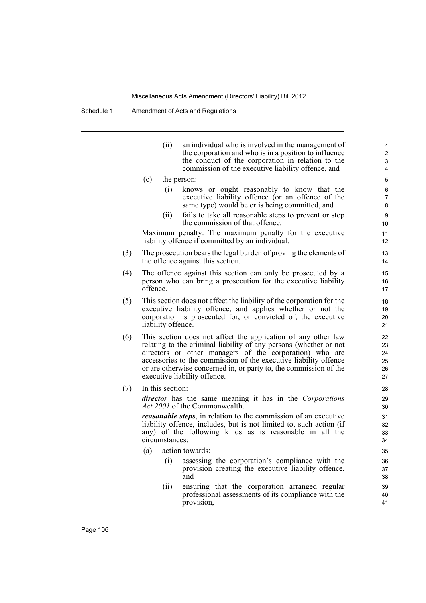Schedule 1 Amendment of Acts and Regulations

(ii) an individual who is involved in the management of the corporation and who is in a position to influence the conduct of the corporation in relation to the commission of the executive liability offence, and

- (c) the person:
	- (i) knows or ought reasonably to know that the executive liability offence (or an offence of the same type) would be or is being committed, and
	- (ii) fails to take all reasonable steps to prevent or stop the commission of that offence.

Maximum penalty: The maximum penalty for the executive liability offence if committed by an individual.

- (3) The prosecution bears the legal burden of proving the elements of the offence against this section.
- (4) The offence against this section can only be prosecuted by a person who can bring a prosecution for the executive liability offence.
- (5) This section does not affect the liability of the corporation for the executive liability offence, and applies whether or not the corporation is prosecuted for, or convicted of, the executive liability offence.
- (6) This section does not affect the application of any other law relating to the criminal liability of any persons (whether or not directors or other managers of the corporation) who are accessories to the commission of the executive liability offence or are otherwise concerned in, or party to, the commission of the executive liability offence.
- (7) In this section:

*director* has the same meaning it has in the *Corporations Act 2001* of the Commonwealth.

*reasonable steps*, in relation to the commission of an executive liability offence, includes, but is not limited to, such action (if any) of the following kinds as is reasonable in all the circumstances:

- (a) action towards:
	- (i) assessing the corporation's compliance with the provision creating the executive liability offence, and
	- (ii) ensuring that the corporation arranged regular professional assessments of its compliance with the provision,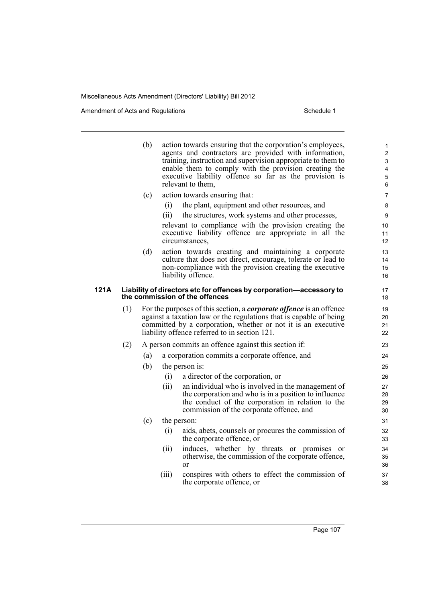|      |     | (b) |       | action towards ensuring that the corporation's employees,<br>agents and contractors are provided with information,<br>training, instruction and supervision appropriate to them to<br>enable them to comply with the provision creating the<br>executive liability offence so far as the provision is<br>relevant to them, | 1<br>$\boldsymbol{2}$<br>3<br>4<br>$\mathbf 5$<br>6 |
|------|-----|-----|-------|----------------------------------------------------------------------------------------------------------------------------------------------------------------------------------------------------------------------------------------------------------------------------------------------------------------------------|-----------------------------------------------------|
|      |     | (c) |       | action towards ensuring that:                                                                                                                                                                                                                                                                                              | 7                                                   |
|      |     |     | (i)   | the plant, equipment and other resources, and                                                                                                                                                                                                                                                                              | 8                                                   |
|      |     |     | (ii)  | the structures, work systems and other processes,                                                                                                                                                                                                                                                                          | 9                                                   |
|      |     |     |       | relevant to compliance with the provision creating the                                                                                                                                                                                                                                                                     | 10                                                  |
|      |     |     |       | executive liability offence are appropriate in all the<br>circumstances,                                                                                                                                                                                                                                                   | 11<br>12                                            |
|      |     | (d) |       | action towards creating and maintaining a corporate                                                                                                                                                                                                                                                                        | 13                                                  |
|      |     |     |       | culture that does not direct, encourage, tolerate or lead to                                                                                                                                                                                                                                                               | 14                                                  |
|      |     |     |       | non-compliance with the provision creating the executive<br>liability offence.                                                                                                                                                                                                                                             | 15<br>16                                            |
| 121A |     |     |       | Liability of directors etc for offences by corporation-accessory to<br>the commission of the offences                                                                                                                                                                                                                      | 17<br>18                                            |
|      | (1) |     |       | For the purposes of this section, a <i>corporate offence</i> is an offence<br>against a taxation law or the regulations that is capable of being<br>committed by a corporation, whether or not it is an executive<br>liability offence referred to in section 121.                                                         | 19<br>20<br>21<br>22                                |
|      | (2) |     |       | A person commits an offence against this section if:                                                                                                                                                                                                                                                                       | 23                                                  |
|      |     | (a) |       | a corporation commits a corporate offence, and                                                                                                                                                                                                                                                                             | 24                                                  |
|      |     | (b) |       | the person is:                                                                                                                                                                                                                                                                                                             | 25                                                  |
|      |     |     | (i)   | a director of the corporation, or                                                                                                                                                                                                                                                                                          | 26                                                  |
|      |     |     | (ii)  | an individual who is involved in the management of                                                                                                                                                                                                                                                                         | 27                                                  |
|      |     |     |       | the corporation and who is in a position to influence                                                                                                                                                                                                                                                                      | 28                                                  |
|      |     |     |       | the conduct of the corporation in relation to the<br>commission of the corporate offence, and                                                                                                                                                                                                                              | 29<br>30                                            |
|      |     | (c) |       | the person:                                                                                                                                                                                                                                                                                                                | 31                                                  |
|      |     |     | (i)   | aids, abets, counsels or procures the commission of<br>the corporate offence, or                                                                                                                                                                                                                                           | 32<br>33                                            |
|      |     |     | (ii)  | induces, whether by threats or promises or<br>otherwise, the commission of the corporate offence,<br><sub>or</sub>                                                                                                                                                                                                         | 34<br>35<br>36                                      |
|      |     |     | (iii) | conspires with others to effect the commission of<br>the corporate offence, or                                                                                                                                                                                                                                             | 37<br>38                                            |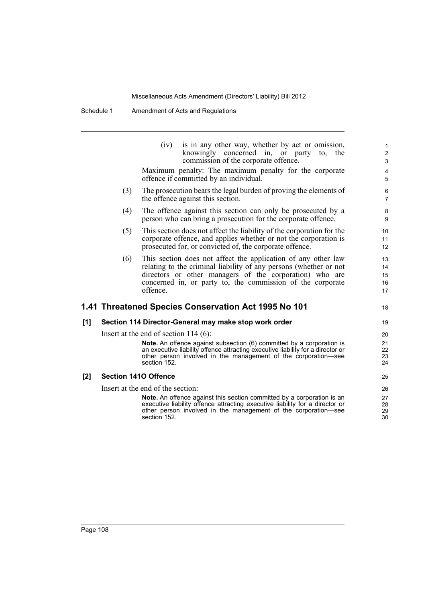Schedule 1 Amendment of Acts and Regulations

|     |     | is in any other way, whether by act or omission,<br>(iv)<br>knowingly concerned in, or party<br>the<br>to.<br>commission of the corporate offence.                                                                                                                      | $\mathbf{1}$<br>$\overline{\mathbf{c}}$<br>$\mathsf 3$ |
|-----|-----|-------------------------------------------------------------------------------------------------------------------------------------------------------------------------------------------------------------------------------------------------------------------------|--------------------------------------------------------|
|     |     | Maximum penalty: The maximum penalty for the corporate<br>offence if committed by an individual.                                                                                                                                                                        | $\overline{4}$<br>5                                    |
|     | (3) | The prosecution bears the legal burden of proving the elements of<br>the offence against this section.                                                                                                                                                                  | 6<br>$\overline{7}$                                    |
|     | (4) | The offence against this section can only be prosecuted by a<br>person who can bring a prosecution for the corporate offence.                                                                                                                                           | 8<br>9                                                 |
|     | (5) | This section does not affect the liability of the corporation for the<br>corporate offence, and applies whether or not the corporation is<br>prosecuted for, or convicted of, the corporate offence.                                                                    | 10<br>11<br>12                                         |
|     | (6) | This section does not affect the application of any other law<br>relating to the criminal liability of any persons (whether or not<br>directors or other managers of the corporation) who are<br>concerned in, or party to, the commission of the corporate<br>offence. | 13<br>14<br>15<br>16<br>17                             |
|     |     | 1.41 Threatened Species Conservation Act 1995 No 101                                                                                                                                                                                                                    | 18                                                     |
| [1] |     | Section 114 Director-General may make stop work order                                                                                                                                                                                                                   | 19                                                     |
|     |     | Insert at the end of section $114(6)$ :                                                                                                                                                                                                                                 | 20                                                     |
|     |     | Note. An offence against subsection (6) committed by a corporation is<br>an executive liability offence attracting executive liability for a director or<br>other person involved in the management of the corporation-see<br>section 152.                              | 21<br>22<br>23<br>24                                   |
| [2] |     | <b>Section 1410 Offence</b>                                                                                                                                                                                                                                             | 25                                                     |
|     |     | Insert at the end of the section:                                                                                                                                                                                                                                       | 26                                                     |
|     |     | <b>Note.</b> An offence against this section committed by a corporation is an<br>executive liability offence attracting executive liability for a director or<br>other person involved in the management of the corporation-see<br>section 152.                         | 27<br>28<br>29<br>30                                   |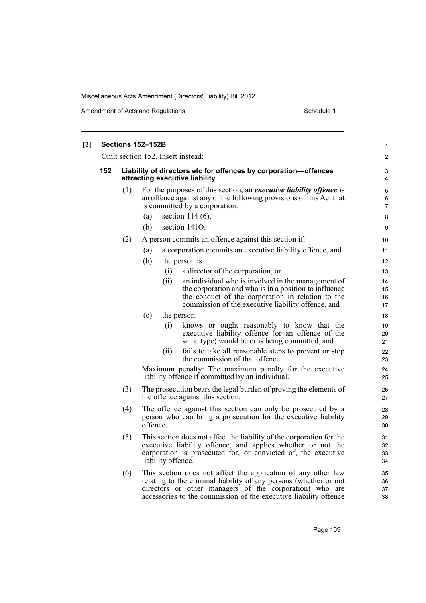Amendment of Acts and Regulations Schedule 1

| $[3]$ |     |     | Sections 152–152B                                                                                                                                                                                                              | 1                        |  |  |  |  |  |  |  |
|-------|-----|-----|--------------------------------------------------------------------------------------------------------------------------------------------------------------------------------------------------------------------------------|--------------------------|--|--|--|--|--|--|--|
|       |     |     | Omit section 152. Insert instead:                                                                                                                                                                                              | 2                        |  |  |  |  |  |  |  |
|       | 152 |     | Liability of directors etc for offences by corporation-offences<br>attracting executive liability                                                                                                                              |                          |  |  |  |  |  |  |  |
|       |     | (1) | For the purposes of this section, an <i>executive liability offence</i> is<br>an offence against any of the following provisions of this Act that<br>is committed by a corporation:                                            | 5<br>6<br>$\overline{7}$ |  |  |  |  |  |  |  |
|       |     |     | section $114(6)$ ,<br>(a)<br>section 1410.<br>(b)                                                                                                                                                                              | 8<br>9                   |  |  |  |  |  |  |  |
|       |     | (2) | A person commits an offence against this section if:                                                                                                                                                                           | 10                       |  |  |  |  |  |  |  |
|       |     |     | a corporation commits an executive liability offence, and<br>(a)                                                                                                                                                               | 11                       |  |  |  |  |  |  |  |
|       |     |     | (b)<br>the person is:                                                                                                                                                                                                          | 12                       |  |  |  |  |  |  |  |
|       |     |     | (i)<br>a director of the corporation, or                                                                                                                                                                                       | 13                       |  |  |  |  |  |  |  |
|       |     |     | an individual who is involved in the management of<br>(ii)<br>the corporation and who is in a position to influence<br>the conduct of the corporation in relation to the<br>commission of the executive liability offence, and | 14<br>15<br>16<br>17     |  |  |  |  |  |  |  |
|       |     |     | (c)<br>the person:                                                                                                                                                                                                             | 18                       |  |  |  |  |  |  |  |
|       |     |     | (i)<br>knows or ought reasonably to know that the<br>executive liability offence (or an offence of the<br>same type) would be or is being committed, and                                                                       | 19<br>20<br>21           |  |  |  |  |  |  |  |
|       |     |     | fails to take all reasonable steps to prevent or stop<br>(ii)<br>the commission of that offence.                                                                                                                               | 22<br>23                 |  |  |  |  |  |  |  |
|       |     |     | Maximum penalty: The maximum penalty for the executive<br>liability offence if committed by an individual.                                                                                                                     | 24<br>25                 |  |  |  |  |  |  |  |
|       |     | (3) | The prosecution bears the legal burden of proving the elements of<br>the offence against this section.                                                                                                                         | 26<br>27                 |  |  |  |  |  |  |  |
|       |     | (4) | The offence against this section can only be prosecuted by a<br>person who can bring a prosecution for the executive liability<br>offence.                                                                                     | 28<br>29<br>30           |  |  |  |  |  |  |  |
|       |     | (5) | This section does not affect the liability of the corporation for the<br>executive liability offence, and applies whether or not the<br>corporation is prosecuted for, or convicted of, the executive<br>liability offence.    | 31<br>32<br>33<br>34     |  |  |  |  |  |  |  |
|       |     | (6) | This section does not affect the application of any other law<br>relating to the criminal liability of any persons (whether or not<br>directors or other managers of the corporation) who are                                  | 35<br>36<br>37           |  |  |  |  |  |  |  |

accessories to the commission of the executive liability offence

38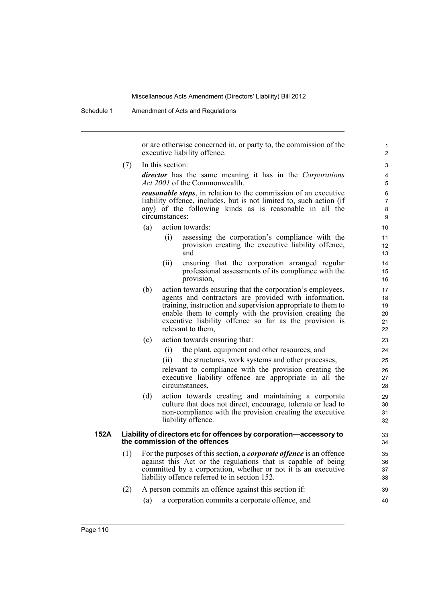Schedule 1 Amendment of Acts and Regulations

or are otherwise concerned in, or party to, the commission of the executive liability offence.

(7) In this section:

*director* has the same meaning it has in the *Corporations Act 2001* of the Commonwealth.

*reasonable steps*, in relation to the commission of an executive liability offence, includes, but is not limited to, such action (if any) of the following kinds as is reasonable in all the circumstances:

- (a) action towards:
	- (i) assessing the corporation's compliance with the provision creating the executive liability offence, and
	- (ii) ensuring that the corporation arranged regular professional assessments of its compliance with the provision,
- (b) action towards ensuring that the corporation's employees, agents and contractors are provided with information, training, instruction and supervision appropriate to them to enable them to comply with the provision creating the executive liability offence so far as the provision is relevant to them,
- (c) action towards ensuring that:
	- (i) the plant, equipment and other resources, and
	- (ii) the structures, work systems and other processes,

relevant to compliance with the provision creating the executive liability offence are appropriate in all the circumstances,

(d) action towards creating and maintaining a corporate culture that does not direct, encourage, tolerate or lead to non-compliance with the provision creating the executive liability offence.

## **152A Liability of directors etc for offences by corporation—accessory to the commission of the offences**

(1) For the purposes of this section, a *corporate offence* is an offence against this Act or the regulations that is capable of being committed by a corporation, whether or not it is an executive liability offence referred to in section 152.

# (2) A person commits an offence against this section if:

(a) a corporation commits a corporate offence, and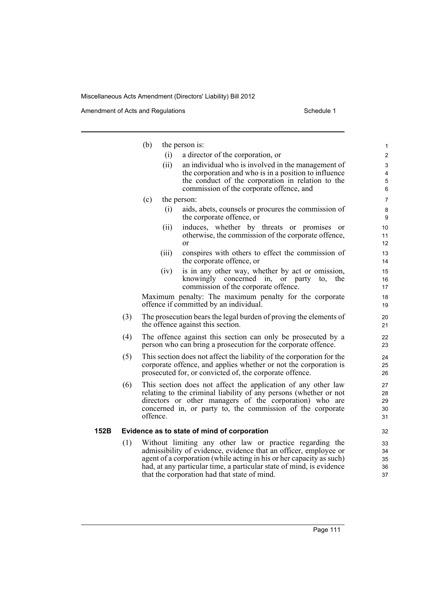|      |     | (b)      |       | the person is:                                                                                                                                                                                                                                                                                                               | $\mathbf{1}$               |
|------|-----|----------|-------|------------------------------------------------------------------------------------------------------------------------------------------------------------------------------------------------------------------------------------------------------------------------------------------------------------------------------|----------------------------|
|      |     |          | (i)   | a director of the corporation, or                                                                                                                                                                                                                                                                                            | $\mathbf{2}$               |
|      |     |          | (ii)  | an individual who is involved in the management of                                                                                                                                                                                                                                                                           | 3                          |
|      |     |          |       | the corporation and who is in a position to influence                                                                                                                                                                                                                                                                        | 4                          |
|      |     |          |       | the conduct of the corporation in relation to the<br>commission of the corporate offence, and                                                                                                                                                                                                                                | 5<br>6                     |
|      |     | (c)      |       | the person:                                                                                                                                                                                                                                                                                                                  | $\overline{7}$             |
|      |     |          | (i)   | aids, abets, counsels or procures the commission of                                                                                                                                                                                                                                                                          | 8                          |
|      |     |          |       | the corporate offence, or                                                                                                                                                                                                                                                                                                    | 9                          |
|      |     |          | (ii)  | induces, whether by threats or promises or                                                                                                                                                                                                                                                                                   | 10                         |
|      |     |          |       | otherwise, the commission of the corporate offence,                                                                                                                                                                                                                                                                          | 11                         |
|      |     |          |       | or                                                                                                                                                                                                                                                                                                                           | 12                         |
|      |     |          | (iii) | conspires with others to effect the commission of<br>the corporate offence, or                                                                                                                                                                                                                                               | 13<br>14                   |
|      |     |          | (iv)  | is in any other way, whether by act or omission,                                                                                                                                                                                                                                                                             | 15                         |
|      |     |          |       | knowingly concerned in, or party<br>to.<br>the<br>commission of the corporate offence.                                                                                                                                                                                                                                       | 16                         |
|      |     |          |       |                                                                                                                                                                                                                                                                                                                              | 17                         |
|      |     |          |       | Maximum penalty: The maximum penalty for the corporate<br>offence if committed by an individual.                                                                                                                                                                                                                             | 18<br>19                   |
|      | (3) |          |       | The prosecution bears the legal burden of proving the elements of<br>the offence against this section.                                                                                                                                                                                                                       | 20<br>21                   |
|      | (4) |          |       | The offence against this section can only be prosecuted by a<br>person who can bring a prosecution for the corporate offence.                                                                                                                                                                                                | 22<br>23                   |
|      | (5) |          |       | This section does not affect the liability of the corporation for the<br>corporate offence, and applies whether or not the corporation is<br>prosecuted for, or convicted of, the corporate offence.                                                                                                                         | 24<br>25<br>26             |
|      | (6) | offence. |       | This section does not affect the application of any other law<br>relating to the criminal liability of any persons (whether or not<br>directors or other managers of the corporation) who are<br>concerned in, or party to, the commission of the corporate                                                                  | 27<br>28<br>29<br>30<br>31 |
| 152B |     |          |       | Evidence as to state of mind of corporation                                                                                                                                                                                                                                                                                  | 32                         |
|      | (1) |          |       | Without limiting any other law or practice regarding the<br>admissibility of evidence, evidence that an officer, employee or<br>agent of a corporation (while acting in his or her capacity as such)<br>had, at any particular time, a particular state of mind, is evidence<br>that the corporation had that state of mind. | 33<br>34<br>35<br>36<br>37 |
|      |     |          |       |                                                                                                                                                                                                                                                                                                                              |                            |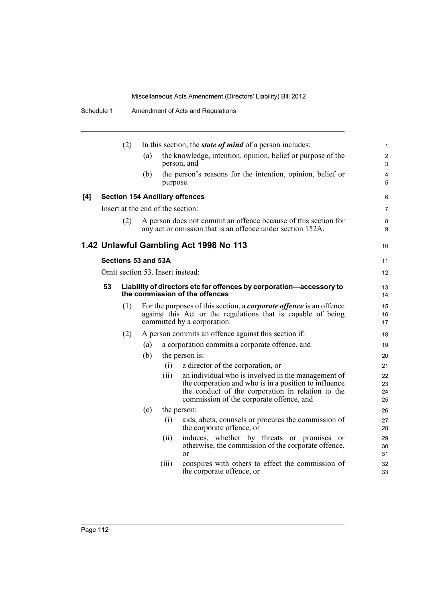|     |    | (2)                 |     |                                   | In this section, the <i>state of mind</i> of a person includes:                                                                                                                                              | $\mathbf{1}$         |
|-----|----|---------------------|-----|-----------------------------------|--------------------------------------------------------------------------------------------------------------------------------------------------------------------------------------------------------------|----------------------|
|     |    |                     | (a) |                                   | the knowledge, intention, opinion, belief or purpose of the<br>person, and                                                                                                                                   | $\overline{2}$<br>3  |
|     |    |                     | (b) | purpose.                          | the person's reasons for the intention, opinion, belief or                                                                                                                                                   | $\overline{4}$<br>5  |
| [4] |    |                     |     |                                   | <b>Section 154 Ancillary offences</b>                                                                                                                                                                        | 6                    |
|     |    |                     |     | Insert at the end of the section: |                                                                                                                                                                                                              | 7                    |
|     |    | (2)                 |     |                                   | A person does not commit an offence because of this section for<br>any act or omission that is an offence under section 152A.                                                                                | 8<br>9               |
|     |    |                     |     |                                   | 1.42 Unlawful Gambling Act 1998 No 113                                                                                                                                                                       | 10                   |
|     |    | Sections 53 and 53A |     |                                   |                                                                                                                                                                                                              | 11                   |
|     |    |                     |     | Omit section 53. Insert instead:  |                                                                                                                                                                                                              | 12                   |
|     | 53 |                     |     |                                   | Liability of directors etc for offences by corporation-accessory to<br>the commission of the offences                                                                                                        | 13<br>14             |
|     |    | (1)                 |     |                                   | For the purposes of this section, a <i>corporate offence</i> is an offence<br>against this Act or the regulations that is capable of being<br>committed by a corporation.                                    | 15<br>16<br>17       |
|     |    | (2)                 |     |                                   | A person commits an offence against this section if:                                                                                                                                                         | 18                   |
|     |    |                     | (a) |                                   | a corporation commits a corporate offence, and                                                                                                                                                               | 19                   |
|     |    |                     | (b) |                                   | the person is:                                                                                                                                                                                               | 20                   |
|     |    |                     |     | (i)                               | a director of the corporation, or                                                                                                                                                                            | 21                   |
|     |    |                     |     | (ii)                              | an individual who is involved in the management of<br>the corporation and who is in a position to influence<br>the conduct of the corporation in relation to the<br>commission of the corporate offence, and | 22<br>23<br>24<br>25 |
|     |    |                     | (c) |                                   | the person:                                                                                                                                                                                                  | 26                   |
|     |    |                     |     | (i)                               | aids, abets, counsels or procures the commission of<br>the corporate offence, or                                                                                                                             | 27<br>28             |
|     |    |                     |     | (ii)                              | induces, whether by threats or promises or<br>otherwise, the commission of the corporate offence,<br><sub>or</sub>                                                                                           | 29<br>30<br>31       |
|     |    |                     |     | (iii)                             | conspires with others to effect the commission of<br>the corporate offence, or                                                                                                                               | 32<br>33             |
|     |    |                     |     |                                   |                                                                                                                                                                                                              |                      |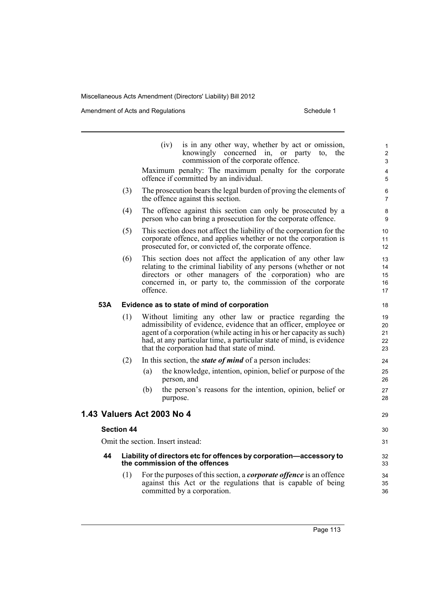|     |                   | (iv)<br>is in any other way, whether by act or omission,<br>knowingly concerned in, or party<br>to,<br>the<br>commission of the corporate offence.                                                                                                                                                                           | 1<br>$\overline{c}$<br>3   |
|-----|-------------------|------------------------------------------------------------------------------------------------------------------------------------------------------------------------------------------------------------------------------------------------------------------------------------------------------------------------------|----------------------------|
|     |                   | Maximum penalty: The maximum penalty for the corporate<br>offence if committed by an individual.                                                                                                                                                                                                                             | 4<br>5                     |
|     | (3)               | The prosecution bears the legal burden of proving the elements of<br>the offence against this section.                                                                                                                                                                                                                       | 6<br>$\overline{7}$        |
|     | (4)               | The offence against this section can only be prosecuted by a<br>person who can bring a prosecution for the corporate offence.                                                                                                                                                                                                | 8<br>9                     |
|     | (5)               | This section does not affect the liability of the corporation for the<br>corporate offence, and applies whether or not the corporation is<br>prosecuted for, or convicted of, the corporate offence.                                                                                                                         | 10<br>11<br>12             |
|     | (6)               | This section does not affect the application of any other law<br>relating to the criminal liability of any persons (whether or not<br>directors or other managers of the corporation) who are<br>concerned in, or party to, the commission of the corporate<br>offence.                                                      | 13<br>14<br>15<br>16<br>17 |
| 53A |                   | Evidence as to state of mind of corporation                                                                                                                                                                                                                                                                                  | 18                         |
|     | (1)               | Without limiting any other law or practice regarding the<br>admissibility of evidence, evidence that an officer, employee or<br>agent of a corporation (while acting in his or her capacity as such)<br>had, at any particular time, a particular state of mind, is evidence<br>that the corporation had that state of mind. | 19<br>20<br>21<br>22<br>23 |
|     | (2)               | In this section, the <i>state of mind</i> of a person includes:                                                                                                                                                                                                                                                              | 24                         |
|     |                   | the knowledge, intention, opinion, belief or purpose of the<br>(a)<br>person, and                                                                                                                                                                                                                                            | 25<br>26                   |
|     |                   | the person's reasons for the intention, opinion, belief or<br>(b)<br>purpose.                                                                                                                                                                                                                                                | 27<br>28                   |
|     |                   | 1.43 Valuers Act 2003 No 4                                                                                                                                                                                                                                                                                                   | 29                         |
|     | <b>Section 44</b> |                                                                                                                                                                                                                                                                                                                              | 30                         |
|     |                   | Omit the section. Insert instead:                                                                                                                                                                                                                                                                                            | 31                         |
| 44  |                   | Liability of directors etc for offences by corporation-accessory to<br>the commission of the offences                                                                                                                                                                                                                        | 32<br>33                   |
|     | (1)               | For the purposes of this section, a <i>corporate offence</i> is an offence<br>against this Act or the regulations that is capable of being<br>committed by a corporation.                                                                                                                                                    | 34<br>35<br>36             |
|     |                   |                                                                                                                                                                                                                                                                                                                              |                            |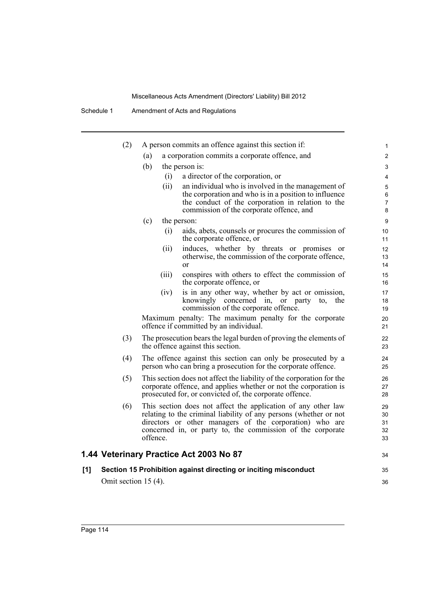Schedule 1 Amendment of Acts and Regulations

|     | (2)                     | A person commits an offence against this section if:                                                                                                                                                                                                                    | 1                          |
|-----|-------------------------|-------------------------------------------------------------------------------------------------------------------------------------------------------------------------------------------------------------------------------------------------------------------------|----------------------------|
|     |                         | a corporation commits a corporate offence, and<br>(a)                                                                                                                                                                                                                   | 2                          |
|     |                         | (b)<br>the person is:                                                                                                                                                                                                                                                   | 3                          |
|     |                         | a director of the corporation, or<br>(i)                                                                                                                                                                                                                                | 4                          |
|     |                         | (ii)<br>an individual who is involved in the management of                                                                                                                                                                                                              | 5                          |
|     |                         | the corporation and who is in a position to influence                                                                                                                                                                                                                   | 6                          |
|     |                         | the conduct of the corporation in relation to the<br>commission of the corporate offence, and                                                                                                                                                                           | $\overline{7}$<br>8        |
|     |                         | (c)<br>the person:                                                                                                                                                                                                                                                      | 9                          |
|     |                         | (i)<br>aids, abets, counsels or procures the commission of<br>the corporate offence, or                                                                                                                                                                                 | 10<br>11                   |
|     |                         | (ii)<br>induces, whether by threats or promises or<br>otherwise, the commission of the corporate offence,<br>$\alpha$                                                                                                                                                   | 12<br>13<br>14             |
|     |                         | conspires with others to effect the commission of<br>(iii)<br>the corporate offence, or                                                                                                                                                                                 | 15<br>16                   |
|     |                         | is in any other way, whether by act or omission,<br>(iv)<br>knowingly concerned in, or party<br>the<br>to,<br>commission of the corporate offence.                                                                                                                      | 17<br>18<br>19             |
|     |                         | Maximum penalty: The maximum penalty for the corporate<br>offence if committed by an individual.                                                                                                                                                                        | 20<br>21                   |
|     | (3)                     | The prosecution bears the legal burden of proving the elements of<br>the offence against this section.                                                                                                                                                                  | 22<br>23                   |
|     | (4)                     | The offence against this section can only be prosecuted by a<br>person who can bring a prosecution for the corporate offence.                                                                                                                                           | 24<br>25                   |
|     | (5)                     | This section does not affect the liability of the corporation for the<br>corporate offence, and applies whether or not the corporation is<br>prosecuted for, or convicted of, the corporate offence.                                                                    | 26<br>27<br>28             |
|     | (6)                     | This section does not affect the application of any other law<br>relating to the criminal liability of any persons (whether or not<br>directors or other managers of the corporation) who are<br>concerned in, or party to, the commission of the corporate<br>offence. | 29<br>30<br>31<br>32<br>33 |
|     |                         | 1.44 Veterinary Practice Act 2003 No 87                                                                                                                                                                                                                                 | 34                         |
| [1] |                         | Section 15 Prohibition against directing or inciting misconduct                                                                                                                                                                                                         | 35                         |
|     | Omit section 15 $(4)$ . |                                                                                                                                                                                                                                                                         | 36                         |
|     |                         |                                                                                                                                                                                                                                                                         |                            |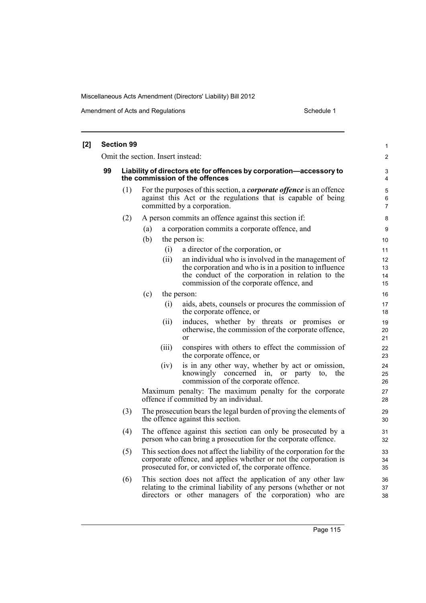| [2] |    | <b>Section 99</b>                                                                                     |                                                                                                                                                                           |       |                                                                                                                                                                                                              | 1                    |  |  |  |  |  |
|-----|----|-------------------------------------------------------------------------------------------------------|---------------------------------------------------------------------------------------------------------------------------------------------------------------------------|-------|--------------------------------------------------------------------------------------------------------------------------------------------------------------------------------------------------------------|----------------------|--|--|--|--|--|
|     |    | Omit the section. Insert instead:                                                                     |                                                                                                                                                                           |       |                                                                                                                                                                                                              |                      |  |  |  |  |  |
|     | 99 | Liability of directors etc for offences by corporation-accessory to<br>the commission of the offences |                                                                                                                                                                           |       |                                                                                                                                                                                                              |                      |  |  |  |  |  |
|     |    | (1)                                                                                                   | For the purposes of this section, a <i>corporate offence</i> is an offence<br>against this Act or the regulations that is capable of being<br>committed by a corporation. |       |                                                                                                                                                                                                              |                      |  |  |  |  |  |
|     |    | (2)                                                                                                   |                                                                                                                                                                           |       | A person commits an offence against this section if:                                                                                                                                                         | 8                    |  |  |  |  |  |
|     |    |                                                                                                       | (a)                                                                                                                                                                       |       | a corporation commits a corporate offence, and                                                                                                                                                               | 9                    |  |  |  |  |  |
|     |    |                                                                                                       | (b)                                                                                                                                                                       |       | the person is:                                                                                                                                                                                               | 10                   |  |  |  |  |  |
|     |    |                                                                                                       |                                                                                                                                                                           | (i)   | a director of the corporation, or                                                                                                                                                                            | 11                   |  |  |  |  |  |
|     |    |                                                                                                       |                                                                                                                                                                           | (ii)  | an individual who is involved in the management of<br>the corporation and who is in a position to influence<br>the conduct of the corporation in relation to the<br>commission of the corporate offence, and | 12<br>13<br>14<br>15 |  |  |  |  |  |
|     |    |                                                                                                       | (c)                                                                                                                                                                       |       | the person:                                                                                                                                                                                                  | 16                   |  |  |  |  |  |
|     |    |                                                                                                       |                                                                                                                                                                           | (i)   | aids, abets, counsels or procures the commission of<br>the corporate offence, or                                                                                                                             | 17<br>18             |  |  |  |  |  |
|     |    |                                                                                                       |                                                                                                                                                                           | (ii)  | induces, whether by threats or promises or<br>otherwise, the commission of the corporate offence,<br><sub>or</sub>                                                                                           | 19<br>20<br>21       |  |  |  |  |  |
|     |    |                                                                                                       |                                                                                                                                                                           | (iii) | conspires with others to effect the commission of<br>the corporate offence, or                                                                                                                               | 22<br>23             |  |  |  |  |  |
|     |    |                                                                                                       |                                                                                                                                                                           | (iv)  | is in any other way, whether by act or omission,<br>knowingly concerned in, or party<br>to.<br>the<br>commission of the corporate offence.                                                                   | 24<br>25<br>26       |  |  |  |  |  |
|     |    |                                                                                                       |                                                                                                                                                                           |       | Maximum penalty: The maximum penalty for the corporate<br>offence if committed by an individual.                                                                                                             | 27<br>28             |  |  |  |  |  |
|     |    | (3)                                                                                                   |                                                                                                                                                                           |       | The prosecution bears the legal burden of proving the elements of<br>the offence against this section.                                                                                                       | 29<br>30             |  |  |  |  |  |
|     |    | (4)                                                                                                   |                                                                                                                                                                           |       | The offence against this section can only be prosecuted by a<br>person who can bring a prosecution for the corporate offence.                                                                                | 31<br>32             |  |  |  |  |  |
|     |    | (5)                                                                                                   |                                                                                                                                                                           |       | This section does not affect the liability of the corporation for the<br>corporate offence, and applies whether or not the corporation is<br>prosecuted for, or convicted of, the corporate offence.         | 33<br>34<br>35       |  |  |  |  |  |
|     |    | (6)                                                                                                   |                                                                                                                                                                           |       | This section does not affect the application of any other law<br>relating to the criminal liability of any persons (whether or not<br>directors or other managers of the corporation) who are                | 36<br>37<br>38       |  |  |  |  |  |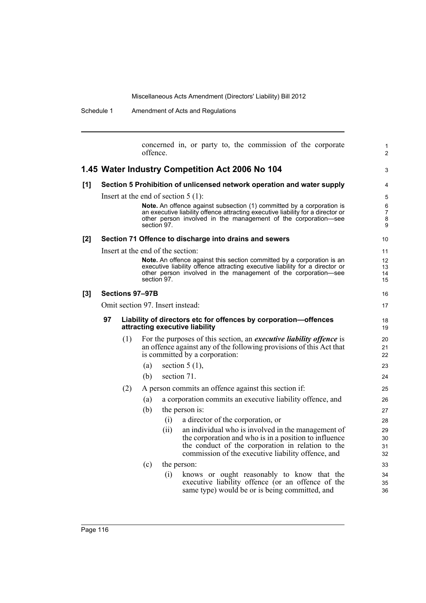Schedule 1 Amendment of Acts and Regulations

|       |    |                 | offence. |                                       |                  |                                                        |  |  | concerned in, or party to, the commission of the corporate                                                                                                                                                                      |  | 1<br>2                        |
|-------|----|-----------------|----------|---------------------------------------|------------------|--------------------------------------------------------|--|--|---------------------------------------------------------------------------------------------------------------------------------------------------------------------------------------------------------------------------------|--|-------------------------------|
|       |    |                 |          |                                       |                  | 1.45 Water Industry Competition Act 2006 No 104        |  |  |                                                                                                                                                                                                                                 |  | 3                             |
| [1]   |    |                 |          |                                       |                  |                                                        |  |  | Section 5 Prohibition of unlicensed network operation and water supply                                                                                                                                                          |  | 4                             |
|       |    |                 |          | Insert at the end of section $5(1)$ : |                  |                                                        |  |  |                                                                                                                                                                                                                                 |  | 5                             |
|       |    |                 |          | section 97.                           |                  |                                                        |  |  | Note. An offence against subsection (1) committed by a corporation is<br>an executive liability offence attracting executive liability for a director or<br>other person involved in the management of the corporation-see      |  | 6<br>$\overline{7}$<br>8<br>9 |
| [2]   |    |                 |          |                                       |                  | Section 71 Offence to discharge into drains and sewers |  |  |                                                                                                                                                                                                                                 |  | 10                            |
|       |    |                 |          | Insert at the end of the section:     |                  |                                                        |  |  |                                                                                                                                                                                                                                 |  | 11                            |
|       |    |                 |          | section 97.                           |                  |                                                        |  |  | <b>Note.</b> An offence against this section committed by a corporation is an<br>executive liability offence attracting executive liability for a director or<br>other person involved in the management of the corporation-see |  | 12<br>13<br>14<br>15          |
| $[3]$ |    | Sections 97-97B |          |                                       |                  |                                                        |  |  |                                                                                                                                                                                                                                 |  | 16                            |
|       |    |                 |          | Omit section 97. Insert instead:      |                  |                                                        |  |  |                                                                                                                                                                                                                                 |  | 17                            |
|       | 97 |                 |          | attracting executive liability        |                  |                                                        |  |  | Liability of directors etc for offences by corporation-offences                                                                                                                                                                 |  | 18<br>19                      |
|       |    | (1)             |          |                                       |                  | is committed by a corporation:                         |  |  | For the purposes of this section, an <i>executive liability offence</i> is<br>an offence against any of the following provisions of this Act that                                                                               |  | 20<br>21<br>22                |
|       |    |                 | (a)      |                                       | section $5(1)$ , |                                                        |  |  |                                                                                                                                                                                                                                 |  | 23                            |
|       |    |                 | (b)      |                                       | section 71.      |                                                        |  |  |                                                                                                                                                                                                                                 |  | 24                            |
|       |    | (2)             |          |                                       |                  | A person commits an offence against this section if:   |  |  |                                                                                                                                                                                                                                 |  | 25                            |
|       |    |                 | (a)      |                                       |                  |                                                        |  |  | a corporation commits an executive liability offence, and                                                                                                                                                                       |  | 26                            |
|       |    |                 | (b)      |                                       | the person is:   |                                                        |  |  |                                                                                                                                                                                                                                 |  | 27                            |
|       |    |                 |          | (i)                                   |                  | a director of the corporation, or                      |  |  |                                                                                                                                                                                                                                 |  | 28                            |
|       |    |                 |          | (ii)                                  |                  |                                                        |  |  | an individual who is involved in the management of<br>the corporation and who is in a position to influence<br>the conduct of the corporation in relation to the<br>commission of the executive liability offence, and          |  | 29<br>30<br>31<br>32          |
|       |    |                 | (c)      |                                       | the person:      |                                                        |  |  |                                                                                                                                                                                                                                 |  | 33                            |
|       |    |                 |          | (i)                                   |                  |                                                        |  |  | knows or ought reasonably to know that the<br>executive liability offence (or an offence of the<br>same type) would be or is being committed, and                                                                               |  | 34<br>35<br>36                |
|       |    |                 |          |                                       |                  |                                                        |  |  |                                                                                                                                                                                                                                 |  |                               |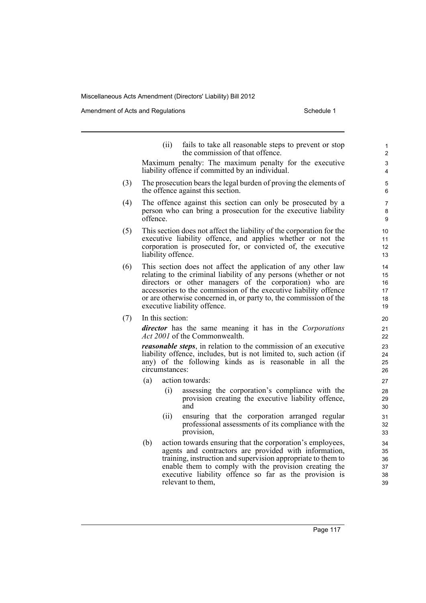Amendment of Acts and Regulations Schedule 1

(ii) fails to take all reasonable steps to prevent or stop the commission of that offence. Maximum penalty: The maximum penalty for the executive liability offence if committed by an individual. (3) The prosecution bears the legal burden of proving the elements of the offence against this section. (4) The offence against this section can only be prosecuted by a person who can bring a prosecution for the executive liability offence. (5) This section does not affect the liability of the corporation for the executive liability offence, and applies whether or not the corporation is prosecuted for, or convicted of, the executive liability offence. (6) This section does not affect the application of any other law relating to the criminal liability of any persons (whether or not directors or other managers of the corporation) who are accessories to the commission of the executive liability offence or are otherwise concerned in, or party to, the commission of the executive liability offence. (7) In this section: *director* has the same meaning it has in the *Corporations Act 2001* of the Commonwealth. *reasonable steps*, in relation to the commission of an executive liability offence, includes, but is not limited to, such action (if any) of the following kinds as is reasonable in all the circumstances: (a) action towards: (i) assessing the corporation's compliance with the provision creating the executive liability offence, and (ii) ensuring that the corporation arranged regular professional assessments of its compliance with the provision, (b) action towards ensuring that the corporation's employees,

agents and contractors are provided with information, training, instruction and supervision appropriate to them to enable them to comply with the provision creating the executive liability offence so far as the provision is relevant to them,

Page 117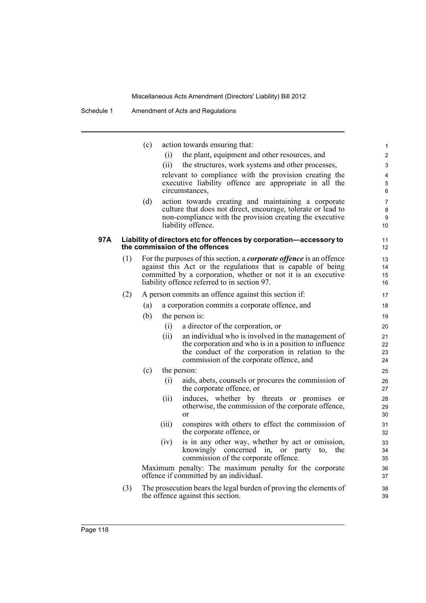|     |     | (c) | (i)   | action towards ensuring that:<br>the plant, equipment and other resources, and                                                | $\mathbf{1}$<br>$\overline{2}$ |
|-----|-----|-----|-------|-------------------------------------------------------------------------------------------------------------------------------|--------------------------------|
|     |     |     | (ii)  | the structures, work systems and other processes,                                                                             | 3                              |
|     |     |     |       | relevant to compliance with the provision creating the                                                                        | 4                              |
|     |     |     |       | executive liability offence are appropriate in all the                                                                        | 5                              |
|     |     |     |       | circumstances,                                                                                                                | 6                              |
|     |     | (d) |       | action towards creating and maintaining a corporate                                                                           | 7                              |
|     |     |     |       | culture that does not direct, encourage, tolerate or lead to                                                                  | 8                              |
|     |     |     |       | non-compliance with the provision creating the executive<br>liability offence.                                                | 9<br>10                        |
| 97A |     |     |       | Liability of directors etc for offences by corporation-accessory to                                                           | 11                             |
|     |     |     |       | the commission of the offences                                                                                                | 12                             |
|     | (1) |     |       | For the purposes of this section, a <i>corporate offence</i> is an offence                                                    | 13                             |
|     |     |     |       | against this Act or the regulations that is capable of being<br>committed by a corporation, whether or not it is an executive | 14<br>15                       |
|     |     |     |       | liability offence referred to in section 97.                                                                                  | 16                             |
|     | (2) |     |       | A person commits an offence against this section if:                                                                          | 17                             |
|     |     | (a) |       | a corporation commits a corporate offence, and                                                                                | 18                             |
|     |     | (b) |       | the person is:                                                                                                                | 19                             |
|     |     |     | (i)   | a director of the corporation, or                                                                                             | 20                             |
|     |     |     | (ii)  | an individual who is involved in the management of                                                                            | 21                             |
|     |     |     |       | the corporation and who is in a position to influence                                                                         | 22                             |
|     |     |     |       | the conduct of the corporation in relation to the                                                                             | 23                             |
|     |     |     |       | commission of the corporate offence, and                                                                                      | 24                             |
|     |     | (c) |       | the person:                                                                                                                   | 25                             |
|     |     |     | (i)   | aids, abets, counsels or procures the commission of<br>the corporate offence, or                                              | 26<br>27                       |
|     |     |     | (ii)  | induces, whether by threats or promises or                                                                                    | 28                             |
|     |     |     |       | otherwise, the commission of the corporate offence,<br><sub>or</sub>                                                          | 29<br>30                       |
|     |     |     | (iii) | conspires with others to effect the commission of                                                                             | 31                             |
|     |     |     |       | the corporate offence, or                                                                                                     | 32                             |
|     |     |     | (iv)  | is in any other way, whether by act or omission,                                                                              | 33                             |
|     |     |     |       | knowingly concerned in, or party<br>to,<br>the<br>commission of the corporate offence.                                        | 34<br>35                       |
|     |     |     |       | Maximum penalty: The maximum penalty for the corporate                                                                        | 36                             |
|     |     |     |       | offence if committed by an individual.                                                                                        | 37                             |
|     | (3) |     |       | The prosecution bears the legal burden of proving the elements of                                                             | 38                             |
|     |     |     |       | the offence against this section.                                                                                             | 39                             |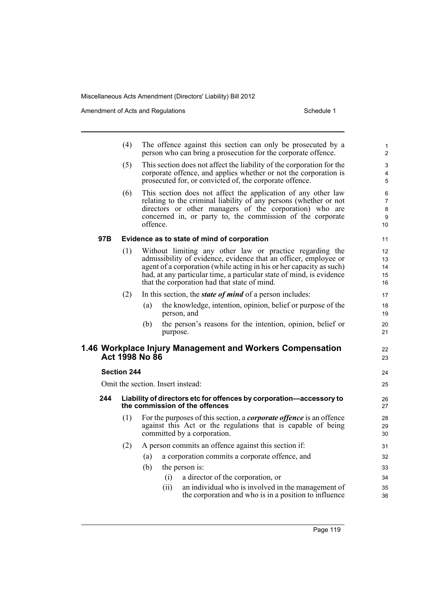|     | (4)                                                                                                   | The offence against this section can only be prosecuted by a<br>person who can bring a prosecution for the corporate offence.                                                                                                                                                                                                |                                                                                                                                                                                                                                                             | 1<br>$\overline{2}$                 |
|-----|-------------------------------------------------------------------------------------------------------|------------------------------------------------------------------------------------------------------------------------------------------------------------------------------------------------------------------------------------------------------------------------------------------------------------------------------|-------------------------------------------------------------------------------------------------------------------------------------------------------------------------------------------------------------------------------------------------------------|-------------------------------------|
|     | (5)                                                                                                   | This section does not affect the liability of the corporation for the<br>corporate offence, and applies whether or not the corporation is<br>prosecuted for, or convicted of, the corporate offence.                                                                                                                         |                                                                                                                                                                                                                                                             | 3<br>$\overline{4}$<br>5            |
|     | (6)                                                                                                   | offence.                                                                                                                                                                                                                                                                                                                     | This section does not affect the application of any other law<br>relating to the criminal liability of any persons (whether or not<br>directors or other managers of the corporation) who are<br>concerned in, or party to, the commission of the corporate | 6<br>$\overline{7}$<br>8<br>9<br>10 |
| 97B | Evidence as to state of mind of corporation                                                           |                                                                                                                                                                                                                                                                                                                              |                                                                                                                                                                                                                                                             | 11                                  |
|     | (1)                                                                                                   | Without limiting any other law or practice regarding the<br>admissibility of evidence, evidence that an officer, employee or<br>agent of a corporation (while acting in his or her capacity as such)<br>had, at any particular time, a particular state of mind, is evidence<br>that the corporation had that state of mind. |                                                                                                                                                                                                                                                             |                                     |
|     | (2)                                                                                                   | In this section, the <i>state of mind</i> of a person includes:                                                                                                                                                                                                                                                              |                                                                                                                                                                                                                                                             | 17                                  |
|     |                                                                                                       | (a)                                                                                                                                                                                                                                                                                                                          | the knowledge, intention, opinion, belief or purpose of the<br>person, and                                                                                                                                                                                  | 18<br>19                            |
|     |                                                                                                       | (b)                                                                                                                                                                                                                                                                                                                          | the person's reasons for the intention, opinion, belief or<br>purpose.                                                                                                                                                                                      | 20<br>21                            |
|     |                                                                                                       | Act 1998 No 86                                                                                                                                                                                                                                                                                                               | 1.46 Workplace Injury Management and Workers Compensation                                                                                                                                                                                                   | 22<br>23                            |
|     | <b>Section 244</b>                                                                                    |                                                                                                                                                                                                                                                                                                                              |                                                                                                                                                                                                                                                             | 24                                  |
|     | Omit the section. Insert instead:                                                                     |                                                                                                                                                                                                                                                                                                                              |                                                                                                                                                                                                                                                             | 25                                  |
| 244 | Liability of directors etc for offences by corporation-accessory to<br>the commission of the offences |                                                                                                                                                                                                                                                                                                                              |                                                                                                                                                                                                                                                             | 26<br>27                            |
|     | (1)                                                                                                   | For the purposes of this section, a <i>corporate offence</i> is an offence<br>against this Act or the regulations that is capable of being<br>committed by a corporation.                                                                                                                                                    |                                                                                                                                                                                                                                                             | 28<br>29<br>30                      |
|     | (2)                                                                                                   |                                                                                                                                                                                                                                                                                                                              | A person commits an offence against this section if:                                                                                                                                                                                                        |                                     |
|     |                                                                                                       | (a)                                                                                                                                                                                                                                                                                                                          | a corporation commits a corporate offence, and                                                                                                                                                                                                              | 32                                  |
|     |                                                                                                       | (b)                                                                                                                                                                                                                                                                                                                          | the person is:                                                                                                                                                                                                                                              | 33                                  |
|     |                                                                                                       | (i)                                                                                                                                                                                                                                                                                                                          | a director of the corporation, or                                                                                                                                                                                                                           | 34                                  |
|     |                                                                                                       | (ii)                                                                                                                                                                                                                                                                                                                         | an individual who is involved in the management of<br>the corporation and who is in a position to influence                                                                                                                                                 | 35<br>36                            |